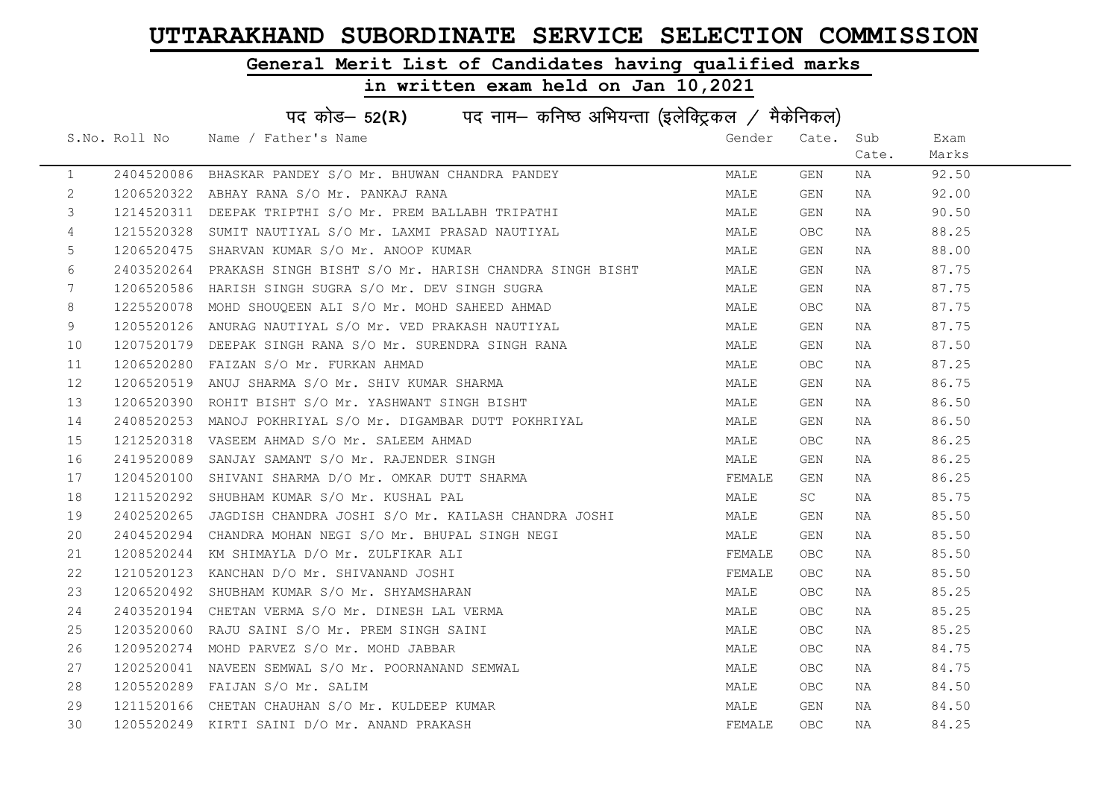### General Merit List of Candidates having qualified marks

### in written exam held on Jan 10,2021

 $\sim$ 

| पद कोड- 52(R) पद नाम- कनिष्ठ अभियन्ता (इलेक्ट्रिकल / मैकेनिकल) |  |                                                                   |        |           |       |       |  |
|----------------------------------------------------------------|--|-------------------------------------------------------------------|--------|-----------|-------|-------|--|
|                                                                |  | S.No. Roll No Name / Father's Name                                | Gender | Cate. Sub |       | Exam  |  |
|                                                                |  |                                                                   |        |           | Cate. | Marks |  |
| $\mathbf{1}$                                                   |  | 2404520086 BHASKAR PANDEY S/O Mr. BHUWAN CHANDRA PANDEY           | MALE   | GEN       | NA    | 92.50 |  |
| 2                                                              |  | 1206520322 ABHAY RANA S/O Mr. PANKAJ RANA                         | MALE   | GEN       | NA    | 92.00 |  |
| 3                                                              |  | 1214520311 DEEPAK TRIPTHI S/O Mr. PREM BALLABH TRIPATHI           | MALE   | GEN       | NA    | 90.50 |  |
| 4                                                              |  | 1215520328 SUMIT NAUTIYAL S/O Mr. LAXMI PRASAD NAUTIYAL           | MALE   | OBC.      | NA    | 88.25 |  |
| 5                                                              |  | 1206520475 SHARVAN KUMAR S/O Mr. ANOOP KUMAR                      | MALE   | GEN       | NA    | 88.00 |  |
| 6                                                              |  | 2403520264 PRAKASH SINGH BISHT S/O Mr. HARISH CHANDRA SINGH BISHT | MALE   | GEN       | NA    | 87.75 |  |
| 7                                                              |  | 1206520586 HARISH SINGH SUGRA S/O Mr. DEV SINGH SUGRA             | MALE   | GEN       | NA    | 87.75 |  |
| 8                                                              |  | 1225520078 MOHD SHOUQEEN ALI S/O Mr. MOHD SAHEED AHMAD            | MALE   | OBC.      | NA    | 87.75 |  |
| 9                                                              |  | 1205520126 ANURAG NAUTIYAL S/O Mr. VED PRAKASH NAUTIYAL           | MALE   | GEN       | NA    | 87.75 |  |
| 10                                                             |  | 1207520179 DEEPAK SINGH RANA S/O Mr. SURENDRA SINGH RANA          | MALE   | GEN       | NA    | 87.50 |  |
| 11                                                             |  | 1206520280 FAIZAN S/O Mr. FURKAN AHMAD                            | MALE   | OBC       | NA    | 87.25 |  |
| 12                                                             |  | 1206520519 ANUJ SHARMA S/O Mr. SHIV KUMAR SHARMA                  | MALE   | GEN       | NA    | 86.75 |  |
| 13                                                             |  | 1206520390 ROHIT BISHT S/O Mr. YASHWANT SINGH BISHT               | MALE   | GEN       | NA    | 86.50 |  |
| 14                                                             |  | 2408520253 MANOJ POKHRIYAL S/O Mr. DIGAMBAR DUTT POKHRIYAL        | MALE   | GEN       | NA    | 86.50 |  |
| 15                                                             |  | 1212520318 VASEEM AHMAD S/O Mr. SALEEM AHMAD                      | MALE   | OBC       | NA    | 86.25 |  |
| 16                                                             |  | 2419520089 SANJAY SAMANT S/O Mr. RAJENDER SINGH                   | MALE   | GEN       | NA    | 86.25 |  |
| 17                                                             |  | 1204520100 SHIVANI SHARMA D/O Mr. OMKAR DUTT SHARMA               | FEMALE | GEN       | NA    | 86.25 |  |
| 18                                                             |  | 1211520292 SHUBHAM KUMAR S/O Mr. KUSHAL PAL                       | MALE   | SC        | NA    | 85.75 |  |
| 19                                                             |  | 2402520265  JAGDISH CHANDRA JOSHI S/O Mr. KAILASH CHANDRA JOSHI   | MALE   | GEN       | NA    | 85.50 |  |
| 20                                                             |  | 2404520294 CHANDRA MOHAN NEGI S/O Mr. BHUPAL SINGH NEGI           | MALE   | GEN       | NA    | 85.50 |  |
| 21                                                             |  | 1208520244 KM SHIMAYLA D/O Mr. ZULFIKAR ALI                       | FEMALE | OBC.      | NA    | 85.50 |  |
| 22                                                             |  | 1210520123 KANCHAN D/O Mr. SHIVANAND JOSHI                        | FEMALE | OBC       | NA    | 85.50 |  |
| 23                                                             |  | 1206520492 SHUBHAM KUMAR S/O Mr. SHYAMSHARAN                      | MALE   | OBC.      | NA    | 85.25 |  |
| 24                                                             |  | 2403520194 CHETAN VERMA S/O Mr. DINESH LAL VERMA                  | MALE   | OBC       | NA    | 85.25 |  |
| 25                                                             |  | 1203520060 RAJU SAINI S/O Mr. PREM SINGH SAINI                    | MALE   | OBC.      | NA    | 85.25 |  |
| 26                                                             |  | 1209520274 MOHD PARVEZ S/O Mr. MOHD JABBAR                        | MALE   | OBC       | NA    | 84.75 |  |
| 27                                                             |  | 1202520041 NAVEEN SEMWAL S/O Mr. POORNANAND SEMWAL                | MALE   | OBC       | NA    | 84.75 |  |
| 28                                                             |  | 1205520289 FAIJAN S/O Mr. SALIM                                   | MALE   | OBC       | NA    | 84.50 |  |
| 29                                                             |  | 1211520166 CHETAN CHAUHAN S/O Mr. KULDEEP KUMAR                   | MALE   | GEN       | NA    | 84.50 |  |
| 30                                                             |  | 1205520249 KIRTI SAINI D/O Mr. ANAND PRAKASH                      | FEMALE | OBC       | NA    | 84.25 |  |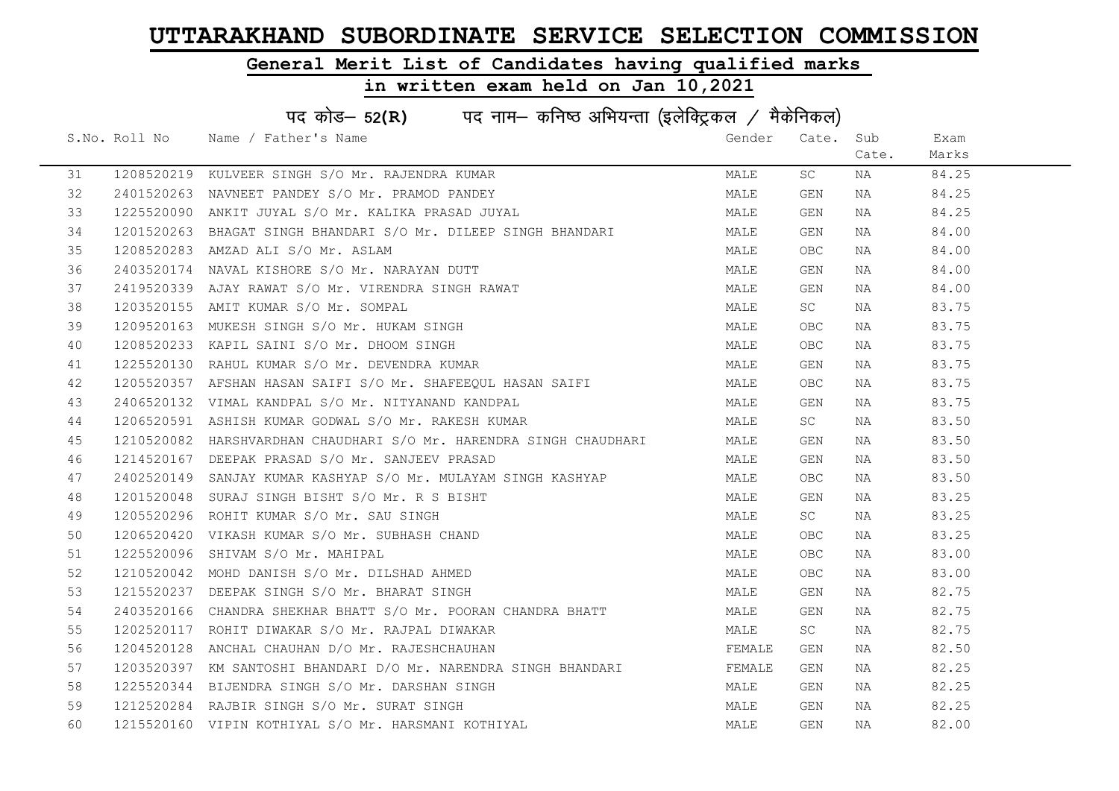### General Merit List of Candidates having qualified marks

| पद कोड- 52(R) पद नाम- कनिष्ठ अभियन्ता (इलेक्ट्रिकल / मैकेनिकल) |  |                                                                    |        |            |       |       |  |
|----------------------------------------------------------------|--|--------------------------------------------------------------------|--------|------------|-------|-------|--|
|                                                                |  | S.No. Roll No Name / Father's Name                                 | Gender | Cate. Sub  |       | Exam  |  |
|                                                                |  |                                                                    |        |            | Cate. | Marks |  |
| 31                                                             |  | 1208520219 KULVEER SINGH S/O Mr. RAJENDRA KUMAR                    | MALE   | SC         | NA    | 84.25 |  |
| 32                                                             |  | 2401520263 NAVNEET PANDEY S/O Mr. PRAMOD PANDEY                    | MALE   | GEN        | NA    | 84.25 |  |
| 33                                                             |  | 1225520090 ANKIT JUYAL S/O Mr. KALIKA PRASAD JUYAL                 | MALE   | GEN        | NA    | 84.25 |  |
| 34                                                             |  | 1201520263 BHAGAT SINGH BHANDARI S/O Mr. DILEEP SINGH BHANDARI     | MALE   | GEN        | NA    | 84.00 |  |
| 35                                                             |  | 1208520283 AMZAD ALI S/O Mr. ASLAM                                 | MALE   | OBC        | NA    | 84.00 |  |
| 36                                                             |  | 2403520174 NAVAL KISHORE S/O Mr. NARAYAN DUTT                      | MALE   | GEN        | NA    | 84.00 |  |
| 37                                                             |  | 2419520339 AJAY RAWAT S/O Mr. VIRENDRA SINGH RAWAT                 | MALE   | GEN        | NA    | 84.00 |  |
| 38                                                             |  | 1203520155 AMIT KUMAR S/O Mr. SOMPAL                               | MALE   | SC         | NA    | 83.75 |  |
| 39                                                             |  | 1209520163 MUKESH SINGH S/O Mr. HUKAM SINGH                        | MALE   | OBC        | NA    | 83.75 |  |
| 40                                                             |  | 1208520233 KAPIL SAINI S/O Mr. DHOOM SINGH                         | MALE   | OBC        | NA    | 83.75 |  |
| 41                                                             |  | 1225520130 RAHUL KUMAR S/O Mr. DEVENDRA KUMAR                      | MALE   | GEN        | NA    | 83.75 |  |
| 42                                                             |  | 1205520357 AFSHAN HASAN SAIFI S/O Mr. SHAFEEQUL HASAN SAIFI        | MALE   | OBC        | NA    | 83.75 |  |
| 43                                                             |  | 2406520132 VIMAL KANDPAL S/O Mr. NITYANAND KANDPAL                 | MALE   | GEN        | NA    | 83.75 |  |
| 44                                                             |  | 1206520591 ASHISH KUMAR GODWAL S/O Mr. RAKESH KUMAR                | MALE   | SC .       | NA    | 83.50 |  |
| 45                                                             |  | 1210520082 HARSHVARDHAN CHAUDHARI S/O Mr. HARENDRA SINGH CHAUDHARI | MALE   | GEN        | NA    | 83.50 |  |
| 46                                                             |  | 1214520167 DEEPAK PRASAD S/O Mr. SANJEEV PRASAD                    | MALE   | GEN        | NA    | 83.50 |  |
| 47                                                             |  | 2402520149 SANJAY KUMAR KASHYAP S/O Mr. MULAYAM SINGH KASHYAP      | MALE   | OBC.       | NA    | 83.50 |  |
| 48                                                             |  | 1201520048 SURAJ SINGH BISHT S/O Mr. R S BISHT                     | MALE   | GEN        | NA    | 83.25 |  |
| 49                                                             |  | 1205520296 ROHIT KUMAR S/O Mr. SAU SINGH                           | MALE   | SC         | NA    | 83.25 |  |
| 50                                                             |  | 1206520420 VIKASH KUMAR S/O Mr. SUBHASH CHAND                      | MALE   | OBC        | NA    | 83.25 |  |
| 51                                                             |  | 1225520096 SHIVAM S/O Mr. MAHIPAL                                  | MALE   | OBC        | NA    | 83.00 |  |
| 52                                                             |  | 1210520042 MOHD DANISH S/O Mr. DILSHAD AHMED                       | MALE   | OBC        | NA    | 83.00 |  |
| 53                                                             |  | 1215520237 DEEPAK SINGH S/O Mr. BHARAT SINGH                       | MALE   | GEN        | NA    | 82.75 |  |
| 54                                                             |  | 2403520166 CHANDRA SHEKHAR BHATT S/O Mr. POORAN CHANDRA BHATT      | MALE   | GEN        | NA    | 82.75 |  |
| 55                                                             |  | 1202520117 ROHIT DIWAKAR S/O Mr. RAJPAL DIWAKAR                    | MALE   | SC         | NA    | 82.75 |  |
| 56                                                             |  | 1204520128 ANCHAL CHAUHAN D/O Mr. RAJESHCHAUHAN                    | FEMALE | GEN        | NA    | 82.50 |  |
| 57                                                             |  | 1203520397 KM SANTOSHI BHANDARI D/O Mr. NARENDRA SINGH BHANDARI    | FEMALE | GEN        | NA    | 82.25 |  |
| 58                                                             |  | 1225520344 BIJENDRA SINGH S/O Mr. DARSHAN SINGH                    | MALE   | GEN        | NA    | 82.25 |  |
| 59                                                             |  | 1212520284 RAJBIR SINGH S/O Mr. SURAT SINGH                        | MALE   | GEN        | NA    | 82.25 |  |
| 60                                                             |  | 1215520160 VIPIN KOTHIYAL S/O Mr. HARSMANI KOTHIYAL                | MALE   | <b>GEN</b> | NA    | 82.00 |  |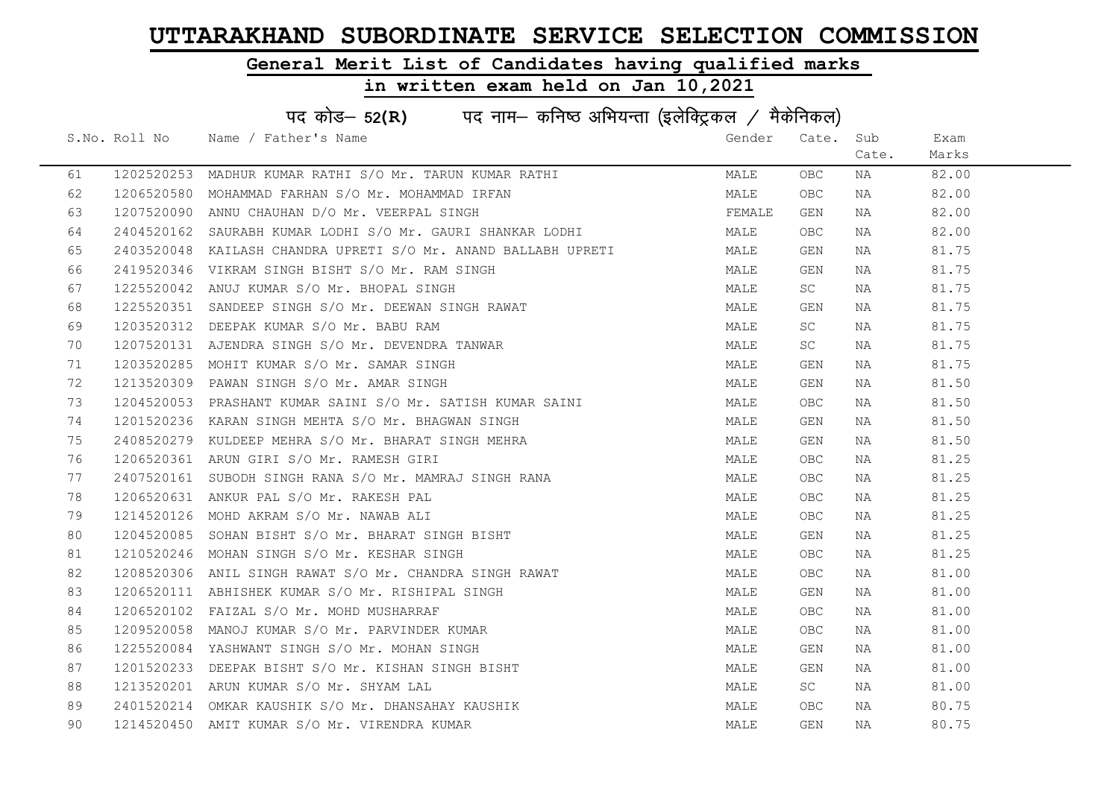### General Merit List of Candidates having qualified marks

|    | पद कोड- 52(R) पद नाम- कनिष्ठ अभियन्ता (इलेक्ट्रिकल / मैकेनिकल) |                                                                 |        |           |       |       |  |  |
|----|----------------------------------------------------------------|-----------------------------------------------------------------|--------|-----------|-------|-------|--|--|
|    |                                                                | S.No. Roll No Name / Father's Name                              | Gender | Cate. Sub |       | Exam  |  |  |
|    |                                                                |                                                                 |        |           | Cate. | Marks |  |  |
| 61 |                                                                | 1202520253 MADHUR KUMAR RATHI S/O Mr. TARUN KUMAR RATHI         | MALE   | OBC.      | NA    | 82.00 |  |  |
| 62 |                                                                | 1206520580 MOHAMMAD FARHAN S/O Mr. MOHAMMAD IRFAN               | MALE   | OBC.      | NA    | 82.00 |  |  |
| 63 |                                                                | 1207520090 ANNU CHAUHAN D/O Mr. VEERPAL SINGH                   | FEMALE | GEN       | NA    | 82.00 |  |  |
| 64 |                                                                | 2404520162  SAURABH KUMAR LODHI S/O Mr. GAURI SHANKAR LODHI     | MALE   | OBC.      | NA    | 82.00 |  |  |
| 65 |                                                                | 2403520048  KAILASH CHANDRA UPRETI S/O Mr. ANAND BALLABH UPRETI | MALE   | GEN       | NA    | 81.75 |  |  |
| 66 |                                                                | 2419520346 VIKRAM SINGH BISHT S/O Mr. RAM SINGH                 | MALE   | GEN       | NA    | 81.75 |  |  |
| 67 |                                                                | 1225520042 ANUJ KUMAR S/O Mr. BHOPAL SINGH                      | MALE   | SC        | NA    | 81.75 |  |  |
| 68 |                                                                | 1225520351 SANDEEP SINGH S/O Mr. DEEWAN SINGH RAWAT             | MALE   | GEN       | NA    | 81.75 |  |  |
| 69 |                                                                | 1203520312 DEEPAK KUMAR S/O Mr. BABU RAM                        | MALE   | SC        | NA    | 81.75 |  |  |
| 70 |                                                                | 1207520131 AJENDRA SINGH S/O Mr. DEVENDRA TANWAR                | MALE   | SC        | NA    | 81.75 |  |  |
| 71 |                                                                | 1203520285 MOHIT KUMAR S/O Mr. SAMAR SINGH                      | MALE   | GEN       | NA    | 81.75 |  |  |
| 72 |                                                                | 1213520309 PAWAN SINGH S/O Mr. AMAR SINGH                       | MALE   | GEN       | NA    | 81.50 |  |  |
| 73 |                                                                | 1204520053 PRASHANT KUMAR SAINI S/O Mr. SATISH KUMAR SAINI      | MALE   | OBC.      | NA    | 81.50 |  |  |
| 74 |                                                                | 1201520236 KARAN SINGH MEHTA S/O Mr. BHAGWAN SINGH              | MALE   | GEN       | NA    | 81.50 |  |  |
| 75 |                                                                | 2408520279 KULDEEP MEHRA S/O Mr. BHARAT SINGH MEHRA             | MALE   | GEN       | NA    | 81.50 |  |  |
| 76 |                                                                | 1206520361 ARUN GIRI S/O Mr. RAMESH GIRI                        | MALE   | OBC.      | NA    | 81.25 |  |  |
| 77 |                                                                | 2407520161 SUBODH SINGH RANA S/O Mr. MAMRAJ SINGH RANA          | MALE   | OBC.      | NA    | 81.25 |  |  |
| 78 |                                                                | 1206520631 ANKUR PAL S/O Mr. RAKESH PAL                         | MALE   | OBC.      | NA    | 81.25 |  |  |
| 79 |                                                                | 1214520126 MOHD AKRAM S/O Mr. NAWAB ALI                         | MALE   | OBC.      | NA    | 81.25 |  |  |
| 80 |                                                                | 1204520085 SOHAN BISHT S/O Mr. BHARAT SINGH BISHT               | MALE   | GEN       | NA    | 81.25 |  |  |
| 81 |                                                                | 1210520246 MOHAN SINGH S/O Mr. KESHAR SINGH                     | MALE   | OBC.      | NA    | 81.25 |  |  |
| 82 |                                                                | 1208520306 ANIL SINGH RAWAT S/O Mr. CHANDRA SINGH RAWAT         | MALE   | OBC.      | NA    | 81.00 |  |  |
| 83 |                                                                | 1206520111 ABHISHEK KUMAR S/O Mr. RISHIPAL SINGH                | MALE   | GEN       | NA    | 81.00 |  |  |
| 84 |                                                                | 1206520102 FAIZAL S/O Mr. MOHD MUSHARRAF                        | MALE   | OBC.      | NA    | 81.00 |  |  |
| 85 |                                                                | 1209520058 MANOJ KUMAR S/O Mr. PARVINDER KUMAR                  | MALE   | OBC.      | NA    | 81.00 |  |  |
| 86 |                                                                | 1225520084 YASHWANT SINGH S/O Mr. MOHAN SINGH                   | MALE   | GEN       | NA    | 81.00 |  |  |
| 87 |                                                                | 1201520233 DEEPAK BISHT S/O Mr. KISHAN SINGH BISHT              | MALE   | GEN       | NA    | 81.00 |  |  |
| 88 |                                                                | 1213520201 ARUN KUMAR S/O Mr. SHYAM LAL                         | MALE   | SC        | NA    | 81.00 |  |  |
| 89 |                                                                | 2401520214 OMKAR KAUSHIK S/O Mr. DHANSAHAY KAUSHIK              | MALE   | OBC.      | NA    | 80.75 |  |  |
| 90 |                                                                | 1214520450 AMIT KUMAR S/O Mr. VIRENDRA KUMAR                    | MALE   | GEN       | ΝA    | 80.75 |  |  |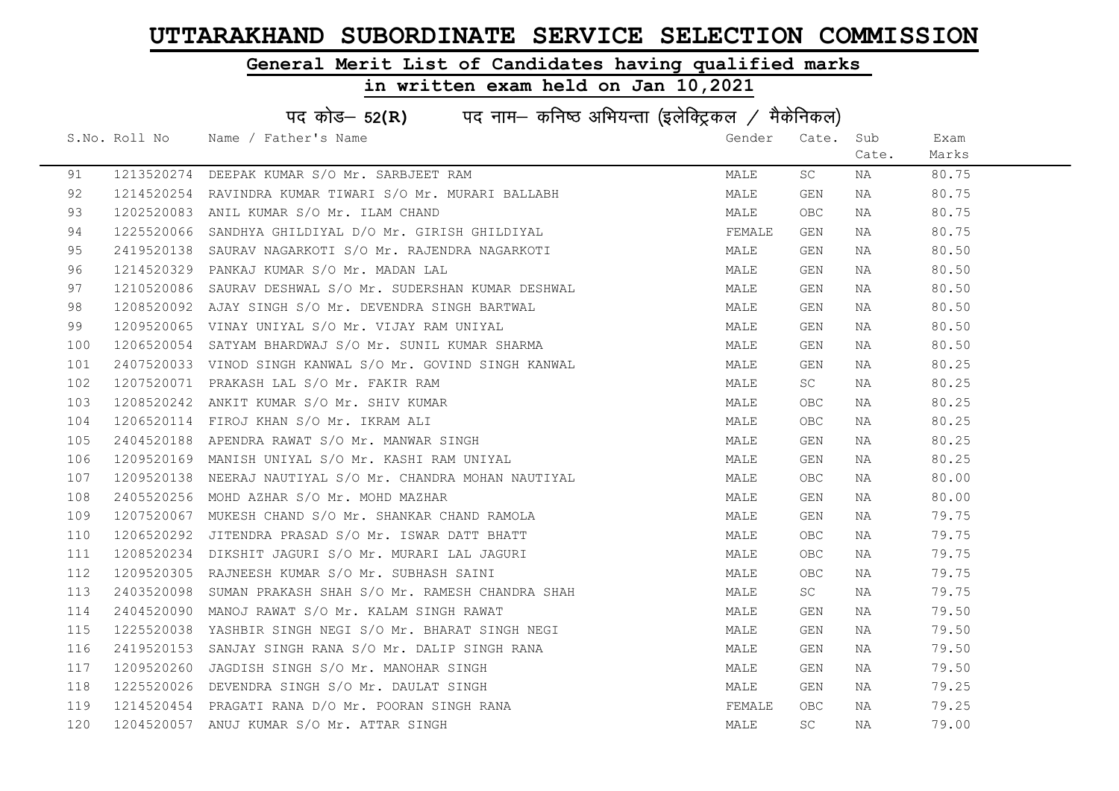### General Merit List of Candidates having qualified marks

|     | पद कोड– 52(R) पद नाम– कनिष्ठ अभियन्ता (इलेक्ट्रिकल / मैकेनिकल) |                                                                                                             |        |       |       |       |  |  |
|-----|----------------------------------------------------------------|-------------------------------------------------------------------------------------------------------------|--------|-------|-------|-------|--|--|
|     | S.No. Roll No                                                  | Name / Father's Name                                                                                        | Gender | Cate. | Sub   | Exam  |  |  |
|     |                                                                |                                                                                                             |        |       | Cate. | Marks |  |  |
| 91  |                                                                | 1213520274 DEEPAK KUMAR S/O Mr. SARBJEET RAM                                                                | MALE   | SC    | NA    | 80.75 |  |  |
| 92  |                                                                | 1214520254 RAVINDRA KUMAR TIWARI S/O Mr. MURARI BALLABH                                                     | MALE   | GEN   | NA    | 80.75 |  |  |
| 93  |                                                                | 1202520083 ANIL KUMAR S/O Mr. ILAM CHAND                                                                    | MALE   | OBC.  | NA    | 80.75 |  |  |
| 94  | 1225520066                                                     | SANDHYA GHILDIYAL D/O Mr. GIRISH GHILDIYAL                                                                  | FEMALE | GEN   | NA    | 80.75 |  |  |
| 95  | 2419520138                                                     | SAURAV NAGARKOTI S/O Mr. RAJENDRA NAGARKOTI                                                                 | MALE   | GEN   | NA    | 80.50 |  |  |
| 96  |                                                                | 1214520329 PANKAJ KUMAR S/O Mr. MADAN LAL                                                                   | MALE   | GEN   | NA    | 80.50 |  |  |
| 97  |                                                                | 1210520086 SAURAV DESHWAL S/O Mr. SUDERSHAN KUMAR DESHWAL                                                   | MALE   | GEN   | NA    | 80.50 |  |  |
| 98  |                                                                | 1208520092 AJAY SINGH S/O Mr. DEVENDRA SINGH BARTWAL                                                        | MALE   | GEN   | NA    | 80.50 |  |  |
| 99  |                                                                | 1209520065 VINAY UNIYAL S/O Mr. VIJAY RAM UNIYAL                                                            | MALE   | GEN   | NA    | 80.50 |  |  |
| 100 |                                                                | 1206520054 SATYAM BHARDWAJ S/O Mr. SUNIL KUMAR SHARMA                                                       | MALE   | GEN   | NA    | 80.50 |  |  |
| 101 |                                                                | 2407520033 VINOD SINGH KANWAL S/O Mr. GOVIND SINGH KANWAL                                                   | MALE   | GEN   | NA    | 80.25 |  |  |
| 102 |                                                                | 1207520071 PRAKASH LAL S/O Mr. FAKIR RAM                                                                    | MALE   | SC    | NA    | 80.25 |  |  |
| 103 |                                                                | 1208520242 ANKIT KUMAR S/O Mr. SHIV KUMAR                                                                   | MALE   | OBC   | NA    | 80.25 |  |  |
| 104 |                                                                | 1206520114 FIROJ KHAN S/O Mr. IKRAM ALI                                                                     | MALE   | OBC   | NA    | 80.25 |  |  |
| 105 |                                                                | 2404520188 APENDRA RAWAT S/O Mr. MANWAR SINGH                                                               | MALE   | GEN   | NA    | 80.25 |  |  |
| 106 |                                                                | 1209520169 MANISH UNIYAL S/O Mr. KASHI RAM UNIYAL                                                           | MALE   | GEN   | NA    | 80.25 |  |  |
| 107 | 1209520138                                                     | NEERAJ NAUTIYAL S/O Mr. CHANDRA MOHAN NAUTIYAL                                                              | MALE   | OBC.  | NA    | 80.00 |  |  |
| 108 | 2405520256                                                     | MOHD AZHAR S/O Mr. MOHD MAZHAR                                                                              | MALE   | GEN   | NA    | 80.00 |  |  |
| 109 |                                                                |                                                                                                             | MALE   | GEN   | NA    | 79.75 |  |  |
| 110 |                                                                | 1207520067 MUKESH CHAND S/O Mr. SHANKAR CHAND RAMOLA<br>1206520292 JITENDRA PRASAD S/O Mr. ISWAR DATT BHATT | MALE   | OBC   | NA    | 79.75 |  |  |
| 111 | 1208520234                                                     | DIKSHIT JAGURI S/O Mr. MURARI LAL JAGURI                                                                    | MALE   | OBC   | NA    | 79.75 |  |  |
| 112 |                                                                | 1209520305 RAJNEESH KUMAR S/O Mr. SUBHASH SAINI                                                             | MALE   | OBC   | NA    | 79.75 |  |  |
| 113 |                                                                | 2403520098  SUMAN PRAKASH SHAH S/O Mr. RAMESH CHANDRA SHAH                                                  | MALE   | SC    | NA    | 79.75 |  |  |
| 114 |                                                                | 2404520090 MANOJ RAWAT S/O Mr. KALAM SINGH RAWAT                                                            | MALE   | GEN   | NA    | 79.50 |  |  |
| 115 | 1225520038                                                     | YASHBIR SINGH NEGI S/O Mr. BHARAT SINGH NEGI                                                                | MALE   | GEN   | NA    | 79.50 |  |  |
| 116 | 2419520153                                                     | SANJAY SINGH RANA S/O Mr. DALIP SINGH RANA                                                                  | MALE   | GEN   | NA    | 79.50 |  |  |
| 117 |                                                                | 1209520260 JAGDISH SINGH S/O Mr. MANOHAR SINGH                                                              | MALE   | GEN   | NA    | 79.50 |  |  |
| 118 |                                                                | 1225520026 DEVENDRA SINGH S/O Mr. DAULAT SINGH                                                              | MALE   | GEN   | NA    | 79.25 |  |  |
| 119 |                                                                | 1214520454 PRAGATI RANA D/O Mr. POORAN SINGH RANA                                                           | FEMALE | OBC.  | NA    | 79.25 |  |  |
| 120 |                                                                | 1204520057 ANUJ KUMAR S/O Mr. ATTAR SINGH                                                                   | MALE   | SC    | NA    | 79.00 |  |  |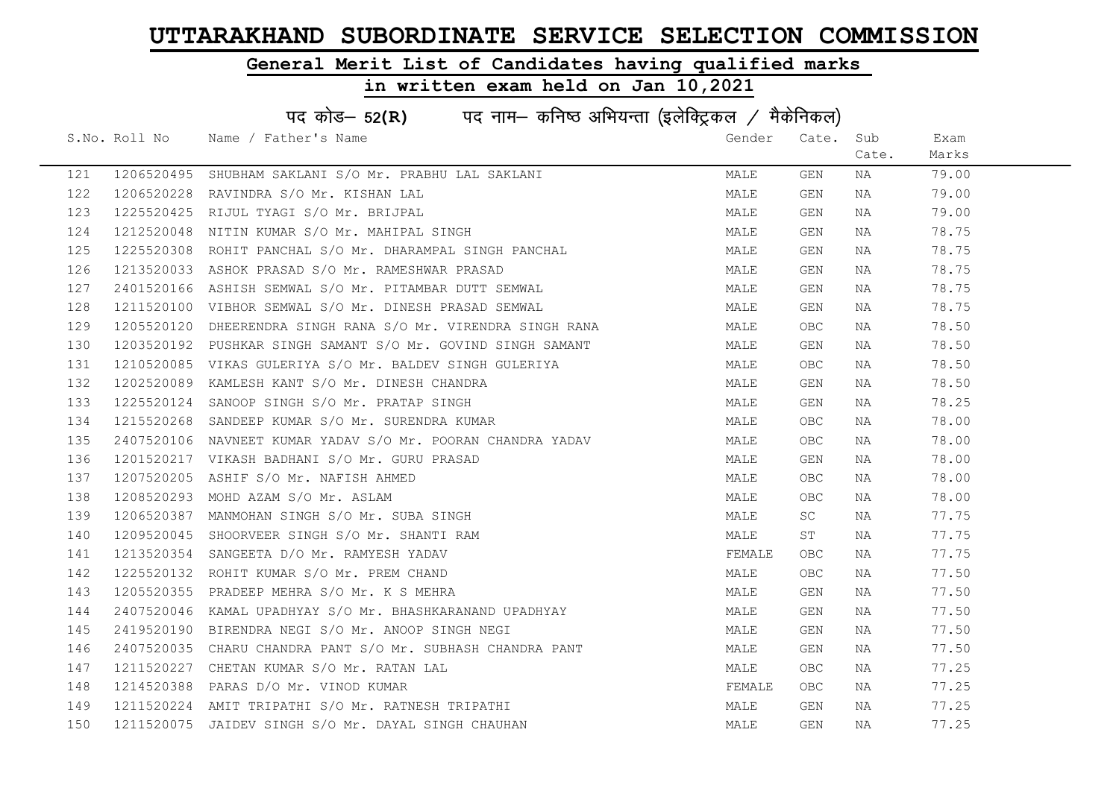### General Merit List of Candidates having qualified marks

|     | पद कोड– 52(R) पद नाम– कनिष्ठ अभियन्ता (इलेक्ट्रिकल / मैकेनिकल) |                                                             |        |       |       |       |  |  |
|-----|----------------------------------------------------------------|-------------------------------------------------------------|--------|-------|-------|-------|--|--|
|     | S.No. Roll No                                                  | Name / Father's Name                                        | Gender | Cate. | Sub   | Exam  |  |  |
|     |                                                                |                                                             |        |       | Cate. | Marks |  |  |
| 121 | 1206520495                                                     | SHUBHAM SAKLANI S/O Mr. PRABHU LAL SAKLANI                  | MALE   | GEN   | NA    | 79.00 |  |  |
| 122 | 1206520228                                                     | RAVINDRA S/O Mr. KISHAN LAL                                 | MALE   | GEN   | NA    | 79.00 |  |  |
| 123 |                                                                | 1225520425 RIJUL TYAGI S/O Mr. BRIJPAL                      | MALE   | GEN   | NA    | 79.00 |  |  |
| 124 | 1212520048                                                     | NITIN KUMAR S/O Mr. MAHIPAL SINGH                           | MALE   | GEN   | NA    | 78.75 |  |  |
| 125 | 1225520308                                                     | ROHIT PANCHAL S/O Mr. DHARAMPAL SINGH PANCHAL               | MALE   | GEN   | NA    | 78.75 |  |  |
| 126 |                                                                | 1213520033 ASHOK PRASAD S/O Mr. RAMESHWAR PRASAD            | MALE   | GEN   | NA    | 78.75 |  |  |
| 127 | 2401520166                                                     | ASHISH SEMWAL S/O Mr. PITAMBAR DUTT SEMWAL                  | MALE   | GEN   | NA    | 78.75 |  |  |
| 128 |                                                                | 1211520100 VIBHOR SEMWAL S/O Mr. DINESH PRASAD SEMWAL       | MALE   | GEN   | NA    | 78.75 |  |  |
| 129 | 1205520120                                                     | DHEERENDRA SINGH RANA S/O Mr. VIRENDRA SINGH RANA           | MALE   | OBC.  | NA    | 78.50 |  |  |
| 130 |                                                                | 1203520192 PUSHKAR SINGH SAMANT S/O Mr. GOVIND SINGH SAMANT | MALE   | GEN   | NA    | 78.50 |  |  |
| 131 |                                                                | 1210520085 VIKAS GULERIYA S/O Mr. BALDEV SINGH GULERIYA     | MALE   | OBC.  | NA    | 78.50 |  |  |
| 132 | 1202520089                                                     | KAMLESH KANT S/O Mr. DINESH CHANDRA                         | MALE   | GEN   | NA    | 78.50 |  |  |
| 133 |                                                                | 1225520124 SANOOP SINGH S/O Mr. PRATAP SINGH                | MALE   | GEN   | NA    | 78.25 |  |  |
| 134 |                                                                | 1215520268 SANDEEP KUMAR S/O Mr. SURENDRA KUMAR             | MALE   | OBC.  | NA    | 78.00 |  |  |
| 135 |                                                                | 2407520106 NAVNEET KUMAR YADAV S/O Mr. POORAN CHANDRA YADAV | MALE   | OBC.  | NA    | 78.00 |  |  |
| 136 |                                                                | 1201520217 VIKASH BADHANI S/O Mr. GURU PRASAD               | MALE   | GEN   | NA    | 78.00 |  |  |
| 137 | 1207520205                                                     | ASHIF S/O Mr. NAFISH AHMED                                  | MALE   | OBC   | NA    | 78.00 |  |  |
| 138 |                                                                | 1208520293 MOHD AZAM S/O Mr. ASLAM                          | MALE   | OBC   | NA    | 78.00 |  |  |
| 139 |                                                                | 1206520387 MANMOHAN SINGH S/O Mr. SUBA SINGH                | MALE   | SC    | NA    | 77.75 |  |  |
| 140 | 1209520045                                                     | SHOORVEER SINGH S/O Mr. SHANTI RAM                          | MALE   | ST    | NA    | 77.75 |  |  |
| 141 |                                                                | 1213520354 SANGEETA D/O Mr. RAMYESH YADAV                   | FEMALE | OBC.  | NA    | 77.75 |  |  |
| 142 |                                                                | 1225520132 ROHIT KUMAR S/O Mr. PREM CHAND                   | MALE   | OBC.  | NA    | 77.50 |  |  |
| 143 |                                                                | 1205520355 PRADEEP MEHRA S/O Mr. K S MEHRA                  | MALE   | GEN   | NA    | 77.50 |  |  |
| 144 | 2407520046                                                     | KAMAL UPADHYAY S/O Mr. BHASHKARANAND UPADHYAY               | MALE   | GEN   | NA    | 77.50 |  |  |
| 145 |                                                                | 2419520190 BIRENDRA NEGI S/O Mr. ANOOP SINGH NEGI           | MALE   | GEN   | NA    | 77.50 |  |  |
| 146 |                                                                | 2407520035 CHARU CHANDRA PANT S/O Mr. SUBHASH CHANDRA PANT  | MALE   | GEN   | NA    | 77.50 |  |  |
| 147 |                                                                | 1211520227 CHETAN KUMAR S/O Mr. RATAN LAL                   | MALE   | OBC.  | NA    | 77.25 |  |  |
| 148 |                                                                | 1214520388 PARAS D/O Mr. VINOD KUMAR                        | FEMALE | OBC.  | NA    | 77.25 |  |  |
| 149 |                                                                | 1211520224 AMIT TRIPATHI S/O Mr. RATNESH TRIPATHI           | MALE   | GEN   | NA    | 77.25 |  |  |
| 150 |                                                                | 1211520075 JAIDEV SINGH S/O Mr. DAYAL SINGH CHAUHAN         | MALE   | GEN   | NA    | 77.25 |  |  |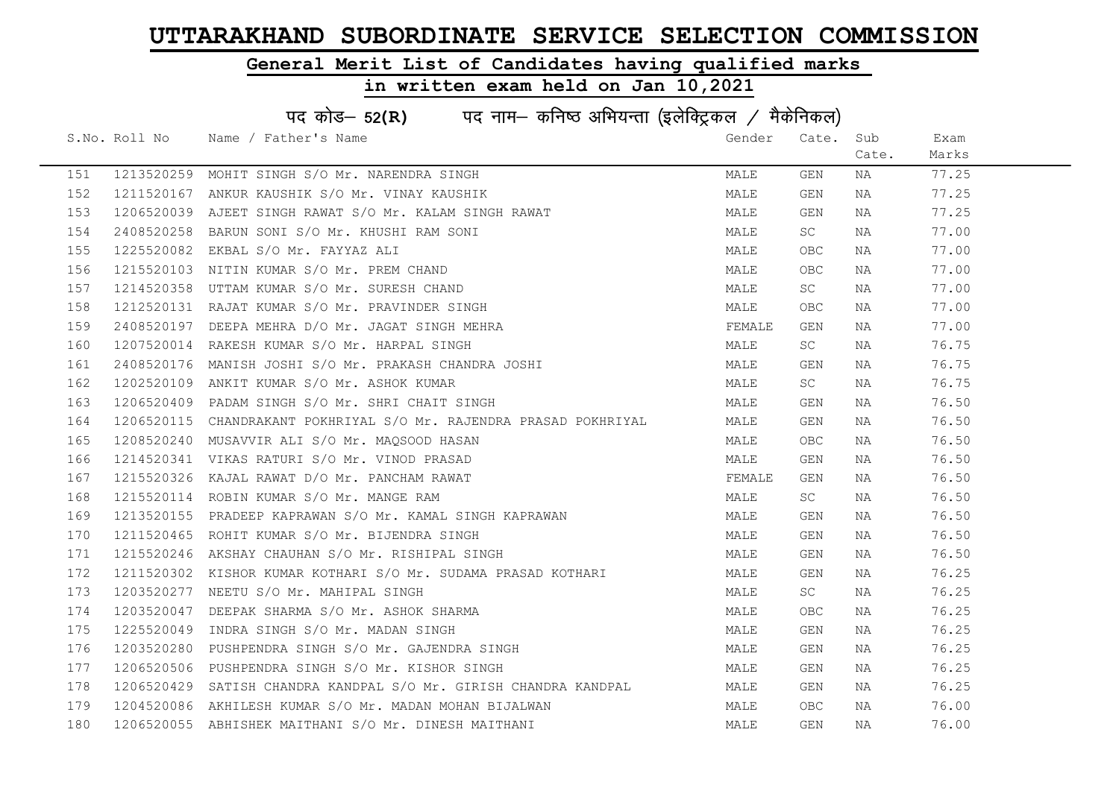### General Merit List of Candidates having qualified marks

|     | पद कोड– 52(R) पद नाम– कनिष्ठ अभियन्ता (इलेक्ट्रिकल / मैकेनिकल) |                                                                    |        |       |       |       |  |  |
|-----|----------------------------------------------------------------|--------------------------------------------------------------------|--------|-------|-------|-------|--|--|
|     | S.No. Roll No                                                  | Name / Father's Name                                               | Gender | Cate. | Sub   | Exam  |  |  |
|     |                                                                |                                                                    |        |       | Cate. | Marks |  |  |
| 151 |                                                                | 1213520259 MOHIT SINGH S/O Mr. NARENDRA SINGH                      | MALE   | GEN   | NA    | 77.25 |  |  |
| 152 |                                                                | 1211520167 ANKUR KAUSHIK S/O Mr. VINAY KAUSHIK                     | MALE   | GEN   | NA    | 77.25 |  |  |
| 153 |                                                                | 1206520039 AJEET SINGH RAWAT S/O Mr. KALAM SINGH RAWAT             | MALE   | GEN   | NA    | 77.25 |  |  |
| 154 | 2408520258                                                     | BARUN SONI S/O Mr. KHUSHI RAM SONI                                 | MALE   | SC    | NA    | 77.00 |  |  |
| 155 | 1225520082                                                     | EKBAL S/O Mr. FAYYAZ ALI                                           | MALE   | OBC.  | NA    | 77.00 |  |  |
| 156 |                                                                | 1215520103 NITIN KUMAR S/O Mr. PREM CHAND                          | MALE   | OBC.  | NA    | 77.00 |  |  |
| 157 |                                                                | 1214520358 UTTAM KUMAR S/O Mr. SURESH CHAND                        | MALE   | SC    | NA    | 77.00 |  |  |
| 158 |                                                                | 1212520131 RAJAT KUMAR S/O Mr. PRAVINDER SINGH                     | MALE   | OBC   | NA    | 77.00 |  |  |
| 159 | 2408520197                                                     | DEEPA MEHRA D/O Mr. JAGAT SINGH MEHRA                              | FEMALE | GEN   | NA    | 77.00 |  |  |
| 160 |                                                                | 1207520014 RAKESH KUMAR S/O Mr. HARPAL SINGH                       | MALE   | SC    | NA    | 76.75 |  |  |
| 161 |                                                                | 2408520176 MANISH JOSHI S/O Mr. PRAKASH CHANDRA JOSHI              | MALE   | GEN   | NA    | 76.75 |  |  |
| 162 | 1202520109                                                     | ANKIT KUMAR S/O Mr. ASHOK KUMAR                                    | MALE   | SC    | NA    | 76.75 |  |  |
| 163 |                                                                | 1206520409 PADAM SINGH S/O Mr. SHRI CHAIT SINGH                    | MALE   | GEN   | NA    | 76.50 |  |  |
| 164 |                                                                | 1206520115 CHANDRAKANT POKHRIYAL S/O Mr. RAJENDRA PRASAD POKHRIYAL | MALE   | GEN   | NA    | 76.50 |  |  |
| 165 |                                                                | 1208520240 MUSAVVIR ALI S/O Mr. MAQSOOD HASAN                      | MALE   | OBC.  | NA    | 76.50 |  |  |
| 166 |                                                                | 1214520341 VIKAS RATURI S/O Mr. VINOD PRASAD                       | MALE   | GEN   | NA    | 76.50 |  |  |
| 167 | 1215520326                                                     | KAJAL RAWAT D/O Mr. PANCHAM RAWAT                                  | FEMALE | GEN   | NA    | 76.50 |  |  |
| 168 |                                                                | 1215520114 ROBIN KUMAR S/O Mr. MANGE RAM                           | MALE   | SC    | NA    | 76.50 |  |  |
| 169 |                                                                | 1213520155 PRADEEP KAPRAWAN S/O Mr. KAMAL SINGH KAPRAWAN           | MALE   | GEN   | NA    | 76.50 |  |  |
| 170 |                                                                | 1211520465 ROHIT KUMAR S/O Mr. BIJENDRA SINGH                      | MALE   | GEN   | NA    | 76.50 |  |  |
| 171 |                                                                | 1215520246 AKSHAY CHAUHAN S/O Mr. RISHIPAL SINGH                   | MALE   | GEN   | NA    | 76.50 |  |  |
| 172 |                                                                | 1211520302 KISHOR KUMAR KOTHARI S/O Mr. SUDAMA PRASAD KOTHARI      | MALE   | GEN   | NA    | 76.25 |  |  |
| 173 |                                                                | 1203520277 NEETU S/O Mr. MAHIPAL SINGH                             | MALE   | SC    | NA    | 76.25 |  |  |
| 174 |                                                                | 1203520047 DEEPAK SHARMA S/O Mr. ASHOK SHARMA                      | MALE   | OBC.  | NA    | 76.25 |  |  |
| 175 | 1225520049                                                     | INDRA SINGH S/O Mr. MADAN SINGH                                    | MALE   | GEN   | NA    | 76.25 |  |  |
| 176 |                                                                | 1203520280 PUSHPENDRA SINGH S/O Mr. GAJENDRA SINGH                 | MALE   | GEN   | NA    | 76.25 |  |  |
| 177 |                                                                | 1206520506 PUSHPENDRA SINGH S/O Mr. KISHOR SINGH                   | MALE   | GEN   | NA    | 76.25 |  |  |
| 178 |                                                                | 1206520429 SATISH CHANDRA KANDPAL S/O Mr. GIRISH CHANDRA KANDPAL   | MALE   | GEN   | NA    | 76.25 |  |  |
| 179 |                                                                | 1204520086 AKHILESH KUMAR S/O Mr. MADAN MOHAN BIJALWAN             | MALE   | OBC.  | NA    | 76.00 |  |  |
| 180 |                                                                | 1206520055 ABHISHEK MAITHANI S/O Mr. DINESH MAITHANI               | MALE   | GEN   | NA    | 76.00 |  |  |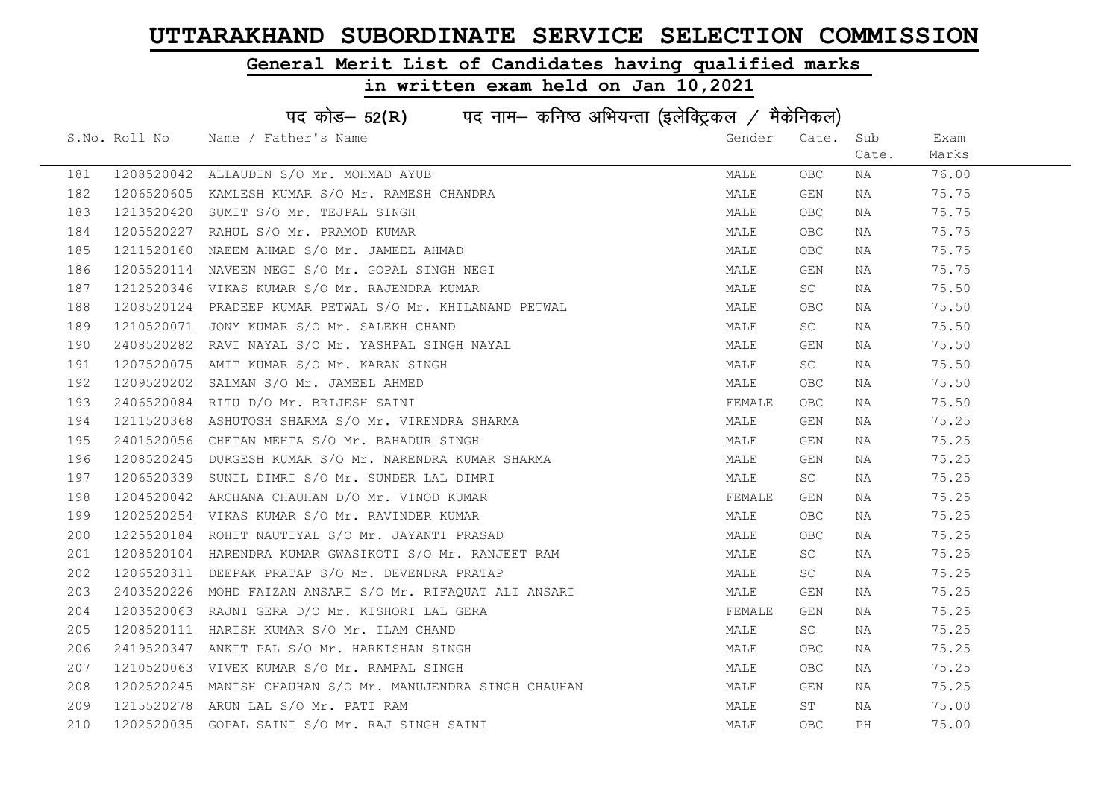### General Merit List of Candidates having qualified marks

|     | पद कोड- 52(R) पद नाम- कनिष्ठ अभियन्ता (इलेक्ट्रिकल / मैकेनिकल) |                                                            |        |            |       |       |  |  |
|-----|----------------------------------------------------------------|------------------------------------------------------------|--------|------------|-------|-------|--|--|
|     | S.No. Roll No                                                  | Name / Father's Name                                       | Gender | Cate.      | Sub   | Exam  |  |  |
|     |                                                                |                                                            |        |            | Cate. | Marks |  |  |
| 181 |                                                                | 1208520042 ALLAUDIN S/O Mr. MOHMAD AYUB                    | MALE   | OBC.       | NA    | 76.00 |  |  |
| 182 |                                                                | 1206520605 KAMLESH KUMAR S/O Mr. RAMESH CHANDRA            | MALE   | GEN        | NA    | 75.75 |  |  |
| 183 | 1213520420                                                     | SUMIT S/O Mr. TEJPAL SINGH                                 | MALE   | OBC.       | NA    | 75.75 |  |  |
| 184 | 1205520227                                                     | RAHUL S/O Mr. PRAMOD KUMAR                                 | MALE   | OBC.       | NA    | 75.75 |  |  |
| 185 | 1211520160                                                     | NAEEM AHMAD S/O Mr. JAMEEL AHMAD                           | MALE   | OBC        | NA    | 75.75 |  |  |
| 186 |                                                                | 1205520114 NAVEEN NEGI S/O Mr. GOPAL SINGH NEGI            | MALE   | GEN        | NA    | 75.75 |  |  |
| 187 |                                                                | 1212520346 VIKAS KUMAR S/O Mr. RAJENDRA KUMAR              | MALE   | SC         | NA    | 75.50 |  |  |
| 188 |                                                                | 1208520124 PRADEEP KUMAR PETWAL S/O Mr. KHILANAND PETWAL   | MALE   | OBC        | NA    | 75.50 |  |  |
| 189 | 1210520071                                                     | JONY KUMAR S/O Mr. SALEKH CHAND                            | MALE   | SC         | NA    | 75.50 |  |  |
| 190 | 2408520282                                                     | RAVI NAYAL S/O Mr. YASHPAL SINGH NAYAL                     | MALE   | GEN        | NA    | 75.50 |  |  |
| 191 |                                                                | 1207520075 AMIT KUMAR S/O Mr. KARAN SINGH                  | MALE   | SC         | NA    | 75.50 |  |  |
| 192 | 1209520202                                                     | SALMAN S/O Mr. JAMEEL AHMED                                | MALE   | OBC.       | NA    | 75.50 |  |  |
| 193 |                                                                | 2406520084 RITU D/O Mr. BRIJESH SAINI                      | FEMALE | OBC        | NA    | 75.50 |  |  |
| 194 | 1211520368                                                     | ASHUTOSH SHARMA S/O Mr. VIRENDRA SHARMA                    | MALE   | GEN        | NA    | 75.25 |  |  |
| 195 |                                                                | 2401520056 CHETAN MEHTA S/O Mr. BAHADUR SINGH              | MALE   | GEN        | NA    | 75.25 |  |  |
| 196 |                                                                | 1208520245 DURGESH KUMAR S/O Mr. NARENDRA KUMAR SHARMA     | MALE   | GEN        | NA    | 75.25 |  |  |
| 197 | 1206520339                                                     | SUNIL DIMRI S/O Mr. SUNDER LAL DIMRI                       | MALE   | SC         | NA    | 75.25 |  |  |
| 198 | 1204520042                                                     | ARCHANA CHAUHAN D/O Mr. VINOD KUMAR                        | FEMALE | GEN        | NA    | 75.25 |  |  |
| 199 |                                                                | 1202520254 VIKAS KUMAR S/O Mr. RAVINDER KUMAR              | MALE   | OBC        | NA    | 75.25 |  |  |
| 200 |                                                                | 1225520184 ROHIT NAUTIYAL S/O Mr. JAYANTI PRASAD           | MALE   | OBC.       | NA    | 75.25 |  |  |
| 201 |                                                                | 1208520104 HARENDRA KUMAR GWASIKOTI S/O Mr. RANJEET RAM    | MALE   | SC         | NA    | 75.25 |  |  |
| 202 |                                                                | 1206520311 DEEPAK PRATAP S/O Mr. DEVENDRA PRATAP           | MALE   | SC .       | NA    | 75.25 |  |  |
| 203 |                                                                | 2403520226 MOHD FAIZAN ANSARI S/O Mr. RIFAOUAT ALI ANSARI  | MALE   | GEN        | NA    | 75.25 |  |  |
| 204 |                                                                | 1203520063 RAJNI GERA D/O Mr. KISHORI LAL GERA             | FEMALE | GEN        | NA    | 75.25 |  |  |
| 205 | 1208520111                                                     | HARISH KUMAR S/O Mr. ILAM CHAND                            | MALE   | SC         | NA    | 75.25 |  |  |
| 206 | 2419520347                                                     | ANKIT PAL S/O Mr. HARKISHAN SINGH                          | MALE   | OBC        | NA    | 75.25 |  |  |
| 207 |                                                                | 1210520063 VIVEK KUMAR S/O Mr. RAMPAL SINGH                | MALE   | OBC        | NA    | 75.25 |  |  |
| 208 |                                                                | 1202520245 MANISH CHAUHAN S/O Mr. MANUJENDRA SINGH CHAUHAN | MALE   | GEN        | NA    | 75.25 |  |  |
| 209 | 1215520278                                                     | ARUN LAL S/O Mr. PATI RAM                                  | MALE   | ST         | NA    | 75.00 |  |  |
| 210 |                                                                | 1202520035 GOPAL SAINI S/O Mr. RAJ SINGH SAINI             | MALE   | <b>OBC</b> | РH    | 75.00 |  |  |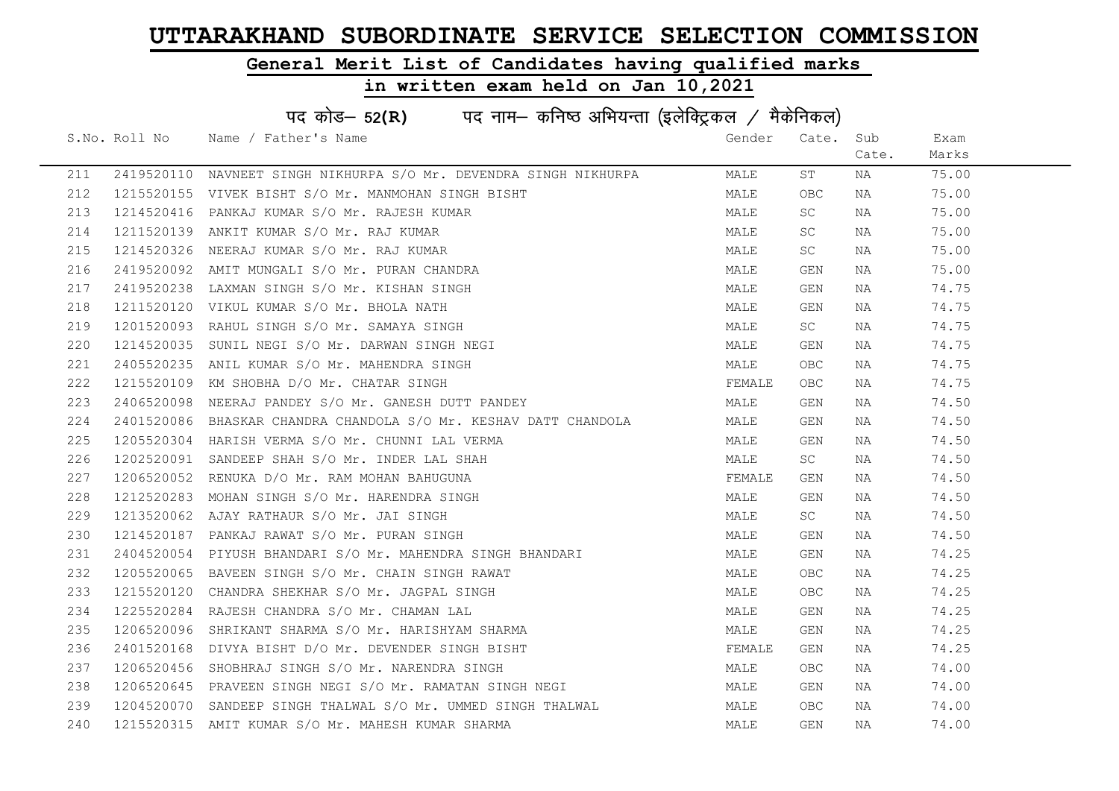### General Merit List of Candidates having qualified marks

|     | पद कोड़- 52(R) पद नाम- कनिष्ठ अभियन्ता (इलेक्ट्रिकल / मैकेनिकल) |                                                                  |        |           |       |       |  |  |
|-----|-----------------------------------------------------------------|------------------------------------------------------------------|--------|-----------|-------|-------|--|--|
|     | S.No. Roll No                                                   | Name / Father's Name                                             | Gender | Cate.     | Sub   | Exam  |  |  |
|     |                                                                 |                                                                  |        |           | Cate. | Marks |  |  |
| 211 | 2419520110                                                      | NAVNEET SINGH NIKHURPA S/O Mr. DEVENDRA SINGH NIKHURPA           | MALE   | ST        | NA    | 75.00 |  |  |
| 212 | 1215520155                                                      | VIVEK BISHT S/O Mr. MANMOHAN SINGH BISHT                         | MALE   | OBC       | NA    | 75.00 |  |  |
| 213 | 1214520416                                                      | PANKAJ KUMAR S/O Mr. RAJESH KUMAR                                | MALE   | SC        | NA    | 75.00 |  |  |
| 214 | 1211520139                                                      | ANKIT KUMAR S/O Mr. RAJ KUMAR                                    | MALE   | <b>SC</b> | NA    | 75.00 |  |  |
| 215 | 1214520326                                                      | NEERAJ KUMAR S/O Mr. RAJ KUMAR                                   | MALE   | <b>SC</b> | NA    | 75.00 |  |  |
| 216 | 2419520092                                                      | AMIT MUNGALI S/O Mr. PURAN CHANDRA                               | MALE   | GEN       | NA    | 75.00 |  |  |
| 217 | 2419520238                                                      | LAXMAN SINGH S/O Mr. KISHAN SINGH                                | MALE   | GEN       | NA    | 74.75 |  |  |
| 218 | 1211520120                                                      | VIKUL KUMAR S/O Mr. BHOLA NATH                                   | MALE   | GEN       | NA    | 74.75 |  |  |
| 219 | 1201520093                                                      | RAHUL SINGH S/O Mr. SAMAYA SINGH                                 | MALE   | SC        | NA    | 74.75 |  |  |
| 220 | 1214520035                                                      | SUNIL NEGI S/O Mr. DARWAN SINGH NEGI                             | MALE   | GEN       | NA    | 74.75 |  |  |
| 221 |                                                                 | 2405520235 ANIL KUMAR S/O Mr. MAHENDRA SINGH                     | MALE   | OBC.      | NA    | 74.75 |  |  |
| 222 | 1215520109                                                      | KM SHOBHA D/O Mr. CHATAR SINGH                                   | FEMALE | OBC .     | NA    | 74.75 |  |  |
| 223 | 2406520098                                                      | NEERAJ PANDEY S/O Mr. GANESH DUTT PANDEY                         | MALE   | GEN       | NA    | 74.50 |  |  |
| 224 |                                                                 | 2401520086 BHASKAR CHANDRA CHANDOLA S/O Mr. KESHAV DATT CHANDOLA | MALE   | GEN       | NA    | 74.50 |  |  |
| 225 |                                                                 | 1205520304 HARISH VERMA S/O Mr. CHUNNI LAL VERMA                 | MALE   | GEN       | NA    | 74.50 |  |  |
| 226 | 1202520091                                                      | SANDEEP SHAH S/O Mr. INDER LAL SHAH                              | MALE   | <b>SC</b> | NA    | 74.50 |  |  |
| 227 | 1206520052                                                      | RENUKA D/O Mr. RAM MOHAN BAHUGUNA                                | FEMALE | GEN       | NA    | 74.50 |  |  |
| 228 | 1212520283                                                      | MOHAN SINGH S/O Mr. HARENDRA SINGH                               | MALE   | GEN       | NA    | 74.50 |  |  |
| 229 | 1213520062                                                      | AJAY RATHAUR S/O Mr. JAI SINGH                                   | MALE   | SC        | NA    | 74.50 |  |  |
| 230 | 1214520187                                                      | PANKAJ RAWAT S/O Mr. PURAN SINGH                                 | MALE   | GEN       | NA    | 74.50 |  |  |
| 231 | 2404520054                                                      | PIYUSH BHANDARI S/O Mr. MAHENDRA SINGH BHANDARI                  | MALE   | GEN       | NA    | 74.25 |  |  |
| 232 |                                                                 | 1205520065 BAVEEN SINGH S/O Mr. CHAIN SINGH RAWAT                | MALE   | OBC.      | NA    | 74.25 |  |  |
| 233 | 1215520120                                                      | CHANDRA SHEKHAR S/O Mr. JAGPAL SINGH                             | MALE   | OBC.      | NA    | 74.25 |  |  |
| 234 | 1225520284                                                      | RAJESH CHANDRA S/O Mr. CHAMAN LAL                                | MALE   | GEN       | NA    | 74.25 |  |  |
| 235 | 1206520096                                                      | SHRIKANT SHARMA S/O Mr. HARISHYAM SHARMA                         | MALE   | GEN       | NA    | 74.25 |  |  |
| 236 |                                                                 | 2401520168 DIVYA BISHT D/O Mr. DEVENDER SINGH BISHT              | FEMALE | GEN       | NA    | 74.25 |  |  |
| 237 |                                                                 | 1206520456 SHOBHRAJ SINGH S/O Mr. NARENDRA SINGH                 | MALE   | OBC       | NA    | 74.00 |  |  |
| 238 |                                                                 | 1206520645 PRAVEEN SINGH NEGI S/O Mr. RAMATAN SINGH NEGI         | MALE   | GEN       | NA    | 74.00 |  |  |
| 239 | 1204520070                                                      | SANDEEP SINGH THALWAL S/O Mr. UMMED SINGH THALWAL                | MALE   | OBC.      | NA    | 74.00 |  |  |
| 240 |                                                                 | 1215520315 AMIT KUMAR S/O Mr. MAHESH KUMAR SHARMA                | MALE   | GEN       | NA    | 74.00 |  |  |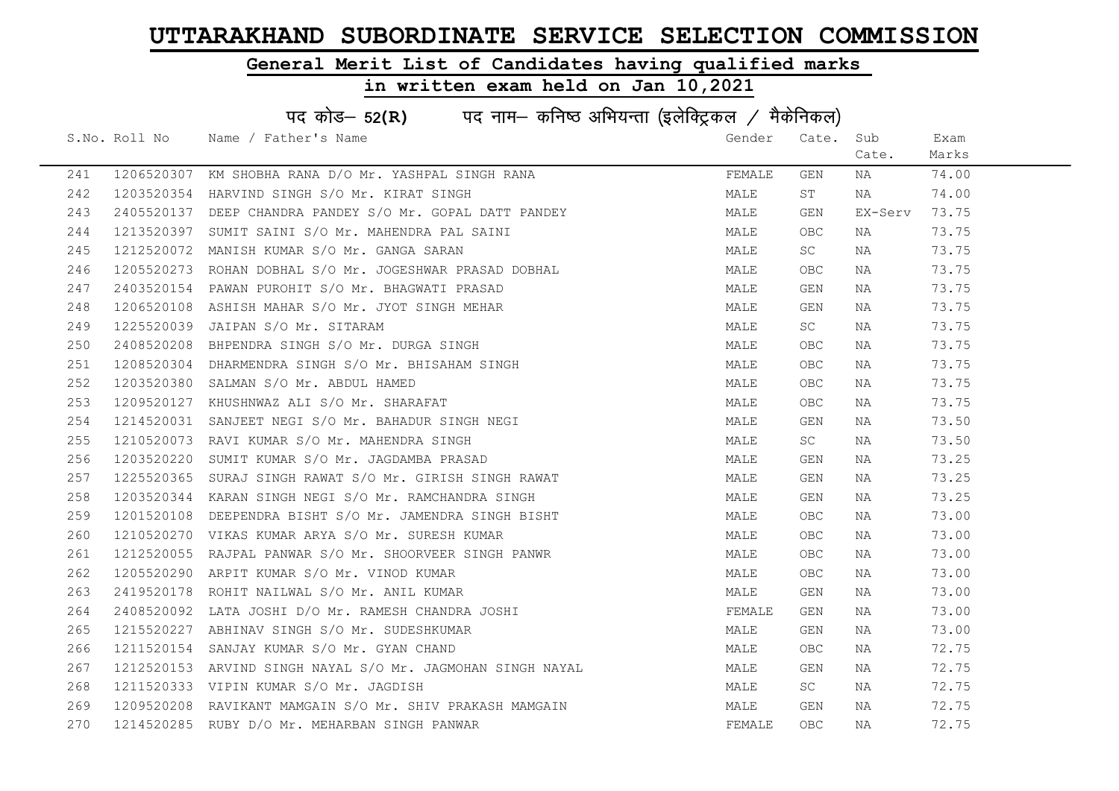### General Merit List of Candidates having qualified marks

|     | पद कोड- 52(R) पद नाम- कनिष्ठ अभियन्ता (इलेक्ट्रिकल / मैकेनिकल) |                                                            |        |            |         |       |  |  |
|-----|----------------------------------------------------------------|------------------------------------------------------------|--------|------------|---------|-------|--|--|
|     | S.No. Roll No                                                  | Name / Father's Name                                       | Gender | Cate.      | Sub     | Exam  |  |  |
|     |                                                                |                                                            |        |            | Cate.   | Marks |  |  |
| 241 |                                                                | 1206520307 KM SHOBHA RANA D/O Mr. YASHPAL SINGH RANA       | FEMALE | GEN        | NA      | 74.00 |  |  |
| 242 |                                                                | 1203520354 HARVIND SINGH S/O Mr. KIRAT SINGH               | MALE   | ST         | NA      | 74.00 |  |  |
| 243 |                                                                | 2405520137 DEEP CHANDRA PANDEY S/O Mr. GOPAL DATT PANDEY   | MALE   | GEN        | EX-Serv | 73.75 |  |  |
| 244 |                                                                | 1213520397 SUMIT SAINI S/O Mr. MAHENDRA PAL SAINI          | MALE   | OBC.       | NA      | 73.75 |  |  |
| 245 |                                                                | 1212520072 MANISH KUMAR S/O Mr. GANGA SARAN                | MALE   | SC         | NA      | 73.75 |  |  |
| 246 |                                                                | 1205520273 ROHAN DOBHAL S/O Mr. JOGESHWAR PRASAD DOBHAL    | MALE   | <b>OBC</b> | NA      | 73.75 |  |  |
| 247 |                                                                | 2403520154 PAWAN PUROHIT S/O Mr. BHAGWATI PRASAD           | MALE   | GEN        | NA      | 73.75 |  |  |
| 248 | 1206520108                                                     | ASHISH MAHAR S/O Mr. JYOT SINGH MEHAR                      | MALE   | GEN        | NA      | 73.75 |  |  |
| 249 | 1225520039                                                     | JAIPAN S/O Mr. SITARAM                                     | MALE   | SC         | NA      | 73.75 |  |  |
| 250 |                                                                | 2408520208 BHPENDRA SINGH S/O Mr. DURGA SINGH              | MALE   | OBC        | NA      | 73.75 |  |  |
| 251 |                                                                | 1208520304 DHARMENDRA SINGH S/O Mr. BHISAHAM SINGH         | MALE   | OBC        | NA      | 73.75 |  |  |
| 252 |                                                                | 1203520380 SALMAN S/O Mr. ABDUL HAMED                      | MALE   | OBC.       | NA      | 73.75 |  |  |
| 253 |                                                                | 1209520127 KHUSHNWAZ ALI S/O Mr. SHARAFAT                  | MALE   | OBC.       | NA      | 73.75 |  |  |
| 254 |                                                                | 1214520031 SANJEET NEGI S/O Mr. BAHADUR SINGH NEGI         | MALE   | GEN        | NA      | 73.50 |  |  |
| 255 |                                                                | 1210520073 RAVI KUMAR S/O Mr. MAHENDRA SINGH               | MALE   | <b>SC</b>  | NA      | 73.50 |  |  |
| 256 | 1203520220                                                     | SUMIT KUMAR S/O Mr. JAGDAMBA PRASAD                        | MALE   | GEN        | NA      | 73.25 |  |  |
| 257 |                                                                | 1225520365 SURAJ SINGH RAWAT S/O Mr. GIRISH SINGH RAWAT    | MALE   | GEN        | NA      | 73.25 |  |  |
| 258 |                                                                | 1203520344 KARAN SINGH NEGI S/O Mr. RAMCHANDRA SINGH       | MALE   | GEN        | NA      | 73.25 |  |  |
| 259 |                                                                | 1201520108 DEEPENDRA BISHT S/O Mr. JAMENDRA SINGH BISHT    | MALE   | OBC.       | NA      | 73.00 |  |  |
| 260 |                                                                | 1210520270 VIKAS KUMAR ARYA S/O Mr. SURESH KUMAR           | MALE   | OBC.       | NA      | 73.00 |  |  |
| 261 |                                                                | 1212520055 RAJPAL PANWAR S/O Mr. SHOORVEER SINGH PANWR     | MALE   | OBC.       | NA      | 73.00 |  |  |
| 262 |                                                                | 1205520290 ARPIT KUMAR S/O Mr. VINOD KUMAR                 | MALE   | OBC.       | NA      | 73.00 |  |  |
| 263 | 2419520178                                                     | ROHIT NAILWAL S/O Mr. ANIL KUMAR                           | MALE   | GEN        | NA      | 73.00 |  |  |
| 264 | 2408520092                                                     | LATA JOSHI D/O Mr. RAMESH CHANDRA JOSHI                    | FEMALE | GEN        | NA      | 73.00 |  |  |
| 265 | 1215520227                                                     | ABHINAV SINGH S/O Mr. SUDESHKUMAR                          | MALE   | GEN        | NA      | 73.00 |  |  |
| 266 |                                                                | 1211520154 SANJAY KUMAR S/O Mr. GYAN CHAND                 | MALE   | OBC.       | NA      | 72.75 |  |  |
| 267 |                                                                | 1212520153 ARVIND SINGH NAYAL S/O Mr. JAGMOHAN SINGH NAYAL | MALE   | GEN        | NA      | 72.75 |  |  |
| 268 |                                                                | 1211520333 VIPIN KUMAR S/O Mr. JAGDISH                     | MALE   | SC         | NA      | 72.75 |  |  |
| 269 |                                                                | 1209520208 RAVIKANT MAMGAIN S/O Mr. SHIV PRAKASH MAMGAIN   | MALE   | GEN        | NA      | 72.75 |  |  |
| 270 |                                                                | 1214520285 RUBY D/O Mr. MEHARBAN SINGH PANWAR              | FEMALE | <b>OBC</b> | ΝA      | 72.75 |  |  |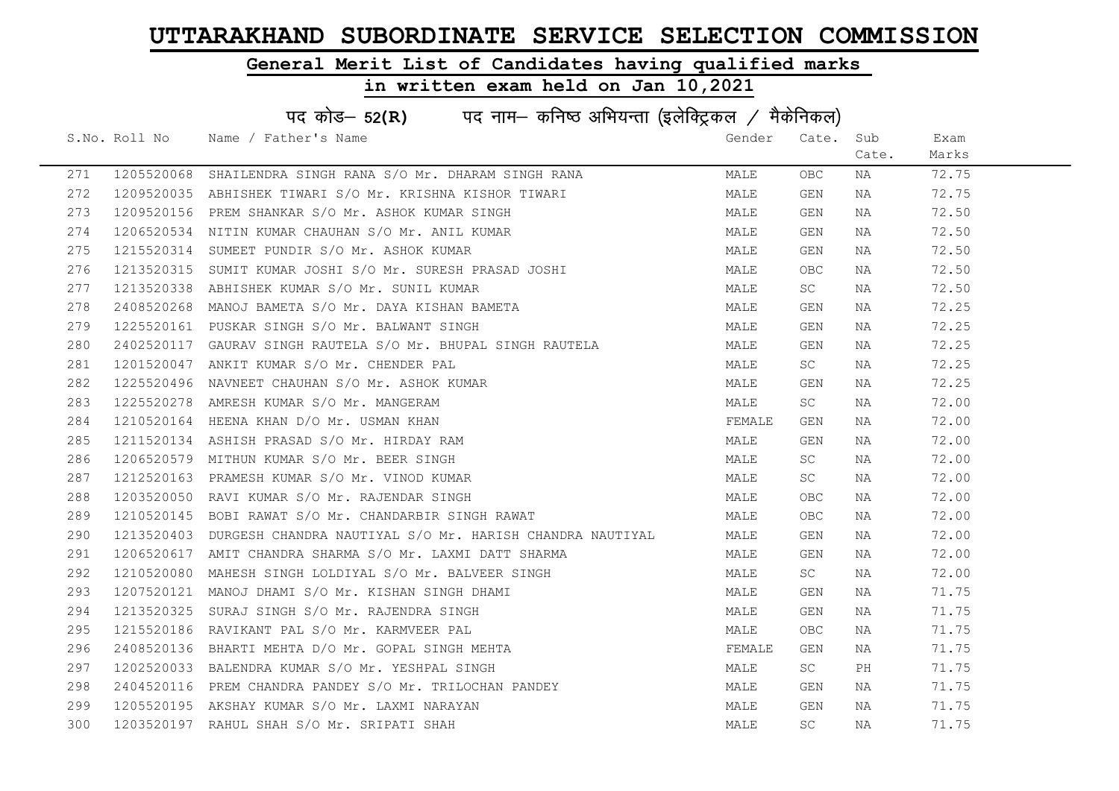### General Merit List of Candidates having qualified marks

|     | पद कोड- 52(R) पद नाम- कनिष्ठ अभियन्ता (इलेक्ट्रिकल / मैकेनिकल) |                                                                     |        |            |       |       |  |  |
|-----|----------------------------------------------------------------|---------------------------------------------------------------------|--------|------------|-------|-------|--|--|
|     | S.No. Roll No                                                  | Name / Father's Name                                                | Gender | Cate.      | Sub   | Exam  |  |  |
|     |                                                                |                                                                     |        |            | Cate. | Marks |  |  |
| 271 |                                                                | 1205520068 SHAILENDRA SINGH RANA S/O Mr. DHARAM SINGH RANA          | MALE   | OBC        | NA    | 72.75 |  |  |
| 272 |                                                                | 1209520035 ABHISHEK TIWARI S/O Mr. KRISHNA KISHOR TIWARI            | MALE   | GEN        | NA    | 72.75 |  |  |
| 273 |                                                                | 1209520156 PREM SHANKAR S/O Mr. ASHOK KUMAR SINGH                   | MALE   | GEN        | NA    | 72.50 |  |  |
| 274 |                                                                | 1206520534 NITIN KUMAR CHAUHAN S/O Mr. ANIL KUMAR                   | MALE   | GEN        | NA    | 72.50 |  |  |
| 275 | 1215520314                                                     | SUMEET PUNDIR S/O Mr. ASHOK KUMAR                                   | MALE   | GEN        | NA    | 72.50 |  |  |
| 276 |                                                                | 1213520315 SUMIT KUMAR JOSHI S/O Mr. SURESH PRASAD JOSHI            | MALE   | OBC.       | NA    | 72.50 |  |  |
| 277 |                                                                | 1213520338 ABHISHEK KUMAR S/O Mr. SUNIL KUMAR                       | MALE   | SC         | NA    | 72.50 |  |  |
| 278 |                                                                | 2408520268 MANOJ BAMETA S/O Mr. DAYA KISHAN BAMETA                  | MALE   | GEN        | NA    | 72.25 |  |  |
| 279 |                                                                | 1225520161 PUSKAR SINGH S/O Mr. BALWANT SINGH                       | MALE   | GEN        | NA    | 72.25 |  |  |
| 280 |                                                                | 2402520117 GAURAV SINGH RAUTELA S/O Mr. BHUPAL SINGH RAUTELA        | MALE   | GEN        | NA    | 72.25 |  |  |
| 281 |                                                                | 1201520047 ANKIT KUMAR S/O Mr. CHENDER PAL                          | MALE   | SC         | NA    | 72.25 |  |  |
| 282 |                                                                | 1225520496 NAVNEET CHAUHAN S/O Mr. ASHOK KUMAR                      | MALE   | GEN        | NA    | 72.25 |  |  |
| 283 |                                                                | 1225520278 AMRESH KUMAR S/O Mr. MANGERAM                            | MALE   | SC         | NA    | 72.00 |  |  |
| 284 |                                                                | 1210520164 HEENA KHAN D/O Mr. USMAN KHAN                            | FEMALE | GEN        | NA    | 72.00 |  |  |
| 285 |                                                                | 1211520134 ASHISH PRASAD S/O Mr. HIRDAY RAM                         | MALE   | GEN        | NA    | 72.00 |  |  |
| 286 | 1206520579                                                     | MITHUN KUMAR S/O Mr. BEER SINGH                                     | MALE   | SC         | NA    | 72.00 |  |  |
| 287 |                                                                | 1212520163 PRAMESH KUMAR S/O Mr. VINOD KUMAR                        | MALE   | SC         | NA    | 72.00 |  |  |
| 288 |                                                                | 1203520050 RAVI KUMAR S/O Mr. RAJENDAR SINGH                        | MALE   | <b>OBC</b> | NA    | 72.00 |  |  |
| 289 |                                                                | 1210520145 BOBI RAWAT S/O Mr. CHANDARBIR SINGH RAWAT                | MALE   | OBC.       | NA    | 72.00 |  |  |
| 290 |                                                                | 1213520403 DURGESH CHANDRA NAUTIYAL S/O Mr. HARISH CHANDRA NAUTIYAL | MALE   | GEN        | NA    | 72.00 |  |  |
| 291 |                                                                | 1206520617 AMIT CHANDRA SHARMA S/O Mr. LAXMI DATT SHARMA            | MALE   | GEN        | NA    | 72.00 |  |  |
| 292 |                                                                | 1210520080 MAHESH SINGH LOLDIYAL S/O Mr. BALVEER SINGH              | MALE   | SC         | NA    | 72.00 |  |  |
| 293 |                                                                | 1207520121 MANOJ DHAMI S/O Mr. KISHAN SINGH DHAMI                   | MALE   | GEN        | NA    | 71.75 |  |  |
| 294 |                                                                | 1213520325 SURAJ SINGH S/O Mr. RAJENDRA SINGH                       | MALE   | GEN        | NA    | 71.75 |  |  |
| 295 | 1215520186                                                     | RAVIKANT PAL S/O Mr. KARMVEER PAL                                   | MALE   | OBC.       | NA    | 71.75 |  |  |
| 296 |                                                                | 2408520136 BHARTI MEHTA D/O Mr. GOPAL SINGH MEHTA                   | FEMALE | GEN        | NA    | 71.75 |  |  |
| 297 |                                                                | 1202520033 BALENDRA KUMAR S/O Mr. YESHPAL SINGH                     | MALE   | SC         | PH    | 71.75 |  |  |
| 298 |                                                                | 2404520116 PREM CHANDRA PANDEY S/O Mr. TRILOCHAN PANDEY             | MALE   | GEN        | NA    | 71.75 |  |  |
| 299 |                                                                | 1205520195 AKSHAY KUMAR S/O Mr. LAXMI NARAYAN                       | MALE   | GEN        | NA    | 71.75 |  |  |
| 300 |                                                                | 1203520197 RAHUL SHAH S/O Mr. SRIPATI SHAH                          | MALE   | <b>SC</b>  | NA    | 71.75 |  |  |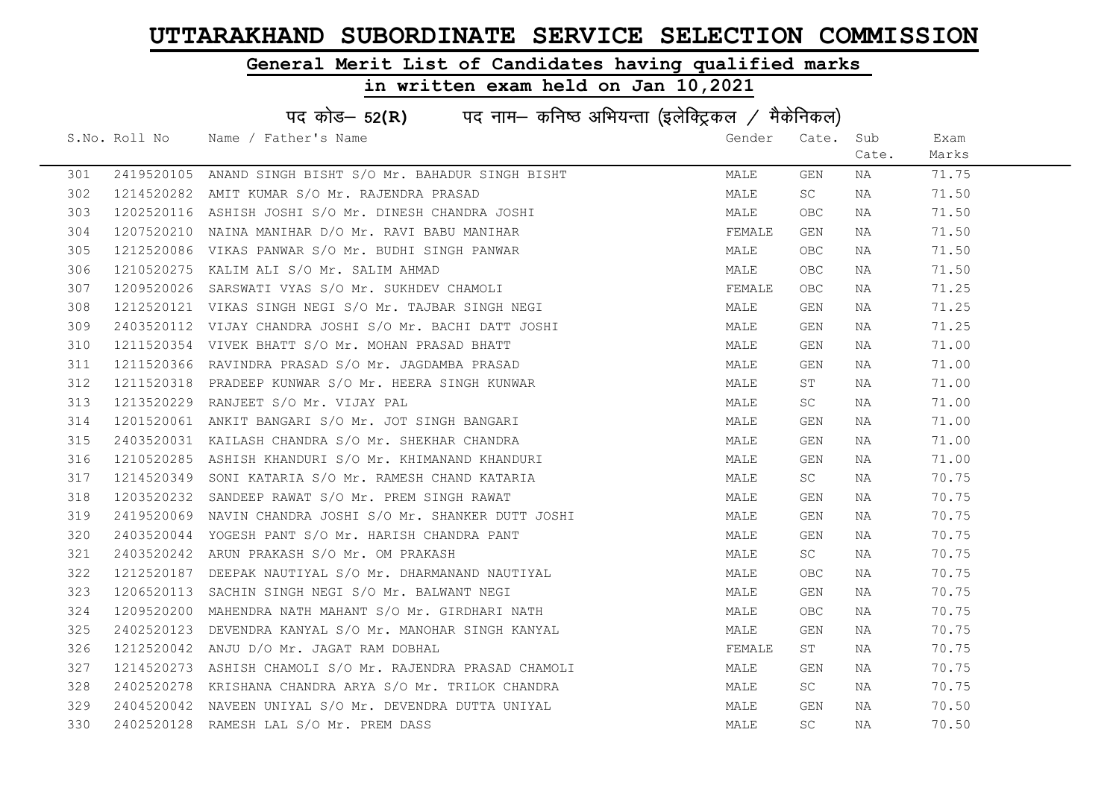### General Merit List of Candidates having qualified marks

|     | पद कोड- 52(R) पद नाम- कनिष्ठ अभियन्ता (इलेक्ट्रिकल / मैकेनिकल) |                                                           |        |           |       |       |  |  |
|-----|----------------------------------------------------------------|-----------------------------------------------------------|--------|-----------|-------|-------|--|--|
|     | S.No. Roll No                                                  | Name / Father's Name                                      | Gender | Cate. Sub |       | Exam  |  |  |
|     |                                                                |                                                           |        |           | Cate. | Marks |  |  |
| 301 |                                                                | 2419520105 ANAND SINGH BISHT S/O Mr. BAHADUR SINGH BISHT  | MALE   | GEN       | NA    | 71.75 |  |  |
| 302 |                                                                | 1214520282 AMIT KUMAR S/O Mr. RAJENDRA PRASAD             | MALE   | SC        | NA    | 71.50 |  |  |
| 303 |                                                                | 1202520116 ASHISH JOSHI S/O Mr. DINESH CHANDRA JOSHI      | MALE   | OBC.      | NA    | 71.50 |  |  |
| 304 |                                                                | 1207520210 NAINA MANIHAR D/O Mr. RAVI BABU MANIHAR        | FEMALE | GEN       | NA    | 71.50 |  |  |
| 305 |                                                                | 1212520086 VIKAS PANWAR S/O Mr. BUDHI SINGH PANWAR        | MALE   | OBC.      | NA    | 71.50 |  |  |
| 306 |                                                                | 1210520275 KALIM ALI S/O Mr. SALIM AHMAD                  | MALE   | OBC       | NA    | 71.50 |  |  |
| 307 |                                                                | 1209520026 SARSWATI VYAS S/O Mr. SUKHDEV CHAMOLI          | FEMALE | OBC.      | NA    | 71.25 |  |  |
| 308 |                                                                | 1212520121 VIKAS SINGH NEGI S/O Mr. TAJBAR SINGH NEGI     | MALE   | GEN       | NA    | 71.25 |  |  |
| 309 |                                                                | 2403520112 VIJAY CHANDRA JOSHI S/O Mr. BACHI DATT JOSHI   | MALE   | GEN       | NA    | 71.25 |  |  |
| 310 |                                                                | 1211520354 VIVEK BHATT S/O Mr. MOHAN PRASAD BHATT         | MALE   | GEN       | NA    | 71.00 |  |  |
| 311 |                                                                | 1211520366 RAVINDRA PRASAD S/O Mr. JAGDAMBA PRASAD        | MALE   | GEN       | NA    | 71.00 |  |  |
| 312 |                                                                | 1211520318 PRADEEP KUNWAR S/O Mr. HEERA SINGH KUNWAR      | MALE   | ST        | NA    | 71.00 |  |  |
| 313 |                                                                | 1213520229 RANJEET S/O Mr. VIJAY PAL                      | MALE   | SC .      | NA    | 71.00 |  |  |
| 314 |                                                                | 1201520061 ANKIT BANGARI S/O Mr. JOT SINGH BANGARI        | MALE   | GEN       | NA    | 71.00 |  |  |
| 315 |                                                                | 2403520031 KAILASH CHANDRA S/O Mr. SHEKHAR CHANDRA        | MALE   | GEN       | NA    | 71.00 |  |  |
| 316 |                                                                | 1210520285 ASHISH KHANDURI S/O Mr. KHIMANAND KHANDURI     | MALE   | GEN       | NA    | 71.00 |  |  |
| 317 | 1214520349                                                     | SONI KATARIA S/O Mr. RAMESH CHAND KATARIA                 | MALE   | SC        | NA    | 70.75 |  |  |
| 318 | 1203520232                                                     | SANDEEP RAWAT S/O Mr. PREM SINGH RAWAT                    | MALE   | GEN       | NA    | 70.75 |  |  |
| 319 |                                                                | 2419520069 NAVIN CHANDRA JOSHI S/O Mr. SHANKER DUTT JOSHI | MALE   | GEN       | NA    | 70.75 |  |  |
| 320 | 2403520044                                                     | YOGESH PANT S/O Mr. HARISH CHANDRA PANT                   | MALE   | GEN       | NA    | 70.75 |  |  |
| 321 |                                                                | 2403520242 ARUN PRAKASH S/O Mr. OM PRAKASH                | MALE   | SC        | NA    | 70.75 |  |  |
| 322 |                                                                | 1212520187 DEEPAK NAUTIYAL S/O Mr. DHARMANAND NAUTIYAL    | MALE   | OBC.      | NA    | 70.75 |  |  |
| 323 |                                                                | 1206520113 SACHIN SINGH NEGI S/O Mr. BALWANT NEGI         | MALE   | GEN       | ΝA    | 70.75 |  |  |
| 324 |                                                                | 1209520200 MAHENDRA NATH MAHANT S/O Mr. GIRDHARI NATH     | MALE   | OBC.      | NA    | 70.75 |  |  |
| 325 | 2402520123                                                     | DEVENDRA KANYAL S/O Mr. MANOHAR SINGH KANYAL              | MALE   | GEN       | NA    | 70.75 |  |  |
| 326 |                                                                | 1212520042 ANJU D/O Mr. JAGAT RAM DOBHAL                  | FEMALE | ST        | NA    | 70.75 |  |  |
| 327 |                                                                | 1214520273 ASHISH CHAMOLI S/O Mr. RAJENDRA PRASAD CHAMOLI | MALE   | GEN       | NA    | 70.75 |  |  |
| 328 | 2402520278                                                     | KRISHANA CHANDRA ARYA S/O Mr. TRILOK CHANDRA              | MALE   | SC        | NA    | 70.75 |  |  |
| 329 |                                                                | 2404520042 NAVEEN UNIYAL S/O Mr. DEVENDRA DUTTA UNIYAL    | MALE   | GEN       | NA    | 70.50 |  |  |
| 330 |                                                                | 2402520128 RAMESH LAL S/O Mr. PREM DASS                   | MALE   | SC        | ΝA    | 70.50 |  |  |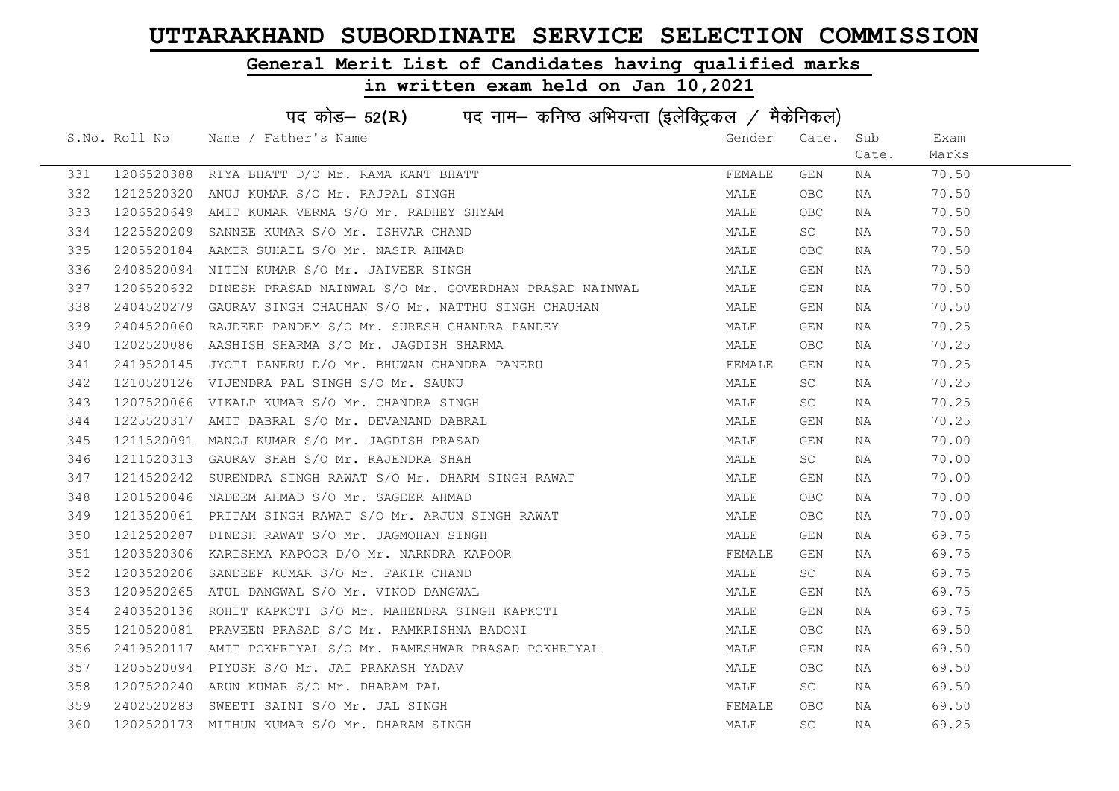### General Merit List of Candidates having qualified marks

| पद कोड- 52(R) पद नाम- कनिष्ठ अभियन्ता (इलेक्ट्रिकल / मैकेनिकल) |               |                                                                   |        |       |       |       |  |
|----------------------------------------------------------------|---------------|-------------------------------------------------------------------|--------|-------|-------|-------|--|
|                                                                | S.No. Roll No | Name / Father's Name                                              | Gender | Cate. | Sub   | Exam  |  |
|                                                                |               |                                                                   |        |       | Cate. | Marks |  |
| 331                                                            | 1206520388    | RIYA BHATT D/O Mr. RAMA KANT BHATT                                | FEMALE | GEN   | NA    | 70.50 |  |
| 332                                                            | 1212520320    | ANUJ KUMAR S/O Mr. RAJPAL SINGH                                   | MALE   | OBC   | NA    | 70.50 |  |
| 333                                                            |               | 1206520649 AMIT KUMAR VERMA S/O Mr. RADHEY SHYAM                  | MALE   | OBC   | NA    | 70.50 |  |
| 334                                                            | 1225520209    | SANNEE KUMAR S/O Mr. ISHVAR CHAND                                 | MALE   | SC    | NA    | 70.50 |  |
| 335                                                            |               | 1205520184 AAMIR SUHAIL S/O Mr. NASIR AHMAD                       | MALE   | OBC.  | NA    | 70.50 |  |
| 336                                                            |               | 2408520094 NITIN KUMAR S/O Mr. JAIVEER SINGH                      | MALE   | GEN   | NA    | 70.50 |  |
| 337                                                            |               | 1206520632 DINESH PRASAD NAINWAL S/O Mr. GOVERDHAN PRASAD NAINWAL | MALE   | GEN   | NA    | 70.50 |  |
| 338                                                            | 2404520279    | GAURAV SINGH CHAUHAN S/O Mr. NATTHU SINGH CHAUHAN                 | MALE   | GEN   | NA    | 70.50 |  |
| 339                                                            | 2404520060    | RAJDEEP PANDEY S/O Mr. SURESH CHANDRA PANDEY                      | MALE   | GEN   | NA    | 70.25 |  |
| 340                                                            | 1202520086    | AASHISH SHARMA S/O Mr. JAGDISH SHARMA                             | MALE   | OBC   | NA    | 70.25 |  |
| 341                                                            |               | 2419520145 JYOTI PANERU D/O Mr. BHUWAN CHANDRA PANERU             | FEMALE | GEN   | NA    | 70.25 |  |
| 342                                                            | 1210520126    | VIJENDRA PAL SINGH S/O Mr. SAUNU                                  | MALE   | SC    | NA    | 70.25 |  |
| 343                                                            | 1207520066    | VIKALP KUMAR S/O Mr. CHANDRA SINGH                                | MALE   | SC -  | NA    | 70.25 |  |
| 344                                                            |               | 1225520317 AMIT DABRAL S/O Mr. DEVANAND DABRAL                    | MALE   | GEN   | NA    | 70.25 |  |
| 345                                                            |               | 1211520091 MANOJ KUMAR S/O Mr. JAGDISH PRASAD                     | MALE   | GEN   | NA    | 70.00 |  |
| 346                                                            |               | 1211520313 GAURAV SHAH S/O Mr. RAJENDRA SHAH                      | MALE   | SC    | NA    | 70.00 |  |
| 347                                                            | 1214520242    | SURENDRA SINGH RAWAT S/O Mr. DHARM SINGH RAWAT                    | MALE   | GEN   | NA    | 70.00 |  |
| 348                                                            |               | 1201520046 NADEEM AHMAD S/O Mr. SAGEER AHMAD                      | MALE   | OBC.  | NA    | 70.00 |  |
| 349                                                            |               | 1213520061 PRITAM SINGH RAWAT S/O Mr. ARJUN SINGH RAWAT           | MALE   | OBC.  | NA    | 70.00 |  |
| 350                                                            | 1212520287    | DINESH RAWAT S/O Mr. JAGMOHAN SINGH                               | MALE   | GEN   | NA    | 69.75 |  |
| 351                                                            |               | 1203520306 KARISHMA KAPOOR D/O Mr. NARNDRA KAPOOR                 | FEMALE | GEN   | NA    | 69.75 |  |
| 352                                                            |               | 1203520206 SANDEEP KUMAR S/O Mr. FAKIR CHAND                      | MALE   | SC -  | NA    | 69.75 |  |
| 353                                                            |               | 1209520265 ATUL DANGWAL S/O Mr. VINOD DANGWAL                     | MALE   | GEN   | NA    | 69.75 |  |
| 354                                                            | 2403520136    | ROHIT KAPKOTI S/O Mr. MAHENDRA SINGH KAPKOTI                      | MALE   | GEN   | NA    | 69.75 |  |
| 355                                                            | 1210520081    | PRAVEEN PRASAD S/O Mr. RAMKRISHNA BADONI                          | MALE   | OBC   | NA    | 69.50 |  |
| 356                                                            |               | 2419520117 AMIT POKHRIYAL S/O Mr. RAMESHWAR PRASAD POKHRIYAL      | MALE   | GEN   | NA    | 69.50 |  |
| 357                                                            |               | 1205520094 PIYUSH S/O Mr. JAI PRAKASH YADAV                       | MALE   | OBC.  | NA    | 69.50 |  |
| 358                                                            |               | 1207520240 ARUN KUMAR S/O Mr. DHARAM PAL                          | MALE   | SC    | NA    | 69.50 |  |
| 359                                                            | 2402520283    | SWEETI SAINI S/O Mr. JAL SINGH                                    | FEMALE | OBC.  | NA    | 69.50 |  |
| 360                                                            |               | 1202520173 MITHUN KUMAR S/O Mr. DHARAM SINGH                      | MALE   | SC    | ΝA    | 69.25 |  |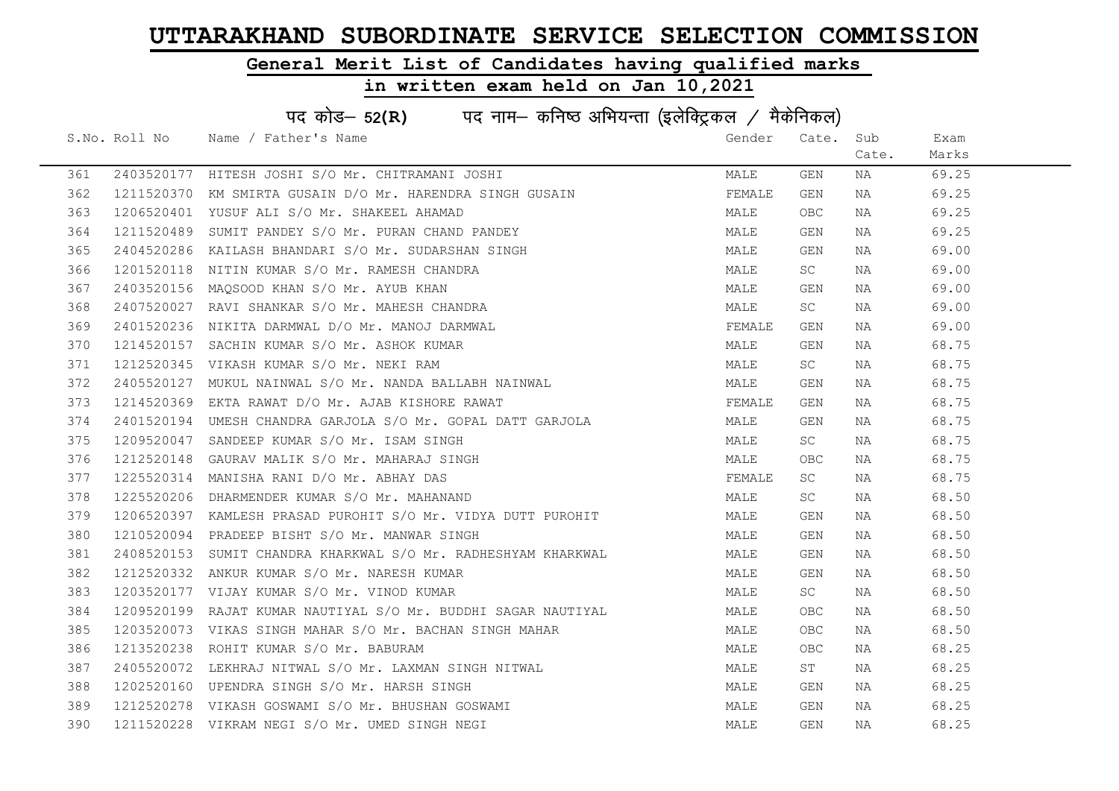### General Merit List of Candidates having qualified marks

|     | पद कोड- 52(R) पद नाम- कनिष्ठ अभियन्ता (इलेक्ट्रिकल / मैकेनिकल) |                                                               |        |           |       |       |  |  |
|-----|----------------------------------------------------------------|---------------------------------------------------------------|--------|-----------|-------|-------|--|--|
|     |                                                                | S.No. Roll No Name / Father's Name                            | Gender | Cate.     | Sub   | Exam  |  |  |
|     |                                                                |                                                               |        |           | Cate. | Marks |  |  |
| 361 |                                                                | 2403520177 HITESH JOSHI S/O Mr. CHITRAMANI JOSHI              | MALE   | GEN       | NA    | 69.25 |  |  |
| 362 | 1211520370                                                     | KM SMIRTA GUSAIN D/O Mr. HARENDRA SINGH GUSAIN                | FEMALE | GEN       | NA    | 69.25 |  |  |
| 363 | 1206520401                                                     | YUSUF ALI S/O Mr. SHAKEEL AHAMAD                              | MALE   | OBC.      | NA    | 69.25 |  |  |
| 364 | 1211520489                                                     | SUMIT PANDEY S/O Mr. PURAN CHAND PANDEY                       | MALE   | GEN       | NA    | 69.25 |  |  |
| 365 | 2404520286                                                     | KAILASH BHANDARI S/O Mr. SUDARSHAN SINGH                      | MALE   | GEN       | NA    | 69.00 |  |  |
| 366 | 1201520118                                                     | NITIN KUMAR S/O Mr. RAMESH CHANDRA                            | MALE   | SC        | NA    | 69.00 |  |  |
| 367 |                                                                | 2403520156 MAQSOOD KHAN S/O Mr. AYUB KHAN                     | MALE   | GEN       | NA    | 69.00 |  |  |
| 368 | 2407520027                                                     | RAVI SHANKAR S/O Mr. MAHESH CHANDRA                           | MALE   | <b>SC</b> | NA    | 69.00 |  |  |
| 369 | 2401520236                                                     | NIKITA DARMWAL D/O Mr. MANOJ DARMWAL                          | FEMALE | GEN       | NA    | 69.00 |  |  |
| 370 | 1214520157                                                     | SACHIN KUMAR S/O Mr. ASHOK KUMAR                              | MALE   | GEN       | NA    | 68.75 |  |  |
| 371 |                                                                | 1212520345 VIKASH KUMAR S/O Mr. NEKI RAM                      | MALE   | <b>SC</b> | NA    | 68.75 |  |  |
| 372 | 2405520127                                                     | MUKUL NAINWAL S/O Mr. NANDA BALLABH NAINWAL                   | MALE   | GEN       | NA    | 68.75 |  |  |
| 373 |                                                                | 1214520369 EKTA RAWAT D/O Mr. AJAB KISHORE RAWAT              | FEMALE | GEN       | NA    | 68.75 |  |  |
| 374 |                                                                | 2401520194 UMESH CHANDRA GARJOLA S/O Mr. GOPAL DATT GARJOLA   | MALE   | GEN       | NA    | 68.75 |  |  |
| 375 |                                                                | 1209520047 SANDEEP KUMAR S/O Mr. ISAM SINGH                   | MALE   | SC        | NA    | 68.75 |  |  |
| 376 | 1212520148                                                     | GAURAV MALIK S/O Mr. MAHARAJ SINGH                            | MALE   | OBC       | NA    | 68.75 |  |  |
| 377 | 1225520314                                                     | MANISHA RANI D/O Mr. ABHAY DAS                                | FEMALE | <b>SC</b> | NA    | 68.75 |  |  |
| 378 |                                                                | 1225520206 DHARMENDER KUMAR S/O Mr. MAHANAND                  | MALE   | SC.       | NA    | 68.50 |  |  |
| 379 |                                                                | 1206520397 KAMLESH PRASAD PUROHIT S/O Mr. VIDYA DUTT PUROHIT  | MALE   | GEN       | NA    | 68.50 |  |  |
| 380 |                                                                | 1210520094 PRADEEP BISHT S/O Mr. MANWAR SINGH                 | MALE   | GEN       | NA    | 68.50 |  |  |
| 381 |                                                                | 2408520153 SUMIT CHANDRA KHARKWAL S/O Mr. RADHESHYAM KHARKWAL | MALE   | GEN       | NA    | 68.50 |  |  |
| 382 |                                                                | 1212520332 ANKUR KUMAR S/O Mr. NARESH KUMAR                   | MALE   | GEN       | NA    | 68.50 |  |  |
| 383 |                                                                | 1203520177 VIJAY KUMAR S/O Mr. VINOD KUMAR                    | MALE   | SC        | NA    | 68.50 |  |  |
| 384 |                                                                | 1209520199 RAJAT KUMAR NAUTIYAL S/O Mr. BUDDHI SAGAR NAUTIYAL | MALE   | OBC       | NA    | 68.50 |  |  |
| 385 | 1203520073                                                     | VIKAS SINGH MAHAR S/O Mr. BACHAN SINGH MAHAR                  | MALE   | OBC.      | NA    | 68.50 |  |  |
| 386 | 1213520238                                                     | ROHIT KUMAR S/O Mr. BABURAM                                   | MALE   | OBC.      | NA    | 68.25 |  |  |
| 387 |                                                                | 2405520072 LEKHRAJ NITWAL S/O Mr. LAXMAN SINGH NITWAL         | MALE   | ST        | NA    | 68.25 |  |  |
| 388 |                                                                | 1202520160 UPENDRA SINGH S/O Mr. HARSH SINGH                  | MALE   | GEN       | NA    | 68.25 |  |  |
| 389 |                                                                | 1212520278 VIKASH GOSWAMI S/O Mr. BHUSHAN GOSWAMI             | MALE   | GEN       | NA    | 68.25 |  |  |
| 390 |                                                                | 1211520228 VIKRAM NEGI S/O Mr. UMED SINGH NEGI                | MALE   | GEN       | NA    | 68.25 |  |  |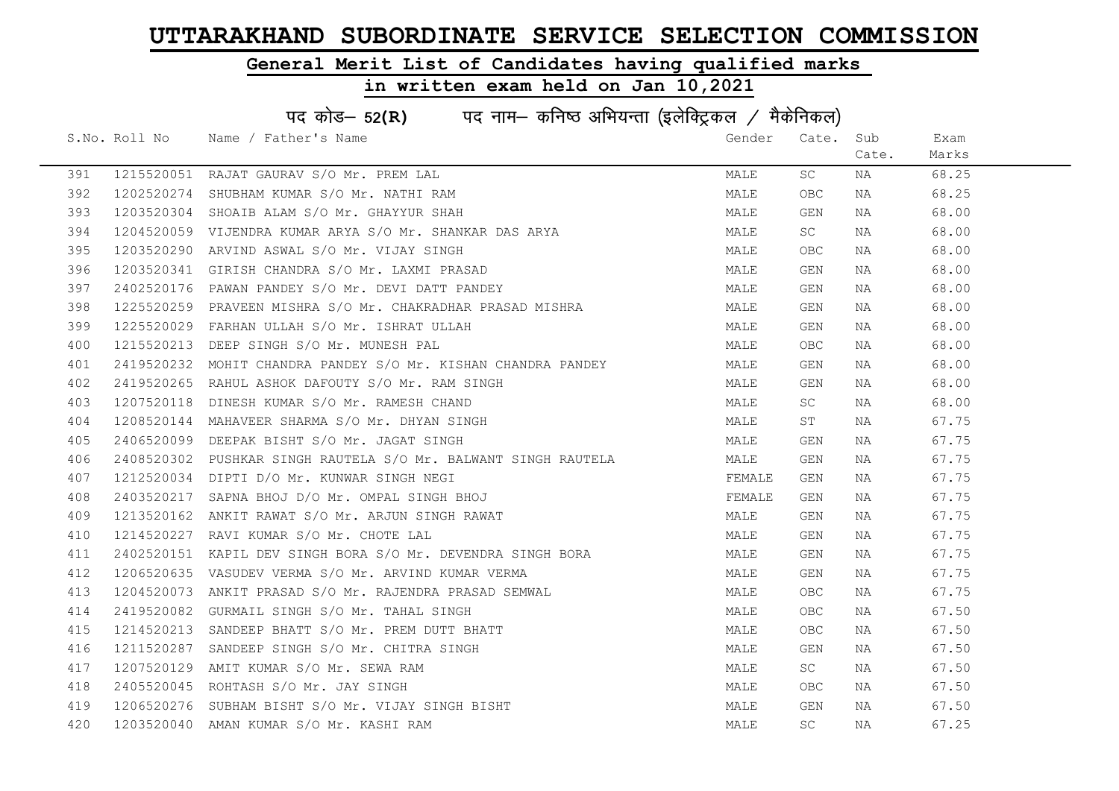### General Merit List of Candidates having qualified marks

|     | पद कोड– 52(R) पद नाम– कनिष्ठ अभियन्ता (इलेक्ट्रिकल / मैकेनिकल) |                                                                |        |            |       |       |  |  |
|-----|----------------------------------------------------------------|----------------------------------------------------------------|--------|------------|-------|-------|--|--|
|     |                                                                | S.No. Roll No Name / Father's Name                             | Gender | Cate.      | Sub   | Exam  |  |  |
|     |                                                                |                                                                |        |            | Cate. | Marks |  |  |
| 391 |                                                                | 1215520051 RAJAT GAURAV S/O Mr. PREM LAL                       | MALE   | SC         | NA    | 68.25 |  |  |
| 392 |                                                                | 1202520274 SHUBHAM KUMAR S/O Mr. NATHI RAM                     | MALE   | <b>OBC</b> | NA    | 68.25 |  |  |
| 393 |                                                                | 1203520304 SHOAIB ALAM S/O Mr. GHAYYUR SHAH                    | MALE   | GEN        | NA    | 68.00 |  |  |
| 394 | 1204520059                                                     | VIJENDRA KUMAR ARYA S/O Mr. SHANKAR DAS ARYA                   | MALE   | SC         | NA    | 68.00 |  |  |
| 395 | 1203520290                                                     | ARVIND ASWAL S/O Mr. VIJAY SINGH                               | MALE   | OBC        | NA    | 68.00 |  |  |
| 396 |                                                                | 1203520341 GIRISH CHANDRA S/O Mr. LAXMI PRASAD                 | MALE   | GEN        | NA    | 68.00 |  |  |
| 397 |                                                                | 2402520176 PAWAN PANDEY S/O Mr. DEVI DATT PANDEY               | MALE   | GEN        | NA    | 68.00 |  |  |
| 398 | 1225520259                                                     | PRAVEEN MISHRA S/O Mr. CHAKRADHAR PRASAD MISHRA                | MALE   | GEN        | NA    | 68.00 |  |  |
| 399 | 1225520029                                                     | FARHAN ULLAH S/O Mr. ISHRAT ULLAH                              | MALE   | GEN        | NA    | 68.00 |  |  |
| 400 | 1215520213                                                     | DEEP SINGH S/O Mr. MUNESH PAL                                  | MALE   | OBC.       | NA    | 68.00 |  |  |
| 401 |                                                                | 2419520232 MOHIT CHANDRA PANDEY S/O Mr. KISHAN CHANDRA PANDEY  | MALE   | GEN        | NA    | 68.00 |  |  |
| 402 | 2419520265                                                     | RAHUL ASHOK DAFOUTY S/O Mr. RAM SINGH                          | MALE   | GEN        | NA    | 68.00 |  |  |
| 403 |                                                                | 1207520118 DINESH KUMAR S/O Mr. RAMESH CHAND                   | MALE   | SC         | NA    | 68.00 |  |  |
| 404 |                                                                | 1208520144 MAHAVEER SHARMA S/O Mr. DHYAN SINGH                 | MALE   | ST         | NA    | 67.75 |  |  |
| 405 |                                                                | 2406520099 DEEPAK BISHT S/O Mr. JAGAT SINGH                    | MALE   | GEN        | NA    | 67.75 |  |  |
| 406 |                                                                | 2408520302 PUSHKAR SINGH RAUTELA S/O Mr. BALWANT SINGH RAUTELA | MALE   | GEN        | NA    | 67.75 |  |  |
| 407 | 1212520034                                                     | DIPTI D/O Mr. KUNWAR SINGH NEGI                                | FEMALE | GEN        | NA    | 67.75 |  |  |
| 408 | 2403520217                                                     | SAPNA BHOJ D/O Mr. OMPAL SINGH BHOJ                            | FEMALE | GEN        | NA    | 67.75 |  |  |
| 409 |                                                                | 1213520162 ANKIT RAWAT S/O Mr. ARJUN SINGH RAWAT               | MALE   | GEN        | NA    | 67.75 |  |  |
| 410 | 1214520227                                                     | RAVI KUMAR S/O Mr. CHOTE LAL                                   | MALE   | GEN        | NA    | 67.75 |  |  |
| 411 |                                                                | 2402520151 KAPIL DEV SINGH BORA S/O Mr. DEVENDRA SINGH BORA    | MALE   | GEN        | NA    | 67.75 |  |  |
| 412 |                                                                | 1206520635 VASUDEV VERMA S/O Mr. ARVIND KUMAR VERMA            | MALE   | GEN        | NA    | 67.75 |  |  |
| 413 |                                                                | 1204520073 ANKIT PRASAD S/O Mr. RAJENDRA PRASAD SEMWAL         | MALE   | OBC.       | NA    | 67.75 |  |  |
| 414 | 2419520082                                                     | GURMAIL SINGH S/O Mr. TAHAL SINGH                              | MALE   | OBC        | NA    | 67.50 |  |  |
| 415 | 1214520213                                                     | SANDEEP BHATT S/O Mr. PREM DUTT BHATT                          | MALE   | OBC.       | NA    | 67.50 |  |  |
| 416 | 1211520287                                                     | SANDEEP SINGH S/O Mr. CHITRA SINGH                             | MALE   | GEN        | NA    | 67.50 |  |  |
| 417 |                                                                | 1207520129 AMIT KUMAR S/O Mr. SEWA RAM                         | MALE   | SC         | NA    | 67.50 |  |  |
| 418 |                                                                | 2405520045 ROHTASH S/O Mr. JAY SINGH                           | MALE   | OBC.       | NA    | 67.50 |  |  |
| 419 |                                                                | 1206520276 SUBHAM BISHT S/O Mr. VIJAY SINGH BISHT              | MALE   | GEN        | NA    | 67.50 |  |  |
| 420 |                                                                | 1203520040 AMAN KUMAR S/O Mr. KASHI RAM                        | MALE   | <b>SC</b>  | NA    | 67.25 |  |  |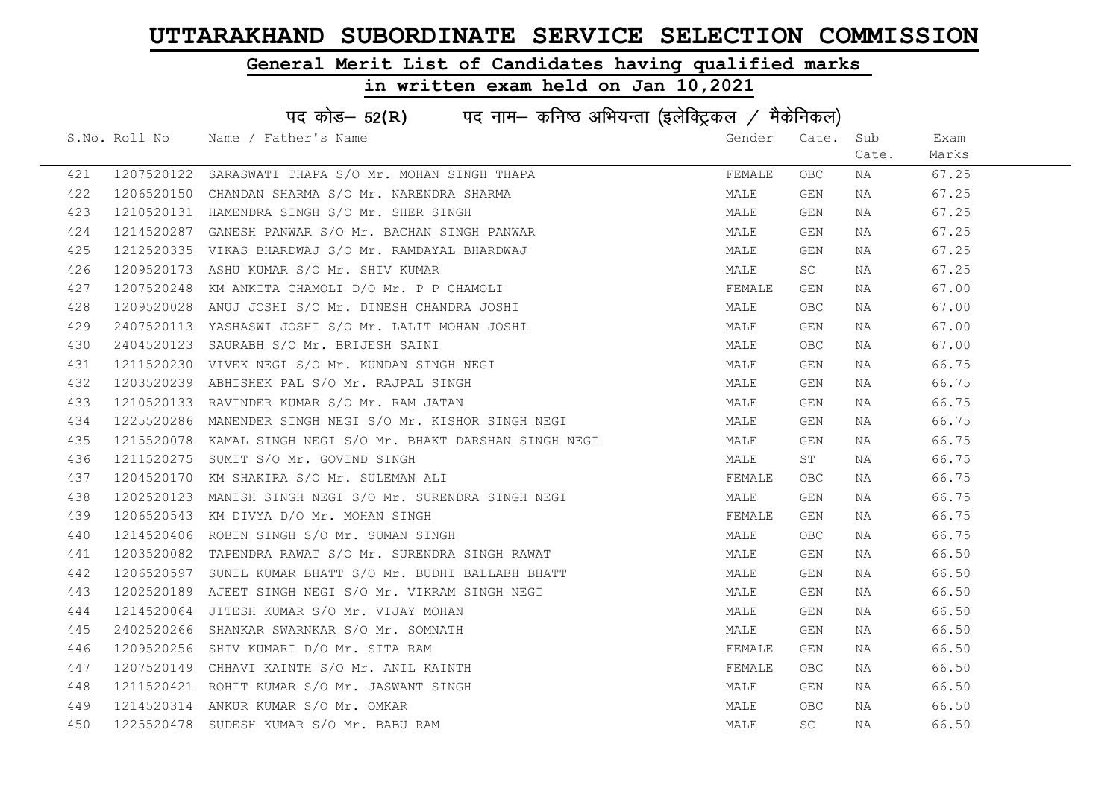### General Merit List of Candidates having qualified marks

|     | पद कोड़- 52(R) पद नाम- कनिष्ठ अभियन्ता (इलेक्ट्रिकल / मैकेनिकल) |                                                              |        |            |       |       |  |  |
|-----|-----------------------------------------------------------------|--------------------------------------------------------------|--------|------------|-------|-------|--|--|
|     | S.No. Roll No                                                   | Name / Father's Name                                         | Gender | Cate.      | Sub   | Exam  |  |  |
|     |                                                                 |                                                              |        |            | Cate. | Marks |  |  |
| 421 |                                                                 | 1207520122 SARASWATI THAPA S/O Mr. MOHAN SINGH THAPA         | FEMALE | <b>OBC</b> | NA    | 67.25 |  |  |
| 422 | 1206520150                                                      | CHANDAN SHARMA S/O Mr. NARENDRA SHARMA                       | MALE   | GEN        | NA    | 67.25 |  |  |
| 423 |                                                                 | 1210520131 HAMENDRA SINGH S/O Mr. SHER SINGH                 | MALE   | GEN        | NA    | 67.25 |  |  |
| 424 | 1214520287                                                      | GANESH PANWAR S/O Mr. BACHAN SINGH PANWAR                    | MALE   | GEN        | NA    | 67.25 |  |  |
| 425 | 1212520335                                                      | VIKAS BHARDWAJ S/O Mr. RAMDAYAL BHARDWAJ                     | MALE   | GEN        | NA    | 67.25 |  |  |
| 426 | 1209520173                                                      | ASHU KUMAR S/O Mr. SHIV KUMAR                                | MALE   | SC         | NA    | 67.25 |  |  |
| 427 |                                                                 | 1207520248 KM ANKITA CHAMOLI D/O Mr. P P CHAMOLI             | FEMALE | GEN        | NA    | 67.00 |  |  |
| 428 | 1209520028                                                      | ANUJ JOSHI S/O Mr. DINESH CHANDRA JOSHI                      | MALE   | <b>OBC</b> | NA    | 67.00 |  |  |
| 429 | 2407520113                                                      | YASHASWI JOSHI S/O Mr. LALIT MOHAN JOSHI                     | MALE   | GEN        | NA    | 67.00 |  |  |
| 430 | 2404520123                                                      | SAURABH S/O Mr. BRIJESH SAINI                                | MALE   | OBC        | NA    | 67.00 |  |  |
| 431 | 1211520230                                                      | VIVEK NEGI S/O Mr. KUNDAN SINGH NEGI                         | MALE   | GEN        | NA    | 66.75 |  |  |
| 432 | 1203520239                                                      | ABHISHEK PAL S/O Mr. RAJPAL SINGH                            | MALE   | GEN        | NA    | 66.75 |  |  |
| 433 |                                                                 | 1210520133 RAVINDER KUMAR S/O Mr. RAM JATAN                  | MALE   | GEN        | NA    | 66.75 |  |  |
| 434 |                                                                 | 1225520286 MANENDER SINGH NEGI S/O Mr. KISHOR SINGH NEGI     | MALE   | GEN        | NA    | 66.75 |  |  |
| 435 |                                                                 | 1215520078 KAMAL SINGH NEGI S/O Mr. BHAKT DARSHAN SINGH NEGI | MALE   | GEN        | NA    | 66.75 |  |  |
| 436 | 1211520275                                                      | SUMIT S/O Mr. GOVIND SINGH                                   | MALE   | ST         | NA    | 66.75 |  |  |
| 437 | 1204520170                                                      | KM SHAKIRA S/O Mr. SULEMAN ALI                               | FEMALE | OBC        | NA    | 66.75 |  |  |
| 438 | 1202520123                                                      | MANISH SINGH NEGI S/O Mr. SURENDRA SINGH NEGI                | MALE   | GEN        | NA    | 66.75 |  |  |
| 439 | 1206520543                                                      | KM DIVYA D/O Mr. MOHAN SINGH                                 | FEMALE | GEN        | NA    | 66.75 |  |  |
| 440 | 1214520406                                                      | ROBIN SINGH S/O Mr. SUMAN SINGH                              | MALE   | OBC        | NA    | 66.75 |  |  |
| 441 | 1203520082                                                      | TAPENDRA RAWAT S/O Mr. SURENDRA SINGH RAWAT                  | MALE   | GEN        | NA    | 66.50 |  |  |
| 442 |                                                                 | 1206520597 SUNIL KUMAR BHATT S/O Mr. BUDHI BALLABH BHATT     | MALE   | GEN        | NA    | 66.50 |  |  |
| 443 | 1202520189                                                      | AJEET SINGH NEGI S/O Mr. VIKRAM SINGH NEGI                   | MALE   | GEN        | NA    | 66.50 |  |  |
| 444 | 1214520064                                                      | JITESH KUMAR S/O Mr. VIJAY MOHAN                             | MALE   | GEN        | NA    | 66.50 |  |  |
| 445 | 2402520266                                                      | SHANKAR SWARNKAR S/O Mr. SOMNATH                             | MALE   | GEN        | NA    | 66.50 |  |  |
| 446 | 1209520256                                                      | SHIV KUMARI D/O Mr. SITA RAM                                 | FEMALE | GEN        | NA    | 66.50 |  |  |
| 447 |                                                                 | 1207520149 CHHAVI KAINTH S/O Mr. ANIL KAINTH                 | FEMALE | OBC        | NA    | 66.50 |  |  |
| 448 |                                                                 | 1211520421 ROHIT KUMAR S/O Mr. JASWANT SINGH                 | MALE   | GEN        | NA    | 66.50 |  |  |
| 449 |                                                                 | 1214520314 ANKUR KUMAR S/O Mr. OMKAR                         | MALE   | OBC        | NA    | 66.50 |  |  |
| 450 | 1225520478                                                      | SUDESH KUMAR S/O Mr. BABU RAM                                | MALE   | SC         | NA    | 66.50 |  |  |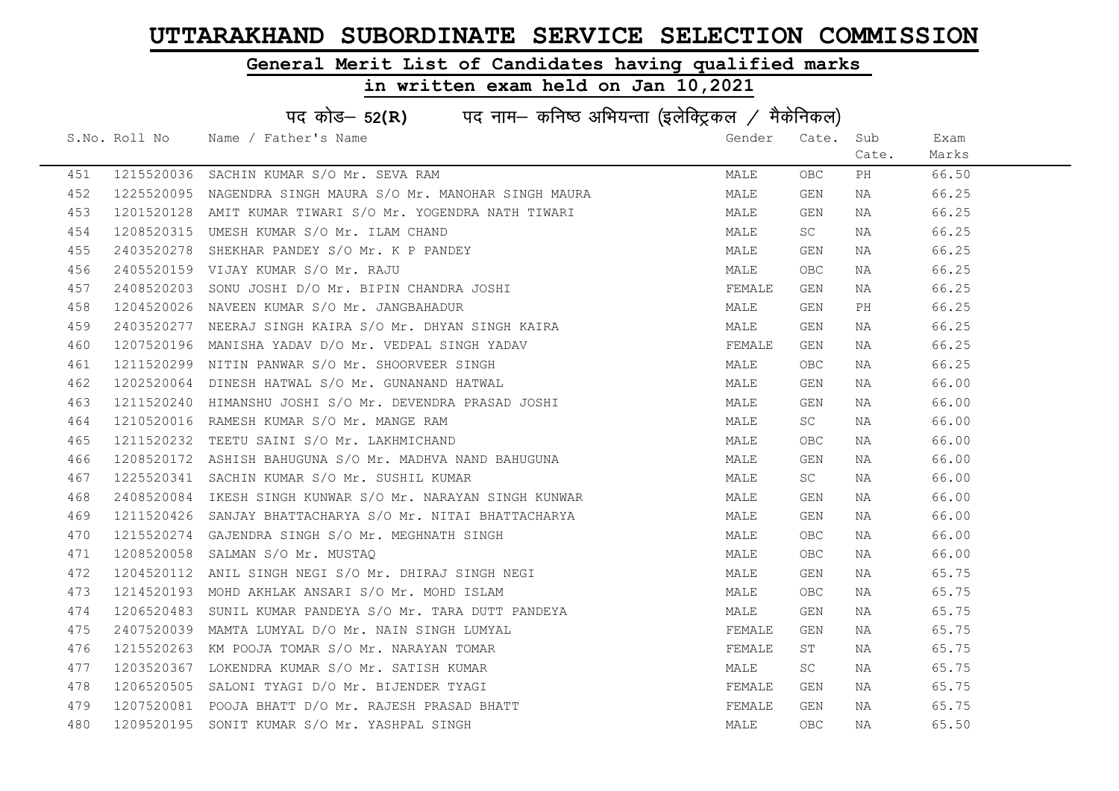### General Merit List of Candidates having qualified marks

|     | पद कोड- 52(R) पद नाम- कनिष्ठ अभियन्ता (इलेक्ट्रिकल / मैकेनिकल) |                                                             |        |       |       |       |  |  |
|-----|----------------------------------------------------------------|-------------------------------------------------------------|--------|-------|-------|-------|--|--|
|     | S.No. Roll No                                                  | Name / Father's Name                                        | Gender | Cate. | Sub   | Exam  |  |  |
|     |                                                                |                                                             |        |       | Cate. | Marks |  |  |
| 451 |                                                                | 1215520036 SACHIN KUMAR S/O Mr. SEVA RAM                    | MALE   | OBC.  | PH    | 66.50 |  |  |
| 452 |                                                                | 1225520095 NAGENDRA SINGH MAURA S/O Mr. MANOHAR SINGH MAURA | MALE   | GEN   | NA    | 66.25 |  |  |
| 453 |                                                                | 1201520128 AMIT KUMAR TIWARI S/O Mr. YOGENDRA NATH TIWARI   | MALE   | GEN   | NA    | 66.25 |  |  |
| 454 |                                                                | 1208520315 UMESH KUMAR S/O Mr. ILAM CHAND                   | MALE   | SC    | NA    | 66.25 |  |  |
| 455 | 2403520278                                                     | SHEKHAR PANDEY S/O Mr. K P PANDEY                           | MALE   | GEN   | NA    | 66.25 |  |  |
| 456 |                                                                | 2405520159 VIJAY KUMAR S/O Mr. RAJU                         | MALE   | OBC.  | NA    | 66.25 |  |  |
| 457 |                                                                | 2408520203 SONU JOSHI D/O Mr. BIPIN CHANDRA JOSHI           | FEMALE | GEN   | NA    | 66.25 |  |  |
| 458 | 1204520026                                                     | NAVEEN KUMAR S/O Mr. JANGBAHADUR                            | MALE   | GEN   | PH    | 66.25 |  |  |
| 459 | 2403520277                                                     | NEERAJ SINGH KAIRA S/O Mr. DHYAN SINGH KAIRA                | MALE   | GEN   | NA    | 66.25 |  |  |
| 460 |                                                                | 1207520196 MANISHA YADAV D/O Mr. VEDPAL SINGH YADAV         | FEMALE | GEN   | NA    | 66.25 |  |  |
| 461 |                                                                | 1211520299 NITIN PANWAR S/O Mr. SHOORVEER SINGH             | MALE   | OBC.  | NA    | 66.25 |  |  |
| 462 |                                                                | 1202520064 DINESH HATWAL S/O Mr. GUNANAND HATWAL            | MALE   | GEN   | NA    | 66.00 |  |  |
| 463 |                                                                | 1211520240 HIMANSHU JOSHI S/O Mr. DEVENDRA PRASAD JOSHI     | MALE   | GEN   | NA    | 66.00 |  |  |
| 464 |                                                                | 1210520016 RAMESH KUMAR S/O Mr. MANGE RAM                   | MALE   | SC    | NA    | 66.00 |  |  |
| 465 |                                                                | 1211520232 TEETU SAINI S/O Mr. LAKHMICHAND                  | MALE   | OBC   | NA    | 66.00 |  |  |
| 466 |                                                                | 1208520172 ASHISH BAHUGUNA S/O Mr. MADHVA NAND BAHUGUNA     | MALE   | GEN   | NA    | 66.00 |  |  |
| 467 | 1225520341                                                     | SACHIN KUMAR S/O Mr. SUSHIL KUMAR                           | MALE   | SC    | NA    | 66.00 |  |  |
| 468 | 2408520084                                                     | IKESH SINGH KUNWAR S/O Mr. NARAYAN SINGH KUNWAR             | MALE   | GEN   | NA    | 66.00 |  |  |
| 469 |                                                                | 1211520426 SANJAY BHATTACHARYA S/O Mr. NITAI BHATTACHARYA   | MALE   | GEN   | NA    | 66.00 |  |  |
| 470 |                                                                | 1215520274 GAJENDRA SINGH S/O Mr. MEGHNATH SINGH            | MALE   | OBC.  | NA    | 66.00 |  |  |
| 471 |                                                                | 1208520058 SALMAN S/O Mr. MUSTAQ                            | MALE   | OBC.  | NA    | 66.00 |  |  |
| 472 | 1204520112                                                     | ANIL SINGH NEGI S/O Mr. DHIRAJ SINGH NEGI                   | MALE   | GEN   | NA    | 65.75 |  |  |
| 473 |                                                                | 1214520193 MOHD AKHLAK ANSARI S/O Mr. MOHD ISLAM            | MALE   | OBC.  | NA    | 65.75 |  |  |
| 474 |                                                                | 1206520483 SUNIL KUMAR PANDEYA S/O Mr. TARA DUTT PANDEYA    | MALE   | GEN   | NA    | 65.75 |  |  |
| 475 | 2407520039                                                     | MAMTA LUMYAL D/O Mr. NAIN SINGH LUMYAL                      | FEMALE | GEN   | NA    | 65.75 |  |  |
| 476 |                                                                | 1215520263 KM POOJA TOMAR S/O Mr. NARAYAN TOMAR             | FEMALE | ST    | NA    | 65.75 |  |  |
| 477 |                                                                | 1203520367 LOKENDRA KUMAR S/O Mr. SATISH KUMAR              | MALE   | SC    | NA    | 65.75 |  |  |
| 478 |                                                                | 1206520505 SALONI TYAGI D/O Mr. BIJENDER TYAGI              | FEMALE | GEN   | NA    | 65.75 |  |  |
| 479 |                                                                | 1207520081 POOJA BHATT D/O Mr. RAJESH PRASAD BHATT          | FEMALE | GEN   | NA    | 65.75 |  |  |
| 480 |                                                                | 1209520195 SONIT KUMAR S/O Mr. YASHPAL SINGH                | MALE   | OBC.  | NA    | 65.50 |  |  |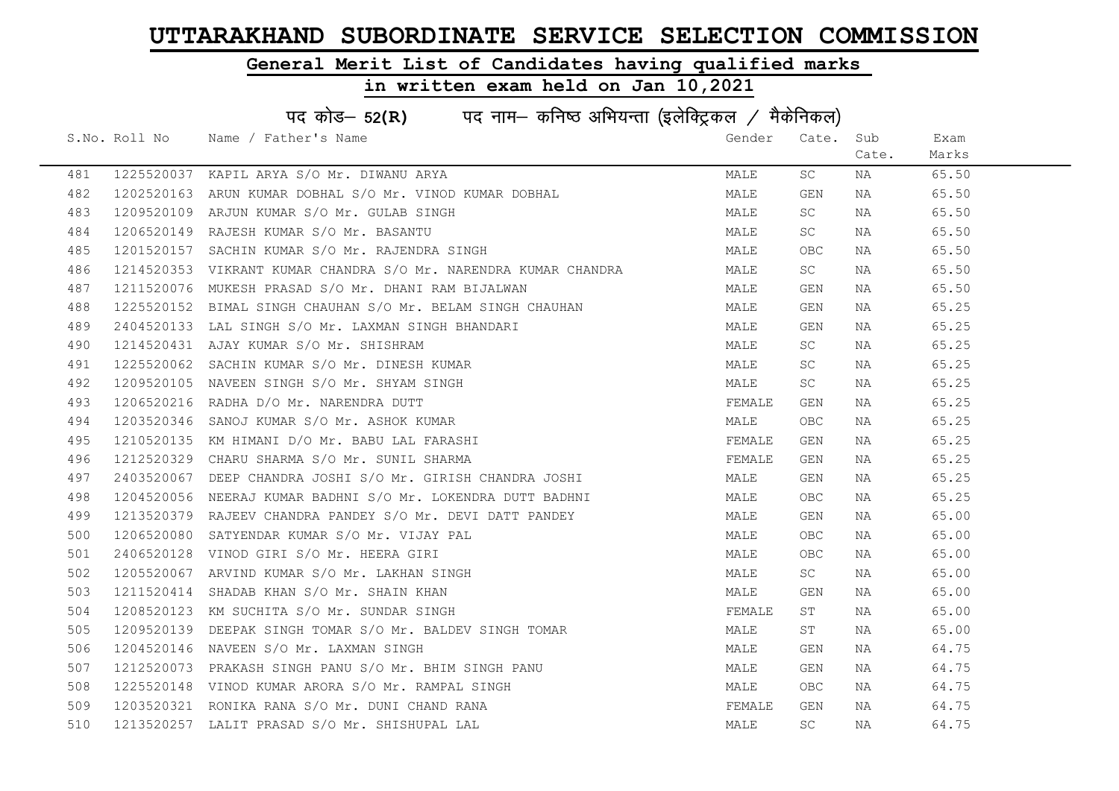### General Merit List of Candidates having qualified marks

|     | पद कोड- 52(R) पद नाम- कनिष्ठ अभियन्ता (इलेक्ट्रिकल / मैकेनिकल) |                                                                 |        |           |       |       |  |  |
|-----|----------------------------------------------------------------|-----------------------------------------------------------------|--------|-----------|-------|-------|--|--|
|     |                                                                | S.No. Roll No Name / Father's Name                              | Gender | Cate.     | Sub   | Exam  |  |  |
|     |                                                                |                                                                 |        |           | Cate. | Marks |  |  |
| 481 |                                                                | 1225520037 KAPIL ARYA S/O Mr. DIWANU ARYA                       | MALE   | SC        | NA    | 65.50 |  |  |
| 482 | 1202520163                                                     | ARUN KUMAR DOBHAL S/O Mr. VINOD KUMAR DOBHAL                    | MALE   | GEN       | NA    | 65.50 |  |  |
| 483 |                                                                | 1209520109 ARJUN KUMAR S/O Mr. GULAB SINGH                      | MALE   | SC        | NA    | 65.50 |  |  |
| 484 | 1206520149                                                     | RAJESH KUMAR S/O Mr. BASANTU                                    | MALE   | SC        | NA    | 65.50 |  |  |
| 485 | 1201520157                                                     | SACHIN KUMAR S/O Mr. RAJENDRA SINGH                             | MALE   | OBC       | NA    | 65.50 |  |  |
| 486 |                                                                | 1214520353 VIKRANT KUMAR CHANDRA S/O Mr. NARENDRA KUMAR CHANDRA | MALE   | SC        | NA    | 65.50 |  |  |
| 487 | 1211520076                                                     | MUKESH PRASAD S/O Mr. DHANI RAM BIJALWAN                        | MALE   | GEN       | NA    | 65.50 |  |  |
| 488 | 1225520152                                                     | BIMAL SINGH CHAUHAN S/O Mr. BELAM SINGH CHAUHAN                 | MALE   | GEN       | NA    | 65.25 |  |  |
| 489 | 2404520133                                                     | LAL SINGH S/O Mr. LAXMAN SINGH BHANDARI                         | MALE   | GEN       | NA    | 65.25 |  |  |
| 490 | 1214520431                                                     | AJAY KUMAR S/O Mr. SHISHRAM                                     | MALE   | SC        | NA    | 65.25 |  |  |
| 491 |                                                                | 1225520062 SACHIN KUMAR S/O Mr. DINESH KUMAR                    | MALE   | SC        | NA    | 65.25 |  |  |
| 492 |                                                                | 1209520105 NAVEEN SINGH S/O Mr. SHYAM SINGH                     | MALE   | SC        | NA    | 65.25 |  |  |
| 493 |                                                                | 1206520216 RADHA D/O Mr. NARENDRA DUTT                          | FEMALE | GEN       | NA    | 65.25 |  |  |
| 494 | 1203520346                                                     | SANOJ KUMAR S/O Mr. ASHOK KUMAR                                 | MALE   | OBC.      | NA    | 65.25 |  |  |
| 495 |                                                                | 1210520135 KM HIMANI D/O Mr. BABU LAL FARASHI                   | FEMALE | GEN       | NA    | 65.25 |  |  |
| 496 | 1212520329                                                     | CHARU SHARMA S/O Mr. SUNIL SHARMA                               | FEMALE | GEN       | NA    | 65.25 |  |  |
| 497 | 2403520067                                                     | DEEP CHANDRA JOSHI S/O Mr. GIRISH CHANDRA JOSHI                 | MALE   | GEN       | NA    | 65.25 |  |  |
| 498 | 1204520056                                                     | NEERAJ KUMAR BADHNI S/O Mr. LOKENDRA DUTT BADHNI                | MALE   | OBC.      | NA    | 65.25 |  |  |
| 499 | 1213520379                                                     | RAJEEV CHANDRA PANDEY S/O Mr. DEVI DATT PANDEY                  | MALE   | GEN       | NA    | 65.00 |  |  |
| 500 | 1206520080                                                     | SATYENDAR KUMAR S/O Mr. VIJAY PAL                               | MALE   | OBC.      | NA    | 65.00 |  |  |
| 501 | 2406520128                                                     | VINOD GIRI S/O Mr. HEERA GIRI                                   | MALE   | OBC.      | NA    | 65.00 |  |  |
| 502 |                                                                | 1205520067 ARVIND KUMAR S/O Mr. LAKHAN SINGH                    | MALE   | SC -      | NA    | 65.00 |  |  |
| 503 | 1211520414                                                     | SHADAB KHAN S/O Mr. SHAIN KHAN                                  | MALE   | GEN       | NA    | 65.00 |  |  |
| 504 |                                                                | 1208520123 KM SUCHITA S/O Mr. SUNDAR SINGH                      | FEMALE | ST        | NA    | 65.00 |  |  |
| 505 | 1209520139                                                     | DEEPAK SINGH TOMAR S/O Mr. BALDEV SINGH TOMAR                   | MALE   | ST        | NA    | 65.00 |  |  |
| 506 | 1204520146                                                     | NAVEEN S/O Mr. LAXMAN SINGH                                     | MALE   | GEN       | NA    | 64.75 |  |  |
| 507 |                                                                | 1212520073 PRAKASH SINGH PANU S/O Mr. BHIM SINGH PANU           | MALE   | GEN       | NA    | 64.75 |  |  |
| 508 |                                                                | 1225520148 VINOD KUMAR ARORA S/O Mr. RAMPAL SINGH               | MALE   | OBC.      | NA    | 64.75 |  |  |
| 509 | 1203520321                                                     | RONIKA RANA S/O Mr. DUNI CHAND RANA                             | FEMALE | GEN       | NA    | 64.75 |  |  |
| 510 |                                                                | 1213520257 LALIT PRASAD S/O Mr. SHISHUPAL LAL                   | MALE   | <b>SC</b> | NA    | 64.75 |  |  |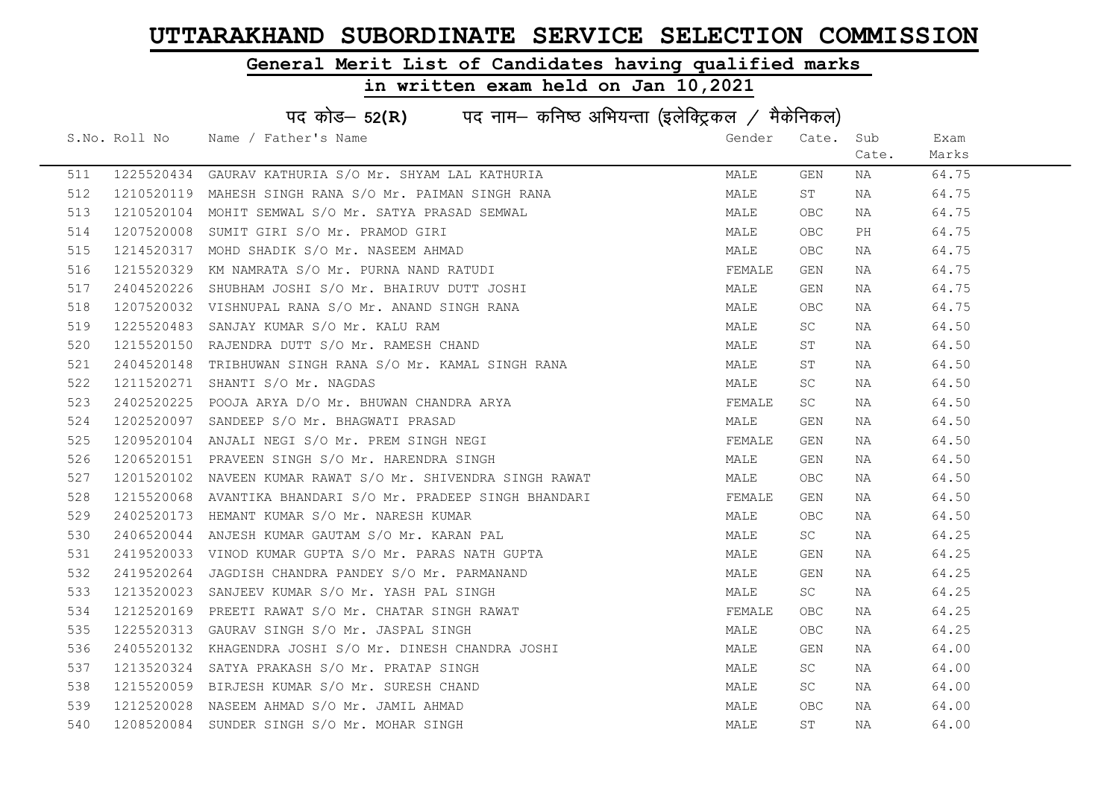### General Merit List of Candidates having qualified marks

|     | पद कोड– 52(R) पद नाम– कनिष्ठ अभियन्ता (इलेक्ट्रिकल / मैकेनिकल) |                                                  |        |            |       |       |  |  |
|-----|----------------------------------------------------------------|--------------------------------------------------|--------|------------|-------|-------|--|--|
|     | S.No. Roll No                                                  | Name / Father's Name                             | Gender | Cate.      | Sub   | Exam  |  |  |
|     |                                                                |                                                  |        |            | Cate. | Marks |  |  |
| 511 | 1225520434                                                     | GAURAV KATHURIA S/O Mr. SHYAM LAL KATHURIA       | MALE   | GEN        | NA    | 64.75 |  |  |
| 512 | 1210520119                                                     | MAHESH SINGH RANA S/O Mr. PAIMAN SINGH RANA      | MALE   | ST         | NA    | 64.75 |  |  |
| 513 | 1210520104                                                     | MOHIT SEMWAL S/O Mr. SATYA PRASAD SEMWAL         | MALE   | <b>OBC</b> | NA    | 64.75 |  |  |
| 514 | 1207520008                                                     | SUMIT GIRI S/O Mr. PRAMOD GIRI                   | MALE   | OBC.       | PH    | 64.75 |  |  |
| 515 | 1214520317                                                     | MOHD SHADIK S/O Mr. NASEEM AHMAD                 | MALE   | OBC.       | NA    | 64.75 |  |  |
| 516 | 1215520329                                                     | KM NAMRATA S/O Mr. PURNA NAND RATUDI             | FEMALE | GEN        | NA    | 64.75 |  |  |
| 517 | 2404520226                                                     | SHUBHAM JOSHI S/O Mr. BHAIRUV DUTT JOSHI         | MALE   | GEN        | NA    | 64.75 |  |  |
| 518 | 1207520032                                                     | VISHNUPAL RANA S/O Mr. ANAND SINGH RANA          | MALE   | <b>OBC</b> | NA    | 64.75 |  |  |
| 519 | 1225520483                                                     | SANJAY KUMAR S/O Mr. KALU RAM                    | MALE   | SC.        | NA    | 64.50 |  |  |
| 520 | 1215520150                                                     | RAJENDRA DUTT S/O Mr. RAMESH CHAND               | MALE   | ST         | NA    | 64.50 |  |  |
| 521 | 2404520148                                                     | TRIBHUWAN SINGH RANA S/O Mr. KAMAL SINGH RANA    | MALE   | ST         | NA    | 64.50 |  |  |
| 522 | 1211520271                                                     | SHANTI S/O Mr. NAGDAS                            | MALE   | <b>SC</b>  | NA    | 64.50 |  |  |
| 523 | 2402520225                                                     | POOJA ARYA D/O Mr. BHUWAN CHANDRA ARYA           | FEMALE | SC         | NA    | 64.50 |  |  |
| 524 | 1202520097                                                     | SANDEEP S/O Mr. BHAGWATI PRASAD                  | MALE   | GEN        | NA    | 64.50 |  |  |
| 525 |                                                                | 1209520104 ANJALI NEGI S/O Mr. PREM SINGH NEGI   | FEMALE | GEN        | NA    | 64.50 |  |  |
| 526 | 1206520151                                                     | PRAVEEN SINGH S/O Mr. HARENDRA SINGH             | MALE   | GEN        | NA    | 64.50 |  |  |
| 527 | 1201520102                                                     | NAVEEN KUMAR RAWAT S/O Mr. SHIVENDRA SINGH RAWAT | MALE   | <b>OBC</b> | NA    | 64.50 |  |  |
| 528 | 1215520068                                                     | AVANTIKA BHANDARI S/O Mr. PRADEEP SINGH BHANDARI | FEMALE | GEN        | NA    | 64.50 |  |  |
| 529 |                                                                | 2402520173 HEMANT KUMAR S/O Mr. NARESH KUMAR     | MALE   | OBC.       | NA    | 64.50 |  |  |
| 530 | 2406520044                                                     | ANJESH KUMAR GAUTAM S/O Mr. KARAN PAL            | MALE   | SC         | NA    | 64.25 |  |  |
| 531 | 2419520033                                                     | VINOD KUMAR GUPTA S/O Mr. PARAS NATH GUPTA       | MALE   | GEN        | NA    | 64.25 |  |  |
| 532 | 2419520264                                                     | JAGDISH CHANDRA PANDEY S/O Mr. PARMANAND         | MALE   | GEN        | NA    | 64.25 |  |  |
| 533 |                                                                | 1213520023 SANJEEV KUMAR S/O Mr. YASH PAL SINGH  | MALE   | SC         | NA    | 64.25 |  |  |
| 534 | 1212520169                                                     | PREETI RAWAT S/O Mr. CHATAR SINGH RAWAT          | FEMALE | <b>OBC</b> | NA    | 64.25 |  |  |
| 535 | 1225520313                                                     | GAURAV SINGH S/O Mr. JASPAL SINGH                | MALE   | <b>OBC</b> | NA    | 64.25 |  |  |
| 536 | 2405520132                                                     | KHAGENDRA JOSHI S/O Mr. DINESH CHANDRA JOSHI     | MALE   | GEN        | NA    | 64.00 |  |  |
| 537 | 1213520324                                                     | SATYA PRAKASH S/O Mr. PRATAP SINGH               | MALE   | SC         | NA    | 64.00 |  |  |
| 538 | 1215520059                                                     | BIRJESH KUMAR S/O Mr. SURESH CHAND               | MALE   | SC         | NA    | 64.00 |  |  |
| 539 | 1212520028                                                     | NASEEM AHMAD S/O Mr. JAMIL AHMAD                 | MALE   | <b>OBC</b> | NA    | 64.00 |  |  |
| 540 |                                                                | 1208520084 SUNDER SINGH S/O Mr. MOHAR SINGH      | MALE   | ST         | NA    | 64.00 |  |  |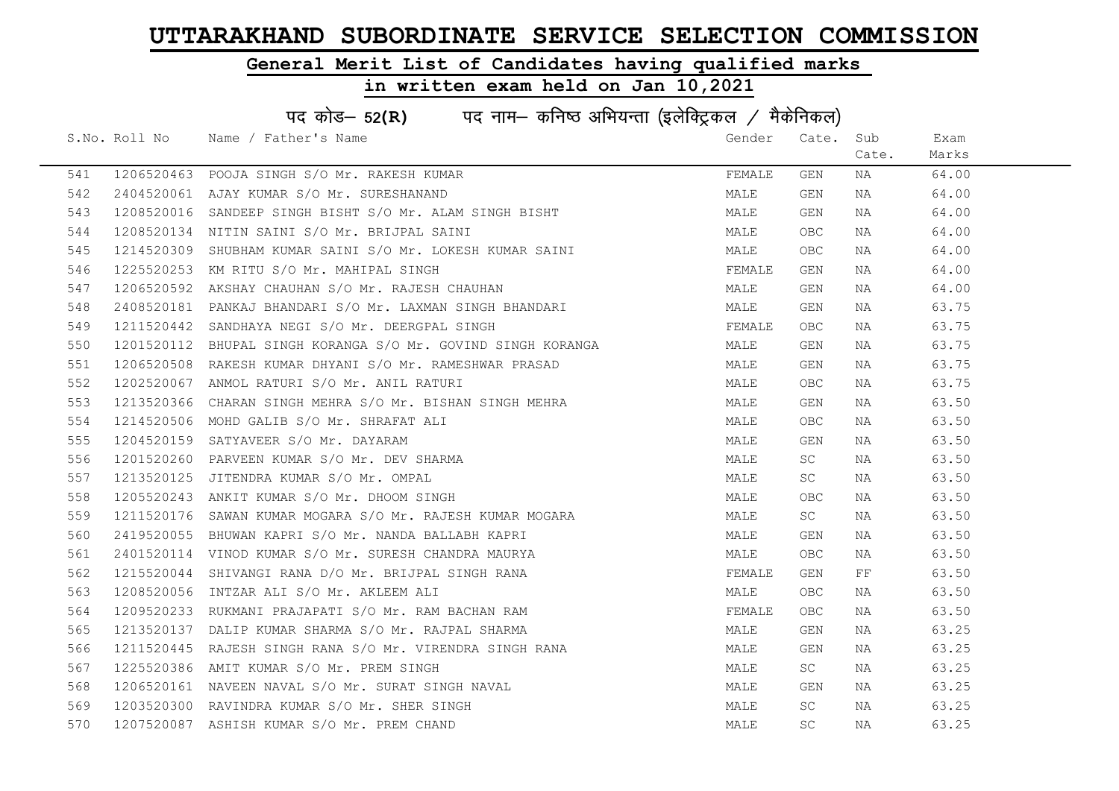### General Merit List of Candidates having qualified marks

|     | पद कोड– 52(R) पद नाम– कनिष्ठ अभियन्ता (इलेक्ट्रिकल / मैकेनिकल) |                                                                                                                                                        |        |           |       |       |  |  |
|-----|----------------------------------------------------------------|--------------------------------------------------------------------------------------------------------------------------------------------------------|--------|-----------|-------|-------|--|--|
|     |                                                                | S.No. Roll No Name / Father's Name                                                                                                                     | Gender | Cate.     | Sub   | Exam  |  |  |
|     |                                                                |                                                                                                                                                        |        |           | Cate. | Marks |  |  |
| 541 |                                                                | 1206520463 POOJA SINGH S/O Mr. RAKESH KUMAR                                                                                                            | FEMALE | GEN       | NA    | 64.00 |  |  |
| 542 |                                                                | 2404520061 AJAY KUMAR S/O Mr. SURESHANAND                                                                                                              | MALE   | GEN       | NA    | 64.00 |  |  |
| 543 |                                                                | 1208520016 SANDEEP SINGH BISHT S/O Mr. ALAM SINGH BISHT                                                                                                | MALE   | GEN       | NA    | 64.00 |  |  |
| 544 |                                                                | 1208520134 NITIN SAINI S/O Mr. BRIJPAL SAINI                                                                                                           | MALE   | OBC       | NA    | 64.00 |  |  |
| 545 | 1214520309                                                     | SHUBHAM KUMAR SAINI S/O Mr. LOKESH KUMAR SAINI                                                                                                         | MALE   | OBC       | NA    | 64.00 |  |  |
| 546 |                                                                | 1225520253 KM RITU S/O Mr. MAHIPAL SINGH                                                                                                               | FEMALE | GEN       | NA    | 64.00 |  |  |
| 547 |                                                                | 1206520592 AKSHAY CHAUHAN S/O Mr. RAJESH CHAUHAN                                                                                                       | MALE   | GEN       | NA    | 64.00 |  |  |
| 548 |                                                                | 2408520181 PANKAJ BHANDARI S/O Mr. LAXMAN SINGH BHANDARI                                                                                               | MALE   | GEN       | NA    | 63.75 |  |  |
| 549 |                                                                | 1211520442 SANDHAYA NEGI S/O Mr. DEERGPAL SINGH                                                                                                        | FEMALE | OBC       | NA    | 63.75 |  |  |
| 550 | 1201520112                                                     | BHUPAL SINGH KORANGA S/O Mr. GOVIND SINGH KORANGA                                                                                                      | MALE   | GEN       | NA    | 63.75 |  |  |
| 551 |                                                                | 1206520508 RAKESH KUMAR DHYANI S/O Mr. RAMESHWAR PRASAD<br>1202520067 ANMOL RATURI S/O Mr. ANIL RATURI                                                 | MALE   | GEN       | NA    | 63.75 |  |  |
| 552 |                                                                |                                                                                                                                                        | MALE   | OBC       | NA    | 63.75 |  |  |
| 553 | 1213520366                                                     | CHARAN SINGH MEHRA S/O Mr. BISHAN SINGH MEHRA                                                                                                          | MALE   | GEN       | NA    | 63.50 |  |  |
| 554 |                                                                | 1214520506 MOHD GALIB S/O Mr. SHRAFAT ALI                                                                                                              | MALE   | OBC       | NA    | 63.50 |  |  |
| 555 |                                                                | 1204520159 SATYAVEER S/O Mr. DAYARAM                                                                                                                   | MALE   | GEN       | NA    | 63.50 |  |  |
| 556 |                                                                | 1201520260 PARVEEN KUMAR S/O Mr. DEV SHARMA                                                                                                            | MALE   | SC        | NA    | 63.50 |  |  |
| 557 | 1213520125                                                     | JITENDRA KUMAR S/O Mr. OMPAL                                                                                                                           | MALE   | SC        | NA    | 63.50 |  |  |
| 558 | 1205520243                                                     | ANKIT KUMAR S/O Mr. DHOOM SINGH                                                                                                                        | MALE   | OBC.      | NA    | 63.50 |  |  |
| 559 |                                                                | 1211520176 SAWAN KUMAR MOGARA S/O Mr. RAJESH KUMAR MOGARA                                                                                              | MALE   | SC        | NA    | 63.50 |  |  |
| 560 |                                                                | 2419520055 BHUWAN KAPRI S/O Mr. NANDA BALLABH KAPRI                                                                                                    | MALE   | GEN       | NA    | 63.50 |  |  |
| 561 |                                                                | 2401520114 VINOD KUMAR S/O Mr. SURESH CHANDRA MAURYA                                                                                                   | MALE   | OBC       | NA    | 63.50 |  |  |
| 562 |                                                                | 1215520044 SHIVANGI RANA D/O Mr. BRIJPAL SINGH RANA<br>1208520056 INTZAR ALI S/O Mr. AKLEEM ALI<br>1209520233 RUKMANI PRAJAPATI S/O Mr. RAM BACHAN RAM | FEMALE | GEN       | FF    | 63.50 |  |  |
| 563 |                                                                |                                                                                                                                                        | MALE   | OBC.      | NA    | 63.50 |  |  |
| 564 |                                                                |                                                                                                                                                        | FEMALE | OBC       | NA    | 63.50 |  |  |
| 565 | 1213520137                                                     | DALIP KUMAR SHARMA S/O Mr. RAJPAL SHARMA                                                                                                               | MALE   | GEN       | NA    | 63.25 |  |  |
| 566 | 1211520445                                                     | RAJESH SINGH RANA S/O Mr. VIRENDRA SINGH RANA                                                                                                          | MALE   | GEN       | NA    | 63.25 |  |  |
| 567 |                                                                | 1225520386 AMIT KUMAR S/O Mr. PREM SINGH                                                                                                               | MALE   | SC        | NA    | 63.25 |  |  |
| 568 |                                                                | 1206520161 NAVEEN NAVAL S/O Mr. SURAT SINGH NAVAL                                                                                                      | MALE   | GEN       | NA    | 63.25 |  |  |
| 569 |                                                                | 1203520300 RAVINDRA KUMAR S/O Mr. SHER SINGH                                                                                                           | MALE   | <b>SC</b> | NA    | 63.25 |  |  |
| 570 |                                                                | 1207520087 ASHISH KUMAR S/O Mr. PREM CHAND                                                                                                             | MALE   | SC        | NA    | 63.25 |  |  |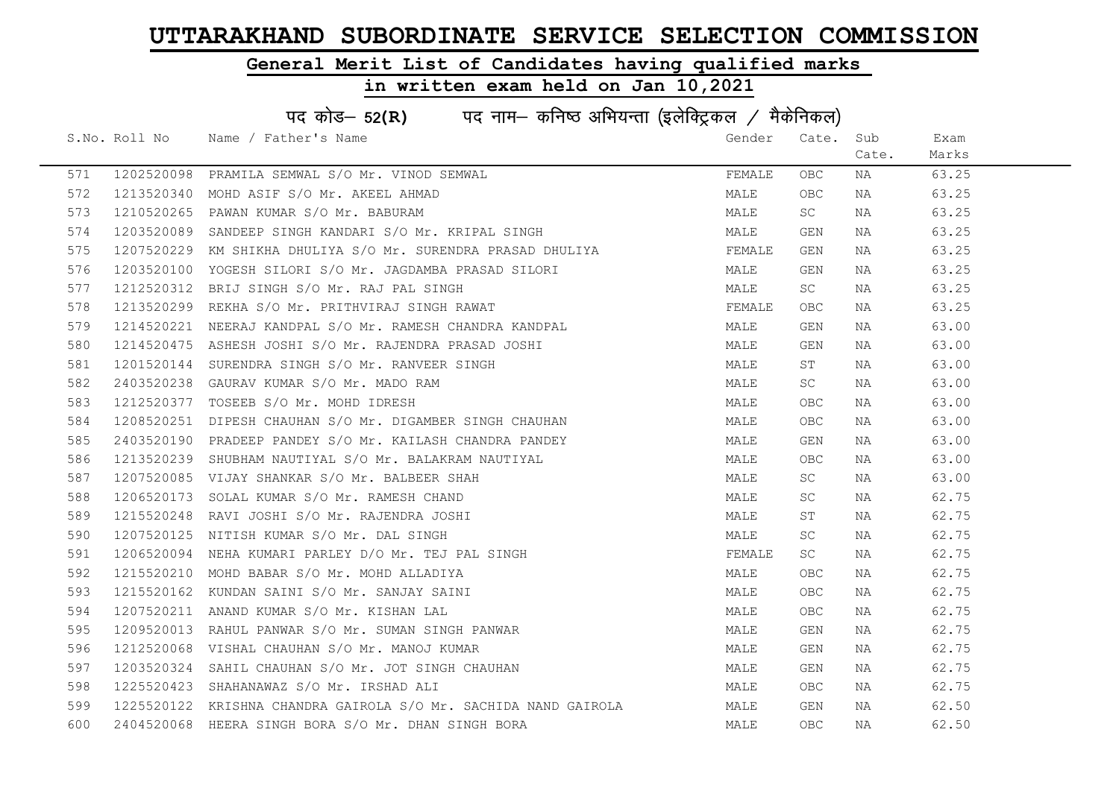### General Merit List of Candidates having qualified marks

|     | पद कोड- 52(R) पद नाम- कनिष्ठ अभियन्ता (इलेक्ट्रिकल / मैकेनिकल) |                                                                 |        |            |       |       |  |  |
|-----|----------------------------------------------------------------|-----------------------------------------------------------------|--------|------------|-------|-------|--|--|
|     | S.No. Roll No                                                  | Name / Father's Name                                            | Gender | Cate.      | Sub   | Exam  |  |  |
|     |                                                                |                                                                 |        |            | Cate. | Marks |  |  |
| 571 | 1202520098                                                     | PRAMILA SEMWAL S/O Mr. VINOD SEMWAL                             | FEMALE | OBC        | NA    | 63.25 |  |  |
| 572 | 1213520340                                                     | MOHD ASIF S/O Mr. AKEEL AHMAD                                   | MALE   | <b>OBC</b> | NA    | 63.25 |  |  |
| 573 | 1210520265                                                     | PAWAN KUMAR S/O Mr. BABURAM                                     | MALE   | SC         | NA    | 63.25 |  |  |
| 574 | 1203520089                                                     | SANDEEP SINGH KANDARI S/O Mr. KRIPAL SINGH                      | MALE   | GEN        | NA    | 63.25 |  |  |
| 575 | 1207520229                                                     | KM SHIKHA DHULIYA S/O Mr. SURENDRA PRASAD DHULIYA               | FEMALE | GEN        | NA    | 63.25 |  |  |
| 576 | 1203520100                                                     | YOGESH SILORI S/O Mr. JAGDAMBA PRASAD SILORI                    | MALE   | GEN        | NA    | 63.25 |  |  |
| 577 | 1212520312                                                     | BRIJ SINGH S/O Mr. RAJ PAL SINGH                                | MALE   | SC         | NA    | 63.25 |  |  |
| 578 | 1213520299                                                     | REKHA S/O Mr. PRITHVIRAJ SINGH RAWAT                            | FEMALE | <b>OBC</b> | NA    | 63.25 |  |  |
| 579 | 1214520221                                                     | NEERAJ KANDPAL S/O Mr. RAMESH CHANDRA KANDPAL                   | MALE   | GEN        | NA    | 63.00 |  |  |
| 580 | 1214520475                                                     | ASHESH JOSHI S/O Mr. RAJENDRA PRASAD JOSHI                      | MALE   | GEN        | NA    | 63.00 |  |  |
| 581 |                                                                | 1201520144 SURENDRA SINGH S/O Mr. RANVEER SINGH                 | MALE   | ST         | NA    | 63.00 |  |  |
| 582 | 2403520238                                                     | GAURAV KUMAR S/O Mr. MADO RAM                                   | MALE   | SC         | NA    | 63.00 |  |  |
| 583 | 1212520377                                                     | TOSEEB S/O Mr. MOHD IDRESH                                      | MALE   | OBC        | NA    | 63.00 |  |  |
| 584 |                                                                | 1208520251 DIPESH CHAUHAN S/O Mr. DIGAMBER SINGH CHAUHAN        | MALE   | OBC        | NA    | 63.00 |  |  |
| 585 |                                                                | 2403520190 PRADEEP PANDEY S/O Mr. KAILASH CHANDRA PANDEY        | MALE   | GEN        | NA    | 63.00 |  |  |
| 586 | 1213520239                                                     | SHUBHAM NAUTIYAL S/O Mr. BALAKRAM NAUTIYAL                      | MALE   | <b>OBC</b> | NA    | 63.00 |  |  |
| 587 | 1207520085                                                     | VIJAY SHANKAR S/O Mr. BALBEER SHAH                              | MALE   | SC         | NA    | 63.00 |  |  |
| 588 | 1206520173                                                     | SOLAL KUMAR S/O Mr. RAMESH CHAND                                | MALE   | SC.        | NA    | 62.75 |  |  |
| 589 | 1215520248                                                     | RAVI JOSHI S/O Mr. RAJENDRA JOSHI                               | MALE   | ST         | NA    | 62.75 |  |  |
| 590 | 1207520125                                                     | NITISH KUMAR S/O Mr. DAL SINGH                                  | MALE   | SC         | NA    | 62.75 |  |  |
| 591 |                                                                | 1206520094 NEHA KUMARI PARLEY D/O Mr. TEJ PAL SINGH             | FEMALE | SC         | NA    | 62.75 |  |  |
| 592 |                                                                | 1215520210 MOHD BABAR S/O Mr. MOHD ALLADIYA                     | MALE   | OBC        | NA    | 62.75 |  |  |
| 593 |                                                                | 1215520162 KUNDAN SAINI S/O Mr. SANJAY SAINI                    | MALE   | OBC        | NA    | 62.75 |  |  |
| 594 | 1207520211                                                     | ANAND KUMAR S/O Mr. KISHAN LAL                                  | MALE   | OBC        | NA    | 62.75 |  |  |
| 595 | 1209520013                                                     | RAHUL PANWAR S/O Mr. SUMAN SINGH PANWAR                         | MALE   | GEN        | NA    | 62.75 |  |  |
| 596 | 1212520068                                                     | VISHAL CHAUHAN S/O Mr. MANOJ KUMAR                              | MALE   | GEN        | NA    | 62.75 |  |  |
| 597 |                                                                | 1203520324 SAHIL CHAUHAN S/O Mr. JOT SINGH CHAUHAN              | MALE   | GEN        | NA    | 62.75 |  |  |
| 598 |                                                                | 1225520423 SHAHANAWAZ S/O Mr. IRSHAD ALI                        | MALE   | OBC        | NA    | 62.75 |  |  |
| 599 |                                                                | 1225520122 KRISHNA CHANDRA GAIROLA S/O Mr. SACHIDA NAND GAIROLA | MALE   | GEN        | NA    | 62.50 |  |  |
| 600 |                                                                | 2404520068 HEERA SINGH BORA S/O Mr. DHAN SINGH BORA             | MALE   | <b>OBC</b> | NA    | 62.50 |  |  |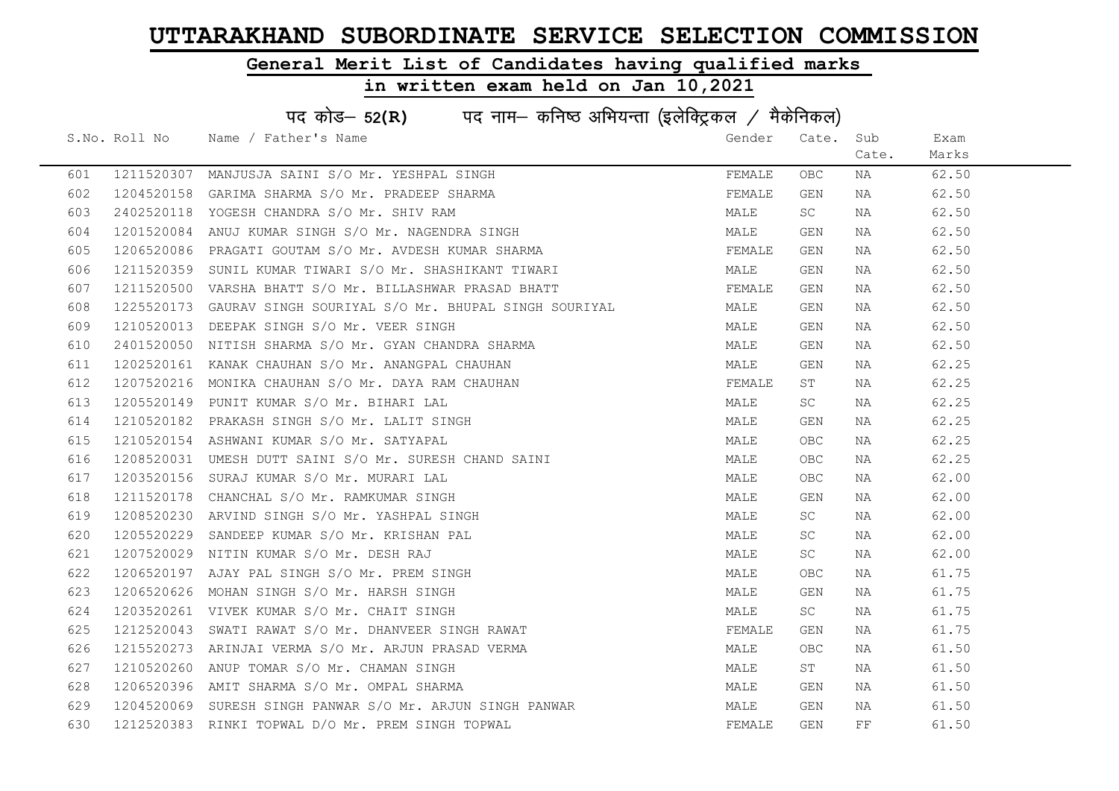### General Merit List of Candidates having qualified marks

|     | पद कोड- 52(R) पद नाम- कनिष्ठ अभियन्ता (इलेक्ट्रिकल / मैकेनिकल) |                                                                |        |            |       |       |  |  |
|-----|----------------------------------------------------------------|----------------------------------------------------------------|--------|------------|-------|-------|--|--|
|     | S.No. Roll No                                                  | Name / Father's Name                                           | Gender | Cate.      | Sub   | Exam  |  |  |
|     |                                                                |                                                                |        |            | Cate. | Marks |  |  |
| 601 |                                                                | 1211520307 MANJUSJA SAINI S/O Mr. YESHPAL SINGH                | FEMALE | OBC.       | NA    | 62.50 |  |  |
| 602 |                                                                | 1204520158 GARIMA SHARMA S/O Mr. PRADEEP SHARMA                | FEMALE | GEN        | NA    | 62.50 |  |  |
| 603 |                                                                | 2402520118 YOGESH CHANDRA S/O Mr. SHIV RAM                     | MALE   | SC         | NA    | 62.50 |  |  |
| 604 |                                                                | 1201520084 ANUJ KUMAR SINGH S/O Mr. NAGENDRA SINGH             | MALE   | GEN        | NA    | 62.50 |  |  |
| 605 | 1206520086                                                     | PRAGATI GOUTAM S/O Mr. AVDESH KUMAR SHARMA                     | FEMALE | GEN        | NA    | 62.50 |  |  |
| 606 |                                                                | 1211520359 SUNIL KUMAR TIWARI S/O Mr. SHASHIKANT TIWARI        | MALE   | GEN        | NA    | 62.50 |  |  |
| 607 |                                                                | 1211520500 VARSHA BHATT S/O Mr. BILLASHWAR PRASAD BHATT        | FEMALE | GEN        | NA    | 62.50 |  |  |
| 608 |                                                                | 1225520173 GAURAV SINGH SOURIYAL S/O Mr. BHUPAL SINGH SOURIYAL | MALE   | GEN        | NA    | 62.50 |  |  |
| 609 |                                                                | 1210520013 DEEPAK SINGH S/O Mr. VEER SINGH                     | MALE   | GEN        | NA    | 62.50 |  |  |
| 610 |                                                                | 2401520050 NITISH SHARMA S/O Mr. GYAN CHANDRA SHARMA           | MALE   | GEN        | NA    | 62.50 |  |  |
| 611 |                                                                | 1202520161 KANAK CHAUHAN S/O Mr. ANANGPAL CHAUHAN              | MALE   | GEN        | NA    | 62.25 |  |  |
| 612 |                                                                | 1207520216 MONIKA CHAUHAN S/O Mr. DAYA RAM CHAUHAN             | FEMALE | ST         | NA    | 62.25 |  |  |
| 613 |                                                                | 1205520149 PUNIT KUMAR S/O Mr. BIHARI LAL                      | MALE   | SC -       | NA    | 62.25 |  |  |
| 614 |                                                                | 1210520182 PRAKASH SINGH S/O Mr. LALIT SINGH                   | MALE   | GEN        | NA    | 62.25 |  |  |
| 615 |                                                                | 1210520154 ASHWANI KUMAR S/O Mr. SATYAPAL                      | MALE   | OBC.       | NA    | 62.25 |  |  |
| 616 |                                                                | 1208520031 UMESH DUTT SAINI S/O Mr. SURESH CHAND SAINI         | MALE   | OBC.       | NA    | 62.25 |  |  |
| 617 |                                                                | 1203520156 SURAJ KUMAR S/O Mr. MURARI LAL                      | MALE   | OBC.       | NA    | 62.00 |  |  |
| 618 |                                                                | 1211520178 CHANCHAL S/O Mr. RAMKUMAR SINGH                     | MALE   | GEN        | NA    | 62.00 |  |  |
| 619 |                                                                | 1208520230 ARVIND SINGH S/O Mr. YASHPAL SINGH                  | MALE   | SC         | NA    | 62.00 |  |  |
| 620 |                                                                | 1205520229 SANDEEP KUMAR S/O Mr. KRISHAN PAL                   | MALE   | SC         | NA    | 62.00 |  |  |
| 621 |                                                                | 1207520029 NITIN KUMAR S/O Mr. DESH RAJ                        | MALE   | SC .       | NA    | 62.00 |  |  |
| 622 |                                                                | 1206520197 AJAY PAL SINGH S/O Mr. PREM SINGH                   | MALE   | <b>OBC</b> | NA    | 61.75 |  |  |
| 623 |                                                                | 1206520626 MOHAN SINGH S/O Mr. HARSH SINGH                     | MALE   | GEN        | NA    | 61.75 |  |  |
| 624 |                                                                | 1203520261 VIVEK KUMAR S/O Mr. CHAIT SINGH                     | MALE   | SC         | NA    | 61.75 |  |  |
| 625 | 1212520043                                                     | SWATI RAWAT S/O Mr. DHANVEER SINGH RAWAT                       | FEMALE | GEN        | NA    | 61.75 |  |  |
| 626 |                                                                | 1215520273 ARINJAI VERMA S/O Mr. ARJUN PRASAD VERMA            | MALE   | OBC.       | NA    | 61.50 |  |  |
| 627 |                                                                | 1210520260 ANUP TOMAR S/O Mr. CHAMAN SINGH                     | MALE   | ST         | NA    | 61.50 |  |  |
| 628 |                                                                | 1206520396 AMIT SHARMA S/O Mr. OMPAL SHARMA                    | MALE   | GEN        | NA    | 61.50 |  |  |
| 629 |                                                                | 1204520069 SURESH SINGH PANWAR S/O Mr. ARJUN SINGH PANWAR      | MALE   | GEN        | NA    | 61.50 |  |  |
| 630 |                                                                | 1212520383 RINKI TOPWAL D/O Mr. PREM SINGH TOPWAL              | FEMALE | GEN        | FF    | 61.50 |  |  |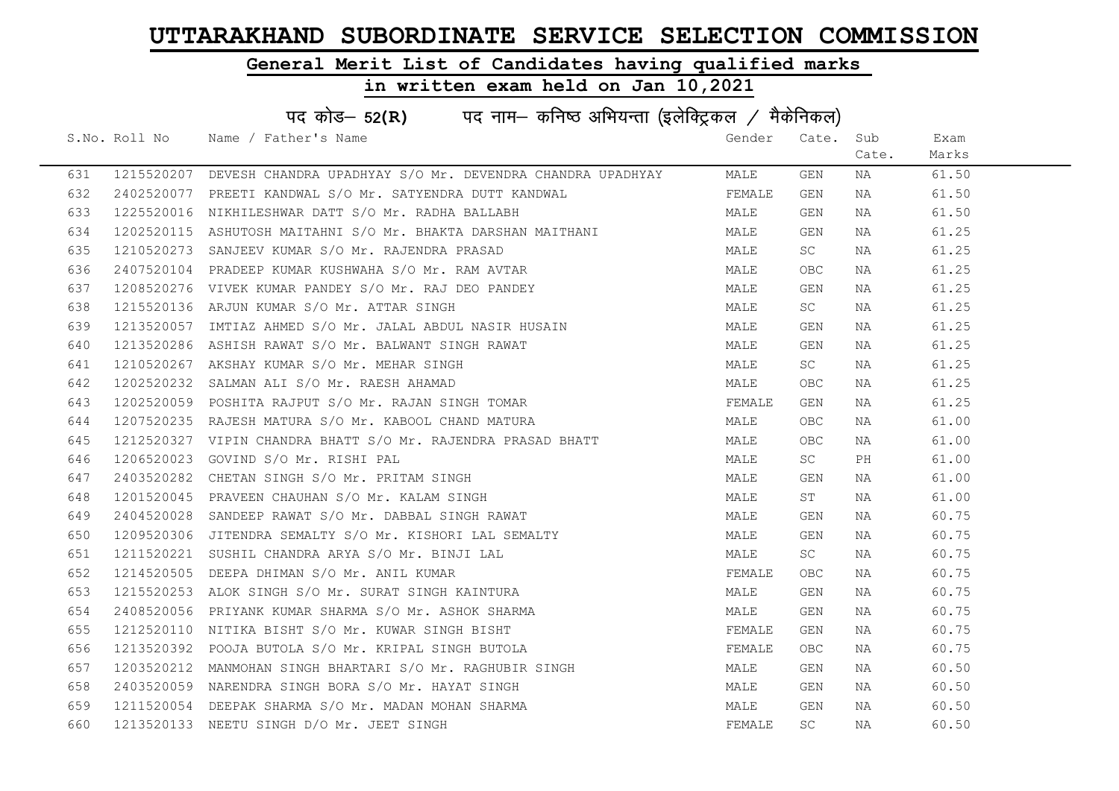### General Merit List of Candidates having qualified marks

|     | पद कोड- 52(R) पद नाम- कनिष्ठ अभियन्ता (इलेक्ट्रिकल / मैकेनिकल) |                                                                                                                                                  |        |           |       |       |  |  |
|-----|----------------------------------------------------------------|--------------------------------------------------------------------------------------------------------------------------------------------------|--------|-----------|-------|-------|--|--|
|     |                                                                | S.No. Roll No Name / Father's Name                                                                                                               | Gender | Cate.     | Sub   | Exam  |  |  |
|     |                                                                |                                                                                                                                                  |        |           | Cate. | Marks |  |  |
| 631 |                                                                | 1215520207 DEVESH CHANDRA UPADHYAY S/O Mr. DEVENDRA CHANDRA UPADHYAY                                                                             | MALE   | GEN       | NA    | 61.50 |  |  |
| 632 |                                                                | 2402520077 PREETI KANDWAL S/O Mr. SATYENDRA DUTT KANDWAL                                                                                         | FEMALE | GEN       | NA    | 61.50 |  |  |
| 633 |                                                                | 1225520016 NIKHILESHWAR DATT S/O Mr. RADHA BALLABH                                                                                               | MALE   | GEN       | NA    | 61.50 |  |  |
| 634 |                                                                | 1202520115 ASHUTOSH MAITAHNI S/O Mr. BHAKTA DARSHAN MAITHANI                                                                                     | MALE   | GEN       | NA    | 61.25 |  |  |
| 635 | 1210520273                                                     | SANJEEV KUMAR S/O Mr. RAJENDRA PRASAD                                                                                                            | MALE   | SC –      | NA    | 61.25 |  |  |
| 636 |                                                                | 2407520104 PRADEEP KUMAR KUSHWAHA S/O Mr. RAM AVTAR                                                                                              | MALE   | OBC       | NA    | 61.25 |  |  |
| 637 |                                                                | 1208520276 VIVEK KUMAR PANDEY S/O Mr. RAJ DEO PANDEY                                                                                             | MALE   | GEN       | NA    | 61.25 |  |  |
| 638 | 1215520136                                                     | ARJUN KUMAR S/O Mr. ATTAR SINGH                                                                                                                  | MALE   | SC        | NA    | 61.25 |  |  |
| 639 | 1213520057                                                     | IMTIAZ AHMED S/O Mr. JALAL ABDUL NASIR HUSAIN                                                                                                    | MALE   | GEN       | NA    | 61.25 |  |  |
| 640 |                                                                |                                                                                                                                                  | MALE   | GEN       | NA    | 61.25 |  |  |
| 641 |                                                                |                                                                                                                                                  | MALE   | SC        | NA    | 61.25 |  |  |
| 642 |                                                                | 1213520286 ASHISH RAWAT S/O Mr. BALWANT SINGH RAWAT<br>1210520267 AKSHAY KUMAR S/O Mr. MEHAR SINGH<br>1202520232 SALMAN ALI S/O Mr. RAESH AHAMAD | MALE   | OBC       | NA    | 61.25 |  |  |
| 643 |                                                                | 1202520059 POSHITA RAJPUT S/O Mr. RAJAN SINGH TOMAR                                                                                              | FEMALE | GEN       | NA    | 61.25 |  |  |
| 644 |                                                                | 1207520235 RAJESH MATURA S/O Mr. KABOOL CHAND MATURA                                                                                             | MALE   | OBC       | NA    | 61.00 |  |  |
| 645 |                                                                | 1212520327 VIPIN CHANDRA BHATT S/O Mr. RAJENDRA PRASAD BHATT                                                                                     | MALE   | OBC       | NA    | 61.00 |  |  |
| 646 | 1206520023                                                     | GOVIND S/O Mr. RISHI PAL                                                                                                                         | MALE   | SC –      | PH    | 61.00 |  |  |
| 647 | 2403520282                                                     | CHETAN SINGH S/O Mr. PRITAM SINGH                                                                                                                | MALE   | GEN       | NA    | 61.00 |  |  |
| 648 |                                                                | 1201520045 PRAVEEN CHAUHAN S/O Mr. KALAM SINGH                                                                                                   | MALE   | ST        | NA    | 61.00 |  |  |
| 649 |                                                                | 2404520028 SANDEEP RAWAT S/O Mr. DABBAL SINGH RAWAT                                                                                              | MALE   | GEN       | NA    | 60.75 |  |  |
| 650 |                                                                | 1209520306 JITENDRA SEMALTY S/O Mr. KISHORI LAL SEMALTY                                                                                          | MALE   | GEN       | NA    | 60.75 |  |  |
| 651 |                                                                | 1211520221 SUSHIL CHANDRA ARYA S/O Mr. BINJI LAL                                                                                                 | MALE   | SC        | NA    | 60.75 |  |  |
| 652 |                                                                | 1214520505 DEEPA DHIMAN S/O Mr. ANIL KUMAR                                                                                                       | FEMALE | OBC.      | NA    | 60.75 |  |  |
| 653 |                                                                | 1215520253 ALOK SINGH S/O Mr. SURAT SINGH KAINTURA                                                                                               | MALE   | GEN       | NA    | 60.75 |  |  |
| 654 | 2408520056                                                     | PRIYANK KUMAR SHARMA S/O Mr. ASHOK SHARMA                                                                                                        | MALE   | GEN       | NA    | 60.75 |  |  |
| 655 | 1212520110                                                     | NITIKA BISHT S/O Mr. KUWAR SINGH BISHT                                                                                                           | FEMALE | GEN       | NA    | 60.75 |  |  |
| 656 |                                                                | 1213520392 POOJA BUTOLA S/O Mr. KRIPAL SINGH BUTOLA                                                                                              | FEMALE | OBC.      | NA    | 60.75 |  |  |
| 657 |                                                                | 1203520212 MANMOHAN SINGH BHARTARI S/O Mr. RAGHUBIR SINGH                                                                                        | MALE   | GEN       | NA    | 60.50 |  |  |
| 658 |                                                                | 2403520059 NARENDRA SINGH BORA S/O Mr. HAYAT SINGH                                                                                               | MALE   | GEN       | NA    | 60.50 |  |  |
| 659 |                                                                | 1211520054 DEEPAK SHARMA S/O Mr. MADAN MOHAN SHARMA                                                                                              | MALE   | GEN       | NA    | 60.50 |  |  |
| 660 |                                                                | 1213520133 NEETU SINGH D/O Mr. JEET SINGH                                                                                                        | FEMALE | <b>SC</b> | ΝA    | 60.50 |  |  |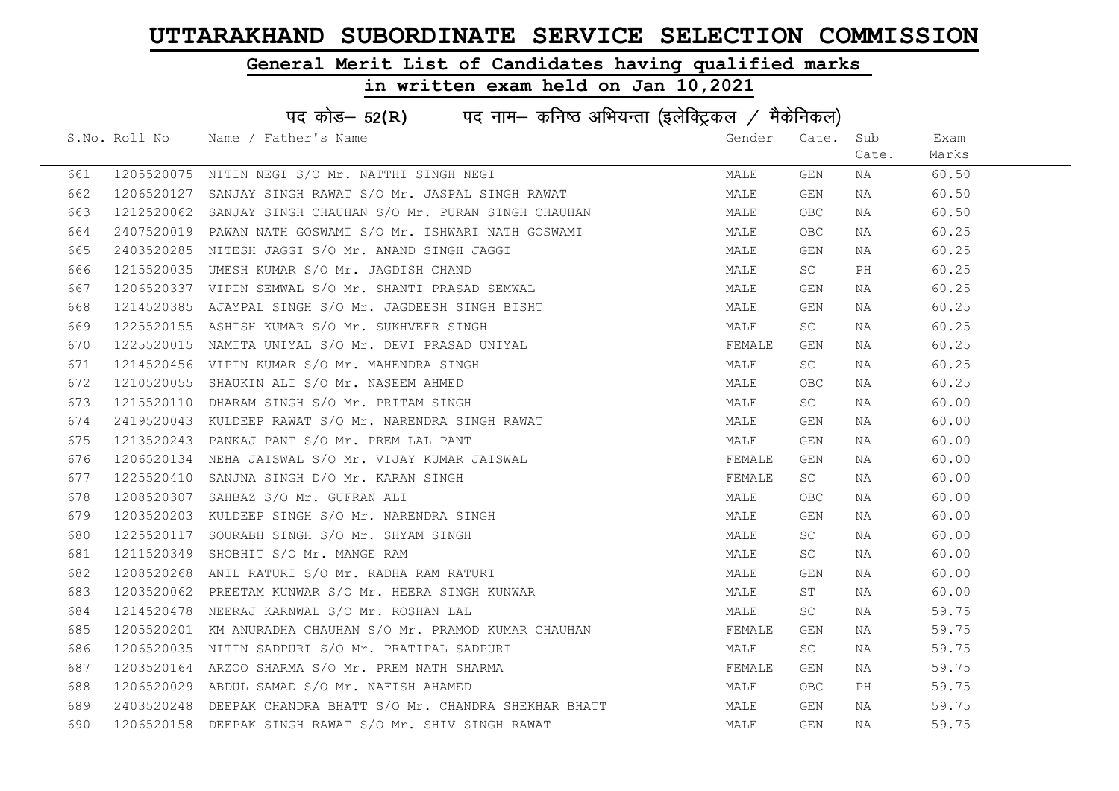### General Merit List of Candidates having qualified marks

|     | पद कोड- 52(R) पद नाम- कनिष्ठ अभियन्ता (इलेक्ट्रिकल / मैकेनिकल) |                                                               |        |           |       |       |  |  |
|-----|----------------------------------------------------------------|---------------------------------------------------------------|--------|-----------|-------|-------|--|--|
|     | S.No. Roll No                                                  | Name / Father's Name                                          | Gender | Cate.     | Sub   | Exam  |  |  |
|     |                                                                |                                                               |        |           | Cate. | Marks |  |  |
| 661 |                                                                | 1205520075 NITIN NEGI S/O Mr. NATTHI SINGH NEGI               | MALE   | GEN       | NA    | 60.50 |  |  |
| 662 |                                                                | 1206520127 SANJAY SINGH RAWAT S/O Mr. JASPAL SINGH RAWAT      | MALE   | GEN       | NA    | 60.50 |  |  |
| 663 |                                                                | 1212520062 SANJAY SINGH CHAUHAN S/O Mr. PURAN SINGH CHAUHAN   | MALE   | OBC.      | NA    | 60.50 |  |  |
| 664 |                                                                | 2407520019 PAWAN NATH GOSWAMI S/O Mr. ISHWARI NATH GOSWAMI    | MALE   | OBC.      | NA    | 60.25 |  |  |
| 665 |                                                                | 2403520285 NITESH JAGGI S/O Mr. ANAND SINGH JAGGI             | MALE   | GEN       | NA    | 60.25 |  |  |
| 666 |                                                                | 1215520035 UMESH KUMAR S/O Mr. JAGDISH CHAND                  | MALE   | SC        | PH    | 60.25 |  |  |
| 667 |                                                                | 1206520337 VIPIN SEMWAL S/O Mr. SHANTI PRASAD SEMWAL          | MALE   | GEN       | NA    | 60.25 |  |  |
| 668 | 1214520385                                                     | AJAYPAL SINGH S/O Mr. JAGDEESH SINGH BISHT                    | MALE   | GEN       | NA    | 60.25 |  |  |
| 669 | 1225520155                                                     | ASHISH KUMAR S/O Mr. SUKHVEER SINGH                           | MALE   | SC        | NA    | 60.25 |  |  |
| 670 |                                                                | 1225520015 NAMITA UNIYAL S/O Mr. DEVI PRASAD UNIYAL           | FEMALE | GEN       | NA    | 60.25 |  |  |
| 671 |                                                                | 1214520456 VIPIN KUMAR S/O Mr. MAHENDRA SINGH                 | MALE   | SC        | NA    | 60.25 |  |  |
| 672 |                                                                | 1210520055 SHAUKIN ALI S/O Mr. NASEEM AHMED                   | MALE   | OBC       | NA    | 60.25 |  |  |
| 673 |                                                                | 1215520110 DHARAM SINGH S/O Mr. PRITAM SINGH                  | MALE   | SC -      | NA    | 60.00 |  |  |
| 674 |                                                                | 2419520043 KULDEEP RAWAT S/O Mr. NARENDRA SINGH RAWAT         | MALE   | GEN       | NA    | 60.00 |  |  |
| 675 |                                                                | 1213520243 PANKAJ PANT S/O Mr. PREM LAL PANT                  | MALE   | GEN       | NA    | 60.00 |  |  |
| 676 |                                                                | 1206520134 NEHA JAISWAL S/O Mr. VIJAY KUMAR JAISWAL           | FEMALE | GEN       | NA    | 60.00 |  |  |
| 677 | 1225520410                                                     | SANJNA SINGH D/O Mr. KARAN SINGH                              | FEMALE | SC        | NA    | 60.00 |  |  |
| 678 |                                                                | 1208520307 SAHBAZ S/O Mr. GUFRAN ALI                          | MALE   | OBC       | NA    | 60.00 |  |  |
| 679 |                                                                | 1203520203 KULDEEP SINGH S/O Mr. NARENDRA SINGH               | MALE   | GEN       | NA    | 60.00 |  |  |
| 680 |                                                                | 1225520117 SOURABH SINGH S/O Mr. SHYAM SINGH                  | MALE   | <b>SC</b> | NA    | 60.00 |  |  |
| 681 | 1211520349                                                     | SHOBHIT S/O Mr. MANGE RAM                                     | MALE   | SC        | NA    | 60.00 |  |  |
| 682 |                                                                | 1208520268 ANIL RATURI S/O Mr. RADHA RAM RATURI               | MALE   | GEN       | NA    | 60.00 |  |  |
| 683 |                                                                | 1203520062 PREETAM KUNWAR S/O Mr. HEERA SINGH KUNWAR          | MALE   | ST        | NA    | 60.00 |  |  |
| 684 | 1214520478                                                     | NEERAJ KARNWAL S/O Mr. ROSHAN LAL                             | MALE   | SC        | NA    | 59.75 |  |  |
| 685 | 1205520201                                                     | KM ANURADHA CHAUHAN S/O Mr. PRAMOD KUMAR CHAUHAN              | FEMALE | GEN       | NA    | 59.75 |  |  |
| 686 |                                                                | 1206520035 NITIN SADPURI S/O Mr. PRATIPAL SADPURI             | MALE   | SC        | NA    | 59.75 |  |  |
| 687 |                                                                | 1203520164 ARZOO SHARMA S/O Mr. PREM NATH SHARMA              | FEMALE | GEN       | NA    | 59.75 |  |  |
| 688 |                                                                | 1206520029 ABDUL SAMAD S/O Mr. NAFISH AHAMED                  | MALE   | OBC.      | PH    | 59.75 |  |  |
| 689 |                                                                | 2403520248 DEEPAK CHANDRA BHATT S/O Mr. CHANDRA SHEKHAR BHATT | MALE   | GEN       | NA    | 59.75 |  |  |
| 690 |                                                                | 1206520158 DEEPAK SINGH RAWAT S/O Mr. SHIV SINGH RAWAT        | MALE   | GEN       | ΝA    | 59.75 |  |  |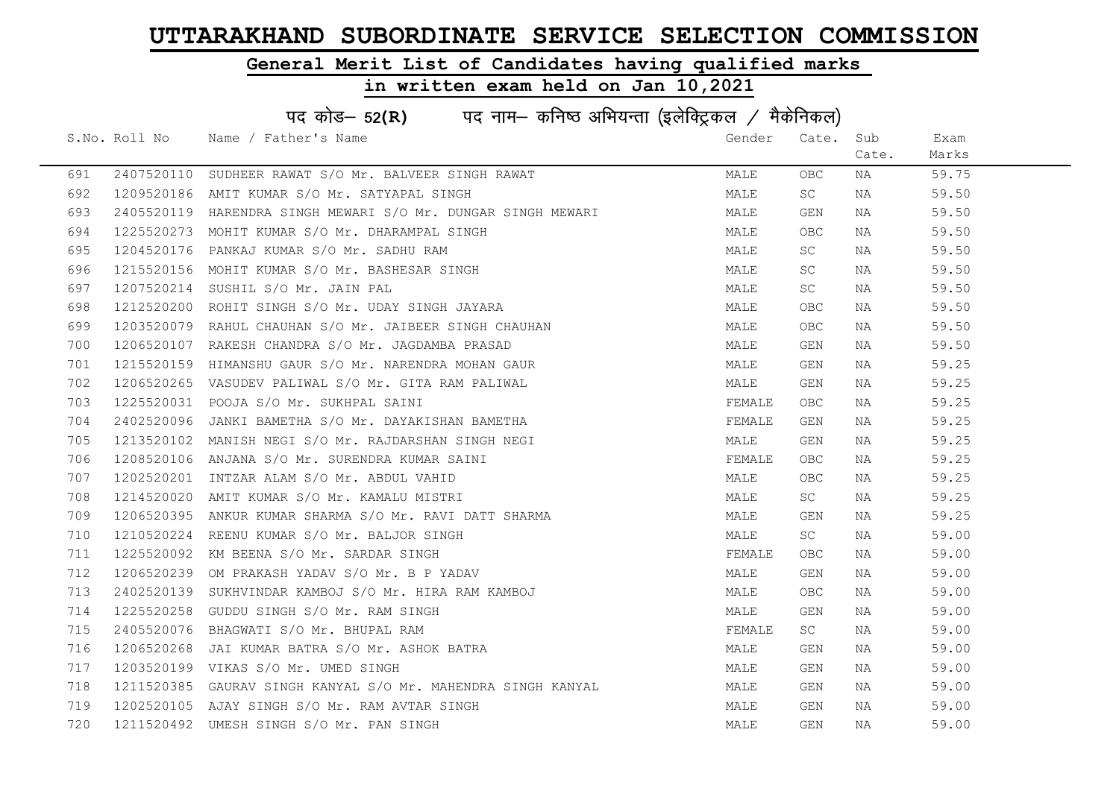### General Merit List of Candidates having qualified marks

|     | पद कोड- 52(R) पद नाम- कनिष्ठ अभियन्ता (इलेक्ट्रिकल / मैकेनिकल) |                                                              |        |           |       |       |  |  |
|-----|----------------------------------------------------------------|--------------------------------------------------------------|--------|-----------|-------|-------|--|--|
|     |                                                                | S.No. Roll No Name / Father's Name                           | Gender | Cate. Sub |       | Exam  |  |  |
|     |                                                                |                                                              |        |           | Cate. | Marks |  |  |
| 691 |                                                                | 2407520110 SUDHEER RAWAT S/O Mr. BALVEER SINGH RAWAT         | MALE   | OBC       | NA    | 59.75 |  |  |
| 692 |                                                                | 1209520186 AMIT KUMAR S/O Mr. SATYAPAL SINGH                 | MALE   | <b>SC</b> | NA    | 59.50 |  |  |
| 693 |                                                                | 2405520119 HARENDRA SINGH MEWARI S/O Mr. DUNGAR SINGH MEWARI | MALE   | GEN       | NA    | 59.50 |  |  |
| 694 |                                                                | 1225520273 MOHIT KUMAR S/O Mr. DHARAMPAL SINGH               | MALE   | OBC       | NA    | 59.50 |  |  |
| 695 |                                                                | 1204520176 PANKAJ KUMAR S/O Mr. SADHU RAM                    | MALE   | SC .      | NA    | 59.50 |  |  |
| 696 |                                                                | 1215520156 MOHIT KUMAR S/O Mr. BASHESAR SINGH                | MALE   | SC        | NA    | 59.50 |  |  |
| 697 |                                                                | 1207520214 SUSHIL S/O Mr. JAIN PAL                           | MALE   | SC        | NA    | 59.50 |  |  |
| 698 |                                                                | 1212520200 ROHIT SINGH S/O Mr. UDAY SINGH JAYARA             | MALE   | OBC       | NA    | 59.50 |  |  |
| 699 |                                                                | 1203520079 RAHUL CHAUHAN S/O Mr. JAIBEER SINGH CHAUHAN       | MALE   | OBC.      | NA    | 59.50 |  |  |
| 700 |                                                                | 1206520107 RAKESH CHANDRA S/O Mr. JAGDAMBA PRASAD            | MALE   | GEN       | NA    | 59.50 |  |  |
| 701 |                                                                | 1215520159 HIMANSHU GAUR S/O Mr. NARENDRA MOHAN GAUR         | MALE   | GEN       | NA    | 59.25 |  |  |
| 702 |                                                                | 1206520265 VASUDEV PALIWAL S/O Mr. GITA RAM PALIWAL          | MALE   | GEN       | NA    | 59.25 |  |  |
| 703 |                                                                | 1225520031 POOJA S/O Mr. SUKHPAL SAINI                       | FEMALE | OBC .     | NA    | 59.25 |  |  |
| 704 |                                                                | 2402520096 JANKI BAMETHA S/O Mr. DAYAKISHAN BAMETHA          | FEMALE | GEN       | NA    | 59.25 |  |  |
| 705 |                                                                | 1213520102 MANISH NEGI S/O Mr. RAJDARSHAN SINGH NEGI         | MALE   | GEN       | NA    | 59.25 |  |  |
| 706 |                                                                | 1208520106 ANJANA S/O Mr. SURENDRA KUMAR SAINI               | FEMALE | OBC.      | NA    | 59.25 |  |  |
| 707 |                                                                | 1202520201 INTZAR ALAM S/O Mr. ABDUL VAHID                   | MALE   | OBC.      | NA    | 59.25 |  |  |
| 708 |                                                                | 1214520020 AMIT KUMAR S/O Mr. KAMALU MISTRI                  | MALE   | SC        | NA    | 59.25 |  |  |
| 709 |                                                                | 1206520395 ANKUR KUMAR SHARMA S/O Mr. RAVI DATT SHARMA       | MALE   | GEN       | NA    | 59.25 |  |  |
| 710 |                                                                | 1210520224 REENU KUMAR S/O Mr. BALJOR SINGH                  | MALE   | SC        | NA    | 59.00 |  |  |
| 711 |                                                                | 1225520092 KM BEENA S/O Mr. SARDAR SINGH                     | FEMALE | OBC.      | NA    | 59.00 |  |  |
| 712 |                                                                | 1206520239 OM PRAKASH YADAV S/O Mr. B P YADAV                | MALE   | GEN       | NA    | 59.00 |  |  |
| 713 |                                                                | 2402520139 SUKHVINDAR KAMBOJ S/O Mr. HIRA RAM KAMBOJ         | MALE   | OBC.      | NA    | 59.00 |  |  |
| 714 |                                                                | 1225520258 GUDDU SINGH S/O Mr. RAM SINGH                     | MALE   | GEN       | NA    | 59.00 |  |  |
| 715 | 2405520076                                                     | BHAGWATI S/O Mr. BHUPAL RAM                                  | FEMALE | SC -      | NA    | 59.00 |  |  |
| 716 |                                                                | 1206520268 JAI KUMAR BATRA S/O Mr. ASHOK BATRA               | MALE   | GEN       | NA    | 59.00 |  |  |
| 717 |                                                                | 1203520199 VIKAS S/O Mr. UMED SINGH                          | MALE   | GEN       | NA    | 59.00 |  |  |
| 718 |                                                                | 1211520385 GAURAV SINGH KANYAL S/O Mr. MAHENDRA SINGH KANYAL | MALE   | GEN       | NA    | 59.00 |  |  |
| 719 |                                                                | 1202520105 AJAY SINGH S/O Mr. RAM AVTAR SINGH                | MALE   | GEN       | NA    | 59.00 |  |  |
| 720 |                                                                | 1211520492 UMESH SINGH S/O Mr. PAN SINGH                     | MALE   | GEN       | NA    | 59.00 |  |  |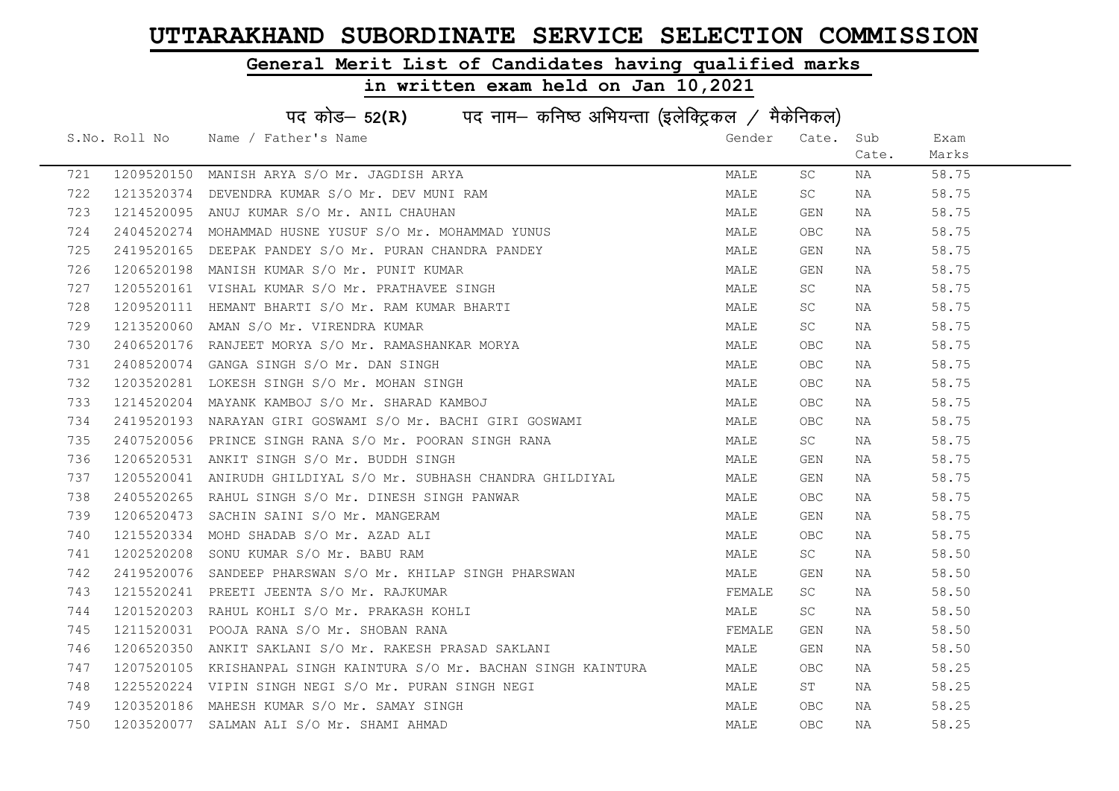### General Merit List of Candidates having qualified marks

|     | पद कोड- 52(R) पद नाम- कनिष्ठ अभियन्ता (इलेक्ट्रिकल / मैकेनिकल) |                                                                    |        |            |       |       |  |  |
|-----|----------------------------------------------------------------|--------------------------------------------------------------------|--------|------------|-------|-------|--|--|
|     |                                                                | S.No. Roll No Name / Father's Name                                 | Gender | Cate.      | Sub   | Exam  |  |  |
|     |                                                                |                                                                    |        |            | Cate. | Marks |  |  |
| 721 |                                                                | 1209520150 MANISH ARYA S/O Mr. JAGDISH ARYA                        | MALE   | <b>SC</b>  | NA    | 58.75 |  |  |
| 722 |                                                                | 1213520374 DEVENDRA KUMAR S/O Mr. DEV MUNI RAM                     | MALE   | <b>SC</b>  | NA    | 58.75 |  |  |
| 723 |                                                                | 1214520095 ANUJ KUMAR S/O Mr. ANIL CHAUHAN                         | MALE   | GEN        | NA    | 58.75 |  |  |
| 724 | 2404520274                                                     | MOHAMMAD HUSNE YUSUF S/O Mr. MOHAMMAD YUNUS                        | MALE   | OBC.       | NA    | 58.75 |  |  |
| 725 | 2419520165                                                     | DEEPAK PANDEY S/O Mr. PURAN CHANDRA PANDEY                         | MALE   | GEN        | NA    | 58.75 |  |  |
| 726 |                                                                | 1206520198 MANISH KUMAR S/O Mr. PUNIT KUMAR                        | MALE   | GEN        | NA    | 58.75 |  |  |
| 727 |                                                                | 1205520161 VISHAL KUMAR S/O Mr. PRATHAVEE SINGH                    | MALE   | SC.        | NA    | 58.75 |  |  |
| 728 |                                                                | 1209520111 HEMANT BHARTI S/O Mr. RAM KUMAR BHARTI                  | MALE   | SC.        | NA    | 58.75 |  |  |
| 729 |                                                                | 1213520060 AMAN S/O Mr. VIRENDRA KUMAR                             | MALE   | SC.        | NA    | 58.75 |  |  |
| 730 |                                                                | 2406520176 RANJEET MORYA S/O Mr. RAMASHANKAR MORYA                 | MALE   | <b>OBC</b> | NA    | 58.75 |  |  |
| 731 |                                                                | 2408520074 GANGA SINGH S/O Mr. DAN SINGH                           | MALE   | OBC.       | NA    | 58.75 |  |  |
| 732 |                                                                | 1203520281 LOKESH SINGH S/O Mr. MOHAN SINGH                        | MALE   | OBC.       | NA    | 58.75 |  |  |
| 733 |                                                                | 1214520204 MAYANK KAMBOJ S/O Mr. SHARAD KAMBOJ                     | MALE   | OBC.       | NA    | 58.75 |  |  |
| 734 |                                                                | 2419520193  NARAYAN GIRI GOSWAMI S/O Mr. BACHI GIRI GOSWAMI        | MALE   | OBC        | NA    | 58.75 |  |  |
| 735 |                                                                | 2407520056 PRINCE SINGH RANA S/O Mr. POORAN SINGH RANA             | MALE   | SC         | NA    | 58.75 |  |  |
| 736 |                                                                | 1206520531 ANKIT SINGH S/O Mr. BUDDH SINGH                         | MALE   | GEN        | NA    | 58.75 |  |  |
| 737 |                                                                | 1205520041 ANIRUDH GHILDIYAL S/O Mr. SUBHASH CHANDRA GHILDIYAL     | MALE   | GEN        | NA    | 58.75 |  |  |
| 738 |                                                                | 2405520265 RAHUL SINGH S/O Mr. DINESH SINGH PANWAR                 | MALE   | OBC.       | NA    | 58.75 |  |  |
| 739 |                                                                | 1206520473 SACHIN SAINI S/O Mr. MANGERAM                           | MALE   | GEN        | NA    | 58.75 |  |  |
| 740 |                                                                | 1215520334 MOHD SHADAB S/O Mr. AZAD ALI                            | MALE   | OBC.       | NA    | 58.75 |  |  |
| 741 |                                                                | 1202520208 SONU KUMAR S/O Mr. BABU RAM                             | MALE   | SC         | NA    | 58.50 |  |  |
| 742 |                                                                | 2419520076  SANDEEP PHARSWAN S/O Mr. KHILAP SINGH PHARSWAN         | MALE   | GEN        | NA    | 58.50 |  |  |
| 743 |                                                                | 1215520241 PREETI JEENTA S/O Mr. RAJKUMAR                          | FEMALE | SC         | NA    | 58.50 |  |  |
| 744 |                                                                | 1201520203 RAHUL KOHLI S/O Mr. PRAKASH KOHLI                       | MALE   | SC         | NA    | 58.50 |  |  |
| 745 | 1211520031                                                     | POOJA RANA S/O Mr. SHOBAN RANA                                     | FEMALE | GEN        | NA    | 58.50 |  |  |
| 746 |                                                                | 1206520350 ANKIT SAKLANI S/O Mr. RAKESH PRASAD SAKLANI             | MALE   | GEN        | NA    | 58.50 |  |  |
| 747 |                                                                | 1207520105 KRISHANPAL SINGH KAINTURA S/O Mr. BACHAN SINGH KAINTURA | MALE   | OBC.       | NA    | 58.25 |  |  |
| 748 |                                                                | 1225520224 VIPIN SINGH NEGI S/O Mr. PURAN SINGH NEGI               | MALE   | ST         | NA    | 58.25 |  |  |
| 749 |                                                                | 1203520186 MAHESH KUMAR S/O Mr. SAMAY SINGH                        | MALE   | OBC.       | NA    | 58.25 |  |  |
| 750 |                                                                | 1203520077 SALMAN ALI S/O Mr. SHAMI AHMAD                          | MALE   | <b>OBC</b> | NA    | 58.25 |  |  |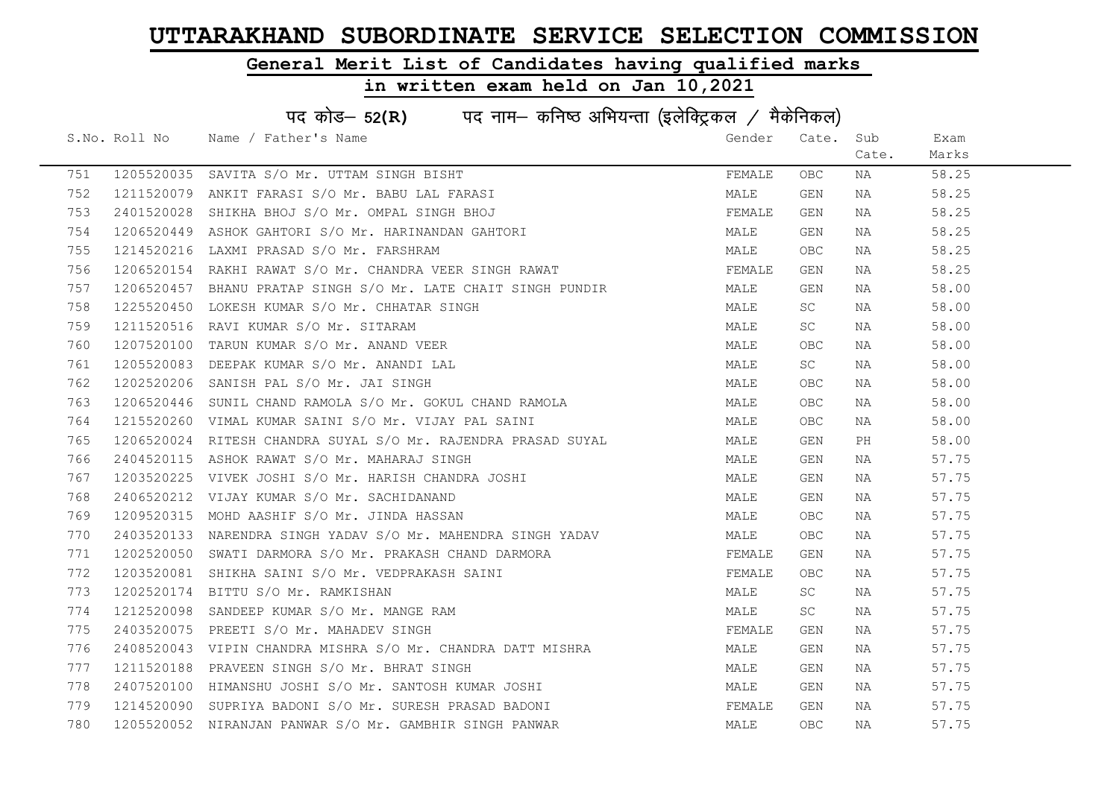### General Merit List of Candidates having qualified marks

|     | पद कोड– 52(R) पद नाम– कनिष्ठ अभियन्ता (इलेक्ट्रिकल / मैकेनिकल) |                                                               |        |            |       |       |  |  |
|-----|----------------------------------------------------------------|---------------------------------------------------------------|--------|------------|-------|-------|--|--|
|     |                                                                | S.No. Roll No Name / Father's Name                            | Gender | Cate. Sub  |       | Exam  |  |  |
|     |                                                                |                                                               |        |            | Cate. | Marks |  |  |
| 751 |                                                                | 1205520035 SAVITA S/O Mr. UTTAM SINGH BISHT                   | FEMALE | OBC.       | NA    | 58.25 |  |  |
| 752 |                                                                | 1211520079 ANKIT FARASI S/O Mr. BABU LAL FARASI               | MALE   | GEN        | NA    | 58.25 |  |  |
| 753 |                                                                | 2401520028 SHIKHA BHOJ S/O Mr. OMPAL SINGH BHOJ               | FEMALE | GEN        | NA    | 58.25 |  |  |
| 754 |                                                                | 1206520449 ASHOK GAHTORI S/O Mr. HARINANDAN GAHTORI           | MALE   | GEN        | NA    | 58.25 |  |  |
| 755 | 1214520216                                                     | LAXMI PRASAD S/O Mr. FARSHRAM                                 | MALE   | OBC        | NA    | 58.25 |  |  |
| 756 |                                                                | 1206520154 RAKHI RAWAT S/O Mr. CHANDRA VEER SINGH RAWAT       | FEMALE | GEN        | NA    | 58.25 |  |  |
| 757 |                                                                | 1206520457 BHANU PRATAP SINGH S/O Mr. LATE CHAIT SINGH PUNDIR | MALE   | GEN        | NA    | 58.00 |  |  |
| 758 |                                                                | 1225520450 LOKESH KUMAR S/O Mr. CHHATAR SINGH                 | MALE   | SC.        | NA    | 58.00 |  |  |
| 759 | 1211520516                                                     | RAVI KUMAR S/O Mr. SITARAM                                    | MALE   | SC         | NA    | 58.00 |  |  |
| 760 |                                                                | 1207520100 TARUN KUMAR S/O Mr. ANAND VEER                     | MALE   | OBC        | NA    | 58.00 |  |  |
| 761 |                                                                | 1205520083 DEEPAK KUMAR S/O Mr. ANANDI LAL                    | MALE   | SC         | NA    | 58.00 |  |  |
| 762 |                                                                | 1202520206 SANISH PAL S/O Mr. JAI SINGH                       | MALE   | OBC        | NA    | 58.00 |  |  |
| 763 |                                                                | 1206520446 SUNIL CHAND RAMOLA S/O Mr. GOKUL CHAND RAMOLA      | MALE   | OBC        | NA    | 58.00 |  |  |
| 764 |                                                                | 1215520260 VIMAL KUMAR SAINI S/O Mr. VIJAY PAL SAINI          | MALE   | OBC        | NA    | 58.00 |  |  |
| 765 |                                                                | 1206520024 RITESH CHANDRA SUYAL S/O Mr. RAJENDRA PRASAD SUYAL | MALE   | GEN        | PH    | 58.00 |  |  |
| 766 | 2404520115                                                     | ASHOK RAWAT S/O Mr. MAHARAJ SINGH                             | MALE   | GEN        | NA    | 57.75 |  |  |
| 767 | 1203520225                                                     | VIVEK JOSHI S/O Mr. HARISH CHANDRA JOSHI                      | MALE   | GEN        | NA    | 57.75 |  |  |
| 768 |                                                                | 2406520212 VIJAY KUMAR S/O Mr. SACHIDANAND                    | MALE   | GEN        | NA    | 57.75 |  |  |
| 769 |                                                                | 1209520315 MOHD AASHIF S/O Mr. JINDA HASSAN                   | MALE   | OBC.       | NA    | 57.75 |  |  |
| 770 |                                                                | 2403520133 NARENDRA SINGH YADAV S/O Mr. MAHENDRA SINGH YADAV  | MALE   | OBC.       | NA    | 57.75 |  |  |
| 771 |                                                                | 1202520050 SWATI DARMORA S/O Mr. PRAKASH CHAND DARMORA        | FEMALE | GEN        | NA    | 57.75 |  |  |
| 772 |                                                                | 1203520081 SHIKHA SAINI S/O Mr. VEDPRAKASH SAINI              | FEMALE | OBC.       | NA    | 57.75 |  |  |
| 773 |                                                                | 1202520174 BITTU S/O Mr. RAMKISHAN                            | MALE   | SC.        | NA    | 57.75 |  |  |
| 774 |                                                                | 1212520098 SANDEEP KUMAR S/O Mr. MANGE RAM                    | MALE   | SC         | NA    | 57.75 |  |  |
| 775 |                                                                | 2403520075 PREETI S/O Mr. MAHADEV SINGH                       | FEMALE | GEN        | NA    | 57.75 |  |  |
| 776 |                                                                | 2408520043 VIPIN CHANDRA MISHRA S/O Mr. CHANDRA DATT MISHRA   | MALE   | GEN        | NA    | 57.75 |  |  |
| 777 |                                                                | 1211520188 PRAVEEN SINGH S/O Mr. BHRAT SINGH                  | MALE   | GEN        | NA    | 57.75 |  |  |
| 778 |                                                                | 2407520100 HIMANSHU JOSHI S/O Mr. SANTOSH KUMAR JOSHI         | MALE   | GEN        | NA    | 57.75 |  |  |
| 779 |                                                                | 1214520090 SUPRIYA BADONI S/O Mr. SURESH PRASAD BADONI        | FEMALE | GEN        | NA    | 57.75 |  |  |
| 780 |                                                                | 1205520052 NIRANJAN PANWAR S/O Mr. GAMBHIR SINGH PANWAR       | MALE   | <b>OBC</b> | ΝA    | 57.75 |  |  |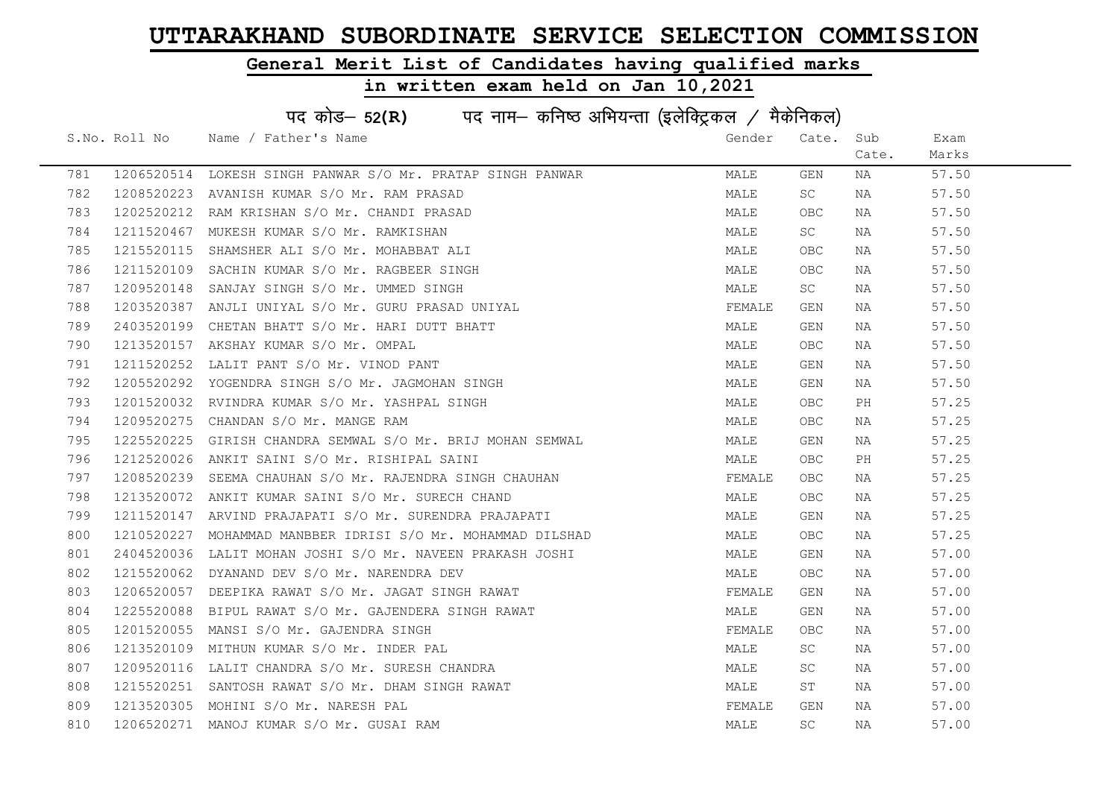### General Merit List of Candidates having qualified marks

|     | पद कोड– 52(R) पद नाम– कनिष्ठ अभियन्ता (इलेक्ट्रिकल / मैकेनिकल) |                                                            |        |            |       |       |  |  |
|-----|----------------------------------------------------------------|------------------------------------------------------------|--------|------------|-------|-------|--|--|
|     | S.No. Roll No                                                  | Name / Father's Name                                       | Gender | Cate.      | Sub   | Exam  |  |  |
|     |                                                                |                                                            |        |            | Cate. | Marks |  |  |
| 781 |                                                                | 1206520514 LOKESH SINGH PANWAR S/O Mr. PRATAP SINGH PANWAR | MALE   | GEN        | NA    | 57.50 |  |  |
| 782 | 1208520223                                                     | AVANISH KUMAR S/O Mr. RAM PRASAD                           | MALE   | SC         | NA    | 57.50 |  |  |
| 783 |                                                                | 1202520212 RAM KRISHAN S/O Mr. CHANDI PRASAD               | MALE   | OBC.       | NA    | 57.50 |  |  |
| 784 |                                                                | 1211520467 MUKESH KUMAR S/O Mr. RAMKISHAN                  | MALE   | SC         | NA    | 57.50 |  |  |
| 785 | 1215520115                                                     | SHAMSHER ALI S/O Mr. MOHABBAT ALI                          | MALE   | <b>OBC</b> | NA    | 57.50 |  |  |
| 786 |                                                                | 1211520109 SACHIN KUMAR S/O Mr. RAGBEER SINGH              | MALE   | <b>OBC</b> | NA    | 57.50 |  |  |
| 787 |                                                                | 1209520148 SANJAY SINGH S/O Mr. UMMED SINGH                | MALE   | <b>SC</b>  | NA    | 57.50 |  |  |
| 788 |                                                                | 1203520387 ANJLI UNIYAL S/O Mr. GURU PRASAD UNIYAL         | FEMALE | GEN        | NA    | 57.50 |  |  |
| 789 | 2403520199                                                     | CHETAN BHATT S/O Mr. HARI DUTT BHATT                       | MALE   | GEN        | NA    | 57.50 |  |  |
| 790 |                                                                | 1213520157 AKSHAY KUMAR S/O Mr. OMPAL                      | MALE   | OBC.       | NA    | 57.50 |  |  |
| 791 |                                                                | 1211520252 LALIT PANT S/O Mr. VINOD PANT                   | MALE   | GEN        | NA    | 57.50 |  |  |
| 792 |                                                                | 1205520292 YOGENDRA SINGH S/O Mr. JAGMOHAN SINGH           | MALE   | GEN        | NA    | 57.50 |  |  |
| 793 |                                                                | 1201520032 RVINDRA KUMAR S/O Mr. YASHPAL SINGH             | MALE   | OBC.       | PH    | 57.25 |  |  |
| 794 |                                                                | 1209520275 CHANDAN S/O Mr. MANGE RAM                       | MALE   | OBC.       | NA    | 57.25 |  |  |
| 795 |                                                                | 1225520225 GIRISH CHANDRA SEMWAL S/O Mr. BRIJ MOHAN SEMWAL | MALE   | GEN        | NA    | 57.25 |  |  |
| 796 | 1212520026                                                     | ANKIT SAINI S/O Mr. RISHIPAL SAINI                         | MALE   | OBC        | PH    | 57.25 |  |  |
| 797 | 1208520239                                                     | SEEMA CHAUHAN S/O Mr. RAJENDRA SINGH CHAUHAN               | FEMALE | OBC.       | NA    | 57.25 |  |  |
| 798 |                                                                | 1213520072 ANKIT KUMAR SAINI S/O Mr. SURECH CHAND          | MALE   | OBC.       | NA    | 57.25 |  |  |
| 799 |                                                                | 1211520147 ARVIND PRAJAPATI S/O Mr. SURENDRA PRAJAPATI     | MALE   | GEN        | NA    | 57.25 |  |  |
| 800 | 1210520227                                                     | MOHAMMAD MANBBER IDRISI S/O Mr. MOHAMMAD DILSHAD           | MALE   | OBC.       | NA    | 57.25 |  |  |
| 801 | 2404520036                                                     | LALIT MOHAN JOSHI S/O Mr. NAVEEN PRAKASH JOSHI             | MALE   | GEN        | NA    | 57.00 |  |  |
| 802 |                                                                | 1215520062 DYANAND DEV S/O Mr. NARENDRA DEV                | MALE   | OBC.       | NA    | 57.00 |  |  |
| 803 |                                                                | 1206520057 DEEPIKA RAWAT S/O Mr. JAGAT SINGH RAWAT         | FEMALE | GEN        | NA    | 57.00 |  |  |
| 804 | 1225520088                                                     | BIPUL RAWAT S/O Mr. GAJENDERA SINGH RAWAT                  | MALE   | GEN        | NA    | 57.00 |  |  |
| 805 | 1201520055                                                     | MANSI S/O Mr. GAJENDRA SINGH                               | FEMALE | OBC.       | NA    | 57.00 |  |  |
| 806 |                                                                | 1213520109 MITHUN KUMAR S/O Mr. INDER PAL                  | MALE   | SC         | NA    | 57.00 |  |  |
| 807 |                                                                | 1209520116 LALIT CHANDRA S/O Mr. SURESH CHANDRA            | MALE   | SC         | NA    | 57.00 |  |  |
| 808 |                                                                | 1215520251 SANTOSH RAWAT S/O Mr. DHAM SINGH RAWAT          | MALE   | ST         | NA    | 57.00 |  |  |
| 809 |                                                                | 1213520305 MOHINI S/O Mr. NARESH PAL                       | FEMALE | GEN        | NA    | 57.00 |  |  |
| 810 |                                                                | 1206520271 MANOJ KUMAR S/O Mr. GUSAI RAM                   | MALE   | SC         | NA    | 57.00 |  |  |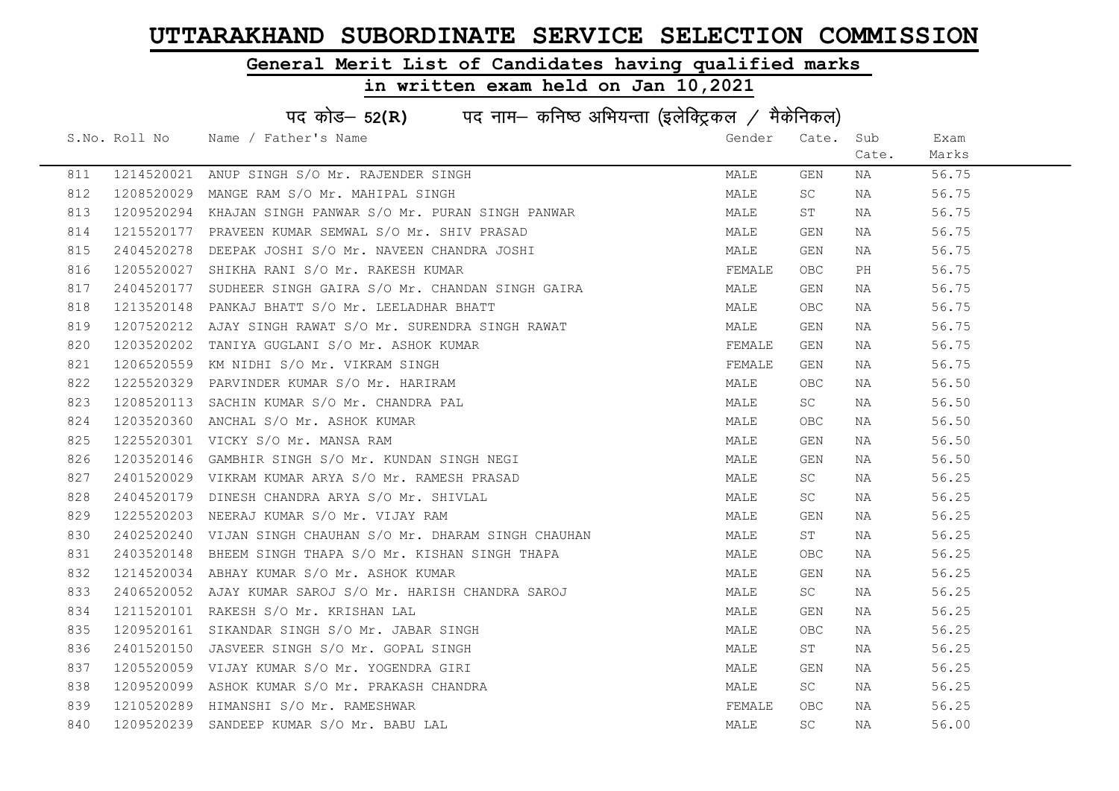### General Merit List of Candidates having qualified marks

|     | पद कोड- 52(R) पद नाम- कनिष्ठ अभियन्ता (इलेक्ट्रिकल / मैकेनिकल) |                                                             |        |           |       |       |  |  |
|-----|----------------------------------------------------------------|-------------------------------------------------------------|--------|-----------|-------|-------|--|--|
|     |                                                                | S.No. Roll No Name / Father's Name                          | Gender | Cate. Sub |       | Exam  |  |  |
|     |                                                                |                                                             |        |           | Cate. | Marks |  |  |
| 811 |                                                                | 1214520021 ANUP SINGH S/O Mr. RAJENDER SINGH                | MALE   | GEN       | NA    | 56.75 |  |  |
| 812 |                                                                | 1208520029 MANGE RAM S/O Mr. MAHIPAL SINGH                  | MALE   | SC        | NA    | 56.75 |  |  |
| 813 |                                                                | 1209520294 KHAJAN SINGH PANWAR S/O Mr. PURAN SINGH PANWAR   | MALE   | ST        | NA    | 56.75 |  |  |
| 814 |                                                                | 1215520177 PRAVEEN KUMAR SEMWAL S/O Mr. SHIV PRASAD         | MALE   | GEN       | NA    | 56.75 |  |  |
| 815 |                                                                | 2404520278 DEEPAK JOSHI S/O Mr. NAVEEN CHANDRA JOSHI        | MALE   | GEN       | NA    | 56.75 |  |  |
| 816 |                                                                | 1205520027 SHIKHA RANI S/O Mr. RAKESH KUMAR                 | FEMALE | OBC       | PH    | 56.75 |  |  |
| 817 |                                                                | 2404520177 SUDHEER SINGH GAIRA S/O Mr. CHANDAN SINGH GAIRA  | MALE   | GEN       | NA    | 56.75 |  |  |
| 818 |                                                                | 1213520148 PANKAJ BHATT S/O Mr. LEELADHAR BHATT             | MALE   | OBC       | NA    | 56.75 |  |  |
| 819 | 1207520212                                                     | AJAY SINGH RAWAT S/O Mr. SURENDRA SINGH RAWAT               | MALE   | GEN       | NA    | 56.75 |  |  |
| 820 | 1203520202                                                     | TANIYA GUGLANI S/O Mr. ASHOK KUMAR                          | FEMALE | GEN       | NA    | 56.75 |  |  |
| 821 |                                                                | 1206520559 KM NIDHI S/O Mr. VIKRAM SINGH                    | FEMALE | GEN       | NA    | 56.75 |  |  |
| 822 |                                                                | 1225520329 PARVINDER KUMAR S/O Mr. HARIRAM                  | MALE   | OBC.      | NA    | 56.50 |  |  |
| 823 |                                                                | 1208520113 SACHIN KUMAR S/O Mr. CHANDRA PAL                 | MALE   | SC        | NA    | 56.50 |  |  |
| 824 |                                                                | 1203520360 ANCHAL S/O Mr. ASHOK KUMAR                       | MALE   | OBC       | NA    | 56.50 |  |  |
| 825 |                                                                | 1225520301 VICKY S/O Mr. MANSA RAM                          | MALE   | GEN       | NA    | 56.50 |  |  |
| 826 |                                                                | 1203520146 GAMBHIR SINGH S/O Mr. KUNDAN SINGH NEGI          | MALE   | GEN       | NA    | 56.50 |  |  |
| 827 |                                                                | 2401520029 VIKRAM KUMAR ARYA S/O Mr. RAMESH PRASAD          | MALE   | SC        | NA    | 56.25 |  |  |
| 828 |                                                                | 2404520179 DINESH CHANDRA ARYA S/O Mr. SHIVLAL              | MALE   | SC        | NA    | 56.25 |  |  |
| 829 |                                                                | 1225520203 NEERAJ KUMAR S/O Mr. VIJAY RAM                   | MALE   | GEN       | NA    | 56.25 |  |  |
| 830 |                                                                | 2402520240 VIJAN SINGH CHAUHAN S/O Mr. DHARAM SINGH CHAUHAN | MALE   | ST        | NA    | 56.25 |  |  |
| 831 |                                                                | 2403520148 BHEEM SINGH THAPA S/O Mr. KISHAN SINGH THAPA     | MALE   | OBC       | NA    | 56.25 |  |  |
| 832 |                                                                | 1214520034 ABHAY KUMAR S/O Mr. ASHOK KUMAR                  | MALE   | GEN       | NA    | 56.25 |  |  |
| 833 |                                                                | 2406520052 AJAY KUMAR SAROJ S/O Mr. HARISH CHANDRA SAROJ    | MALE   | SC        | NA    | 56.25 |  |  |
| 834 |                                                                | 1211520101 RAKESH S/O Mr. KRISHAN LAL                       | MALE   | GEN       | NA    | 56.25 |  |  |
| 835 |                                                                | 1209520161 SIKANDAR SINGH S/O Mr. JABAR SINGH               | MALE   | OBC.      | NA    | 56.25 |  |  |
| 836 |                                                                | 2401520150 JASVEER SINGH S/O Mr. GOPAL SINGH                | MALE   | ST        | NA    | 56.25 |  |  |
| 837 |                                                                | 1205520059 VIJAY KUMAR S/O Mr. YOGENDRA GIRI                | MALE   | GEN       | NA    | 56.25 |  |  |
| 838 |                                                                | 1209520099 ASHOK KUMAR S/O Mr. PRAKASH CHANDRA              | MALE   | SC        | NA    | 56.25 |  |  |
| 839 |                                                                | 1210520289 HIMANSHI S/O Mr. RAMESHWAR                       | FEMALE | OBC       | NA    | 56.25 |  |  |
| 840 |                                                                | 1209520239 SANDEEP KUMAR S/O Mr. BABU LAL                   | MALE   | SC        | NA    | 56.00 |  |  |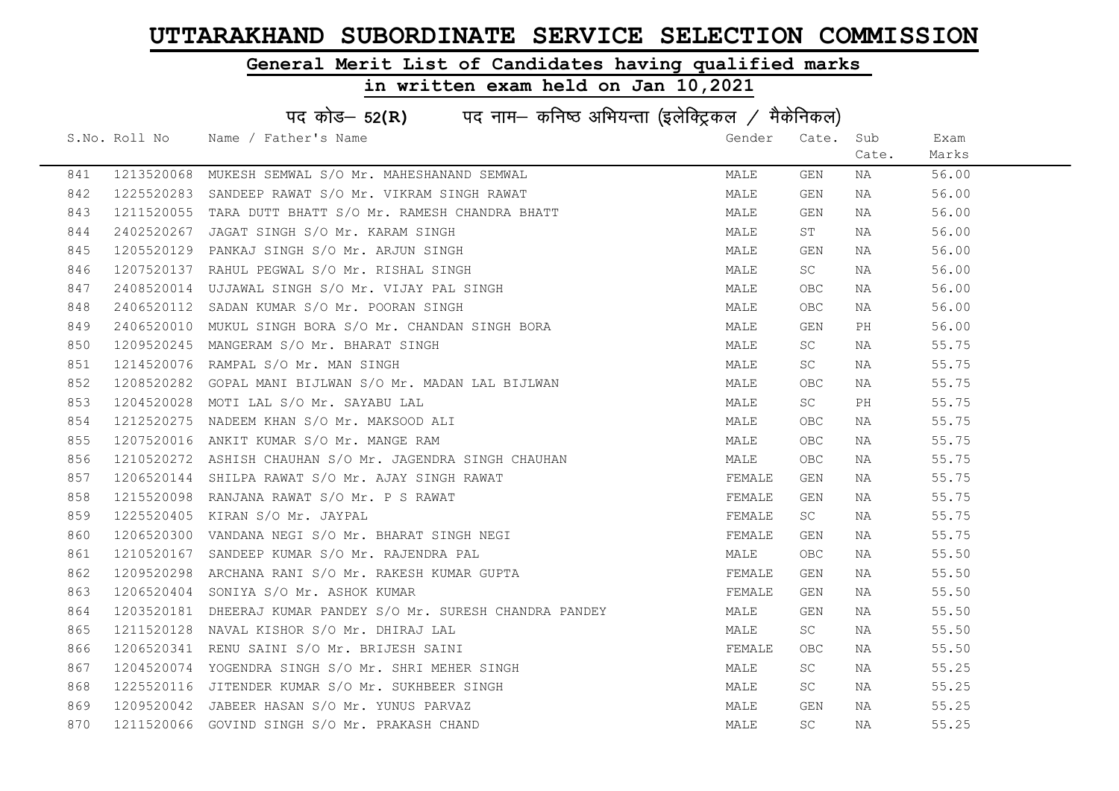### General Merit List of Candidates having qualified marks

|     | पद कोड– 52(R) पद नाम– कनिष्ठ अभियन्ता (इलेक्ट्रिकल / मैकेनिकल) |                                                                                                                                    |        |            |       |       |  |  |
|-----|----------------------------------------------------------------|------------------------------------------------------------------------------------------------------------------------------------|--------|------------|-------|-------|--|--|
|     |                                                                | S.No. Roll No Name / Father's Name                                                                                                 | Gender | Cate. Sub  |       | Exam  |  |  |
|     |                                                                |                                                                                                                                    |        |            | Cate. | Marks |  |  |
| 841 |                                                                | 1213520068 MUKESH SEMWAL S/O Mr. MAHESHANAND SEMWAL                                                                                | MALE   | GEN        | NA    | 56.00 |  |  |
| 842 |                                                                | 1225520283 SANDEEP RAWAT S/O Mr. VIKRAM SINGH RAWAT                                                                                | MALE   | GEN        | NA    | 56.00 |  |  |
| 843 |                                                                | 1211520055 TARA DUTT BHATT S/O Mr. RAMESH CHANDRA BHATT                                                                            | MALE   | GEN        | NA    | 56.00 |  |  |
| 844 | 2402520267                                                     | JAGAT SINGH S/O Mr. KARAM SINGH                                                                                                    | MALE   | ST         | NA    | 56.00 |  |  |
| 845 |                                                                | 1205520129 PANKAJ SINGH S/O Mr. ARJUN SINGH                                                                                        | MALE   | GEN        | NA    | 56.00 |  |  |
| 846 |                                                                | 1207520137 RAHUL PEGWAL S/O Mr. RISHAL SINGH                                                                                       | MALE   | SC         | NA    | 56.00 |  |  |
| 847 |                                                                | 2408520014 UJJAWAL SINGH S/O Mr. VIJAY PAL SINGH                                                                                   | MALE   | <b>OBC</b> | NA    | 56.00 |  |  |
| 848 |                                                                | 2406520112 SADAN KUMAR S/O Mr. POORAN SINGH                                                                                        | MALE   | <b>OBC</b> | NA    | 56.00 |  |  |
| 849 | 2406520010                                                     | MUKUL SINGH BORA S/O Mr. CHANDAN SINGH BORA                                                                                        | MALE   | GEN        | PH    | 56.00 |  |  |
| 850 |                                                                | 1209520245 MANGERAM S/O Mr. BHARAT SINGH                                                                                           | MALE   | <b>SC</b>  | NA    | 55.75 |  |  |
| 851 |                                                                | 1214520076 RAMPAL S/O Mr. MAN SINGH                                                                                                | MALE   | <b>SC</b>  | NA    | 55.75 |  |  |
| 852 |                                                                | 1208520282 GOPAL MANI BIJLWAN S/O Mr. MADAN LAL BIJLWAN                                                                            | MALE   | OBC.       | NA    | 55.75 |  |  |
| 853 |                                                                | 1204520028 MOTI LAL S/O Mr. SAYABU LAL                                                                                             | MALE   | SC         | PH    | 55.75 |  |  |
| 854 |                                                                | 1212520275 NADEEM KHAN S/O Mr. MAKSOOD ALI                                                                                         | MALE   | OBC.       | NA    | 55.75 |  |  |
| 855 |                                                                | 1207520016 ANKIT KUMAR S/O Mr. MANGE RAM                                                                                           | MALE   | OBC.       | NA    | 55.75 |  |  |
| 856 | 1210520272                                                     | ASHISH CHAUHAN S/O Mr. JAGENDRA SINGH CHAUHAN                                                                                      | MALE   | OBC        | NA    | 55.75 |  |  |
| 857 | 1206520144                                                     | SHILPA RAWAT S/O Mr. AJAY SINGH RAWAT                                                                                              | FEMALE | GEN        | NA    | 55.75 |  |  |
| 858 |                                                                | 1215520098 RANJANA RAWAT S/O Mr. P S RAWAT                                                                                         | FEMALE | GEN        | NA    | 55.75 |  |  |
| 859 |                                                                | 1215520098 RANJANA RAWAT S/O Mr. P S RAWAT<br>1225520405 KIRAN S/O Mr. JAYPAL<br>1206520300 VANDANA NEGI S/O Mr. BHARAT SINGH NEGI | FEMALE | SC         | NA    | 55.75 |  |  |
| 860 |                                                                |                                                                                                                                    | FEMALE | GEN        | NA    | 55.75 |  |  |
| 861 |                                                                | 1210520167 SANDEEP KUMAR S/O Mr. RAJENDRA PAL                                                                                      | MALE   | OBC.       | NA    | 55.50 |  |  |
| 862 |                                                                | 1209520298 ARCHANA RANI S/O Mr. RAKESH KUMAR GUPTA                                                                                 | FEMALE | GEN        | NA    | 55.50 |  |  |
| 863 |                                                                | 1206520404 SONIYA S/O Mr. ASHOK KUMAR                                                                                              | FEMALE | GEN        | NA    | 55.50 |  |  |
| 864 |                                                                | 1203520181 DHEERAJ KUMAR PANDEY S/O Mr. SURESH CHANDRA PANDEY                                                                      | MALE   | GEN        | NA    | 55.50 |  |  |
| 865 | 1211520128                                                     | NAVAL KISHOR S/O Mr. DHIRAJ LAL                                                                                                    | MALE   | SC         | NA    | 55.50 |  |  |
| 866 |                                                                | 1206520341 RENU SAINI S/O Mr. BRIJESH SAINI                                                                                        | FEMALE | OBC.       | NA    | 55.50 |  |  |
| 867 |                                                                | 1204520074 YOGENDRA SINGH S/O Mr. SHRI MEHER SINGH                                                                                 | MALE   | SC         | NA    | 55.25 |  |  |
| 868 |                                                                | 1225520116 JITENDER KUMAR S/O Mr. SUKHBEER SINGH                                                                                   | MALE   | SC         | NA    | 55.25 |  |  |
| 869 |                                                                | 1209520042 JABEER HASAN S/O Mr. YUNUS PARVAZ                                                                                       | MALE   | GEN        | NA    | 55.25 |  |  |
| 870 |                                                                | 1211520066 GOVIND SINGH S/O Mr. PRAKASH CHAND                                                                                      | MALE   | SC.        | NA    | 55.25 |  |  |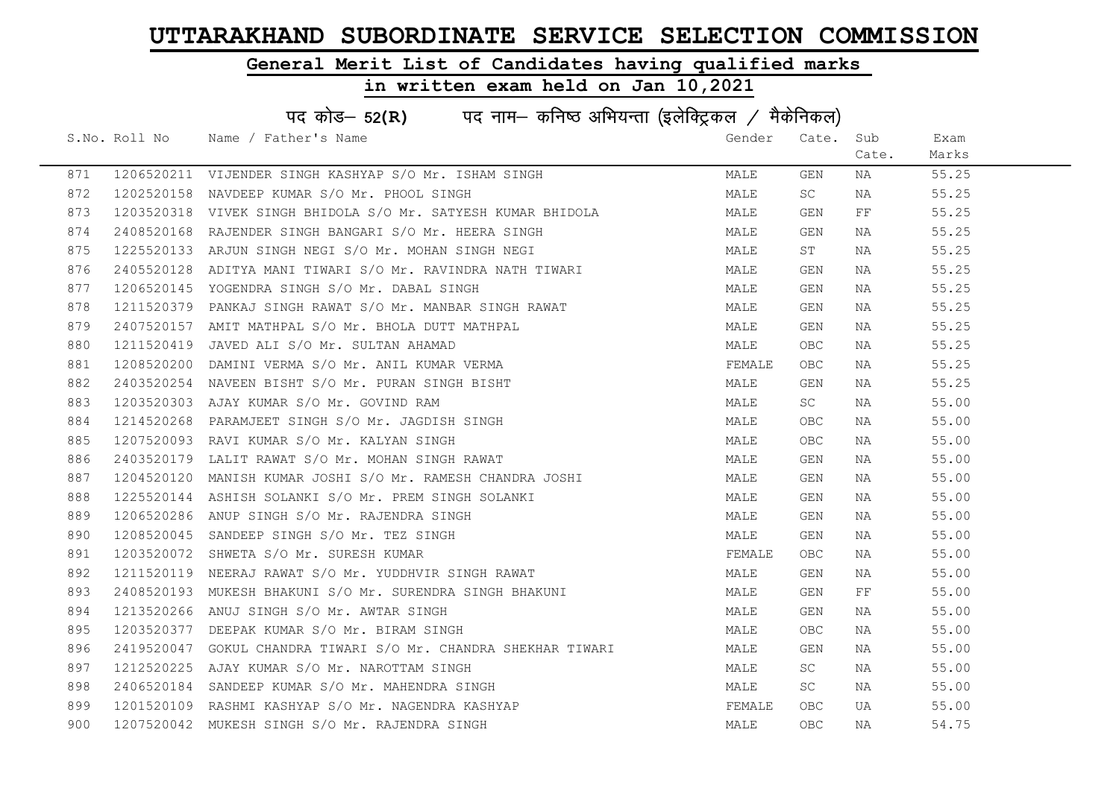### General Merit List of Candidates having qualified marks

|     | पद कोड- 52(R) पद नाम- कनिष्ठ अभियन्ता (इलेक्ट्रिकल / मैकेनिकल) |                                                                |        |            |          |       |  |  |
|-----|----------------------------------------------------------------|----------------------------------------------------------------|--------|------------|----------|-------|--|--|
|     |                                                                | S.No. Roll No Name / Father's Name                             | Gender | Cate. Sub  |          | Exam  |  |  |
|     |                                                                |                                                                |        |            | Cate.    | Marks |  |  |
| 871 |                                                                | 1206520211 VIJENDER SINGH KASHYAP S/O Mr. ISHAM SINGH          | MALE   | GEN        | NA       | 55.25 |  |  |
| 872 |                                                                | 1202520158 NAVDEEP KUMAR S/O Mr. PHOOL SINGH                   | MALE   | SC         | NA       | 55.25 |  |  |
| 873 |                                                                | 1203520318 VIVEK SINGH BHIDOLA S/O Mr. SATYESH KUMAR BHIDOLA   | MALE   | GEN        | $\rm FF$ | 55.25 |  |  |
| 874 |                                                                | 2408520168 RAJENDER SINGH BANGARI S/O Mr. HEERA SINGH          | MALE   | GEN        | NA       | 55.25 |  |  |
| 875 |                                                                | 1225520133 ARJUN SINGH NEGI S/O Mr. MOHAN SINGH NEGI           | MALE   | ST         | NA       | 55.25 |  |  |
| 876 |                                                                | 2405520128 ADITYA MANI TIWARI S/O Mr. RAVINDRA NATH TIWARI     | MALE   | GEN        | NA       | 55.25 |  |  |
| 877 |                                                                | 1206520145 YOGENDRA SINGH S/O Mr. DABAL SINGH                  | MALE   | GEN        | NA       | 55.25 |  |  |
| 878 |                                                                | 1211520379 PANKAJ SINGH RAWAT S/O Mr. MANBAR SINGH RAWAT       | MALE   | GEN        | NA       | 55.25 |  |  |
| 879 |                                                                | 2407520157 AMIT MATHPAL S/O Mr. BHOLA DUTT MATHPAL             | MALE   | GEN        | NA       | 55.25 |  |  |
| 880 |                                                                | 1211520419 JAVED ALI S/O Mr. SULTAN AHAMAD                     | MALE   | OBC        | NA       | 55.25 |  |  |
| 881 |                                                                | 1208520200 DAMINI VERMA S/O Mr. ANIL KUMAR VERMA               | FEMALE | OBC.       | NA       | 55.25 |  |  |
| 882 |                                                                | 2403520254 NAVEEN BISHT S/O Mr. PURAN SINGH BISHT              | MALE   | GEN        | NA       | 55.25 |  |  |
| 883 |                                                                | 1203520303 AJAY KUMAR S/O Mr. GOVIND RAM                       | MALE   | SC .       | NA       | 55.00 |  |  |
| 884 |                                                                | 1214520268 PARAMJEET SINGH S/O Mr. JAGDISH SINGH               | MALE   | <b>OBC</b> | NA       | 55.00 |  |  |
| 885 |                                                                | 1207520093 RAVI KUMAR S/O Mr. KALYAN SINGH                     | MALE   | <b>OBC</b> | NA       | 55.00 |  |  |
| 886 | 2403520179                                                     | LALIT RAWAT S/O Mr. MOHAN SINGH RAWAT                          | MALE   | GEN        | NA       | 55.00 |  |  |
| 887 | 1204520120                                                     | MANISH KUMAR JOSHI S/O Mr. RAMESH CHANDRA JOSHI                | MALE   | GEN        | NA       | 55.00 |  |  |
| 888 |                                                                | 1225520144 ASHISH SOLANKI S/O Mr. PREM SINGH SOLANKI           | MALE   | GEN        | NA       | 55.00 |  |  |
| 889 |                                                                | 1206520286 ANUP SINGH S/O Mr. RAJENDRA SINGH                   | MALE   | GEN        | NA       | 55.00 |  |  |
| 890 | 1208520045                                                     | SANDEEP SINGH S/O Mr. TEZ SINGH                                | MALE   | GEN        | NA       | 55.00 |  |  |
| 891 |                                                                | 1203520072 SHWETA S/O Mr. SURESH KUMAR                         | FEMALE | OBC.       | NA       | 55.00 |  |  |
| 892 |                                                                | 1211520119 NEERAJ RAWAT S/O Mr. YUDDHVIR SINGH RAWAT           | MALE   | GEN        | NA       | 55.00 |  |  |
| 893 |                                                                | 2408520193 MUKESH BHAKUNI S/O Mr. SURENDRA SINGH BHAKUNI       | MALE   | GEN        | $\rm FF$ | 55.00 |  |  |
| 894 | 1213520266                                                     | ANUJ SINGH S/O Mr. AWTAR SINGH                                 | MALE   | GEN        | NA       | 55.00 |  |  |
| 895 | 1203520377                                                     | DEEPAK KUMAR S/O Mr. BIRAM SINGH                               | MALE   | OBC.       | NA       | 55.00 |  |  |
| 896 |                                                                | 2419520047 GOKUL CHANDRA TIWARI S/O Mr. CHANDRA SHEKHAR TIWARI | MALE   | GEN        | NA       | 55.00 |  |  |
| 897 |                                                                | 1212520225 AJAY KUMAR S/O Mr. NAROTTAM SINGH                   | MALE   | SC         | NA       | 55.00 |  |  |
| 898 |                                                                | 2406520184 SANDEEP KUMAR S/O Mr. MAHENDRA SINGH                | MALE   | SC         | NA       | 55.00 |  |  |
| 899 |                                                                | 1201520109 RASHMI KASHYAP S/O Mr. NAGENDRA KASHYAP             | FEMALE | OBC.       | UA       | 55.00 |  |  |
| 900 |                                                                | 1207520042 MUKESH SINGH S/O Mr. RAJENDRA SINGH                 | MALE   | <b>OBC</b> | NA       | 54.75 |  |  |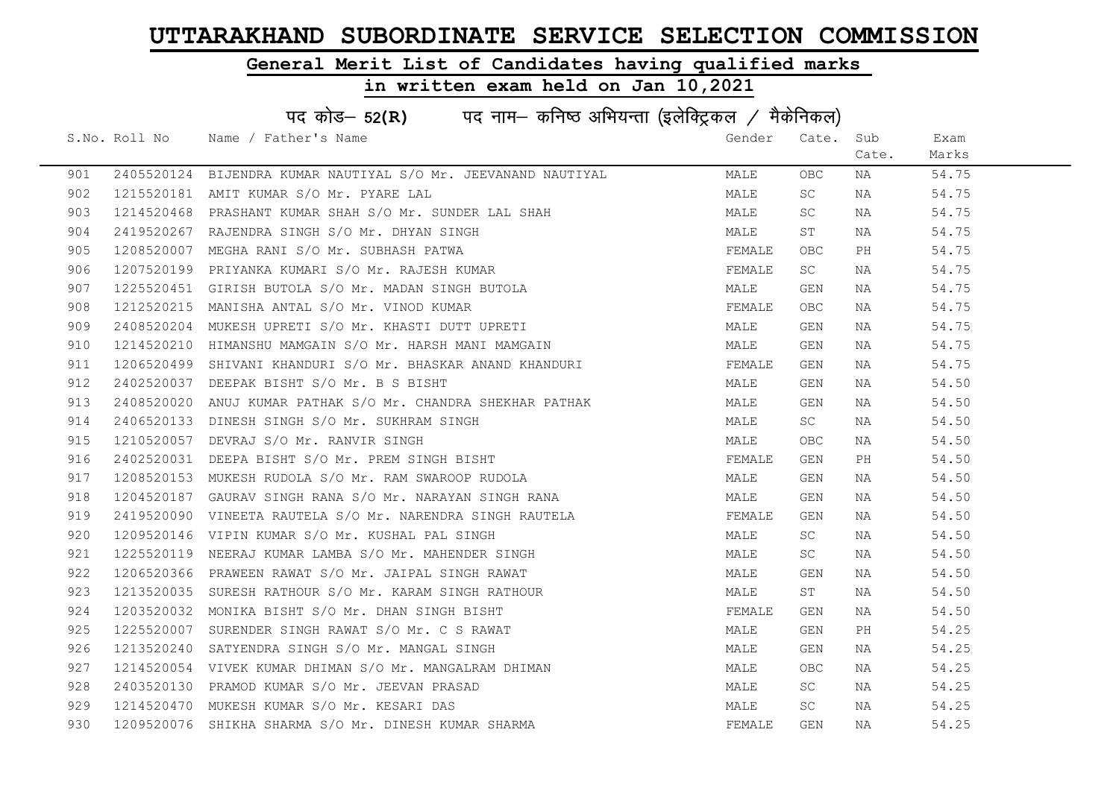### General Merit List of Candidates having qualified marks

|     | पद कोड- 52(R) पद नाम- कनिष्ठ अभियन्ता (इलेक्ट्रिकल / मैकेनिकल) |                                                                                                              |        |           |       |       |  |  |
|-----|----------------------------------------------------------------|--------------------------------------------------------------------------------------------------------------|--------|-----------|-------|-------|--|--|
|     |                                                                | S.No. Roll No Name / Father's Name                                                                           | Gender | Cate.     | Sub   | Exam  |  |  |
|     |                                                                |                                                                                                              |        |           | Cate. | Marks |  |  |
| 901 |                                                                | 2405520124 BIJENDRA KUMAR NAUTIYAL S/O Mr. JEEVANAND NAUTIYAL                                                | MALE   | OBC.      | NA    | 54.75 |  |  |
| 902 |                                                                | 1215520181 AMIT KUMAR S/O Mr. PYARE LAL                                                                      | MALE   | SC.       | NA    | 54.75 |  |  |
| 903 | 1214520468                                                     | PRASHANT KUMAR SHAH S/O Mr. SUNDER LAL SHAH                                                                  | MALE   | SC        | NA    | 54.75 |  |  |
| 904 |                                                                | 2419520267 RAJENDRA SINGH S/O Mr. DHYAN SINGH                                                                | MALE   | ST        | NA    | 54.75 |  |  |
| 905 |                                                                | 1208520007 MEGHA RANI S/O Mr. SUBHASH PATWA                                                                  | FEMALE | OBC.      | PH    | 54.75 |  |  |
| 906 |                                                                | 1207520199 PRIYANKA KUMARI S/O Mr. RAJESH KUMAR                                                              | FEMALE | SC        | NA    | 54.75 |  |  |
| 907 |                                                                | 1225520451 GIRISH BUTOLA S/O Mr. MADAN SINGH BUTOLA                                                          | MALE   | GEN       | NA    | 54.75 |  |  |
| 908 | 1212520215                                                     | MANISHA ANTAL S/O Mr. VINOD KUMAR                                                                            | FEMALE | OBC.      | NA    | 54.75 |  |  |
| 909 |                                                                | 2408520204 MUKESH UPRETI S/O Mr. KHASTI DUTT UPRETI                                                          | MALE   | GEN       | NA    | 54.75 |  |  |
| 910 |                                                                | 1214520210 HIMANSHU MAMGAIN S/O Mr. HARSH MANI MAMGAIN                                                       | MALE   | GEN       | NA    | 54.75 |  |  |
| 911 |                                                                | 1206520499 SHIVANI KHANDURI S/O Mr. BHASKAR ANAND KHANDURI                                                   | FEMALE | GEN       | NA    | 54.75 |  |  |
| 912 |                                                                | 2402520037 DEEPAK BISHT S/O Mr. B S BISHT                                                                    | MALE   | GEN       | NA    | 54.50 |  |  |
| 913 |                                                                | 2408520020 ANUJ KUMAR PATHAK S/O Mr. CHANDRA SHEKHAR PATHAK                                                  | MALE   | GEN       | NA    | 54.50 |  |  |
| 914 |                                                                | 2406520133 DINESH SINGH S/O Mr. SUKHRAM SINGH                                                                | MALE   | SC        | NA    | 54.50 |  |  |
| 915 |                                                                | 1210520057 DEVRAJ S/O Mr. RANVIR SINGH                                                                       | MALE   | OBC.      | NA    | 54.50 |  |  |
| 916 | 2402520031                                                     | DEEPA BISHT S/O Mr. PREM SINGH BISHT                                                                         | FEMALE | GEN       | PH    | 54.50 |  |  |
| 917 |                                                                | 1208520153 MUKESH RUDOLA S/O Mr. RAM SWAROOP RUDOLA                                                          | MALE   | GEN       | NA    | 54.50 |  |  |
| 918 |                                                                | 1204520187 GAURAV SINGH RANA S/O Mr. NARAYAN SINGH RANA                                                      | MALE   | GEN       | NA    | 54.50 |  |  |
| 919 |                                                                | 2419520090 VINEETA RAUTELA S/O Mr. NARENDRA SINGH RAUTELA                                                    | FEMALE | GEN       | NA    | 54.50 |  |  |
| 920 |                                                                | 1209520146 VIPIN KUMAR S/O Mr. KUSHAL PAL SINGH                                                              | MALE   | SC        | NA    | 54.50 |  |  |
| 921 |                                                                | 1225520119 NEERAJ KUMAR LAMBA S/O Mr. MAHENDER SINGH                                                         | MALE   | SC        | NA    | 54.50 |  |  |
| 922 |                                                                | 1206520366 PRAWEEN RAWAT S/O Mr. JAIPAL SINGH RAWAT<br>1213520035 SURESH RATHOUR S/O Mr. KARAM SINGH RATHOUR | MALE   | GEN       | NA    | 54.50 |  |  |
| 923 |                                                                |                                                                                                              | MALE   | ST        | NA    | 54.50 |  |  |
| 924 | 1203520032                                                     | MONIKA BISHT S/O Mr. DHAN SINGH BISHT                                                                        | FEMALE | GEN       | NA    | 54.50 |  |  |
| 925 | 1225520007                                                     | SURENDER SINGH RAWAT S/O Mr. C S RAWAT                                                                       | MALE   | GEN       | PH    | 54.25 |  |  |
| 926 |                                                                | 1213520240 SATYENDRA SINGH S/O Mr. MANGAL SINGH                                                              | MALE   | GEN       | NA    | 54.25 |  |  |
| 927 |                                                                | 1214520054 VIVEK KUMAR DHIMAN S/O Mr. MANGALRAM DHIMAN                                                       | MALE   | OBC.      | NA    | 54.25 |  |  |
| 928 |                                                                | 2403520130 PRAMOD KUMAR S/O Mr. JEEVAN PRASAD                                                                | MALE   | SC        | NA    | 54.25 |  |  |
| 929 |                                                                | 1214520470 MUKESH KUMAR S/O Mr. KESARI DAS                                                                   | MALE   | <b>SC</b> | NA    | 54.25 |  |  |
| 930 |                                                                | 1209520076 SHIKHA SHARMA S/O Mr. DINESH KUMAR SHARMA                                                         | FEMALE | GEN       | NA    | 54.25 |  |  |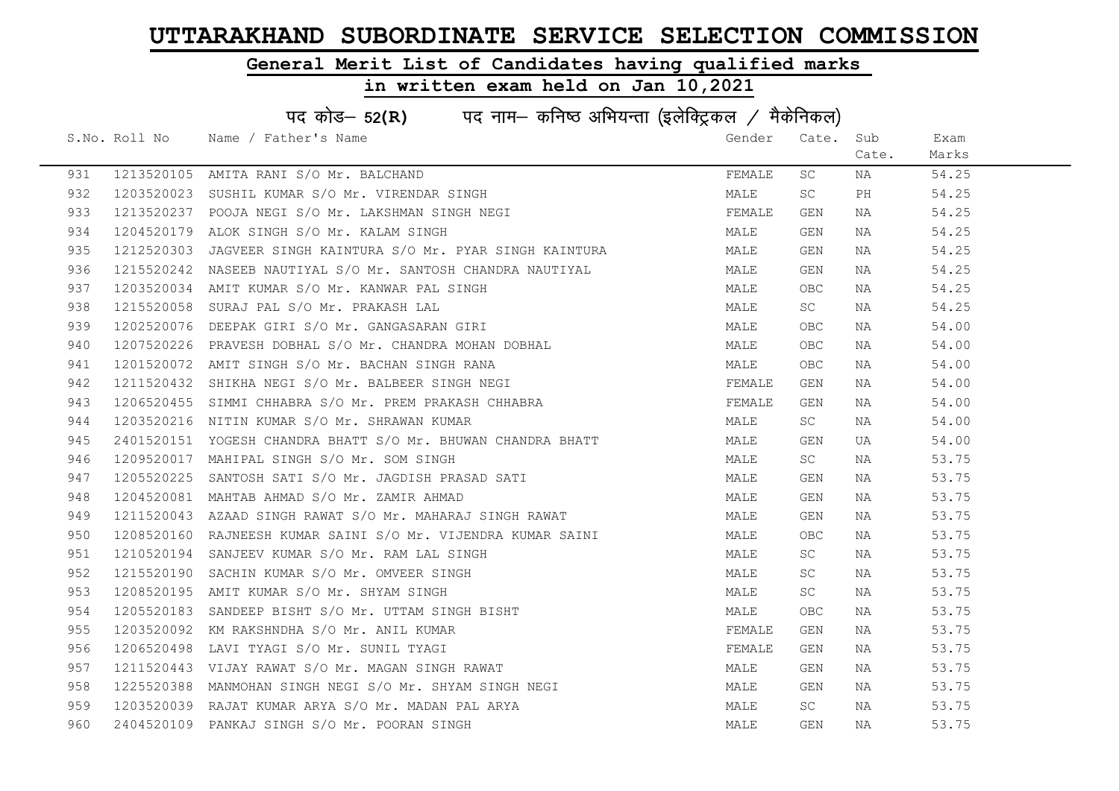### General Merit List of Candidates having qualified marks

|     | पद कोड- 52(R) पद नाम- कनिष्ठ अभियन्ता (इलेक्ट्रिकल / मैकेनिकल) |                                                                                                                                                                                            |        |            |       |       |  |  |
|-----|----------------------------------------------------------------|--------------------------------------------------------------------------------------------------------------------------------------------------------------------------------------------|--------|------------|-------|-------|--|--|
|     |                                                                | S.No. Roll No Name / Father's Name                                                                                                                                                         | Gender | Cate.      | Sub   | Exam  |  |  |
|     |                                                                |                                                                                                                                                                                            |        |            | Cate. | Marks |  |  |
| 931 |                                                                | 1213520105 AMITA RANI S/O Mr. BALCHAND                                                                                                                                                     | FEMALE | SC         | NA    | 54.25 |  |  |
| 932 |                                                                | 1203520023 SUSHIL KUMAR S/O Mr. VIRENDAR SINGH                                                                                                                                             | MALE   | SC         | PH    | 54.25 |  |  |
| 933 |                                                                | 1213520237 POOJA NEGI S/O Mr. LAKSHMAN SINGH NEGI                                                                                                                                          | FEMALE | GEN        | NA    | 54.25 |  |  |
| 934 | 1204520179                                                     | ALOK SINGH S/O Mr. KALAM SINGH                                                                                                                                                             | MALE   | GEN        | NA    | 54.25 |  |  |
| 935 | 1212520303                                                     | JAGVEER SINGH KAINTURA S/O Mr. PYAR SINGH KAINTURA                                                                                                                                         | MALE   | GEN        | NA    | 54.25 |  |  |
| 936 |                                                                | 1215520242 NASEEB NAUTIYAL S/O Mr. SANTOSH CHANDRA NAUTIYAL                                                                                                                                | MALE   | GEN        | NA    | 54.25 |  |  |
| 937 |                                                                | 1203520034 AMIT KUMAR S/O Mr. KANWAR PAL SINGH                                                                                                                                             | MALE   | OBC        | NA    | 54.25 |  |  |
| 938 |                                                                | 1215520058 SURAJ PAL S/O Mr. PRAKASH LAL                                                                                                                                                   | MALE   | SC         | NA    | 54.25 |  |  |
| 939 | 1202520076                                                     | DEEPAK GIRI S/O Mr. GANGASARAN GIRI                                                                                                                                                        | MALE   | OBC        | NA    | 54.00 |  |  |
| 940 |                                                                |                                                                                                                                                                                            | MALE   | OBC.       | NA    | 54.00 |  |  |
| 941 |                                                                |                                                                                                                                                                                            | MALE   | OBC.       | NA    | 54.00 |  |  |
| 942 |                                                                | 1207520226 PRAVESH DOBHAL S/O Mr. CHANDRA MOHAN DOBHAL<br>1201520072 AMIT SINGH S/O Mr. BACHAN SINGH RANA<br>1211520432 SHIKHA NEGI S/O Mr. BALBEER SINGH NEGI                             | FEMALE | GEN        | NA    | 54.00 |  |  |
| 943 |                                                                | 1206520455 SIMMI CHHABRA S/O Mr. PREM PRAKASH CHHABRA                                                                                                                                      | FEMALE | GEN        | NA    | 54.00 |  |  |
| 944 |                                                                | 1203520216 NITIN KUMAR S/O Mr. SHRAWAN KUMAR                                                                                                                                               | MALE   | SC -       | NA    | 54.00 |  |  |
| 945 |                                                                | 2401520151 YOGESH CHANDRA BHATT S/O Mr. BHUWAN CHANDRA BHATT                                                                                                                               | MALE   | GEN        | UA    | 54.00 |  |  |
| 946 |                                                                | 1209520017 MAHIPAL SINGH S/O Mr. SOM SINGH                                                                                                                                                 | MALE   | SC         | NA    | 53.75 |  |  |
| 947 |                                                                | 1205520225 SANTOSH SATI S/O Mr. JAGDISH PRASAD SATI                                                                                                                                        | MALE   | GEN        | NA    | 53.75 |  |  |
| 948 |                                                                | 1204520081 MAHTAB AHMAD S/O Mr. ZAMIR AHMAD                                                                                                                                                | MALE   | GEN        | NA    | 53.75 |  |  |
| 949 |                                                                | 1211520043 AZAAD SINGH RAWAT S/O Mr. MAHARAJ SINGH RAWAT                                                                                                                                   | MALE   | GEN        | NA    | 53.75 |  |  |
| 950 |                                                                | 1208520160 RAJNEESH KUMAR SAINI S/O Mr. VIJENDRA KUMAR SAINI                                                                                                                               | MALE   | OBC.       | NA    | 53.75 |  |  |
| 951 |                                                                | 1210520194 SANJEEV KUMAR S/O Mr. RAM LAL SINGH                                                                                                                                             | MALE   | SC         | NA    | 53.75 |  |  |
| 952 |                                                                | 1215520190 SACHIN KUMAR S/O Mr. OMVEER SINGH                                                                                                                                               | MALE   | <b>SC</b>  | NA    | 53.75 |  |  |
| 953 |                                                                |                                                                                                                                                                                            | MALE   | SC         | NA    | 53.75 |  |  |
| 954 |                                                                |                                                                                                                                                                                            | MALE   | <b>OBC</b> | NA    | 53.75 |  |  |
| 955 |                                                                | 1208520195 AMIT KUMAR S/O Mr. SHYAM SINGH<br>1205520183 SANDEEP BISHT S/O Mr. UTTAM SINGH BISHT<br>1203520092 KM RAKSHNDHA S/O Mr. ANIL KUMAR<br>1206520498 LAVI TYAGI S/O Mr. SUNIL TYAGI | FEMALE | GEN        | NA    | 53.75 |  |  |
| 956 |                                                                |                                                                                                                                                                                            | FEMALE | GEN        | NA    | 53.75 |  |  |
| 957 |                                                                | 1211520443 VIJAY RAWAT S/O Mr. MAGAN SINGH RAWAT                                                                                                                                           | MALE   | GEN        | NA    | 53.75 |  |  |
| 958 |                                                                | 1225520388 MANMOHAN SINGH NEGI S/O Mr. SHYAM SINGH NEGI                                                                                                                                    | MALE   | GEN        | NA    | 53.75 |  |  |
| 959 |                                                                | 1203520039 RAJAT KUMAR ARYA S/O Mr. MADAN PAL ARYA                                                                                                                                         | MALE   | SC         | NA    | 53.75 |  |  |
| 960 |                                                                | 2404520109 PANKAJ SINGH S/O Mr. POORAN SINGH                                                                                                                                               | MALE   | GEN        | NA    | 53.75 |  |  |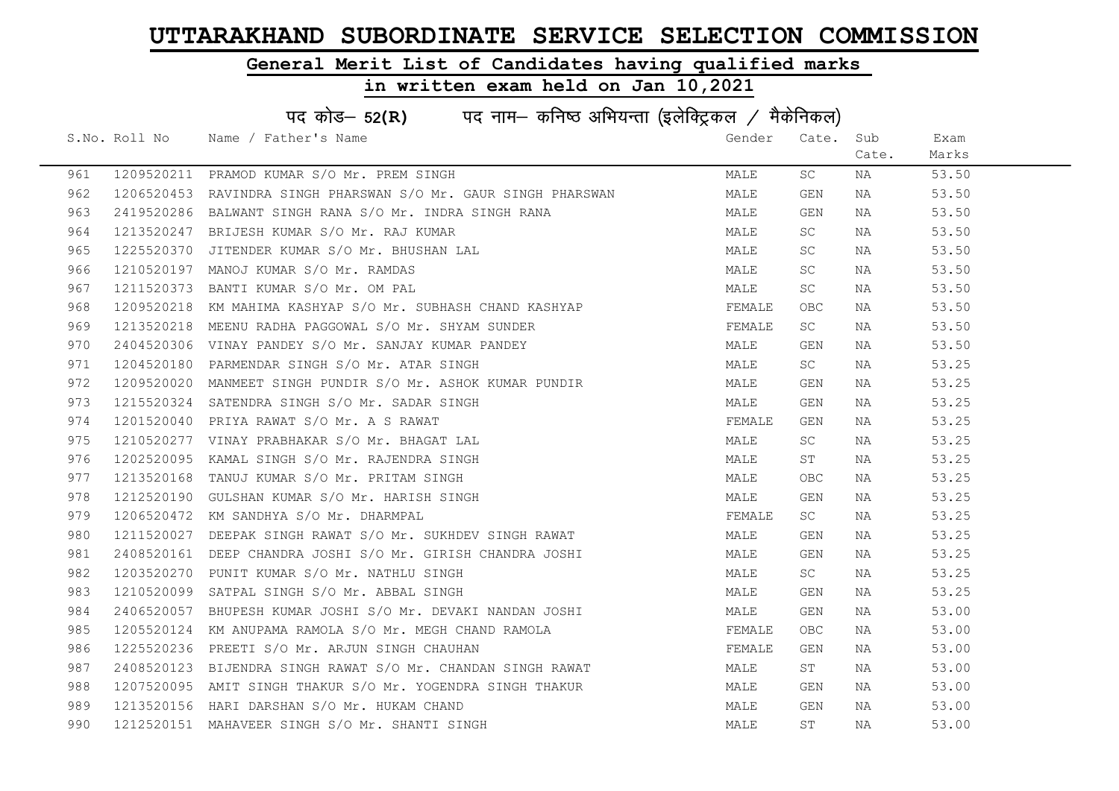### General Merit List of Candidates having qualified marks

|     | पद कोड- 52(R) पद नाम- कनिष्ठ अभियन्ता (इलेक्ट्रिकल / मैकेनिकल) |                                                                 |        |       |       |       |  |  |
|-----|----------------------------------------------------------------|-----------------------------------------------------------------|--------|-------|-------|-------|--|--|
|     |                                                                | S.No. Roll No Name / Father's Name                              | Gender | Cate. | Sub   | Exam  |  |  |
|     |                                                                |                                                                 |        |       | Cate. | Marks |  |  |
| 961 |                                                                | 1209520211 PRAMOD KUMAR S/O Mr. PREM SINGH                      | MALE   | SC    | NA    | 53.50 |  |  |
| 962 |                                                                | 1206520453  RAVINDRA SINGH PHARSWAN S/O Mr. GAUR SINGH PHARSWAN | MALE   | GEN   | NA    | 53.50 |  |  |
| 963 |                                                                | 2419520286 BALWANT SINGH RANA S/O Mr. INDRA SINGH RANA          | MALE   | GEN   | NA    | 53.50 |  |  |
| 964 |                                                                | 1213520247 BRIJESH KUMAR S/O Mr. RAJ KUMAR                      | MALE   | SC    | NA    | 53.50 |  |  |
| 965 | 1225520370                                                     | JITENDER KUMAR S/O Mr. BHUSHAN LAL                              | MALE   | SC.   | NA    | 53.50 |  |  |
| 966 |                                                                | 1210520197 MANOJ KUMAR S/O Mr. RAMDAS                           | MALE   | SC    | NA    | 53.50 |  |  |
| 967 | 1211520373                                                     | BANTI KUMAR S/O Mr. OM PAL                                      | MALE   | SC    | NA    | 53.50 |  |  |
| 968 | 1209520218                                                     | KM MAHIMA KASHYAP S/O Mr. SUBHASH CHAND KASHYAP                 | FEMALE | OBC   | NA    | 53.50 |  |  |
| 969 |                                                                | 1213520218 MEENU RADHA PAGGOWAL S/O Mr. SHYAM SUNDER            | FEMALE | SC    | NA    | 53.50 |  |  |
| 970 |                                                                | 2404520306 VINAY PANDEY S/O Mr. SANJAY KUMAR PANDEY             | MALE   | GEN   | NA    | 53.50 |  |  |
| 971 |                                                                | 1204520180 PARMENDAR SINGH S/O Mr. ATAR SINGH                   | MALE   | SC    | NA    | 53.25 |  |  |
| 972 |                                                                | 1209520020 MANMEET SINGH PUNDIR S/O Mr. ASHOK KUMAR PUNDIR      | MALE   | GEN   | NA    | 53.25 |  |  |
| 973 |                                                                | 1215520324 SATENDRA SINGH S/O Mr. SADAR SINGH                   | MALE   | GEN   | NA    | 53.25 |  |  |
| 974 |                                                                | 1201520040 PRIYA RAWAT S/O Mr. A S RAWAT                        | FEMALE | GEN   | NA    | 53.25 |  |  |
| 975 |                                                                | 1210520277 VINAY PRABHAKAR S/O Mr. BHAGAT LAL                   | MALE   | SC    | NA    | 53.25 |  |  |
| 976 | 1202520095                                                     | KAMAL SINGH S/O Mr. RAJENDRA SINGH                              | MALE   | ST    | NA    | 53.25 |  |  |
| 977 | 1213520168                                                     | TANUJ KUMAR S/O Mr. PRITAM SINGH                                | MALE   | OBC   | NA    | 53.25 |  |  |
| 978 | 1212520190                                                     | GULSHAN KUMAR S/O Mr. HARISH SINGH                              | MALE   | GEN   | NA    | 53.25 |  |  |
| 979 |                                                                | 1206520472 KM SANDHYA S/O Mr. DHARMPAL                          | FEMALE | SC    | NA    | 53.25 |  |  |
| 980 | 1211520027                                                     | DEEPAK SINGH RAWAT S/O Mr. SUKHDEV SINGH RAWAT                  | MALE   | GEN   | NA    | 53.25 |  |  |
| 981 |                                                                | 2408520161 DEEP CHANDRA JOSHI S/O Mr. GIRISH CHANDRA JOSHI      | MALE   | GEN   | NA    | 53.25 |  |  |
| 982 |                                                                | 1203520270 PUNIT KUMAR S/O Mr. NATHLU SINGH                     | MALE   | SC    | NA    | 53.25 |  |  |
| 983 |                                                                | 1210520099 SATPAL SINGH S/O Mr. ABBAL SINGH                     | MALE   | GEN   | NA    | 53.25 |  |  |
| 984 |                                                                | 2406520057 BHUPESH KUMAR JOSHI S/O Mr. DEVAKI NANDAN JOSHI      | MALE   | GEN   | NA    | 53.00 |  |  |
| 985 | 1205520124                                                     | KM ANUPAMA RAMOLA S/O Mr. MEGH CHAND RAMOLA                     | FEMALE | OBC.  | NA    | 53.00 |  |  |
| 986 | 1225520236                                                     | PREETI S/O Mr. ARJUN SINGH CHAUHAN                              | FEMALE | GEN   | NA    | 53.00 |  |  |
| 987 |                                                                | 2408520123 BIJENDRA SINGH RAWAT S/O Mr. CHANDAN SINGH RAWAT     | MALE   | ST    | NA    | 53.00 |  |  |
| 988 |                                                                | 1207520095 AMIT SINGH THAKUR S/O Mr. YOGENDRA SINGH THAKUR      | MALE   | GEN   | NA    | 53.00 |  |  |
| 989 |                                                                | 1213520156 HARI DARSHAN S/O Mr. HUKAM CHAND                     | MALE   | GEN   | NA    | 53.00 |  |  |
| 990 |                                                                | 1212520151 MAHAVEER SINGH S/O Mr. SHANTI SINGH                  | MALE   | ST    | ΝA    | 53.00 |  |  |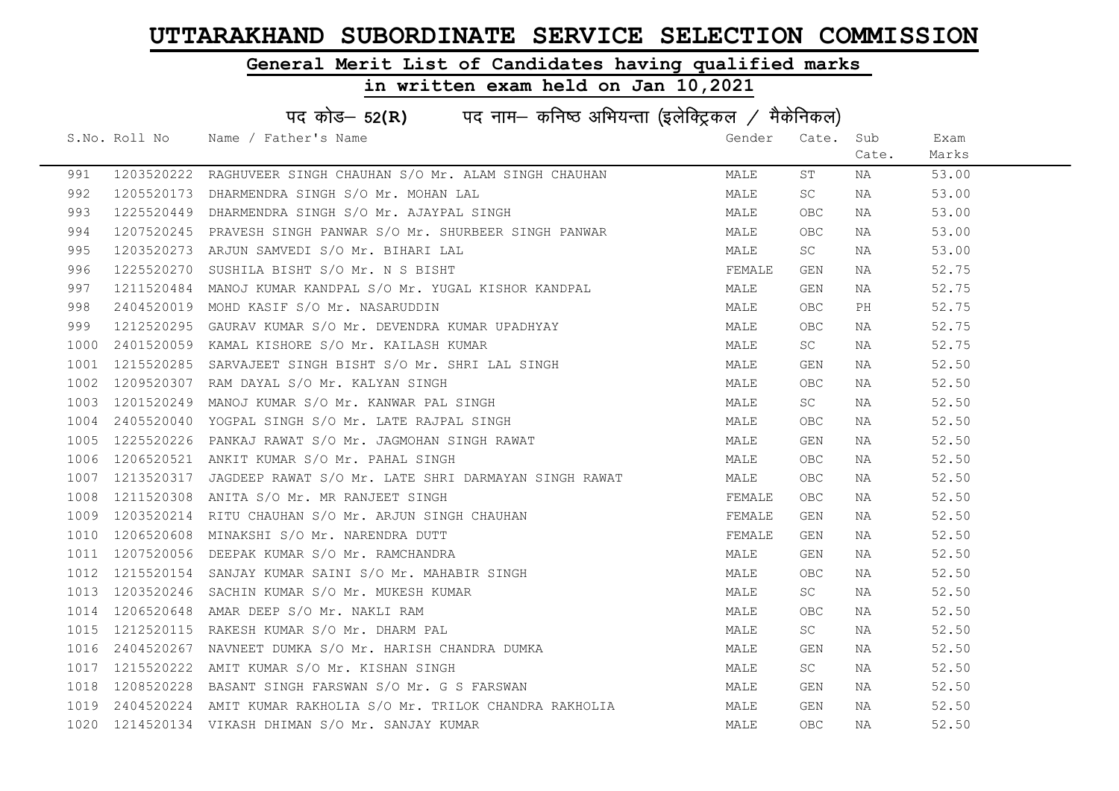### General Merit List of Candidates having qualified marks

|      | पद कोड– 52(R) पद नाम– कनिष्ठ अभियन्ता (इलेक्ट्रिकल / मैकेनिकल) |                                                                                                                                                                                                   |        |            |       |       |  |  |
|------|----------------------------------------------------------------|---------------------------------------------------------------------------------------------------------------------------------------------------------------------------------------------------|--------|------------|-------|-------|--|--|
|      |                                                                | S.No. Roll No Name / Father's Name                                                                                                                                                                | Gender | Cate.      | Sub   | Exam  |  |  |
|      |                                                                |                                                                                                                                                                                                   |        |            | Cate. | Marks |  |  |
| 991  | 1203520222                                                     | RAGHUVEER SINGH CHAUHAN S/O Mr. ALAM SINGH CHAUHAN                                                                                                                                                | MALE   | ST         | NA    | 53.00 |  |  |
| 992  | 1205520173                                                     | DHARMENDRA SINGH S/O Mr. MOHAN LAL                                                                                                                                                                | MALE   | SC         | NA    | 53.00 |  |  |
| 993  | 1225520449                                                     | DHARMENDRA SINGH S/O Mr. AJAYPAL SINGH                                                                                                                                                            | MALE   | OBC.       | NA    | 53.00 |  |  |
| 994  | 1207520245                                                     | PRAVESH SINGH PANWAR S/O Mr. SHURBEER SINGH PANWAR                                                                                                                                                | MALE   | OBC.       | NA    | 53.00 |  |  |
| 995  | 1203520273                                                     | ARJUN SAMVEDI S/O Mr. BIHARI LAL                                                                                                                                                                  | MALE   | SC         | NA    | 53.00 |  |  |
| 996  | 1225520270                                                     | SUSHILA BISHT S/O Mr. N S BISHT                                                                                                                                                                   | FEMALE | GEN        | NA    | 52.75 |  |  |
| 997  | 1211520484                                                     | MANOJ KUMAR KANDPAL S/O Mr. YUGAL KISHOR KANDPAL                                                                                                                                                  | MALE   | GEN        | NA    | 52.75 |  |  |
| 998  | 2404520019                                                     | MOHD KASIF S/O Mr. NASARUDDIN                                                                                                                                                                     | MALE   | <b>OBC</b> | PH    | 52.75 |  |  |
| 999  | 1212520295                                                     | GAURAV KUMAR S/O Mr. DEVENDRA KUMAR UPADHYAY                                                                                                                                                      | MALE   | OBC.       | NA    | 52.75 |  |  |
| 1000 | 2401520059                                                     | KAMAL KISHORE S/O Mr. KAILASH KUMAR                                                                                                                                                               | MALE   | SC .       | NA    | 52.75 |  |  |
| 1001 |                                                                |                                                                                                                                                                                                   | MALE   | GEN        | NA    | 52.50 |  |  |
| 1002 |                                                                | 1215520285 SARVAJEET SINGH BISHT S/O Mr. SHRI LAL SINGH<br>1209520307 RAM DAYAL S/O Mr. KALYAN SINGH                                                                                              | MALE   | OBC        | NA    | 52.50 |  |  |
| 1003 | 1201520249                                                     | MANOJ KUMAR S/O Mr. KANWAR PAL SINGH                                                                                                                                                              | MALE   | SC -       | NA    | 52.50 |  |  |
| 1004 | 2405520040                                                     | YOGPAL SINGH S/O Mr. LATE RAJPAL SINGH                                                                                                                                                            | MALE   | OBC        | NA    | 52.50 |  |  |
| 1005 | 1225520226                                                     | PANKAJ RAWAT S/O Mr. JAGMOHAN SINGH RAWAT                                                                                                                                                         | MALE   | GEN        | NA    | 52.50 |  |  |
| 1006 | 1206520521                                                     | ANKIT KUMAR S/O Mr. PAHAL SINGH                                                                                                                                                                   | MALE   | OBC        | NA    | 52.50 |  |  |
| 1007 | 1213520317                                                     | JAGDEEP RAWAT S/O Mr. LATE SHRI DARMAYAN SINGH RAWAT                                                                                                                                              | MALE   | OBC.       | NA    | 52.50 |  |  |
| 1008 | 1211520308                                                     | ANITA S/O Mr. MR RANJEET SINGH                                                                                                                                                                    | FEMALE | OBC        | NA    | 52.50 |  |  |
| 1009 |                                                                | 1203520214 RITU CHAUHAN S/O Mr. AKJUN JINGH CHE<br>1206520608 MINAKSHI S/O Mr. NARENDRA DUTT<br>1207520056 DEEPAK KUMAR S/O Mr. RAMCHANDRA<br>1215520154 SANJAY KUMAR SAINI S/O Mr. MAHABIR SINGH | FEMALE | GEN        | NA    | 52.50 |  |  |
| 1010 |                                                                |                                                                                                                                                                                                   | FEMALE | GEN        | NA    | 52.50 |  |  |
| 1011 |                                                                |                                                                                                                                                                                                   | MALE   | GEN        | NA    | 52.50 |  |  |
| 1012 |                                                                |                                                                                                                                                                                                   | MALE   | OBC.       | NA    | 52.50 |  |  |
| 1013 |                                                                |                                                                                                                                                                                                   | MALE   | SC         | NA    | 52.50 |  |  |
| 1014 | 1206520648                                                     | AMAR DEEP S/O Mr. NAKLI RAM                                                                                                                                                                       | MALE   | <b>OBC</b> | NA    | 52.50 |  |  |
| 1015 | 1212520115                                                     | RAKESH KUMAR S/O Mr. DHARM PAL                                                                                                                                                                    | MALE   | SC         | NA    | 52.50 |  |  |
| 1016 | 2404520267                                                     |                                                                                                                                                                                                   | MALE   | GEN        | NA    | 52.50 |  |  |
| 1017 | 1215520222                                                     | NAVNEET DUMKA S/O Mr. HARISH CHANDRA DUMKA<br>AMIT KUMAR S/O Mr. KISHAN SINGH<br>AMIT KUMAR S/O Mr. KISHAN SINGH                                                                                  | MALE   | SC         | NA    | 52.50 |  |  |
| 1018 | 1208520228                                                     | BASANT SINGH FARSWAN S/O Mr. G S FARSWAN                                                                                                                                                          | MALE   | GEN        | NA    | 52.50 |  |  |
| 1019 | 2404520224                                                     | AMIT KUMAR RAKHOLIA S/O Mr. TRILOK CHANDRA RAKHOLIA                                                                                                                                               | MALE   | GEN        | NA    | 52.50 |  |  |
|      |                                                                | 1020 1214520134 VIKASH DHIMAN S/O Mr. SANJAY KUMAR                                                                                                                                                | MALE   | <b>OBC</b> | NA    | 52.50 |  |  |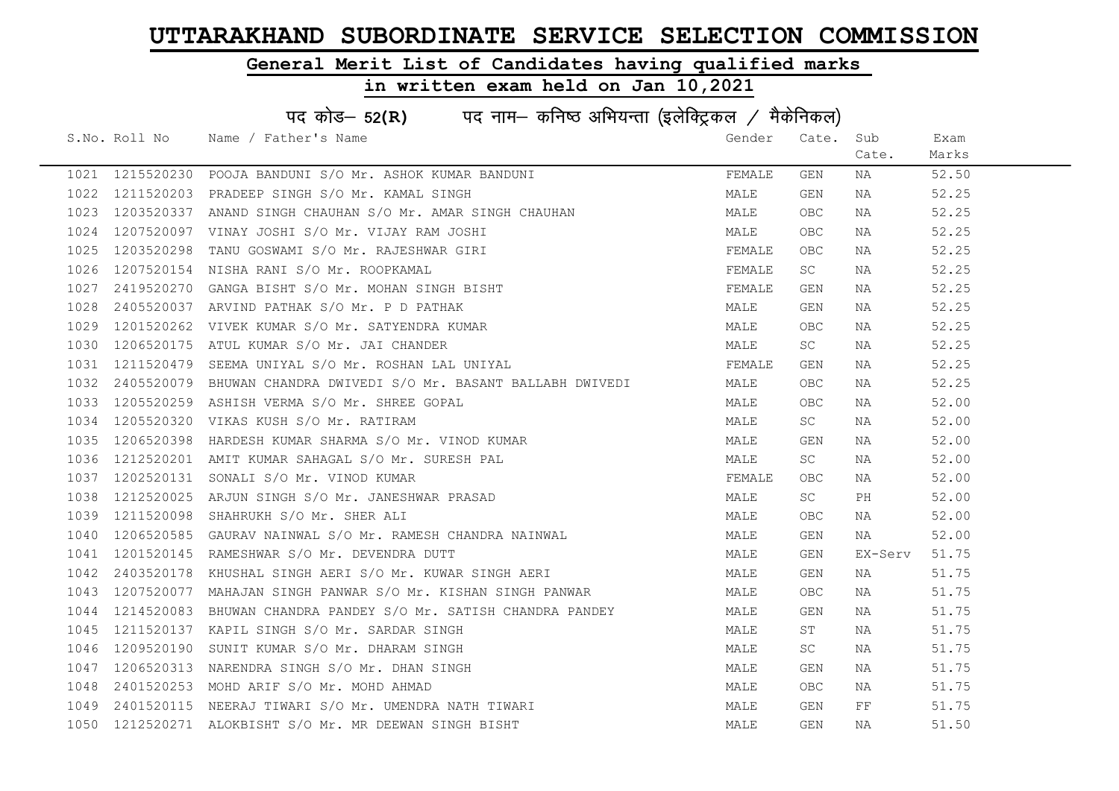### General Merit List of Candidates having qualified marks

|      | पद कोड– 52(R) पद नाम– कनिष्ठ अभियन्ता (इलेक्ट्रिकल / मैकेनिकल) |                                                           |        |                     |          |       |  |  |
|------|----------------------------------------------------------------|-----------------------------------------------------------|--------|---------------------|----------|-------|--|--|
|      |                                                                | S.No. Roll No Name / Father's Name                        | Gender | Cate.               | Sub      | Exam  |  |  |
|      |                                                                |                                                           |        |                     | Cate.    | Marks |  |  |
|      |                                                                | 1021 1215520230 POOJA BANDUNI S/O Mr. ASHOK KUMAR BANDUNI | FEMALE | GEN                 | NA       | 52.50 |  |  |
| 1022 |                                                                | 1211520203 PRADEEP SINGH S/O Mr. KAMAL SINGH              | MALE   | GEN                 | NA       | 52.25 |  |  |
| 1023 | 1203520337                                                     | ANAND SINGH CHAUHAN S/O Mr. AMAR SINGH CHAUHAN            | MALE   | OBC.                | NA       | 52.25 |  |  |
| 1024 | 1207520097                                                     | VINAY JOSHI S/O Mr. VIJAY RAM JOSHI                       | MALE   | OBC.                | NA       | 52.25 |  |  |
| 1025 | 1203520298                                                     | TANU GOSWAMI S/O Mr. RAJESHWAR GIRI                       | FEMALE | OBC.                | NA       | 52.25 |  |  |
| 1026 |                                                                | 1207520154 NISHA RANI S/O Mr. ROOPKAMAL                   | FEMALE | SC                  | NA       | 52.25 |  |  |
| 1027 | 2419520270                                                     | GANGA BISHT S/O Mr. MOHAN SINGH BISHT                     | FEMALE | GEN                 | NA       | 52.25 |  |  |
| 1028 | 2405520037                                                     | ARVIND PATHAK S/O Mr. P D PATHAK                          | MALE   | GEN                 | NA       | 52.25 |  |  |
| 1029 | 1201520262                                                     | VIVEK KUMAR S/O Mr. SATYENDRA KUMAR                       | MALE   | <b>OBC</b>          | NA       | 52.25 |  |  |
| 1030 | 1206520175                                                     | ATUL KUMAR S/O Mr. JAI CHANDER                            | MALE   | SC                  | NA       | 52.25 |  |  |
| 1031 | 1211520479                                                     | SEEMA UNIYAL S/O Mr. ROSHAN LAL UNIYAL                    | FEMALE | GEN                 | NA       | 52.25 |  |  |
| 1032 | 2405520079                                                     | BHUWAN CHANDRA DWIVEDI S/O Mr. BASANT BALLABH DWIVEDI     | MALE   | OBC                 | NA       | 52.25 |  |  |
| 1033 | 1205520259                                                     | ASHISH VERMA S/O Mr. SHREE GOPAL                          | MALE   | <b>OBC</b>          | NA       | 52.00 |  |  |
| 1034 |                                                                | 1205520320 VIKAS KUSH S/O Mr. RATIRAM                     | MALE   | <b>SC</b>           | NA       | 52.00 |  |  |
| 1035 | 1206520398                                                     | HARDESH KUMAR SHARMA S/O Mr. VINOD KUMAR                  | MALE   | GEN                 | NA       | 52.00 |  |  |
| 1036 | 1212520201                                                     | AMIT KUMAR SAHAGAL S/O Mr. SURESH PAL                     | MALE   | $\operatorname{SC}$ | NA       | 52.00 |  |  |
| 1037 | 1202520131                                                     | SONALI S/O Mr. VINOD KUMAR                                | FEMALE | OBC.                | NA       | 52.00 |  |  |
| 1038 | 1212520025                                                     | ARJUN SINGH S/O Mr. JANESHWAR PRASAD                      | MALE   | SC                  | PH       | 52.00 |  |  |
| 1039 | 1211520098                                                     | SHAHRUKH S/O Mr. SHER ALI                                 | MALE   | OBC.                | NA       | 52.00 |  |  |
| 1040 | 1206520585                                                     | GAURAV NAINWAL S/O Mr. RAMESH CHANDRA NAINWAL             | MALE   | GEN                 | NA       | 52.00 |  |  |
| 1041 |                                                                | 1201520145 RAMESHWAR S/O Mr. DEVENDRA DUTT                | MALE   | GEN                 | EX-Serv  | 51.75 |  |  |
| 1042 | 2403520178                                                     | KHUSHAL SINGH AERI S/O Mr. KUWAR SINGH AERI               | MALE   | GEN                 | NA       | 51.75 |  |  |
| 1043 | 1207520077                                                     | MAHAJAN SINGH PANWAR S/O Mr. KISHAN SINGH PANWAR          | MALE   | OBC.                | NA       | 51.75 |  |  |
| 1044 | 1214520083                                                     | BHUWAN CHANDRA PANDEY S/O Mr. SATISH CHANDRA PANDEY       | MALE   | GEN                 | NA       | 51.75 |  |  |
| 1045 | 1211520137                                                     | KAPIL SINGH S/O Mr. SARDAR SINGH                          | MALE   | ST                  | NA       | 51.75 |  |  |
| 1046 | 1209520190                                                     | SUNIT KUMAR S/O Mr. DHARAM SINGH                          | MALE   | SC                  | NA       | 51.75 |  |  |
| 1047 | 1206520313                                                     | NARENDRA SINGH S/O Mr. DHAN SINGH                         | MALE   | GEN                 | NA       | 51.75 |  |  |
| 1048 |                                                                | 2401520253 MOHD ARIF S/O Mr. MOHD AHMAD                   | MALE   | OBC.                | NA       | 51.75 |  |  |
| 1049 | 2401520115                                                     | NEERAJ TIWARI S/O Mr. UMENDRA NATH TIWARI                 | MALE   | GEN                 | $\rm FF$ | 51.75 |  |  |
| 1050 |                                                                | 1212520271 ALOKBISHT S/O Mr. MR DEEWAN SINGH BISHT        | MALE   | GEN                 | ΝA       | 51.50 |  |  |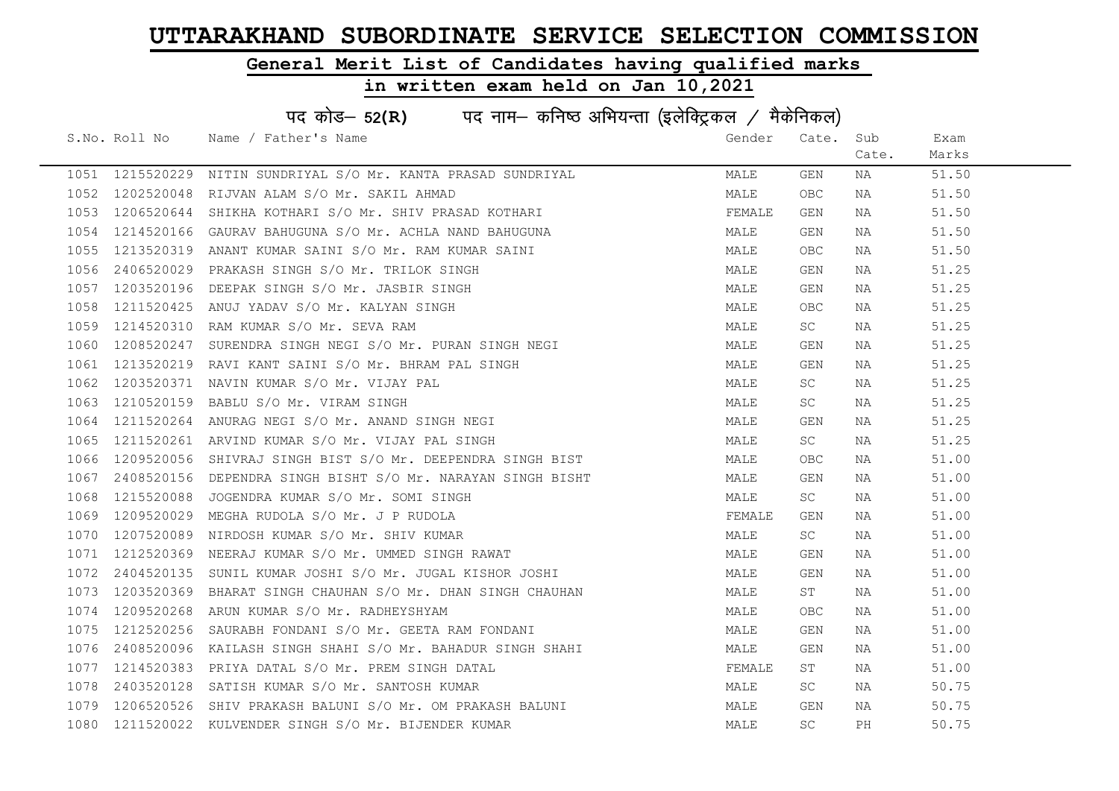### General Merit List of Candidates having qualified marks

|      | पद कोड– 52(R) पद नाम– कनिष्ठ अभियन्ता (इलेक्ट्रिकल / मैकेनिकल) |                                                   |        |            |       |       |  |  |
|------|----------------------------------------------------------------|---------------------------------------------------|--------|------------|-------|-------|--|--|
|      | S.No. Roll No                                                  | Name / Father's Name                              | Gender | Cate.      | Sub   | Exam  |  |  |
|      |                                                                |                                                   |        |            | Cate. | Marks |  |  |
|      | 1051 1215520229                                                | NITIN SUNDRIYAL S/O Mr. KANTA PRASAD SUNDRIYAL    | MALE   | GEN        | NA    | 51.50 |  |  |
| 1052 | 1202520048                                                     | RIJVAN ALAM S/O Mr. SAKIL AHMAD                   | MALE   | <b>OBC</b> | NA    | 51.50 |  |  |
| 1053 | 1206520644                                                     | SHIKHA KOTHARI S/O Mr. SHIV PRASAD KOTHARI        | FEMALE | GEN        | NA    | 51.50 |  |  |
| 1054 | 1214520166                                                     | GAURAV BAHUGUNA S/O Mr. ACHLA NAND BAHUGUNA       | MALE   | GEN        | NA    | 51.50 |  |  |
| 1055 | 1213520319                                                     | ANANT KUMAR SAINI S/O Mr. RAM KUMAR SAINI         | MALE   | OBC.       | NA    | 51.50 |  |  |
| 1056 | 2406520029                                                     | PRAKASH SINGH S/O Mr. TRILOK SINGH                | MALE   | GEN        | NA    | 51.25 |  |  |
| 1057 | 1203520196                                                     | DEEPAK SINGH S/O Mr. JASBIR SINGH                 | MALE   | GEN        | NA    | 51.25 |  |  |
| 1058 | 1211520425                                                     | ANUJ YADAV S/O Mr. KALYAN SINGH                   | MALE   | <b>OBC</b> | NA    | 51.25 |  |  |
| 1059 | 1214520310                                                     | RAM KUMAR S/O Mr. SEVA RAM                        | MALE   | SC         | NA    | 51.25 |  |  |
| 1060 | 1208520247                                                     | SURENDRA SINGH NEGI S/O Mr. PURAN SINGH NEGI      | MALE   | GEN        | NA    | 51.25 |  |  |
| 1061 | 1213520219                                                     | RAVI KANT SAINI S/O Mr. BHRAM PAL SINGH           | MALE   | GEN        | NA    | 51.25 |  |  |
| 1062 | 1203520371                                                     | NAVIN KUMAR S/O Mr. VIJAY PAL                     | MALE   | SC         | NA    | 51.25 |  |  |
| 1063 | 1210520159                                                     | BABLU S/O Mr. VIRAM SINGH                         | MALE   | SC         | NA    | 51.25 |  |  |
| 1064 | 1211520264                                                     | ANURAG NEGI S/O Mr. ANAND SINGH NEGI              | MALE   | GEN        | NA    | 51.25 |  |  |
| 1065 | 1211520261                                                     | ARVIND KUMAR S/O Mr. VIJAY PAL SINGH              | MALE   | SC         | NA    | 51.25 |  |  |
| 1066 | 1209520056                                                     | SHIVRAJ SINGH BIST S/O Mr. DEEPENDRA SINGH BIST   | MALE   | <b>OBC</b> | NA    | 51.00 |  |  |
| 1067 | 2408520156                                                     | DEPENDRA SINGH BISHT S/O Mr. NARAYAN SINGH BISHT  | MALE   | GEN        | NA    | 51.00 |  |  |
| 1068 | 1215520088                                                     | JOGENDRA KUMAR S/O Mr. SOMI SINGH                 | MALE   | SC         | NA    | 51.00 |  |  |
| 1069 | 1209520029                                                     | MEGHA RUDOLA S/O Mr. J P RUDOLA                   | FEMALE | GEN        | NA    | 51.00 |  |  |
| 1070 | 1207520089                                                     | NIRDOSH KUMAR S/O Mr. SHIV KUMAR                  | MALE   | SC         | NA    | 51.00 |  |  |
| 1071 | 1212520369                                                     | NEERAJ KUMAR S/O Mr. UMMED SINGH RAWAT            | MALE   | GEN        | NA    | 51.00 |  |  |
| 1072 | 2404520135                                                     | SUNIL KUMAR JOSHI S/O Mr. JUGAL KISHOR JOSHI      | MALE   | GEN        | NA    | 51.00 |  |  |
| 1073 | 1203520369                                                     | BHARAT SINGH CHAUHAN S/O Mr. DHAN SINGH CHAUHAN   | MALE   | ST         | NA    | 51.00 |  |  |
| 1074 | 1209520268                                                     | ARUN KUMAR S/O Mr. RADHEYSHYAM                    | MALE   | OBC        | NA    | 51.00 |  |  |
| 1075 | 1212520256                                                     | SAURABH FONDANI S/O Mr. GEETA RAM FONDANI         | MALE   | GEN        | NA    | 51.00 |  |  |
| 1076 | 2408520096                                                     | KAILASH SINGH SHAHI S/O Mr. BAHADUR SINGH SHAHI   | MALE   | GEN        | NA    | 51.00 |  |  |
| 1077 | 1214520383                                                     | PRIYA DATAL S/O Mr. PREM SINGH DATAL              | FEMALE | ST         | NA    | 51.00 |  |  |
| 1078 | 2403520128                                                     | SATISH KUMAR S/O Mr. SANTOSH KUMAR                | MALE   | SC         | NA    | 50.75 |  |  |
| 1079 | 1206520526                                                     | SHIV PRAKASH BALUNI S/O Mr. OM PRAKASH BALUNI     | MALE   | GEN        | NA    | 50.75 |  |  |
| 1080 |                                                                | 1211520022 KULVENDER SINGH S/O Mr. BIJENDER KUMAR | MALE   | SC         | PH    | 50.75 |  |  |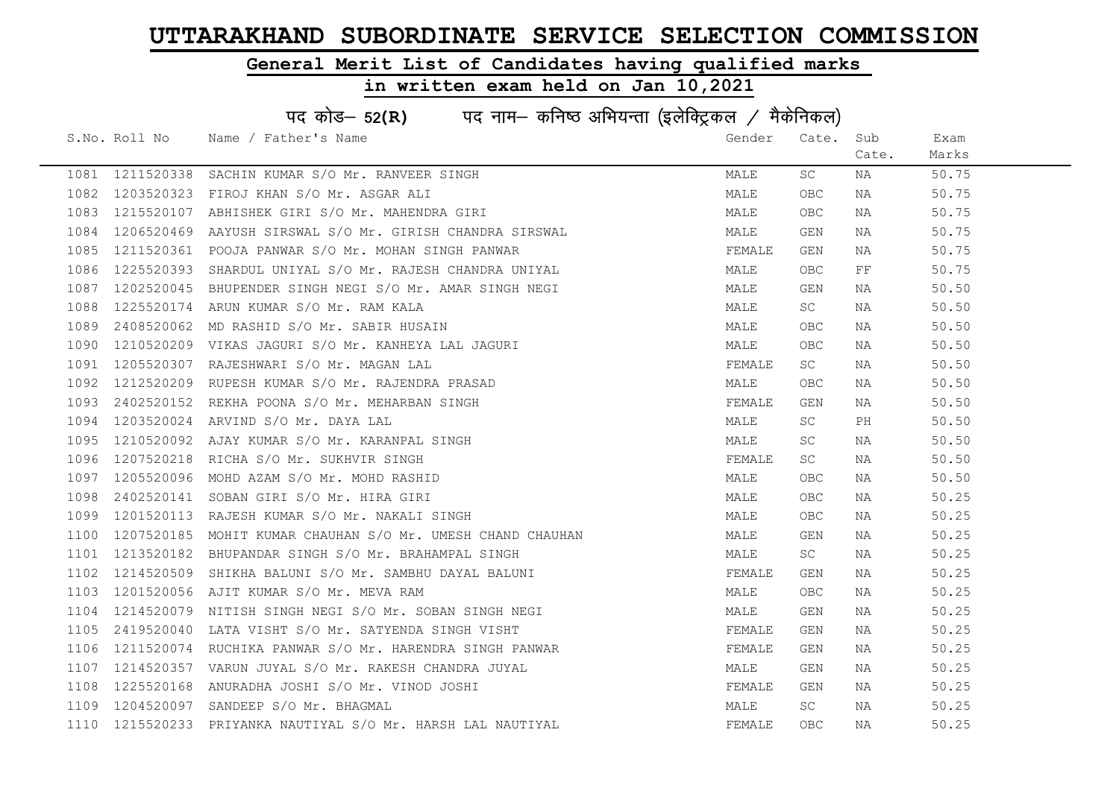### General Merit List of Candidates having qualified marks

|      | पद कोड– 52(R) पद नाम– कनिष्ठ अभियन्ता (इलेक्ट्रिकल / मैकेनिकल) |                                                         |        |            |          |       |  |  |
|------|----------------------------------------------------------------|---------------------------------------------------------|--------|------------|----------|-------|--|--|
|      |                                                                | S.No. Roll No Name / Father's Name                      | Gender | Cate.      | Sub      | Exam  |  |  |
|      |                                                                |                                                         |        |            | Cate.    | Marks |  |  |
| 1081 | 1211520338                                                     | SACHIN KUMAR S/O Mr. RANVEER SINGH                      | MALE   | SC         | NA       | 50.75 |  |  |
| 1082 | 1203520323                                                     | FIROJ KHAN S/O Mr. ASGAR ALI                            | MALE   | <b>OBC</b> | NA       | 50.75 |  |  |
| 1083 | 1215520107                                                     | ABHISHEK GIRI S/O Mr. MAHENDRA GIRI                     | MALE   | <b>OBC</b> | NA       | 50.75 |  |  |
| 1084 | 1206520469                                                     | AAYUSH SIRSWAL S/O Mr. GIRISH CHANDRA SIRSWAL           | MALE   | GEN        | NA       | 50.75 |  |  |
| 1085 | 1211520361                                                     | POOJA PANWAR S/O Mr. MOHAN SINGH PANWAR                 | FEMALE | GEN        | NA       | 50.75 |  |  |
| 1086 | 1225520393                                                     | SHARDUL UNIYAL S/O Mr. RAJESH CHANDRA UNIYAL            | MALE   | OBC        | $\rm FF$ | 50.75 |  |  |
| 1087 | 1202520045                                                     | BHUPENDER SINGH NEGI S/O Mr. AMAR SINGH NEGI            | MALE   | GEN        | NA       | 50.50 |  |  |
| 1088 | 1225520174                                                     | ARUN KUMAR S/O Mr. RAM KALA                             | MALE   | SC.        | NA       | 50.50 |  |  |
| 1089 | 2408520062                                                     | MD RASHID S/O Mr. SABIR HUSAIN                          | MALE   | <b>OBC</b> | NA       | 50.50 |  |  |
| 1090 | 1210520209                                                     | VIKAS JAGURI S/O Mr. KANHEYA LAL JAGURI                 | MALE   | <b>OBC</b> | NA       | 50.50 |  |  |
| 1091 | 1205520307                                                     | RAJESHWARI S/O Mr. MAGAN LAL                            | FEMALE | SC         | NA       | 50.50 |  |  |
| 1092 | 1212520209                                                     | RUPESH KUMAR S/O Mr. RAJENDRA PRASAD                    | MALE   | OBC        | NA       | 50.50 |  |  |
| 1093 | 2402520152                                                     | REKHA POONA S/O Mr. MEHARBAN SINGH                      | FEMALE | GEN        | NA       | 50.50 |  |  |
| 1094 | 1203520024                                                     | ARVIND S/O Mr. DAYA LAL                                 | MALE   | SC         | PH       | 50.50 |  |  |
| 1095 | 1210520092                                                     | AJAY KUMAR S/O Mr. KARANPAL SINGH                       | MALE   | SC.        | NA       | 50.50 |  |  |
| 1096 | 1207520218                                                     | RICHA S/O Mr. SUKHVIR SINGH                             | FEMALE | SC         | NA       | 50.50 |  |  |
| 1097 | 1205520096                                                     | MOHD AZAM S/O Mr. MOHD RASHID                           | MALE   | <b>OBC</b> | NA       | 50.50 |  |  |
| 1098 | 2402520141                                                     | SOBAN GIRI S/O Mr. HIRA GIRI                            | MALE   | <b>OBC</b> | NA       | 50.25 |  |  |
| 1099 | 1201520113                                                     | RAJESH KUMAR S/O Mr. NAKALI SINGH                       | MALE   | OBC.       | NA       | 50.25 |  |  |
| 1100 | 1207520185                                                     | MOHIT KUMAR CHAUHAN S/O Mr. UMESH CHAND CHAUHAN         | MALE   | GEN        | NA       | 50.25 |  |  |
| 1101 | 1213520182                                                     | BHUPANDAR SINGH S/O Mr. BRAHAMPAL SINGH                 | MALE   | SC         | NA       | 50.25 |  |  |
| 1102 | 1214520509                                                     | SHIKHA BALUNI S/O Mr. SAMBHU DAYAL BALUNI               | FEMALE | GEN        | NA       | 50.25 |  |  |
| 1103 | 1201520056                                                     | AJIT KUMAR S/O Mr. MEVA RAM                             | MALE   | OBC        | NA       | 50.25 |  |  |
| 1104 | 1214520079                                                     | NITISH SINGH NEGI S/O Mr. SOBAN SINGH NEGI              | MALE   | GEN        | NA       | 50.25 |  |  |
| 1105 | 2419520040                                                     | LATA VISHT S/O Mr. SATYENDA SINGH VISHT                 | FEMALE | GEN        | NA       | 50.25 |  |  |
| 1106 | 1211520074                                                     | RUCHIKA PANWAR S/O Mr. HARENDRA SINGH PANWAR            | FEMALE | GEN        | NA       | 50.25 |  |  |
| 1107 | 1214520357                                                     | VARUN JUYAL S/O Mr. RAKESH CHANDRA JUYAL                | MALE   | GEN        | NA       | 50.25 |  |  |
| 1108 | 1225520168                                                     | ANURADHA JOSHI S/O Mr. VINOD JOSHI                      | FEMALE | GEN        | NA       | 50.25 |  |  |
| 1109 | 1204520097                                                     | SANDEEP S/O Mr. BHAGMAL                                 | MALE   | SC         | NA       | 50.25 |  |  |
| 1110 |                                                                | 1215520233 PRIYANKA NAUTIYAL S/O Mr. HARSH LAL NAUTIYAL | FEMALE | OBC.       | NA       | 50.25 |  |  |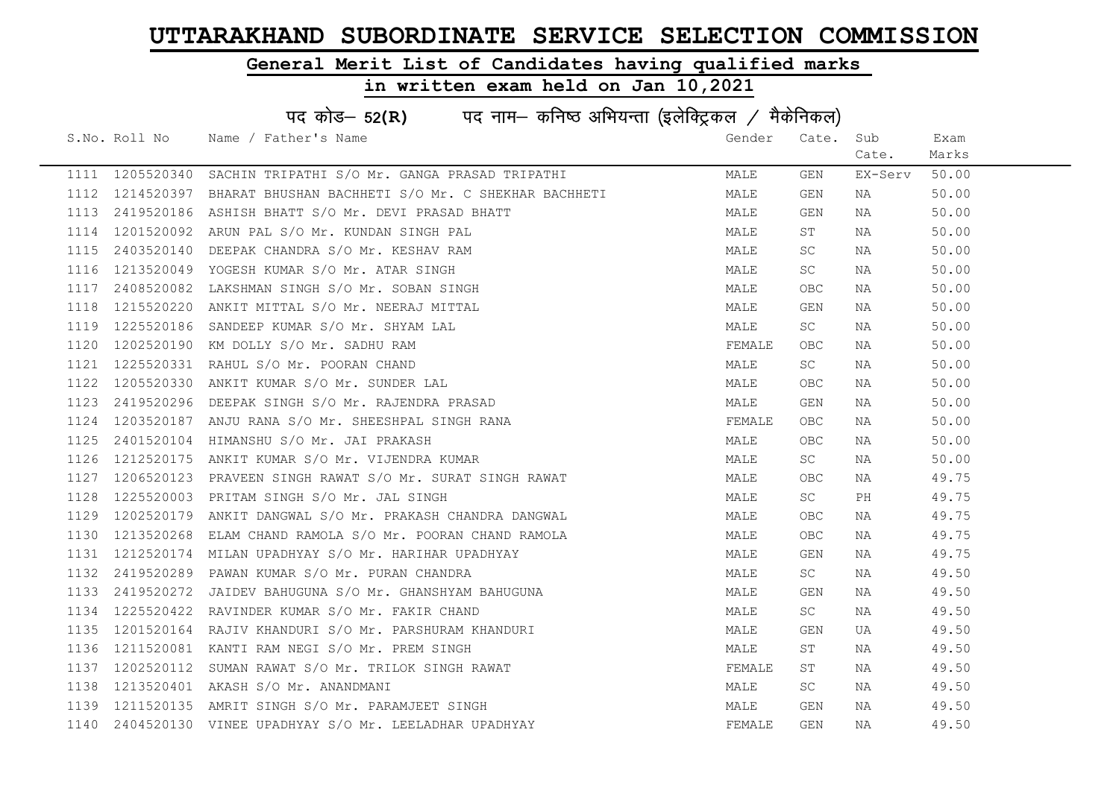### General Merit List of Candidates having qualified marks

|      | पद कोड- 52(R) पद नाम- कनिष्ठ अभियन्ता (इलेक्ट्रिकल / मैकेनिकल) |                                                      |        |            |         |       |  |  |
|------|----------------------------------------------------------------|------------------------------------------------------|--------|------------|---------|-------|--|--|
|      | S.No. Roll No                                                  | Name / Father's Name                                 | Gender | Cate.      | Sub     | Exam  |  |  |
|      |                                                                |                                                      |        |            | Cate.   | Marks |  |  |
|      | 1111 1205520340                                                | SACHIN TRIPATHI S/O Mr. GANGA PRASAD TRIPATHI        | MALE   | GEN        | EX-Serv | 50.00 |  |  |
| 1112 | 1214520397                                                     | BHARAT BHUSHAN BACHHETI S/O Mr. C SHEKHAR BACHHETI   | MALE   | GEN        | NA      | 50.00 |  |  |
| 1113 |                                                                | 2419520186 ASHISH BHATT S/O Mr. DEVI PRASAD BHATT    | MALE   | GEN        | NA      | 50.00 |  |  |
| 1114 | 1201520092                                                     | ARUN PAL S/O Mr. KUNDAN SINGH PAL                    | MALE   | ST         | NA      | 50.00 |  |  |
| 1115 | 2403520140                                                     | DEEPAK CHANDRA S/O Mr. KESHAV RAM                    | MALE   | SC.        | NA      | 50.00 |  |  |
| 1116 | 1213520049                                                     | YOGESH KUMAR S/O Mr. ATAR SINGH                      | MALE   | SC         | NA      | 50.00 |  |  |
| 1117 | 2408520082                                                     | LAKSHMAN SINGH S/O Mr. SOBAN SINGH                   | MALE   | OBC        | NA      | 50.00 |  |  |
| 1118 | 1215520220                                                     | ANKIT MITTAL S/O Mr. NEERAJ MITTAL                   | MALE   | GEN        | NA      | 50.00 |  |  |
| 1119 | 1225520186                                                     | SANDEEP KUMAR S/O Mr. SHYAM LAL                      | MALE   | SC         | ΝA      | 50.00 |  |  |
| 1120 | 1202520190                                                     | KM DOLLY S/O Mr. SADHU RAM                           | FEMALE | OBC.       | NA      | 50.00 |  |  |
| 1121 | 1225520331                                                     | RAHUL S/O Mr. POORAN CHAND                           | MALE   | SC         | NA      | 50.00 |  |  |
| 1122 | 1205520330                                                     | ANKIT KUMAR S/O Mr. SUNDER LAL                       | MALE   | <b>OBC</b> | NA      | 50.00 |  |  |
| 1123 | 2419520296                                                     | DEEPAK SINGH S/O Mr. RAJENDRA PRASAD                 | MALE   | GEN        | NA      | 50.00 |  |  |
| 1124 |                                                                | 1203520187 ANJU RANA S/O Mr. SHEESHPAL SINGH RANA    | FEMALE | OBC.       | NA      | 50.00 |  |  |
| 1125 | 2401520104                                                     | HIMANSHU S/O Mr. JAI PRAKASH                         | MALE   | OBC.       | NA      | 50.00 |  |  |
| 1126 | 1212520175                                                     | ANKIT KUMAR S/O Mr. VIJENDRA KUMAR                   | MALE   | <b>SC</b>  | NA      | 50.00 |  |  |
| 1127 | 1206520123                                                     | PRAVEEN SINGH RAWAT S/O Mr. SURAT SINGH RAWAT        | MALE   | OBC        | NA      | 49.75 |  |  |
| 1128 | 1225520003                                                     | PRITAM SINGH S/O Mr. JAL SINGH                       | MALE   | SC         | PH      | 49.75 |  |  |
| 1129 | 1202520179                                                     | ANKIT DANGWAL S/O Mr. PRAKASH CHANDRA DANGWAL        | MALE   | OBC        | NA      | 49.75 |  |  |
| 1130 | 1213520268                                                     | ELAM CHAND RAMOLA S/O Mr. POORAN CHAND RAMOLA        | MALE   | OBC.       | NA      | 49.75 |  |  |
| 1131 | 1212520174                                                     | MILAN UPADHYAY S/O Mr. HARIHAR UPADHYAY              | MALE   | GEN        | NA      | 49.75 |  |  |
| 1132 | 2419520289                                                     | PAWAN KUMAR S/O Mr. PURAN CHANDRA                    | MALE   | SC         | NA      | 49.50 |  |  |
| 1133 | 2419520272                                                     | JAIDEV BAHUGUNA S/O Mr. GHANSHYAM BAHUGUNA           | MALE   | GEN        | NA      | 49.50 |  |  |
| 1134 | 1225520422                                                     | RAVINDER KUMAR S/O Mr. FAKIR CHAND                   | MALE   | SC         | NA      | 49.50 |  |  |
| 1135 | 1201520164                                                     | RAJIV KHANDURI S/O Mr. PARSHURAM KHANDURI            | MALE   | GEN        | UA      | 49.50 |  |  |
| 1136 | 1211520081                                                     | KANTI RAM NEGI S/O Mr. PREM SINGH                    | MALE   | SΤ         | NA      | 49.50 |  |  |
| 1137 | 1202520112                                                     | SUMAN RAWAT S/O Mr. TRILOK SINGH RAWAT               | FEMALE | SΤ         | NA      | 49.50 |  |  |
| 1138 |                                                                | 1213520401 AKASH S/O Mr. ANANDMANI                   | MALE   | SC         | NA      | 49.50 |  |  |
| 1139 | 1211520135                                                     | AMRIT SINGH S/O Mr. PARAMJEET SINGH                  | MALE   | GEN        | ΝA      | 49.50 |  |  |
| 1140 |                                                                | 2404520130 VINEE UPADHYAY S/O Mr. LEELADHAR UPADHYAY | FEMALE | GEN        | ΝA      | 49.50 |  |  |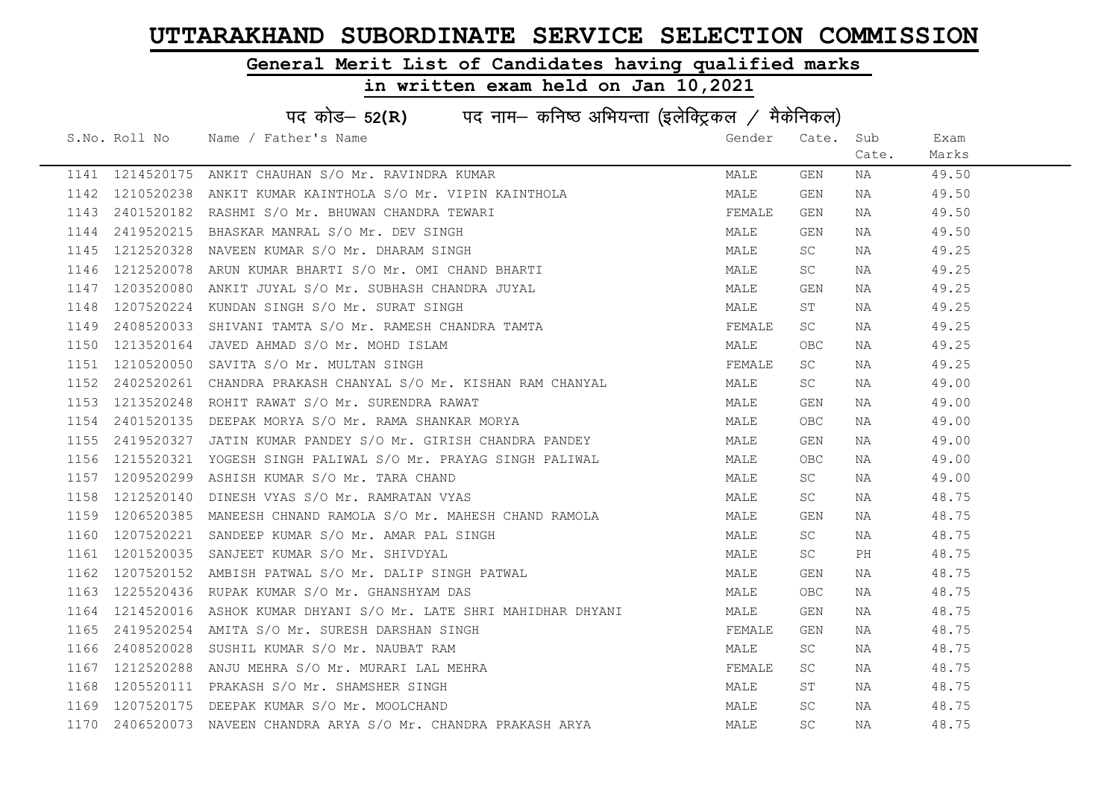### General Merit List of Candidates having qualified marks

|      | पद कोड– 52(R) पद नाम– कनिष्ठ अभियन्ता (इलेक्ट्रिकल / मैकेनिकल) |                                                                                                                                                               |        |       |       |       |  |  |
|------|----------------------------------------------------------------|---------------------------------------------------------------------------------------------------------------------------------------------------------------|--------|-------|-------|-------|--|--|
|      |                                                                | S.No. Roll No Name / Father's Name                                                                                                                            | Gender | Cate. | Sub   | Exam  |  |  |
|      |                                                                |                                                                                                                                                               |        |       | Cate. | Marks |  |  |
|      | 1141 1214520175                                                | ANKIT CHAUHAN S/O Mr. RAVINDRA KUMAR                                                                                                                          | MALE   | GEN   | NA    | 49.50 |  |  |
| 1142 | 1210520238                                                     | ANKIT KUMAR KAINTHOLA S/O Mr. VIPIN KAINTHOLA                                                                                                                 | MALE   | GEN   | NA    | 49.50 |  |  |
| 1143 | 2401520182                                                     | RASHMI S/O Mr. BHUWAN CHANDRA TEWARI                                                                                                                          | FEMALE | GEN   | NA    | 49.50 |  |  |
| 1144 | 2419520215                                                     | BHASKAR MANRAL S/O Mr. DEV SINGH                                                                                                                              | MALE   | GEN   | NA    | 49.50 |  |  |
| 1145 | 1212520328                                                     | NAVEEN KUMAR S/O Mr. DHARAM SINGH                                                                                                                             | MALE   | SC -  | NA    | 49.25 |  |  |
| 1146 | 1212520078                                                     |                                                                                                                                                               | MALE   | SC.   | NA    | 49.25 |  |  |
| 1147 | 1203520080                                                     |                                                                                                                                                               | MALE   | GEN   | NA    | 49.25 |  |  |
| 1148 | 1207520224                                                     | RUN KUMAR BHARTI S/O Mr. 044 -<br>ANKIT JUYAL S/O Mr. SUBHASH CHANDRA JUYAL<br>KUNDAN SINGH S/O Mr. SURAT SINGH<br>SHIVANI TAMTA S/O Mr. RAMESH CHANDRA TAMTA | MALE   | ST    | NA    | 49.25 |  |  |
| 1149 | 2408520033                                                     |                                                                                                                                                               | FEMALE | SC    | NA    | 49.25 |  |  |
| 1150 | 1213520164                                                     |                                                                                                                                                               | MALE   | OBC   | NA    | 49.25 |  |  |
| 1151 | 1210520050                                                     |                                                                                                                                                               | FEMALE | SC    | NA    | 49.25 |  |  |
| 1152 | 2402520261                                                     | CHANDRA PRAKASH CHANYAL S/O Mr. KISHAN RAM CHANYAL                                                                                                            | MALE   | SC    | NA    | 49.00 |  |  |
| 1153 | 1213520248                                                     | ROHIT RAWAT S/O Mr. SURENDRA RAWAT                                                                                                                            | MALE   | GEN   | NA    | 49.00 |  |  |
| 1154 | 2401520135                                                     | DEEPAK MORYA S/O Mr. RAMA SHANKAR MORYA                                                                                                                       | MALE   | OBC   | NA    | 49.00 |  |  |
| 1155 | 2419520327                                                     | JATIN KUMAR PANDEY S/O Mr. GIRISH CHANDRA PANDEY                                                                                                              | MALE   | GEN   | NA    | 49.00 |  |  |
| 1156 | 1215520321                                                     | YOGESH SINGH PALIWAL S/O Mr. PRAYAG SINGH PALIWAL                                                                                                             | MALE   | OBC   | NA    | 49.00 |  |  |
| 1157 | 1209520299                                                     | ASHISH KUMAR S/O Mr. TARA CHAND                                                                                                                               | MALE   | SC    | NA    | 49.00 |  |  |
| 1158 | 1212520140                                                     | DINESH VYAS S/O Mr. RAMRATAN VYAS                                                                                                                             | MALE   | SC    | NA    | 48.75 |  |  |
| 1159 | 1206520385                                                     | MANEESH CHNAND RAMOLA S/O Mr. MAHESH CHAND RAMOLA                                                                                                             | MALE   | GEN   | NA    | 48.75 |  |  |
| 1160 | 1207520221                                                     | SANDEEP KUMAR S/O Mr. AMAR PAL SINGH                                                                                                                          | MALE   | SC    | NA    | 48.75 |  |  |
| 1161 | 1201520035                                                     | SANJEET KUMAR S/O Mr. SHIVDYAL                                                                                                                                | MALE   | SC.   | PH    | 48.75 |  |  |
| 1162 | 1207520152                                                     | AMBISH PATWAL S/O Mr. DALIP SINGH PATWAL                                                                                                                      | MALE   | GEN   | NA    | 48.75 |  |  |
| 1163 | 1225520436                                                     | RUPAK KUMAR S/O Mr. GHANSHYAM DAS                                                                                                                             | MALE   | OBC   | NA    | 48.75 |  |  |
| 1164 | 1214520016                                                     | ASHOK KUMAR DHYANI S/O Mr. LATE SHRI MAHIDHAR DHYANI                                                                                                          | MALE   | GEN   | NA    | 48.75 |  |  |
| 1165 | 2419520254                                                     | AMITA S/O Mr. SURESH DARSHAN SINGH                                                                                                                            | FEMALE | GEN   | NA    | 48.75 |  |  |
| 1166 | 2408520028                                                     | SUSHIL KUMAR S/O Mr. NAUBAT RAM                                                                                                                               | MALE   | SC    | NA    | 48.75 |  |  |
| 1167 | 1212520288                                                     | ANJU MEHRA S/O Mr. MURARI LAL MEHRA                                                                                                                           | FEMALE | SC    | NA    | 48.75 |  |  |
| 1168 | 1205520111                                                     | PRAKASH S/O Mr. SHAMSHER SINGH                                                                                                                                | MALE   | ST    | NA    | 48.75 |  |  |
| 1169 | 1207520175                                                     | DEEPAK KUMAR S/O Mr. MOOLCHAND                                                                                                                                | MALE   | SC.   | NA    | 48.75 |  |  |
| 1170 | 2406520073                                                     | NAVEEN CHANDRA ARYA S/O Mr. CHANDRA PRAKASH ARYA                                                                                                              | MALE   | SC    | NA    | 48.75 |  |  |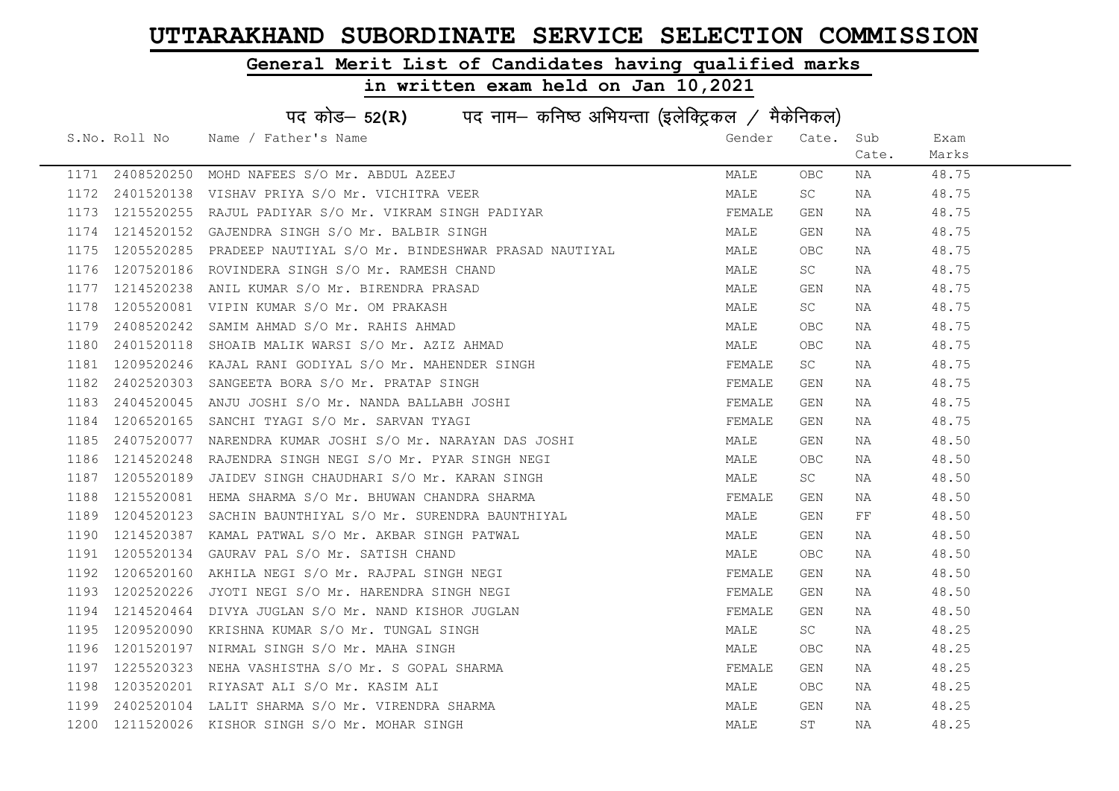### General Merit List of Candidates having qualified marks

|      | पद कोड़- 52(R) पद नाम- कनिष्ठ अभियन्ता (इलेक्ट्रिकल / मैकेनिकल) |                                                     |        |            |       |       |  |  |
|------|-----------------------------------------------------------------|-----------------------------------------------------|--------|------------|-------|-------|--|--|
|      | S.No. Roll No                                                   | Name / Father's Name                                | Gender | Cate.      | Sub   | Exam  |  |  |
|      |                                                                 |                                                     |        |            | Cate. | Marks |  |  |
|      | 1171 2408520250                                                 | MOHD NAFEES S/O Mr. ABDUL AZEEJ                     | MALE   | <b>OBC</b> | NA    | 48.75 |  |  |
| 1172 | 2401520138                                                      | VISHAV PRIYA S/O Mr. VICHITRA VEER                  | MALE   | SC         | NA    | 48.75 |  |  |
| 1173 | 1215520255                                                      | RAJUL PADIYAR S/O Mr. VIKRAM SINGH PADIYAR          | FEMALE | GEN        | NA    | 48.75 |  |  |
| 1174 | 1214520152                                                      | GAJENDRA SINGH S/O Mr. BALBIR SINGH                 | MALE   | GEN        | NA    | 48.75 |  |  |
| 1175 | 1205520285                                                      | PRADEEP NAUTIYAL S/O Mr. BINDESHWAR PRASAD NAUTIYAL | MALE   | OBC.       | NA    | 48.75 |  |  |
| 1176 | 1207520186                                                      | ROVINDERA SINGH S/O Mr. RAMESH CHAND                | MALE   | SC         | NA    | 48.75 |  |  |
| 1177 | 1214520238                                                      | ANIL KUMAR S/O Mr. BIRENDRA PRASAD                  | MALE   | GEN        | NA    | 48.75 |  |  |
| 1178 | 1205520081                                                      | VIPIN KUMAR S/O Mr. OM PRAKASH                      | MALE   | SC.        | NA    | 48.75 |  |  |
| 1179 | 2408520242                                                      | SAMIM AHMAD S/O Mr. RAHIS AHMAD                     | MALE   | <b>OBC</b> | NA    | 48.75 |  |  |
| 1180 | 2401520118                                                      | SHOAIB MALIK WARSI S/O Mr. AZIZ AHMAD               | MALE   | <b>OBC</b> | NA    | 48.75 |  |  |
| 1181 | 1209520246                                                      | KAJAL RANI GODIYAL S/O Mr. MAHENDER SINGH           | FEMALE | SC         | NA    | 48.75 |  |  |
| 1182 | 2402520303                                                      | SANGEETA BORA S/O Mr. PRATAP SINGH                  | FEMALE | GEN        | NA    | 48.75 |  |  |
| 1183 | 2404520045                                                      | ANJU JOSHI S/O Mr. NANDA BALLABH JOSHI              | FEMALE | GEN        | NA    | 48.75 |  |  |
| 1184 | 1206520165                                                      | SANCHI TYAGI S/O Mr. SARVAN TYAGI                   | FEMALE | GEN        | NA    | 48.75 |  |  |
| 1185 | 2407520077                                                      | NARENDRA KUMAR JOSHI S/O Mr. NARAYAN DAS JOSHI      | MALE   | GEN        | NA    | 48.50 |  |  |
| 1186 | 1214520248                                                      | RAJENDRA SINGH NEGI S/O Mr. PYAR SINGH NEGI         | MALE   | <b>OBC</b> | NA    | 48.50 |  |  |
| 1187 | 1205520189                                                      | JAIDEV SINGH CHAUDHARI S/O Mr. KARAN SINGH          | MALE   | SC.        | NA    | 48.50 |  |  |
| 1188 | 1215520081                                                      | HEMA SHARMA S/O Mr. BHUWAN CHANDRA SHARMA           | FEMALE | GEN        | NA    | 48.50 |  |  |
| 1189 | 1204520123                                                      | SACHIN BAUNTHIYAL S/O Mr. SURENDRA BAUNTHIYAL       | MALE   | GEN        | FF.   | 48.50 |  |  |
| 1190 | 1214520387                                                      | KAMAL PATWAL S/O Mr. AKBAR SINGH PATWAL             | MALE   | GEN        | NA    | 48.50 |  |  |
| 1191 | 1205520134                                                      | GAURAV PAL S/O Mr. SATISH CHAND                     | MALE   | OBC.       | NA    | 48.50 |  |  |
| 1192 | 1206520160                                                      | AKHILA NEGI S/O Mr. RAJPAL SINGH NEGI               | FEMALE | GEN        | NA    | 48.50 |  |  |
| 1193 | 1202520226                                                      | JYOTI NEGI S/O Mr. HARENDRA SINGH NEGI              | FEMALE | GEN        | NA    | 48.50 |  |  |
| 1194 | 1214520464                                                      | DIVYA JUGLAN S/O Mr. NAND KISHOR JUGLAN             | FEMALE | GEN        | NA    | 48.50 |  |  |
| 1195 | 1209520090                                                      | KRISHNA KUMAR S/O Mr. TUNGAL SINGH                  | MALE   | SC         | NA    | 48.25 |  |  |
| 1196 | 1201520197                                                      | NIRMAL SINGH S/O Mr. MAHA SINGH                     | MALE   | <b>OBC</b> | NA    | 48.25 |  |  |
| 1197 | 1225520323                                                      | NEHA VASHISTHA S/O Mr. S GOPAL SHARMA               | FEMALE | GEN        | NA    | 48.25 |  |  |
| 1198 |                                                                 | 1203520201 RIYASAT ALI S/O Mr. KASIM ALI            | MALE   | OBC        | NA    | 48.25 |  |  |
| 1199 | 2402520104                                                      | LALIT SHARMA S/O Mr. VIRENDRA SHARMA                | MALE   | GEN        | NA    | 48.25 |  |  |
| 1200 |                                                                 | 1211520026 KISHOR SINGH S/O Mr. MOHAR SINGH         | MALE   | ST         | NA    | 48.25 |  |  |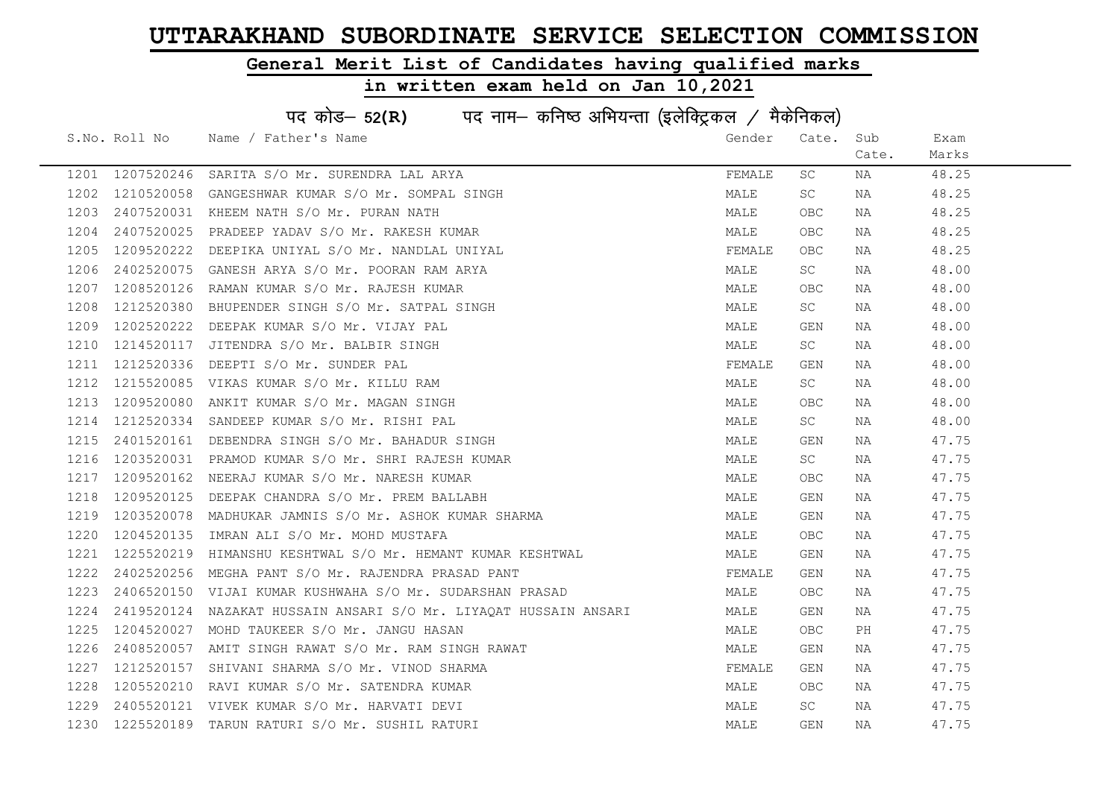### General Merit List of Candidates having qualified marks

|      | पद कोड़- 52(R) पद नाम- कनिष्ठ अभियन्ता (इलेक्ट्रिकल / मैकेनिकल) |                                                          |        |            |       |       |  |  |
|------|-----------------------------------------------------------------|----------------------------------------------------------|--------|------------|-------|-------|--|--|
|      | S.No. Roll No                                                   | Name / Father's Name                                     | Gender | Cate.      | Sub   | Exam  |  |  |
|      |                                                                 |                                                          |        |            | Cate. | Marks |  |  |
| 1201 | 1207520246                                                      | SARITA S/O Mr. SURENDRA LAL ARYA                         | FEMALE | SC         | NA    | 48.25 |  |  |
| 1202 | 1210520058                                                      | GANGESHWAR KUMAR S/O Mr. SOMPAL SINGH                    | MALE   | SC         | NA    | 48.25 |  |  |
| 1203 | 2407520031                                                      | KHEEM NATH S/O Mr. PURAN NATH                            | MALE   | <b>OBC</b> | NA    | 48.25 |  |  |
| 1204 | 2407520025                                                      | PRADEEP YADAV S/O Mr. RAKESH KUMAR                       | MALE   | <b>OBC</b> | NA    | 48.25 |  |  |
| 1205 | 1209520222                                                      | DEEPIKA UNIYAL S/O Mr. NANDLAL UNIYAL                    | FEMALE | OBC.       | NA    | 48.25 |  |  |
| 1206 | 2402520075                                                      | GANESH ARYA S/O Mr. POORAN RAM ARYA                      | MALE   | SC         | NA    | 48.00 |  |  |
| 1207 | 1208520126                                                      | RAMAN KUMAR S/O Mr. RAJESH KUMAR                         | MALE   | OBC        | NA    | 48.00 |  |  |
| 1208 | 1212520380                                                      | BHUPENDER SINGH S/O Mr. SATPAL SINGH                     | MALE   | SC         | NA    | 48.00 |  |  |
| 1209 | 1202520222                                                      | DEEPAK KUMAR S/O Mr. VIJAY PAL                           | MALE   | <b>GEN</b> | NA    | 48.00 |  |  |
| 1210 | 1214520117                                                      | JITENDRA S/O Mr. BALBIR SINGH                            | MALE   | SC         | NA    | 48.00 |  |  |
| 1211 | 1212520336                                                      | DEEPTI S/O Mr. SUNDER PAL                                | FEMALE | GEN        | NA    | 48.00 |  |  |
| 1212 | 1215520085                                                      | VIKAS KUMAR S/O Mr. KILLU RAM                            | MALE   | SC         | NA    | 48.00 |  |  |
| 1213 | 1209520080                                                      | ANKIT KUMAR S/O Mr. MAGAN SINGH                          | MALE   | OBC        | NA    | 48.00 |  |  |
| 1214 | 1212520334                                                      | SANDEEP KUMAR S/O Mr. RISHI PAL                          | MALE   | SC         | NA    | 48.00 |  |  |
| 1215 |                                                                 | 2401520161 DEBENDRA SINGH S/O Mr. BAHADUR SINGH          | MALE   | GEN        | NA    | 47.75 |  |  |
| 1216 | 1203520031                                                      | PRAMOD KUMAR S/O Mr. SHRI RAJESH KUMAR                   | MALE   | SC         | NA    | 47.75 |  |  |
| 1217 | 1209520162                                                      | NEERAJ KUMAR S/O Mr. NARESH KUMAR                        | MALE   | <b>OBC</b> | NA    | 47.75 |  |  |
| 1218 | 1209520125                                                      | DEEPAK CHANDRA S/O Mr. PREM BALLABH                      | MALE   | GEN        | NA    | 47.75 |  |  |
| 1219 | 1203520078                                                      | MADHUKAR JAMNIS S/O Mr. ASHOK KUMAR SHARMA               | MALE   | GEN        | NA    | 47.75 |  |  |
| 1220 | 1204520135                                                      | IMRAN ALI S/O Mr. MOHD MUSTAFA                           | MALE   | OBC        | NA    | 47.75 |  |  |
| 1221 | 1225520219                                                      | HIMANSHU KESHTWAL S/O Mr. HEMANT KUMAR KESHTWAL          | MALE   | GEN        | NA    | 47.75 |  |  |
| 1222 | 2402520256                                                      | MEGHA PANT S/O Mr. RAJENDRA PRASAD PANT                  | FEMALE | GEN        | NA    | 47.75 |  |  |
| 1223 |                                                                 | 2406520150 VIJAI KUMAR KUSHWAHA S/O Mr. SUDARSHAN PRASAD | MALE   | <b>OBC</b> | NA    | 47.75 |  |  |
| 1224 | 2419520124                                                      | NAZAKAT HUSSAIN ANSARI S/O Mr. LIYAQAT HUSSAIN ANSARI    | MALE   | GEN        | NA    | 47.75 |  |  |
| 1225 | 1204520027                                                      | MOHD TAUKEER S/O Mr. JANGU HASAN                         | MALE   | <b>OBC</b> | PH    | 47.75 |  |  |
| 1226 | 2408520057                                                      | AMIT SINGH RAWAT S/O Mr. RAM SINGH RAWAT                 | MALE   | GEN        | NA    | 47.75 |  |  |
| 1227 | 1212520157                                                      | SHIVANI SHARMA S/O Mr. VINOD SHARMA                      | FEMALE | GEN        | NA    | 47.75 |  |  |
| 1228 | 1205520210                                                      | RAVI KUMAR S/O Mr. SATENDRA KUMAR                        | MALE   | OBC        | NA    | 47.75 |  |  |
| 1229 |                                                                 | 2405520121 VIVEK KUMAR S/O Mr. HARVATI DEVI              | MALE   | SC         | NA    | 47.75 |  |  |
| 1230 | 1225520189                                                      | TARUN RATURI S/O Mr. SUSHIL RATURI                       | MALE   | GEN        | ΝA    | 47.75 |  |  |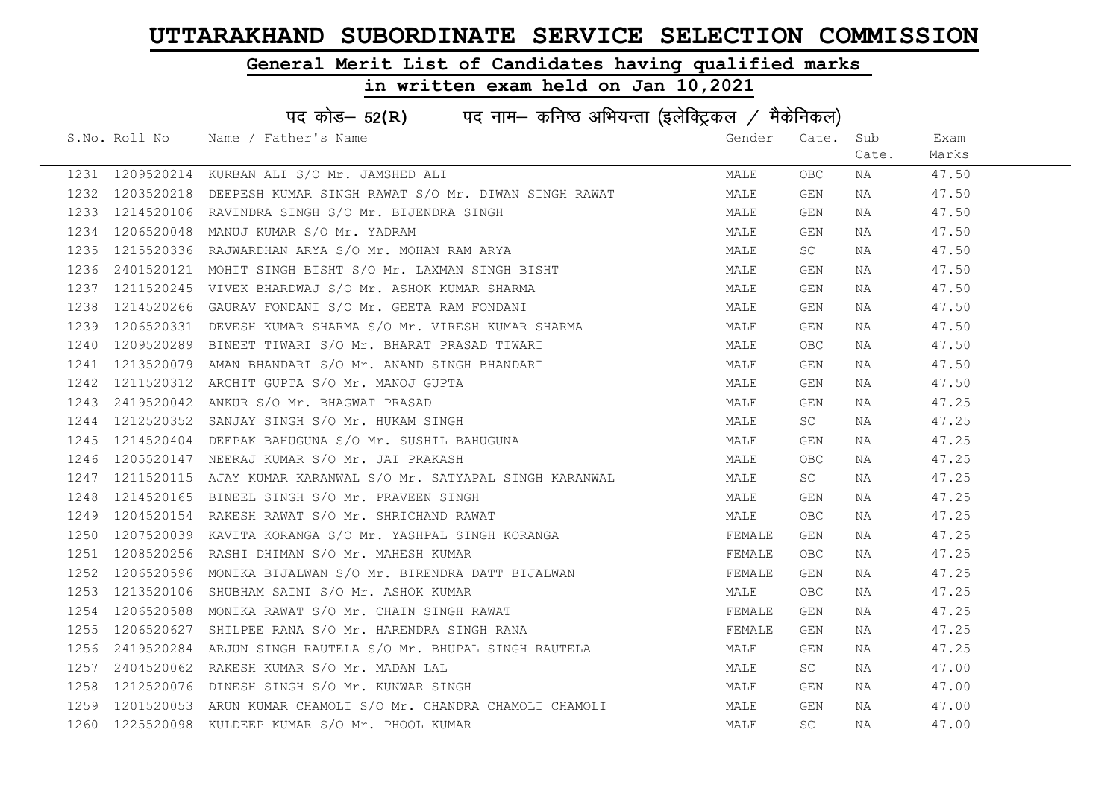### General Merit List of Candidates having qualified marks

|      | पद कोड- 52(R) पद नाम- कनिष्ठ अभियन्ता (इलेक्ट्रिकल / मैकेनिकल) |                                                                                    |        |            |       |       |  |  |
|------|----------------------------------------------------------------|------------------------------------------------------------------------------------|--------|------------|-------|-------|--|--|
|      |                                                                | S.No. Roll No Name / Father's Name                                                 | Gender | Cate.      | Sub   | Exam  |  |  |
|      |                                                                |                                                                                    |        |            | Cate. | Marks |  |  |
| 1231 | 1209520214                                                     | KURBAN ALI S/O Mr. JAMSHED ALI                                                     | MALE   | OBC.       | NA    | 47.50 |  |  |
| 1232 | 1203520218                                                     | DEEPESH KUMAR SINGH RAWAT S/O Mr. DIWAN SINGH RAWAT                                | MALE   | GEN        | NA    | 47.50 |  |  |
| 1233 | 1214520106                                                     | RAVINDRA SINGH S/O Mr. BIJENDRA SINGH                                              | MALE   | GEN        | NA    | 47.50 |  |  |
| 1234 | 1206520048                                                     | MANUJ KUMAR S/O Mr. YADRAM                                                         | MALE   | GEN        | NA    | 47.50 |  |  |
| 1235 | 1215520336                                                     | RAJWARDHAN ARYA S/O Mr. MOHAN RAM ARYA                                             | MALE   | SC         | NA    | 47.50 |  |  |
| 1236 | 2401520121                                                     | MOHIT SINGH BISHT S/O Mr. LAXMAN SINGH BISHT                                       | MALE   | GEN        | NA    | 47.50 |  |  |
| 1237 | 1211520245                                                     | VIVEK BHARDWAJ S/O Mr. ASHOK KUMAR SHARMA                                          | MALE   | GEN        | NA    | 47.50 |  |  |
| 1238 | 1214520266                                                     | GAURAV FONDANI S/O Mr. GEETA RAM FONDANI                                           | MALE   | GEN        | NA    | 47.50 |  |  |
| 1239 | 1206520331                                                     | DEVESH KUMAR SHARMA S/O Mr. VIRESH KUMAR SHARMA                                    | MALE   | GEN        | NA    | 47.50 |  |  |
| 1240 | 1209520289                                                     | BINEET TIWARI S/O Mr. BHARAT PRASAD TIWARI                                         | MALE   | OBC.       | NA    | 47.50 |  |  |
| 1241 | 1213520079                                                     | AMAN BHANDARI S/O Mr. ANAND SINGH BHANDARI                                         | MALE   | GEN        | NA    | 47.50 |  |  |
| 1242 | 1211520312                                                     | ARCHIT GUPTA S/O Mr. MANOJ GUPTA                                                   | MALE   | GEN        | NA    | 47.50 |  |  |
| 1243 | 2419520042                                                     | ANKUR S/O Mr. BHAGWAT PRASAD                                                       | MALE   | GEN        | NA    | 47.25 |  |  |
| 1244 | 1212520352                                                     | SANJAY SINGH S/O Mr. HUKAM SINGH                                                   | MALE   | <b>SC</b>  | NA    | 47.25 |  |  |
| 1245 | 1214520404                                                     | DEEPAK BAHUGUNA S/O Mr. SUSHIL BAHUGUNA                                            | MALE   | GEN        | NA    | 47.25 |  |  |
| 1246 | 1205520147                                                     | NEERAJ KUMAR S/O Mr. JAI PRAKASH                                                   | MALE   | <b>OBC</b> | NA    | 47.25 |  |  |
| 1247 | 1211520115                                                     | AJAY KUMAR KARANWAL S/O Mr. SATYAPAL SINGH KARANWAL                                | MALE   | SC         | NA    | 47.25 |  |  |
| 1248 | 1214520165                                                     | BINEEL SINGH S/O Mr. PRAVEEN SINGH                                                 | MALE   | GEN        | NA    | 47.25 |  |  |
| 1249 | 1204520154                                                     | RAKESH RAWAT S/O Mr. SHRICHAND RAWAT                                               | MALE   | OBC.       | NA    | 47.25 |  |  |
| 1250 | 1207520039                                                     | KAVITA KORANGA S/O Mr. YASHPAL SINGH KORANGA                                       | FEMALE | GEN        | NA    | 47.25 |  |  |
| 1251 | 1208520256                                                     | RASHI DHIMAN S/O Mr. MAHESH KUMAR                                                  | FEMALE | OBC.       | NA    | 47.25 |  |  |
| 1252 | 1206520596                                                     | MONIKA BIJALWAN S/O Mr. BIRENDRA DATT BIJALWAN                                     | FEMALE | GEN        | NA    | 47.25 |  |  |
| 1253 | 1213520106                                                     | SHUBHAM SAINI S/O Mr. ASHOK KUMAR                                                  | MALE   | OBC.       | NA    | 47.25 |  |  |
| 1254 | 1206520588                                                     | MONIKA RAWAT S/O Mr. CHAIN SINGH RAWAT                                             | FEMALE | GEN        | NA    | 47.25 |  |  |
| 1255 | 1206520627                                                     | SHILPEE RANA S/O Mr. HARENDRA SINGH RANA                                           | FEMALE | GEN        | NA    | 47.25 |  |  |
| 1256 | 2419520284                                                     |                                                                                    | MALE   | GEN        | NA    | 47.25 |  |  |
| 1257 | 2404520062                                                     | ARJUN SINGH RAUTELA S/O Mr. BHUPAL SINGH RAUTELA<br>RAKESH KUMAR S/O Mr. MADAN LAL | MALE   | SC         | NA    | 47.00 |  |  |
| 1258 | 1212520076                                                     | DINESH SINGH S/O Mr. KUNWAR SINGH                                                  | MALE   | GEN        | NA    | 47.00 |  |  |
| 1259 | 1201520053                                                     | ARUN KUMAR CHAMOLI S/O Mr. CHANDRA CHAMOLI CHAMOLI                                 | MALE   | GEN        | NA    | 47.00 |  |  |
|      | 1260 1225520098                                                | KULDEEP KUMAR S/O Mr. PHOOL KUMAR                                                  | MALE   | <b>SC</b>  | NA    | 47.00 |  |  |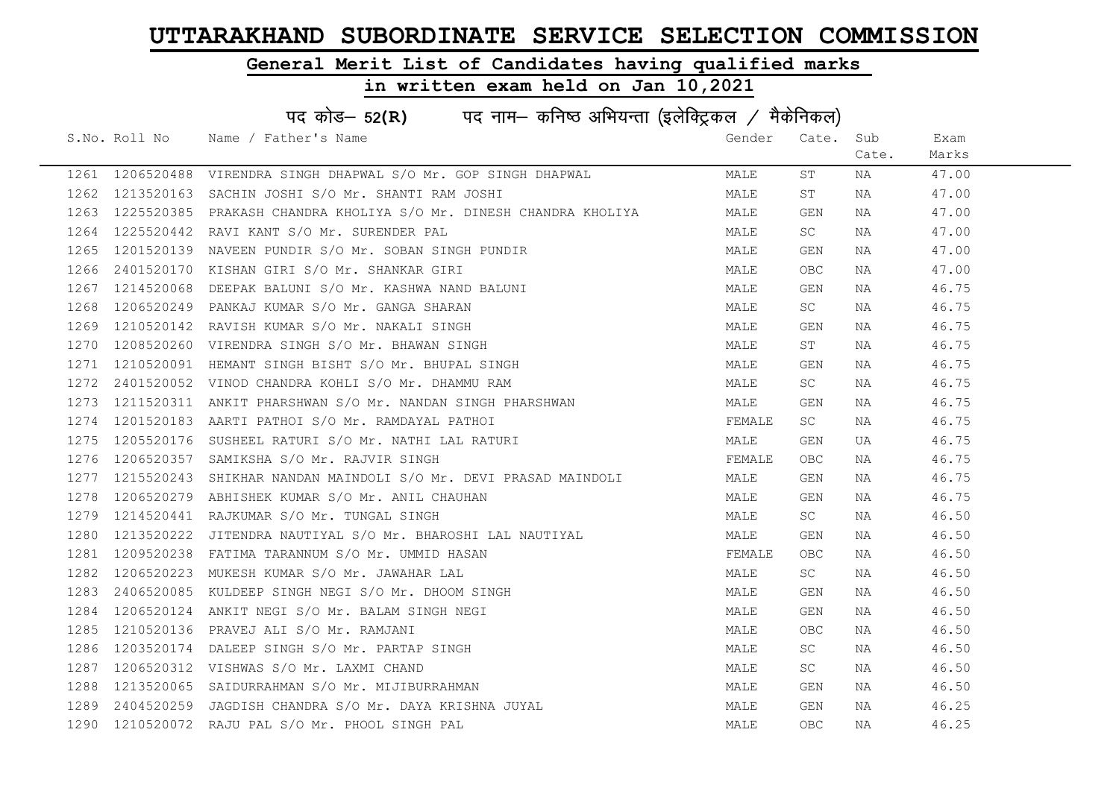### General Merit List of Candidates having qualified marks

|      | पद कोड– 52(R) पद नाम– कनिष्ठ अभियन्ता (इलेक्ट्रिकल / मैकेनिकल) |                                                        |        |            |       |       |  |  |
|------|----------------------------------------------------------------|--------------------------------------------------------|--------|------------|-------|-------|--|--|
|      |                                                                | S.No. Roll No Name / Father's Name                     | Gender | Cate.      | Sub   | Exam  |  |  |
|      |                                                                |                                                        |        |            | Cate. | Marks |  |  |
|      | 1261 1206520488                                                | VIRENDRA SINGH DHAPWAL S/O Mr. GOP SINGH DHAPWAL       | MALE   | ST         | NA    | 47.00 |  |  |
| 1262 | 1213520163                                                     | SACHIN JOSHI S/O Mr. SHANTI RAM JOSHI                  | MALE   | ST         | NA    | 47.00 |  |  |
| 1263 | 1225520385                                                     | PRAKASH CHANDRA KHOLIYA S/O Mr. DINESH CHANDRA KHOLIYA | MALE   | GEN        | NA    | 47.00 |  |  |
| 1264 | 1225520442                                                     | RAVI KANT S/O Mr. SURENDER PAL                         | MALE   | <b>SC</b>  | NA    | 47.00 |  |  |
| 1265 | 1201520139                                                     | NAVEEN PUNDIR S/O Mr. SOBAN SINGH PUNDIR               | MALE   | GEN        | NA    | 47.00 |  |  |
| 1266 | 2401520170                                                     | KISHAN GIRI S/O Mr. SHANKAR GIRI                       | MALE   | <b>OBC</b> | NA    | 47.00 |  |  |
| 1267 | 1214520068                                                     | DEEPAK BALUNI S/O Mr. KASHWA NAND BALUNI               | MALE   | GEN        | NA    | 46.75 |  |  |
| 1268 | 1206520249                                                     | PANKAJ KUMAR S/O Mr. GANGA SHARAN                      | MALE   | <b>SC</b>  | NA    | 46.75 |  |  |
| 1269 | 1210520142                                                     | RAVISH KUMAR S/O Mr. NAKALI SINGH                      | MALE   | GEN        | NA    | 46.75 |  |  |
| 1270 | 1208520260                                                     | VIRENDRA SINGH S/O Mr. BHAWAN SINGH                    | MALE   | ST         | NA    | 46.75 |  |  |
| 1271 | 1210520091                                                     | HEMANT SINGH BISHT S/O Mr. BHUPAL SINGH                | MALE   | GEN        | NA    | 46.75 |  |  |
| 1272 | 2401520052                                                     | VINOD CHANDRA KOHLI S/O Mr. DHAMMU RAM                 | MALE   | <b>SC</b>  | NA    | 46.75 |  |  |
| 1273 | 1211520311                                                     | ANKIT PHARSHWAN S/O Mr. NANDAN SINGH PHARSHWAN         | MALE   | GEN        | NA    | 46.75 |  |  |
| 1274 | 1201520183                                                     | AARTI PATHOI S/O Mr. RAMDAYAL PATHOI                   | FEMALE | <b>SC</b>  | NA    | 46.75 |  |  |
| 1275 | 1205520176                                                     | SUSHEEL RATURI S/O Mr. NATHI LAL RATURI                | MALE   | GEN        | UA    | 46.75 |  |  |
| 1276 | 1206520357                                                     | SAMIKSHA S/O Mr. RAJVIR SINGH                          | FEMALE | <b>OBC</b> | NA    | 46.75 |  |  |
| 1277 | 1215520243                                                     | SHIKHAR NANDAN MAINDOLI S/O Mr. DEVI PRASAD MAINDOLI   | MALE   | GEN        | NA    | 46.75 |  |  |
| 1278 | 1206520279                                                     | ABHISHEK KUMAR S/O Mr. ANIL CHAUHAN                    | MALE   | GEN        | NA    | 46.75 |  |  |
| 1279 | 1214520441                                                     | RAJKUMAR S/O Mr. TUNGAL SINGH                          | MALE   | SC         | NA    | 46.50 |  |  |
| 1280 | 1213520222                                                     | JITENDRA NAUTIYAL S/O Mr. BHAROSHI LAL NAUTIYAL        | MALE   | GEN        | NA    | 46.50 |  |  |
| 1281 | 1209520238                                                     | FATIMA TARANNUM S/O Mr. UMMID HASAN                    | FEMALE | OBC.       | NA    | 46.50 |  |  |
| 1282 | 1206520223                                                     | MUKESH KUMAR S/O Mr. JAWAHAR LAL                       | MALE   | SC         | NA    | 46.50 |  |  |
| 1283 | 2406520085                                                     | KULDEEP SINGH NEGI S/O Mr. DHOOM SINGH                 | MALE   | GEN        | NA    | 46.50 |  |  |
| 1284 | 1206520124                                                     | ANKIT NEGI S/O Mr. BALAM SINGH NEGI                    | MALE   | GEN        | NA    | 46.50 |  |  |
| 1285 | 1210520136                                                     | PRAVEJ ALI S/O Mr. RAMJANI                             | MALE   | OBC        | NA    | 46.50 |  |  |
| 1286 | 1203520174                                                     | DALEEP SINGH S/O Mr. PARTAP SINGH                      | MALE   | SC         | NA    | 46.50 |  |  |
| 1287 | 1206520312                                                     | VISHWAS S/O Mr. LAXMI CHAND                            | MALE   | SC         | NA    | 46.50 |  |  |
| 1288 | 1213520065                                                     | SAIDURRAHMAN S/O Mr. MIJIBURRAHMAN                     | MALE   | GEN        | NA    | 46.50 |  |  |
| 1289 | 2404520259                                                     | JAGDISH CHANDRA S/O Mr. DAYA KRISHNA JUYAL             | MALE   | GEN        | ΝA    | 46.25 |  |  |
| 1290 | 1210520072                                                     | RAJU PAL S/O Mr. PHOOL SINGH PAL                       | MALE   | <b>OBC</b> | ΝA    | 46.25 |  |  |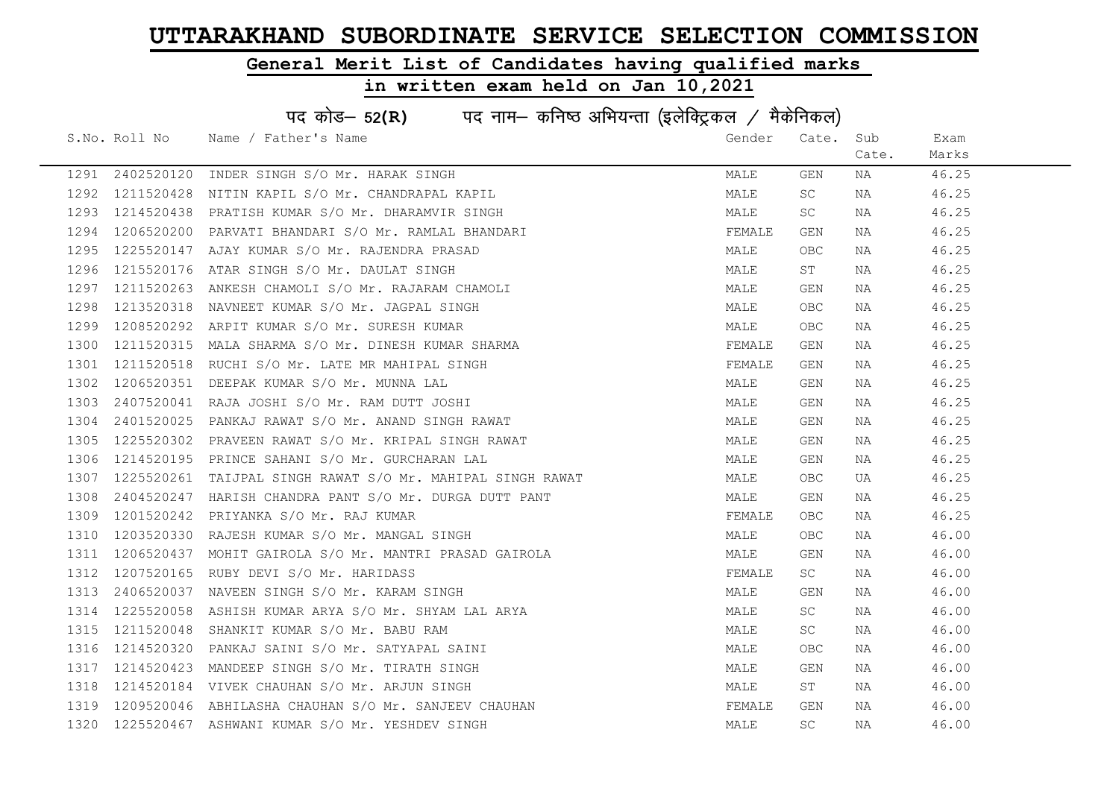### General Merit List of Candidates having qualified marks

|      | पद कोड- 52(R) पद नाम- कनिष्ठ अभियन्ता (इलेक्ट्रिकल / मैकेनिकल) |                                                 |        |            |       |       |  |  |
|------|----------------------------------------------------------------|-------------------------------------------------|--------|------------|-------|-------|--|--|
|      | S.No. Roll No                                                  | Name / Father's Name                            | Gender | Cate.      | Sub   | Exam  |  |  |
|      |                                                                |                                                 |        |            | Cate. | Marks |  |  |
| 1291 | 2402520120                                                     | INDER SINGH S/O Mr. HARAK SINGH                 | MALE   | GEN        | NA    | 46.25 |  |  |
| 1292 | 1211520428                                                     | NITIN KAPIL S/O Mr. CHANDRAPAL KAPIL            | MALE   | SC.        | NA    | 46.25 |  |  |
| 1293 | 1214520438                                                     | PRATISH KUMAR S/O Mr. DHARAMVIR SINGH           | MALE   | SC.        | NA    | 46.25 |  |  |
| 1294 | 1206520200                                                     | PARVATI BHANDARI S/O Mr. RAMLAL BHANDARI        | FEMALE | GEN        | NA    | 46.25 |  |  |
| 1295 | 1225520147                                                     | AJAY KUMAR S/O Mr. RAJENDRA PRASAD              | MALE   | OBC        | NA    | 46.25 |  |  |
| 1296 | 1215520176                                                     | ATAR SINGH S/O Mr. DAULAT SINGH                 | MALE   | ST         | NA    | 46.25 |  |  |
| 1297 | 1211520263                                                     | ANKESH CHAMOLI S/O Mr. RAJARAM CHAMOLI          | MALE   | GEN        | NA    | 46.25 |  |  |
| 1298 | 1213520318                                                     | NAVNEET KUMAR S/O Mr. JAGPAL SINGH              | MALE   | OBC        | NA    | 46.25 |  |  |
| 1299 | 1208520292                                                     | ARPIT KUMAR S/O Mr. SURESH KUMAR                | MALE   | OBC        | NA    | 46.25 |  |  |
| 1300 | 1211520315                                                     | MALA SHARMA S/O Mr. DINESH KUMAR SHARMA         | FEMALE | GEN        | NA    | 46.25 |  |  |
| 1301 | 1211520518                                                     | RUCHI S/O Mr. LATE MR MAHIPAL SINGH             | FEMALE | GEN        | NA    | 46.25 |  |  |
| 1302 | 1206520351                                                     | DEEPAK KUMAR S/O Mr. MUNNA LAL                  | MALE   | GEN        | NA    | 46.25 |  |  |
| 1303 | 2407520041                                                     | RAJA JOSHI S/O Mr. RAM DUTT JOSHI               | MALE   | GEN        | NA    | 46.25 |  |  |
| 1304 | 2401520025                                                     | PANKAJ RAWAT S/O Mr. ANAND SINGH RAWAT          | MALE   | GEN        | NA    | 46.25 |  |  |
| 1305 | 1225520302                                                     | PRAVEEN RAWAT S/O Mr. KRIPAL SINGH RAWAT        | MALE   | GEN        | NA    | 46.25 |  |  |
| 1306 | 1214520195                                                     | PRINCE SAHANI S/O Mr. GURCHARAN LAL             | MALE   | GEN        | NA    | 46.25 |  |  |
| 1307 | 1225520261                                                     | TAIJPAL SINGH RAWAT S/O Mr. MAHIPAL SINGH RAWAT | MALE   | <b>OBC</b> | UA    | 46.25 |  |  |
| 1308 | 2404520247                                                     | HARISH CHANDRA PANT S/O Mr. DURGA DUTT PANT     | MALE   | GEN        | NA    | 46.25 |  |  |
| 1309 | 1201520242                                                     | PRIYANKA S/O Mr. RAJ KUMAR                      | FEMALE | OBC.       | NA    | 46.25 |  |  |
| 1310 | 1203520330                                                     | RAJESH KUMAR S/O Mr. MANGAL SINGH               | MALE   | OBC        | NA    | 46.00 |  |  |
| 1311 | 1206520437                                                     | MOHIT GAIROLA S/O Mr. MANTRI PRASAD GAIROLA     | MALE   | GEN        | NA    | 46.00 |  |  |
| 1312 | 1207520165                                                     | RUBY DEVI S/O Mr. HARIDASS                      | FEMALE | SC         | NA    | 46.00 |  |  |
| 1313 | 2406520037                                                     | NAVEEN SINGH S/O Mr. KARAM SINGH                | MALE   | GEN        | NA    | 46.00 |  |  |
| 1314 | 1225520058                                                     | ASHISH KUMAR ARYA S/O Mr. SHYAM LAL ARYA        | MALE   | SC.        | NA    | 46.00 |  |  |
| 1315 | 1211520048                                                     | SHANKIT KUMAR S/O Mr. BABU RAM                  | MALE   | SC.        | NA    | 46.00 |  |  |
| 1316 | 1214520320                                                     | PANKAJ SAINI S/O Mr. SATYAPAL SAINI             | MALE   | OBC        | NA    | 46.00 |  |  |
| 1317 | 1214520423                                                     | MANDEEP SINGH S/O Mr. TIRATH SINGH              | MALE   | GEN        | NA    | 46.00 |  |  |
| 1318 | 1214520184                                                     | VIVEK CHAUHAN S/O Mr. ARJUN SINGH               | MALE   | ST         | NA    | 46.00 |  |  |
| 1319 | 1209520046                                                     | ABHILASHA CHAUHAN S/O Mr. SANJEEV CHAUHAN       | FEMALE | GEN        | NA    | 46.00 |  |  |
| 1320 | 1225520467                                                     | ASHWANI KUMAR S/O Mr. YESHDEV SINGH             | MALE   | SC         | ΝA    | 46.00 |  |  |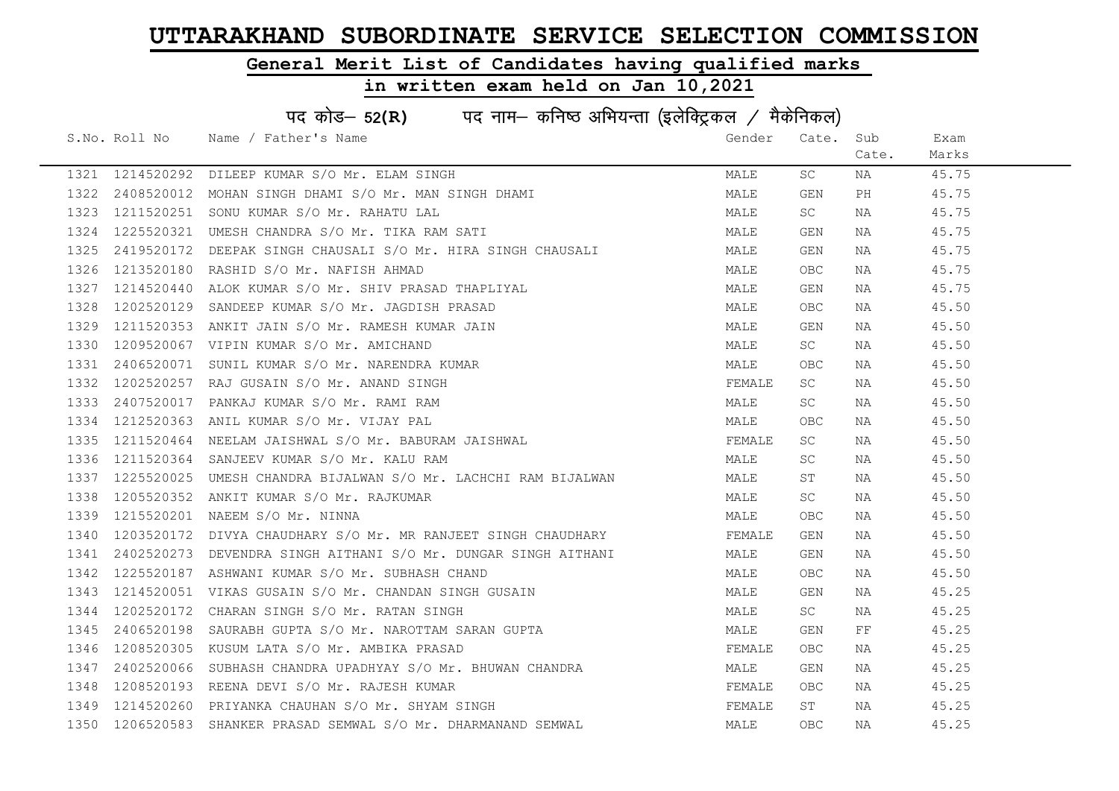### General Merit List of Candidates having qualified marks

|      | पद कोड– 52(R) पद नाम– कनिष्ठ अभियन्ता (इलेक्ट्रिकल / मैकेनिकल) |                                                            |        |            |       |       |  |  |
|------|----------------------------------------------------------------|------------------------------------------------------------|--------|------------|-------|-------|--|--|
|      |                                                                | S.No. Roll No Name / Father's Name                         | Gender | Cate. Sub  |       | Exam  |  |  |
|      |                                                                |                                                            |        |            | Cate. | Marks |  |  |
|      | 1321 1214520292                                                | DILEEP KUMAR S/O Mr. ELAM SINGH                            | MALE   | SC         | NA    | 45.75 |  |  |
| 1322 | 2408520012                                                     | MOHAN SINGH DHAMI S/O Mr. MAN SINGH DHAMI                  | MALE   | GEN        | PH    | 45.75 |  |  |
| 1323 | 1211520251                                                     | SONU KUMAR S/O Mr. RAHATU LAL                              | MALE   | SC         | NA    | 45.75 |  |  |
| 1324 | 1225520321                                                     | UMESH CHANDRA S/O Mr. TIKA RAM SATI                        | MALE   | GEN        | NA    | 45.75 |  |  |
| 1325 | 2419520172                                                     | DEEPAK SINGH CHAUSALI S/O Mr. HIRA SINGH CHAUSALI          | MALE   | GEN        | NA    | 45.75 |  |  |
| 1326 | 1213520180                                                     | RASHID S/O Mr. NAFISH AHMAD                                | MALE   | <b>OBC</b> | NA    | 45.75 |  |  |
| 1327 | 1214520440                                                     | ALOK KUMAR S/O Mr. SHIV PRASAD THAPLIYAL                   | MALE   | GEN        | NA    | 45.75 |  |  |
| 1328 | 1202520129                                                     | SANDEEP KUMAR S/O Mr. JAGDISH PRASAD                       | MALE   | <b>OBC</b> | NA    | 45.50 |  |  |
| 1329 | 1211520353                                                     | ANKIT JAIN S/O Mr. RAMESH KUMAR JAIN                       | MALE   | GEN        | NA    | 45.50 |  |  |
| 1330 | 1209520067                                                     | VIPIN KUMAR S/O Mr. AMICHAND                               | MALE   | SC         | NA    | 45.50 |  |  |
| 1331 | 2406520071                                                     | SUNIL KUMAR S/O Mr. NARENDRA KUMAR                         | MALE   | OBC        | NA    | 45.50 |  |  |
| 1332 | 1202520257                                                     | RAJ GUSAIN S/O Mr. ANAND SINGH                             | FEMALE | SC         | NA    | 45.50 |  |  |
| 1333 | 2407520017                                                     | PANKAJ KUMAR S/O Mr. RAMI RAM                              | MALE   | SC         | NA    | 45.50 |  |  |
| 1334 | 1212520363                                                     | ANIL KUMAR S/O Mr. VIJAY PAL                               | MALE   | OBC        | NA    | 45.50 |  |  |
| 1335 | 1211520464                                                     | NEELAM JAISHWAL S/O Mr. BABURAM JAISHWAL                   | FEMALE | SC.        | NA    | 45.50 |  |  |
| 1336 | 1211520364                                                     | SANJEEV KUMAR S/O Mr. KALU RAM                             | MALE   | SC         | NA    | 45.50 |  |  |
| 1337 | 1225520025                                                     | UMESH CHANDRA BIJALWAN S/O Mr. LACHCHI RAM BIJALWAN        | MALE   | ST         | NA    | 45.50 |  |  |
| 1338 | 1205520352                                                     | ANKIT KUMAR S/O Mr. RAJKUMAR                               | MALE   | SC.        | NA    | 45.50 |  |  |
| 1339 | 1215520201                                                     | NAEEM S/O Mr. NINNA                                        | MALE   | OBC        | NA    | 45.50 |  |  |
| 1340 | 1203520172                                                     | DIVYA CHAUDHARY S/O Mr. MR RANJEET SINGH CHAUDHARY         | FEMALE | GEN        | NA    | 45.50 |  |  |
| 1341 | 2402520273                                                     | DEVENDRA SINGH AITHANI S/O Mr. DUNGAR SINGH AITHANI        | MALE   | GEN        | NA    | 45.50 |  |  |
| 1342 | 1225520187                                                     | ASHWANI KUMAR S/O Mr. SUBHASH CHAND                        | MALE   | OBC        | NA    | 45.50 |  |  |
| 1343 | 1214520051                                                     | VIKAS GUSAIN S/O Mr. CHANDAN SINGH GUSAIN                  | MALE   | GEN        | NA    | 45.25 |  |  |
| 1344 | 1202520172                                                     | CHARAN SINGH S/O Mr. RATAN SINGH                           | MALE   | SC         | NA    | 45.25 |  |  |
| 1345 | 2406520198                                                     | SAURABH GUPTA S/O Mr. NAROTTAM SARAN GUPTA                 | MALE   | GEN        | FF    | 45.25 |  |  |
| 1346 | 1208520305                                                     | KUSUM LATA S/O Mr. AMBIKA PRASAD                           | FEMALE | OBC.       | NA    | 45.25 |  |  |
| 1347 | 2402520066                                                     | SUBHASH CHANDRA UPADHYAY S/O Mr. BHUWAN CHANDRA            | MALE   | GEN        | NA    | 45.25 |  |  |
| 1348 | 1208520193                                                     | REENA DEVI S/O Mr. RAJESH KUMAR                            | FEMALE | OBC        | NA    | 45.25 |  |  |
| 1349 | 1214520260                                                     | PRIYANKA CHAUHAN S/O Mr. SHYAM SINGH                       | FEMALE | ST         | NA    | 45.25 |  |  |
| 1350 |                                                                | 1206520583 SHANKER PRASAD SEMWAL S/O Mr. DHARMANAND SEMWAL | MALE   | <b>OBC</b> | ΝA    | 45.25 |  |  |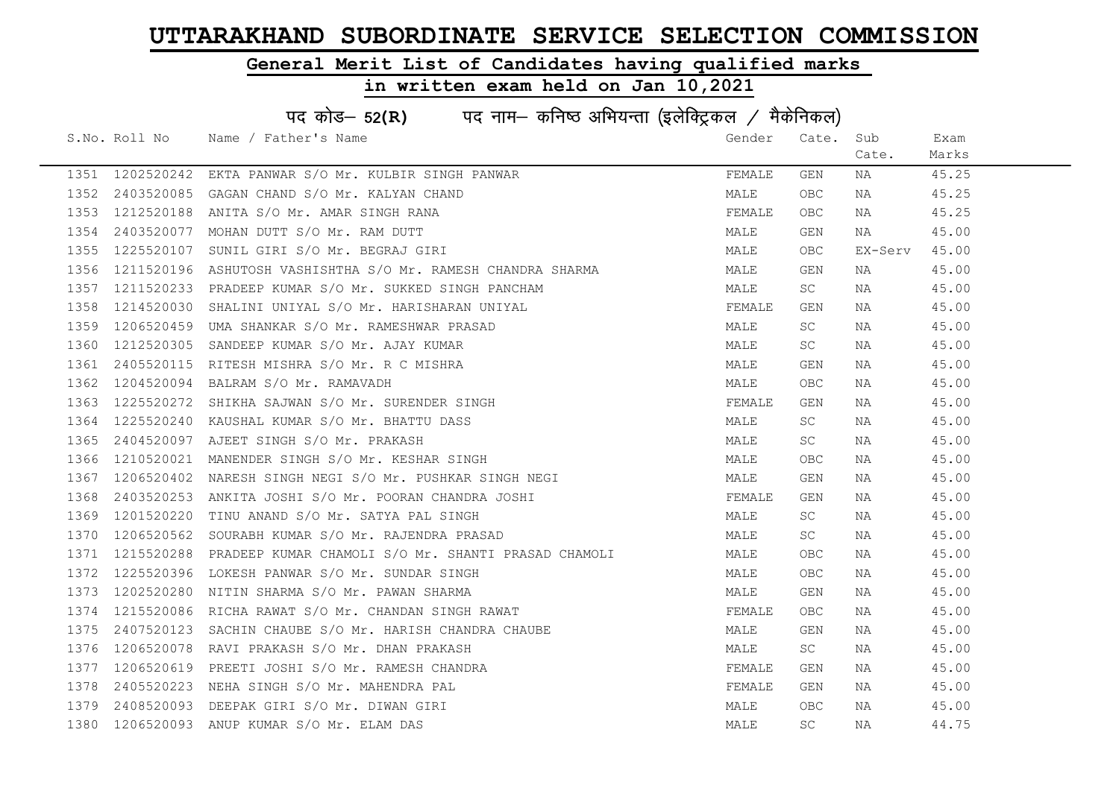### General Merit List of Candidates having qualified marks

|      | पद कोड– 52(R) पद नाम– कनिष्ठ अभियन्ता (इलेक्ट्रिकल / मैकेनिकल) |                                                     |        |            |         |       |  |  |
|------|----------------------------------------------------------------|-----------------------------------------------------|--------|------------|---------|-------|--|--|
|      | S.No. Roll No                                                  | Name / Father's Name                                | Gender | Cate.      | Sub     | Exam  |  |  |
|      |                                                                |                                                     |        |            | Cate.   | Marks |  |  |
| 1351 | 1202520242                                                     | EKTA PANWAR S/O Mr. KULBIR SINGH PANWAR             | FEMALE | GEN        | NA      | 45.25 |  |  |
| 1352 | 2403520085                                                     | GAGAN CHAND S/O Mr. KALYAN CHAND                    | MALE   | <b>OBC</b> | NA      | 45.25 |  |  |
| 1353 | 1212520188                                                     | ANITA S/O Mr. AMAR SINGH RANA                       | FEMALE | <b>OBC</b> | NA      | 45.25 |  |  |
| 1354 | 2403520077                                                     | MOHAN DUTT S/O Mr. RAM DUTT                         | MALE   | GEN        | NA      | 45.00 |  |  |
| 1355 | 1225520107                                                     | SUNIL GIRI S/O Mr. BEGRAJ GIRI                      | MALE   | OBC.       | EX-Serv | 45.00 |  |  |
| 1356 | 1211520196                                                     | ASHUTOSH VASHISHTHA S/O Mr. RAMESH CHANDRA SHARMA   | MALE   | GEN        | NA      | 45.00 |  |  |
| 1357 | 1211520233                                                     | PRADEEP KUMAR S/O Mr. SUKKED SINGH PANCHAM          | MALE   | SC         | NA      | 45.00 |  |  |
| 1358 | 1214520030                                                     | SHALINI UNIYAL S/O Mr. HARISHARAN UNIYAL            | FEMALE | <b>GEN</b> | NA      | 45.00 |  |  |
| 1359 | 1206520459                                                     | UMA SHANKAR S/O Mr. RAMESHWAR PRASAD                | MALE   | SC         | NA      | 45.00 |  |  |
| 1360 | 1212520305                                                     | SANDEEP KUMAR S/O Mr. AJAY KUMAR                    | MALE   | SC.        | NA      | 45.00 |  |  |
| 1361 | 2405520115                                                     | RITESH MISHRA S/O Mr. R C MISHRA                    | MALE   | GEN        | NA      | 45.00 |  |  |
| 1362 | 1204520094                                                     | BALRAM S/O Mr. RAMAVADH                             | MALE   | <b>OBC</b> | NA      | 45.00 |  |  |
| 1363 | 1225520272                                                     | SHIKHA SAJWAN S/O Mr. SURENDER SINGH                | FEMALE | GEN        | NA      | 45.00 |  |  |
| 1364 | 1225520240                                                     | KAUSHAL KUMAR S/O Mr. BHATTU DASS                   | MALE   | SC         | NA      | 45.00 |  |  |
| 1365 | 2404520097                                                     | AJEET SINGH S/O Mr. PRAKASH                         | MALE   | SC         | NA      | 45.00 |  |  |
| 1366 | 1210520021                                                     | MANENDER SINGH S/O Mr. KESHAR SINGH                 | MALE   | OBC        | NA      | 45.00 |  |  |
| 1367 | 1206520402                                                     | NARESH SINGH NEGI S/O Mr. PUSHKAR SINGH NEGI        | MALE   | GEN        | NA      | 45.00 |  |  |
| 1368 | 2403520253                                                     | ANKITA JOSHI S/O Mr. POORAN CHANDRA JOSHI           | FEMALE | GEN        | NA      | 45.00 |  |  |
| 1369 | 1201520220                                                     | TINU ANAND S/O Mr. SATYA PAL SINGH                  | MALE   | SC         | NA      | 45.00 |  |  |
| 1370 | 1206520562                                                     | SOURABH KUMAR S/O Mr. RAJENDRA PRASAD               | MALE   | SC         | NA      | 45.00 |  |  |
| 1371 | 1215520288                                                     | PRADEEP KUMAR CHAMOLI S/O Mr. SHANTI PRASAD CHAMOLI | MALE   | OBC        | NA      | 45.00 |  |  |
| 1372 | 1225520396                                                     | LOKESH PANWAR S/O Mr. SUNDAR SINGH                  | MALE   | OBC        | NA      | 45.00 |  |  |
| 1373 | 1202520280                                                     | NITIN SHARMA S/O Mr. PAWAN SHARMA                   | MALE   | GEN        | NA      | 45.00 |  |  |
| 1374 | 1215520086                                                     | RICHA RAWAT S/O Mr. CHANDAN SINGH RAWAT             | FEMALE | <b>OBC</b> | NA      | 45.00 |  |  |
| 1375 | 2407520123                                                     | SACHIN CHAUBE S/O Mr. HARISH CHANDRA CHAUBE         | MALE   | GEN        | NA      | 45.00 |  |  |
| 1376 | 1206520078                                                     | RAVI PRAKASH S/O Mr. DHAN PRAKASH                   | MALE   | SC         | NA      | 45.00 |  |  |
| 1377 | 1206520619                                                     | PREETI JOSHI S/O Mr. RAMESH CHANDRA                 | FEMALE | GEN        | NA      | 45.00 |  |  |
| 1378 | 2405520223                                                     | NEHA SINGH S/O Mr. MAHENDRA PAL                     | FEMALE | GEN        | NA      | 45.00 |  |  |
| 1379 | 2408520093                                                     | DEEPAK GIRI S/O Mr. DIWAN GIRI                      | MALE   | <b>OBC</b> | NA      | 45.00 |  |  |
| 1380 | 1206520093                                                     | ANUP KUMAR S/O Mr. ELAM DAS                         | MALE   | SC         | NA      | 44.75 |  |  |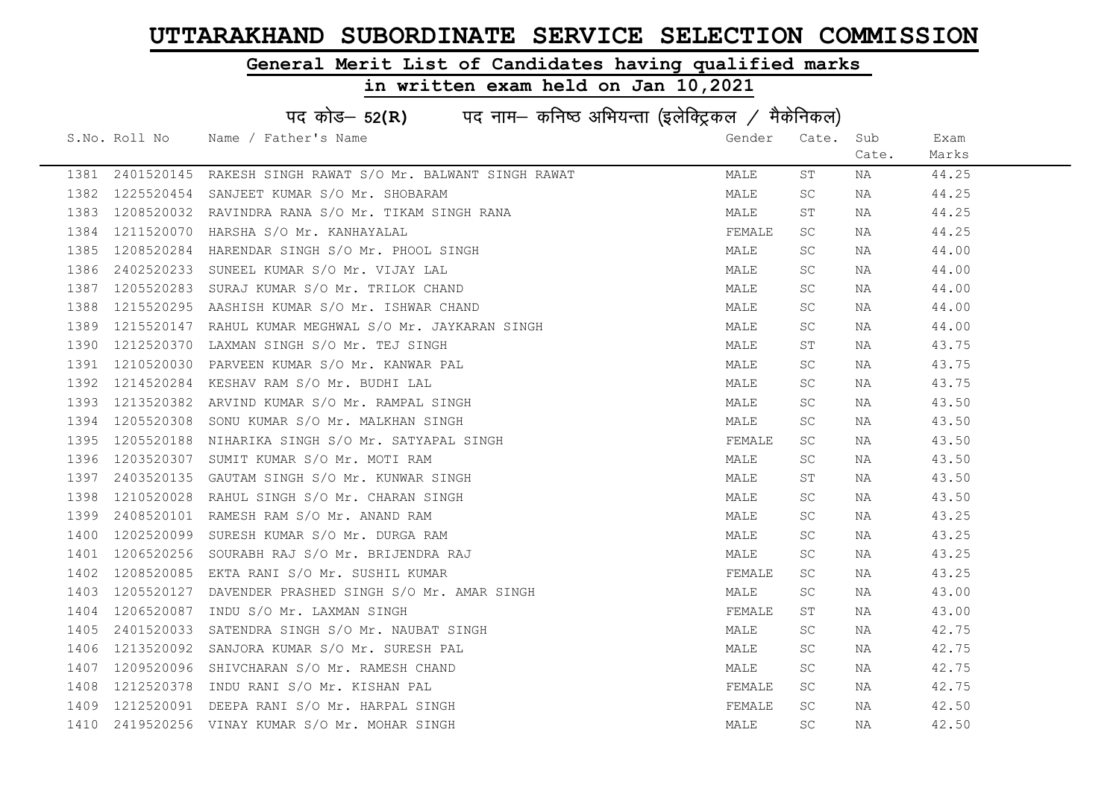### General Merit List of Candidates having qualified marks

|      | पद कोड- 52(R) पद नाम- कनिष्ठ अभियन्ता (इलेक्ट्रिकल / मैकेनिकल) |                                                |        |       |       |       |  |  |
|------|----------------------------------------------------------------|------------------------------------------------|--------|-------|-------|-------|--|--|
|      | S.No. Roll No                                                  | Name / Father's Name                           | Gender | Cate. | Sub   | Exam  |  |  |
|      |                                                                |                                                |        |       | Cate. | Marks |  |  |
| 1381 | 2401520145                                                     | RAKESH SINGH RAWAT S/O Mr. BALWANT SINGH RAWAT | MALE   | ST    | NA    | 44.25 |  |  |
| 1382 | 1225520454                                                     | SANJEET KUMAR S/O Mr. SHOBARAM                 | MALE   | SC    | NA    | 44.25 |  |  |
| 1383 | 1208520032                                                     | RAVINDRA RANA S/O Mr. TIKAM SINGH RANA         | MALE   | ST    | ΝA    | 44.25 |  |  |
| 1384 | 1211520070                                                     | HARSHA S/O Mr. KANHAYALAL                      | FEMALE | SC    | NA    | 44.25 |  |  |
| 1385 | 1208520284                                                     | HARENDAR SINGH S/O Mr. PHOOL SINGH             | MALE   | SC    | NA    | 44.00 |  |  |
| 1386 | 2402520233                                                     | SUNEEL KUMAR S/O Mr. VIJAY LAL                 | MALE   | SC    | NA    | 44.00 |  |  |
| 1387 | 1205520283                                                     | SURAJ KUMAR S/O Mr. TRILOK CHAND               | MALE   | SC    | ΝA    | 44.00 |  |  |
| 1388 | 1215520295                                                     | AASHISH KUMAR S/O Mr. ISHWAR CHAND             | MALE   | SC    | ΝA    | 44.00 |  |  |
| 1389 | 1215520147                                                     | RAHUL KUMAR MEGHWAL S/O Mr. JAYKARAN SINGH     | MALE   | SC    | NA    | 44.00 |  |  |
| 1390 | 1212520370                                                     | LAXMAN SINGH S/O Mr. TEJ SINGH                 | MALE   | SТ    | ΝA    | 43.75 |  |  |
| 1391 | 1210520030                                                     | PARVEEN KUMAR S/O Mr. KANWAR PAL               | MALE   | SC    | ΝA    | 43.75 |  |  |
| 1392 | 1214520284                                                     | KESHAV RAM S/O Mr. BUDHI LAL                   | MALE   | SC    | NA    | 43.75 |  |  |
| 1393 | 1213520382                                                     | ARVIND KUMAR S/O Mr. RAMPAL SINGH              | MALE   | SC    | NA    | 43.50 |  |  |
| 1394 | 1205520308                                                     | SONU KUMAR S/O Mr. MALKHAN SINGH               | MALE   | SC    | NA    | 43.50 |  |  |
| 1395 | 1205520188                                                     | NIHARIKA SINGH S/O Mr. SATYAPAL SINGH          | FEMALE | SC    | NA    | 43.50 |  |  |
| 1396 | 1203520307                                                     | SUMIT KUMAR S/O Mr. MOTI RAM                   | MALE   | SC    | NA    | 43.50 |  |  |
| 1397 | 2403520135                                                     | GAUTAM SINGH S/O Mr. KUNWAR SINGH              | MALE   | SТ    | ΝA    | 43.50 |  |  |
| 1398 | 1210520028                                                     | RAHUL SINGH S/O Mr. CHARAN SINGH               | MALE   | SC.   | ΝA    | 43.50 |  |  |
| 1399 | 2408520101                                                     | RAMESH RAM S/O Mr. ANAND RAM                   | MALE   | SC    | ΝA    | 43.25 |  |  |
| 1400 | 1202520099                                                     | SURESH KUMAR S/O Mr. DURGA RAM                 | MALE   | SC    | NA    | 43.25 |  |  |
| 1401 | 1206520256                                                     | SOURABH RAJ S/O Mr. BRIJENDRA RAJ              | MALE   | SC    | NA    | 43.25 |  |  |
| 1402 | 1208520085                                                     | EKTA RANI S/O Mr. SUSHIL KUMAR                 | FEMALE | SC    | NA    | 43.25 |  |  |
| 1403 | 1205520127                                                     | DAVENDER PRASHED SINGH S/O Mr. AMAR SINGH      | MALE   | SC    | ΝA    | 43.00 |  |  |
| 1404 | 1206520087                                                     | INDU S/O Mr. LAXMAN SINGH                      | FEMALE | SΤ    | NA    | 43.00 |  |  |
| 1405 | 2401520033                                                     | SATENDRA SINGH S/O Mr. NAUBAT SINGH            | MALE   | SC.   | NA    | 42.75 |  |  |
| 1406 | 1213520092                                                     | SANJORA KUMAR S/O Mr. SURESH PAL               | MALE   | SC    | NA    | 42.75 |  |  |
| 1407 | 1209520096                                                     | SHIVCHARAN S/O Mr. RAMESH CHAND                | MALE   | SC    | NA    | 42.75 |  |  |
| 1408 | 1212520378                                                     | INDU RANI S/O Mr. KISHAN PAL                   | FEMALE | SC.   | NA    | 42.75 |  |  |
| 1409 | 1212520091                                                     | DEEPA RANI S/O Mr. HARPAL SINGH                | FEMALE | SC    | NA    | 42.50 |  |  |
| 1410 | 2419520256                                                     | VINAY KUMAR S/O Mr. MOHAR SINGH                | MALE   | SC    | ΝA    | 42.50 |  |  |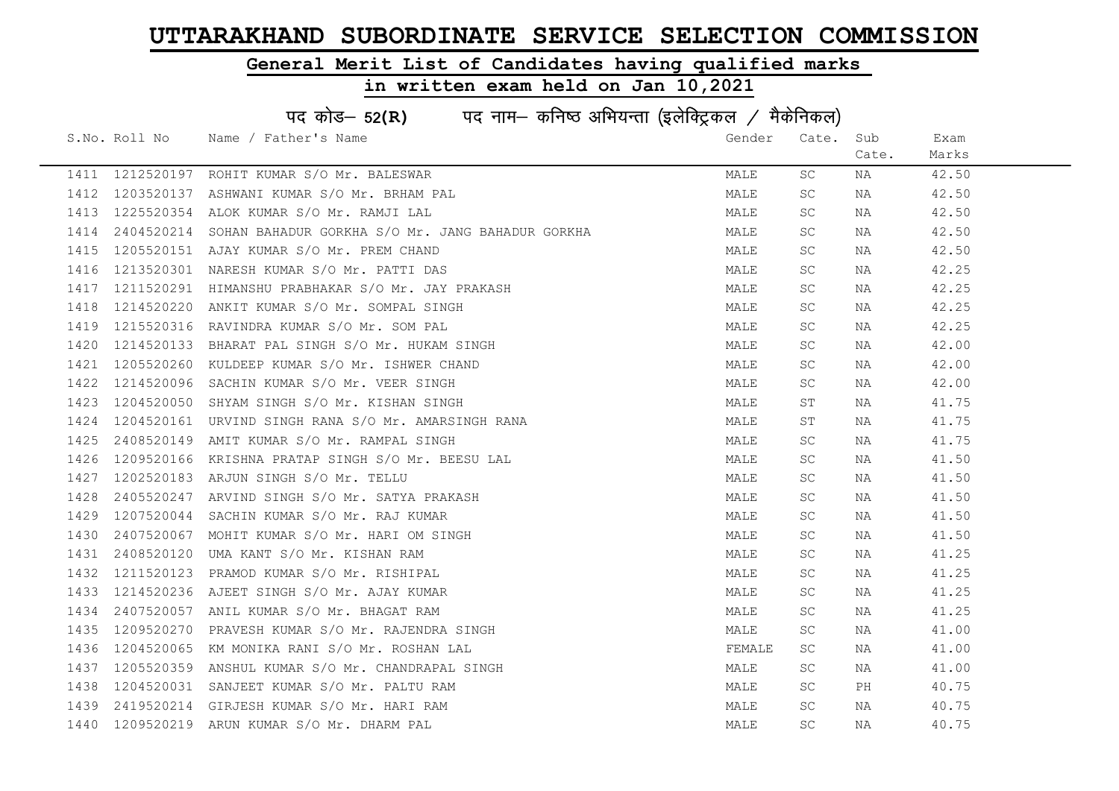### General Merit List of Candidates having qualified marks

|      | पद कोड- 52(R) पद नाम- कनिष्ठ अभियन्ता (इलेक्ट्रिकल / मैकेनिकल) |                                                  |        |           |       |       |  |  |
|------|----------------------------------------------------------------|--------------------------------------------------|--------|-----------|-------|-------|--|--|
|      | S.No. Roll No                                                  | Name / Father's Name                             | Gender | Cate.     | Sub   | Exam  |  |  |
|      |                                                                |                                                  |        |           | Cate. | Marks |  |  |
|      | 1411 1212520197                                                | ROHIT KUMAR S/O Mr. BALESWAR                     | MALE   | SC.       | ΝA    | 42.50 |  |  |
| 1412 | 1203520137                                                     | ASHWANI KUMAR S/O Mr. BRHAM PAL                  | MALE   | SC.       | NA    | 42.50 |  |  |
| 1413 | 1225520354                                                     | ALOK KUMAR S/O Mr. RAMJI LAL                     | MALE   | SC.       | NA    | 42.50 |  |  |
| 1414 | 2404520214                                                     | SOHAN BAHADUR GORKHA S/O Mr. JANG BAHADUR GORKHA | MALE   | SC.       | NA    | 42.50 |  |  |
| 1415 | 1205520151                                                     | AJAY KUMAR S/O Mr. PREM CHAND                    | MALE   | SC.       | NA    | 42.50 |  |  |
| 1416 | 1213520301                                                     | NARESH KUMAR S/O Mr. PATTI DAS                   | MALE   | SC.       | NA    | 42.25 |  |  |
| 1417 | 1211520291                                                     | HIMANSHU PRABHAKAR S/O Mr. JAY PRAKASH           | MALE   | SC.       | NA    | 42.25 |  |  |
| 1418 | 1214520220                                                     | ANKIT KUMAR S/O Mr. SOMPAL SINGH                 | MALE   | SC        | NA    | 42.25 |  |  |
| 1419 | 1215520316                                                     | RAVINDRA KUMAR S/O Mr. SOM PAL                   | MALE   | SC        | ΝA    | 42.25 |  |  |
| 1420 | 1214520133                                                     | BHARAT PAL SINGH S/O Mr. HUKAM SINGH             | MALE   | SC        | NA    | 42.00 |  |  |
| 1421 | 1205520260                                                     | KULDEEP KUMAR S/O Mr. ISHWER CHAND               | MALE   | SC        | ΝA    | 42.00 |  |  |
| 1422 | 1214520096                                                     | SACHIN KUMAR S/O Mr. VEER SINGH                  | MALE   | SC.       | NA    | 42.00 |  |  |
| 1423 | 1204520050                                                     | SHYAM SINGH S/O Mr. KISHAN SINGH                 | MALE   | SΤ        | NA    | 41.75 |  |  |
| 1424 | 1204520161                                                     | URVIND SINGH RANA S/O Mr. AMARSINGH RANA         | MALE   | SΤ        | NA    | 41.75 |  |  |
| 1425 | 2408520149                                                     | AMIT KUMAR S/O Mr. RAMPAL SINGH                  | MALE   | SC        | NA    | 41.75 |  |  |
| 1426 | 1209520166                                                     | KRISHNA PRATAP SINGH S/O Mr. BEESU LAL           | MALE   | SC.       | NA    | 41.50 |  |  |
| 1427 | 1202520183                                                     | ARJUN SINGH S/O Mr. TELLU                        | MALE   | SC        | ΝA    | 41.50 |  |  |
| 1428 | 2405520247                                                     | ARVIND SINGH S/O Mr. SATYA PRAKASH               | MALE   | SC        | ΝA    | 41.50 |  |  |
| 1429 | 1207520044                                                     | SACHIN KUMAR S/O Mr. RAJ KUMAR                   | MALE   | SC        | ΝA    | 41.50 |  |  |
| 1430 | 2407520067                                                     | MOHIT KUMAR S/O Mr. HARI OM SINGH                | MALE   | SC        | NA    | 41.50 |  |  |
| 1431 | 2408520120                                                     | UMA KANT S/O Mr. KISHAN RAM                      | MALE   | SC.       | NA    | 41.25 |  |  |
| 1432 | 1211520123                                                     | PRAMOD KUMAR S/O Mr. RISHIPAL                    | MALE   | SC.       | NA    | 41.25 |  |  |
| 1433 | 1214520236                                                     | AJEET SINGH S/O Mr. AJAY KUMAR                   | MALE   | SC        | NA    | 41.25 |  |  |
| 1434 | 2407520057                                                     | ANIL KUMAR S/O Mr. BHAGAT RAM                    | MALE   | SC        | NA    | 41.25 |  |  |
| 1435 | 1209520270                                                     | PRAVESH KUMAR S/O Mr. RAJENDRA SINGH             | MALE   | SC        | NA    | 41.00 |  |  |
| 1436 | 1204520065                                                     | KM MONIKA RANI S/O Mr. ROSHAN LAL                | FEMALE | SC        | NA    | 41.00 |  |  |
| 1437 | 1205520359                                                     | ANSHUL KUMAR S/O Mr. CHANDRAPAL SINGH            | MALE   | SC        | NA    | 41.00 |  |  |
| 1438 | 1204520031                                                     | SANJEET KUMAR S/O Mr. PALTU RAM                  | MALE   | SC        | PH    | 40.75 |  |  |
| 1439 | 2419520214                                                     | GIRJESH KUMAR S/O Mr. HARI RAM                   | MALE   | <b>SC</b> | NA    | 40.75 |  |  |
| 1440 |                                                                | 1209520219 ARUN KUMAR S/O Mr. DHARM PAL          | MALE   | <b>SC</b> | NA    | 40.75 |  |  |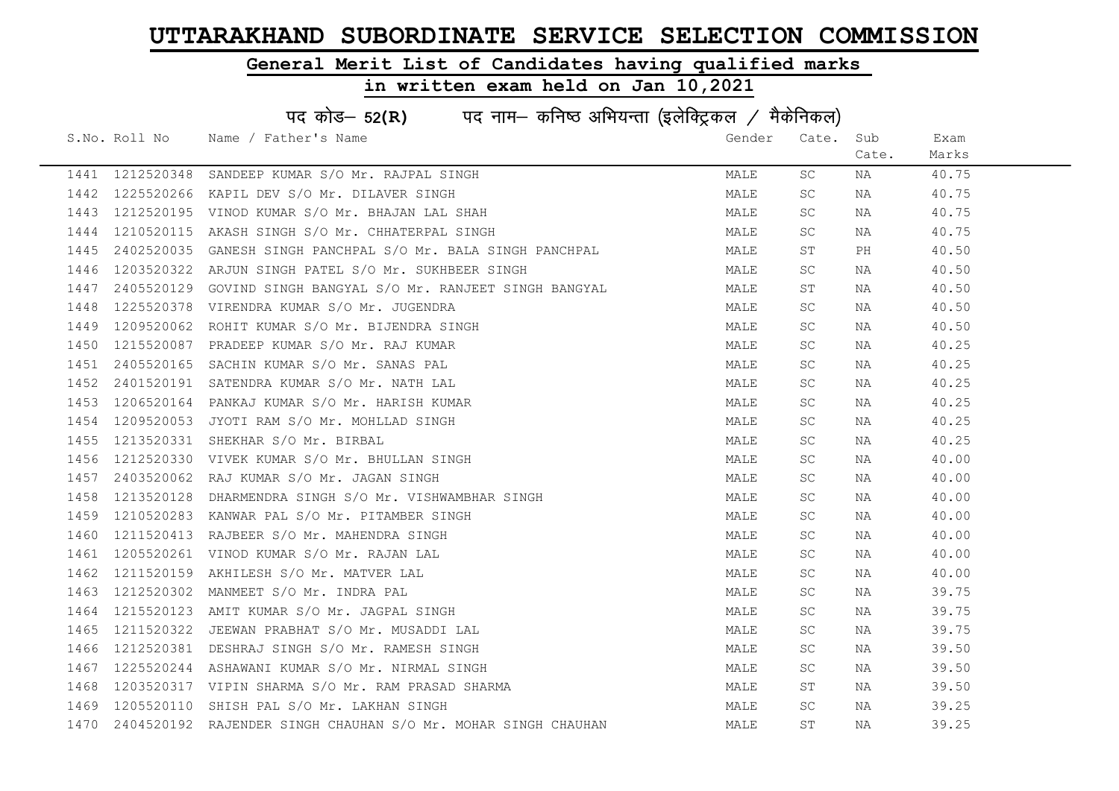### General Merit List of Candidates having qualified marks

| पद कोड– 52(R) पद नाम– कनिष्ठ अभियन्ता (इलेक्ट्रिकल / मैकेनिकल) |               |                                                               |        |       |       |       |
|----------------------------------------------------------------|---------------|---------------------------------------------------------------|--------|-------|-------|-------|
|                                                                | S.No. Roll No | Name / Father's Name                                          | Gender | Cate. | Sub   | Exam  |
|                                                                |               |                                                               |        |       | Cate. | Marks |
| 1441                                                           | 1212520348    | SANDEEP KUMAR S/O Mr. RAJPAL SINGH                            | MALE   | SC    | NA    | 40.75 |
| 1442                                                           | 1225520266    | KAPIL DEV S/O Mr. DILAVER SINGH                               | MALE   | SC    | NA    | 40.75 |
| 1443                                                           | 1212520195    | VINOD KUMAR S/O Mr. BHAJAN LAL SHAH                           | MALE   | SC.   | NA    | 40.75 |
| 1444                                                           | 1210520115    | AKASH SINGH S/O Mr. CHHATERPAL SINGH                          | MALE   | SC.   | NA    | 40.75 |
| 1445                                                           | 2402520035    | GANESH SINGH PANCHPAL S/O Mr. BALA SINGH PANCHPAL             | MALE   | ST    | PH    | 40.50 |
| 1446                                                           | 1203520322    | ARJUN SINGH PATEL S/O Mr. SUKHBEER SINGH                      | MALE   | SC.   | NA    | 40.50 |
| 1447                                                           | 2405520129    | GOVIND SINGH BANGYAL S/O Mr. RANJEET SINGH BANGYAL            | MALE   | ST    | NA    | 40.50 |
| 1448                                                           | 1225520378    | VIRENDRA KUMAR S/O Mr. JUGENDRA                               | MALE   | SC    | NA    | 40.50 |
| 1449                                                           | 1209520062    | ROHIT KUMAR S/O Mr. BIJENDRA SINGH                            | MALE   | SC.   | NA    | 40.50 |
| 1450                                                           | 1215520087    | PRADEEP KUMAR S/O Mr. RAJ KUMAR                               | MALE   | SC    | NA    | 40.25 |
| 1451                                                           | 2405520165    | SACHIN KUMAR S/O Mr. SANAS PAL                                | MALE   | SC.   | NA    | 40.25 |
| 1452                                                           | 2401520191    | SATENDRA KUMAR S/O Mr. NATH LAL                               | MALE   | SC.   | NA    | 40.25 |
| 1453                                                           | 1206520164    | PANKAJ KUMAR S/O Mr. HARISH KUMAR                             | MALE   | SC.   | NA    | 40.25 |
| 1454                                                           | 1209520053    | JYOTI RAM S/O Mr. MOHLLAD SINGH                               | MALE   | SC.   | NA    | 40.25 |
| 1455                                                           | 1213520331    | SHEKHAR S/O Mr. BIRBAL                                        | MALE   | SC.   | NA    | 40.25 |
| 1456                                                           | 1212520330    | VIVEK KUMAR S/O Mr. BHULLAN SINGH                             | MALE   | SC    | NA    | 40.00 |
| 1457                                                           | 2403520062    | RAJ KUMAR S/O Mr. JAGAN SINGH                                 | MALE   | SC.   | NA    | 40.00 |
| 1458                                                           | 1213520128    | DHARMENDRA SINGH S/O Mr. VISHWAMBHAR SINGH                    | MALE   | SC    | NA    | 40.00 |
| 1459                                                           | 1210520283    | KANWAR PAL S/O Mr. PITAMBER SINGH                             | MALE   | SC.   | NA    | 40.00 |
| 1460                                                           | 1211520413    | RAJBEER S/O Mr. MAHENDRA SINGH                                | MALE   | SC.   | NA    | 40.00 |
| 1461                                                           | 1205520261    | VINOD KUMAR S/O Mr. RAJAN LAL                                 | MALE   | SC.   | NA    | 40.00 |
| 1462                                                           | 1211520159    | AKHILESH S/O Mr. MATVER LAL                                   | MALE   | SC.   | NA    | 40.00 |
| 1463                                                           | 1212520302    | MANMEET S/O Mr. INDRA PAL                                     | MALE   | SC.   | NA    | 39.75 |
| 1464                                                           | 1215520123    | AMIT KUMAR S/O Mr. JAGPAL SINGH                               | MALE   | SC.   | NA    | 39.75 |
| 1465                                                           | 1211520322    | JEEWAN PRABHAT S/O Mr. MUSADDI LAL                            | MALE   | SC.   | NA    | 39.75 |
| 1466                                                           | 1212520381    | DESHRAJ SINGH S/O Mr. RAMESH SINGH                            | MALE   | SC.   | NA    | 39.50 |
| 1467                                                           |               | 1225520244 ASHAWANI KUMAR S/O Mr. NIRMAL SINGH                | MALE   | SC.   | NA    | 39.50 |
| 1468                                                           |               | 1203520317 VIPIN SHARMA S/O Mr. RAM PRASAD SHARMA             | MALE   | ST    | NA    | 39.50 |
| 1469                                                           | 1205520110    | SHISH PAL S/O Mr. LAKHAN SINGH                                | MALE   | SC.   | NA    | 39.25 |
| 1470                                                           |               | 2404520192 RAJENDER SINGH CHAUHAN S/O Mr. MOHAR SINGH CHAUHAN | MALE   | ST    | NA    | 39.25 |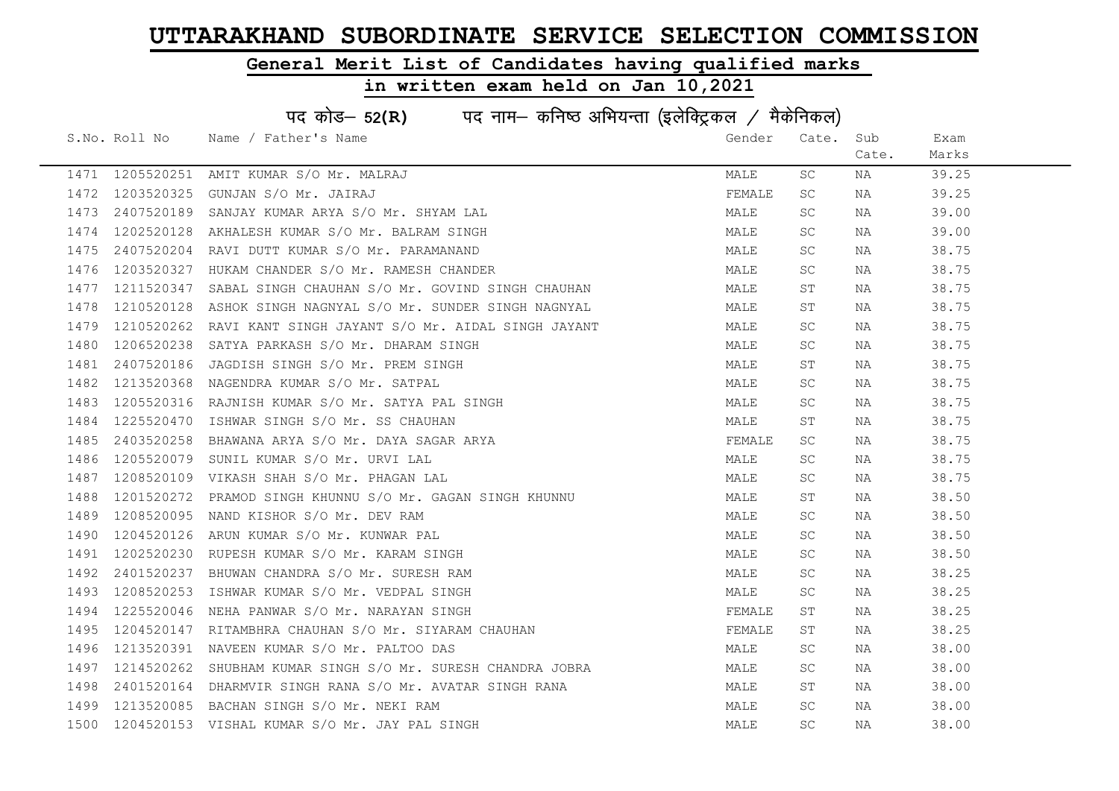### General Merit List of Candidates having qualified marks

| पद कोड- 52(R) पद नाम- कनिष्ठ अभियन्ता (इलेक्ट्रिकल / मैकेनिकल) |               |                                                   |        |           |       |       |
|----------------------------------------------------------------|---------------|---------------------------------------------------|--------|-----------|-------|-------|
|                                                                | S.No. Roll No | Name / Father's Name                              | Gender | Cate.     | Sub   | Exam  |
|                                                                |               |                                                   |        |           | Cate. | Marks |
| 1471                                                           | 1205520251    | AMIT KUMAR S/O Mr. MALRAJ                         | MALE   | SC.       | NA    | 39.25 |
| 1472                                                           | 1203520325    | GUNJAN S/O Mr. JAIRAJ                             | FEMALE | SC        | NA    | 39.25 |
| 1473                                                           | 2407520189    | SANJAY KUMAR ARYA S/O Mr. SHYAM LAL               | MALE   | SC.       | NA    | 39.00 |
| 1474                                                           | 1202520128    | AKHALESH KUMAR S/O Mr. BALRAM SINGH               | MALE   | <b>SC</b> | NA    | 39.00 |
| 1475                                                           | 2407520204    | RAVI DUTT KUMAR S/O Mr. PARAMANAND                | MALE   | SC.       | NA    | 38.75 |
| 1476                                                           | 1203520327    | HUKAM CHANDER S/O Mr. RAMESH CHANDER              | MALE   | SC.       | NA    | 38.75 |
| 1477                                                           | 1211520347    | SABAL SINGH CHAUHAN S/O Mr. GOVIND SINGH CHAUHAN  | MALE   | ST        | NA    | 38.75 |
| 1478                                                           | 1210520128    | ASHOK SINGH NAGNYAL S/O Mr. SUNDER SINGH NAGNYAL  | MALE   | SТ        | NA    | 38.75 |
| 1479                                                           | 1210520262    | RAVI KANT SINGH JAYANT S/O Mr. AIDAL SINGH JAYANT | MALE   | SC.       | NA    | 38.75 |
| 1480                                                           | 1206520238    | SATYA PARKASH S/O Mr. DHARAM SINGH                | MALE   | SC.       | NA    | 38.75 |
| 1481                                                           | 2407520186    | JAGDISH SINGH S/O Mr. PREM SINGH                  | MALE   | ST        | NA    | 38.75 |
| 1482                                                           | 1213520368    | NAGENDRA KUMAR S/O Mr. SATPAL                     | MALE   | SC.       | NA    | 38.75 |
| 1483                                                           | 1205520316    | RAJNISH KUMAR S/O Mr. SATYA PAL SINGH             | MALE   | SC.       | NA    | 38.75 |
| 1484                                                           | 1225520470    | ISHWAR SINGH S/O Mr. SS CHAUHAN                   | MALE   | ST        | NA    | 38.75 |
| 1485                                                           | 2403520258    | BHAWANA ARYA S/O Mr. DAYA SAGAR ARYA              | FEMALE | SC.       | NA    | 38.75 |
| 1486                                                           | 1205520079    | SUNIL KUMAR S/O Mr. URVI LAL                      | MALE   | SC        | NA    | 38.75 |
| 1487                                                           | 1208520109    | VIKASH SHAH S/O Mr. PHAGAN LAL                    | MALE   | SC.       | NA    | 38.75 |
| 1488                                                           | 1201520272    | PRAMOD SINGH KHUNNU S/O Mr. GAGAN SINGH KHUNNU    | MALE   | ST        | NA    | 38.50 |
| 1489                                                           | 1208520095    | NAND KISHOR S/O Mr. DEV RAM                       | MALE   | SC.       | NA    | 38.50 |
| 1490                                                           | 1204520126    | ARUN KUMAR S/O Mr. KUNWAR PAL                     | MALE   | SC        | NA    | 38.50 |
| 1491                                                           | 1202520230    | RUPESH KUMAR S/O Mr. KARAM SINGH                  | MALE   | SC.       | NA    | 38.50 |
| 1492                                                           | 2401520237    | BHUWAN CHANDRA S/O Mr. SURESH RAM                 | MALE   | <b>SC</b> | NA    | 38.25 |
| 1493                                                           | 1208520253    | ISHWAR KUMAR S/O Mr. VEDPAL SINGH                 | MALE   | SC        | NA    | 38.25 |
| 1494                                                           | 1225520046    | NEHA PANWAR S/O Mr. NARAYAN SINGH                 | FEMALE | SΤ        | NA    | 38.25 |
| 1495                                                           | 1204520147    | RITAMBHRA CHAUHAN S/O Mr. SIYARAM CHAUHAN         | FEMALE | ST        | NA    | 38.25 |
| 1496                                                           | 1213520391    | NAVEEN KUMAR S/O Mr. PALTOO DAS                   | MALE   | SC.       | NA    | 38.00 |
| 1497                                                           | 1214520262    | SHUBHAM KUMAR SINGH S/O Mr. SURESH CHANDRA JOBRA  | MALE   | SC.       | NA    | 38.00 |
| 1498                                                           | 2401520164    | DHARMVIR SINGH RANA S/O Mr. AVATAR SINGH RANA     | MALE   | ST        | NA    | 38.00 |
| 1499                                                           | 1213520085    | BACHAN SINGH S/O Mr. NEKI RAM                     | MALE   | SC.       | NA    | 38.00 |
| 1500                                                           |               | 1204520153 VISHAL KUMAR S/O Mr. JAY PAL SINGH     | MALE   | <b>SC</b> | ΝA    | 38.00 |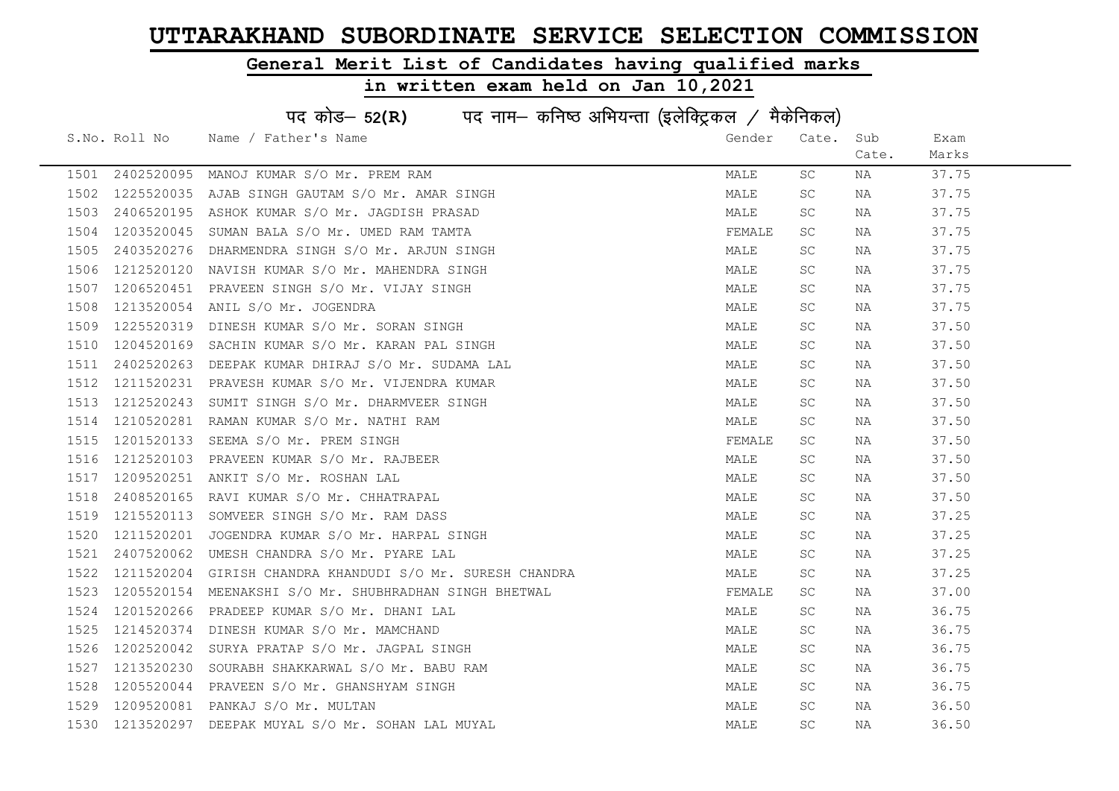### General Merit List of Candidates having qualified marks

| पद कोड– 52(R) पद नाम– कनिष्ठ अभियन्ता (इलेक्ट्रिकल / मैकेनिकल) |               |                                                |        |           |       |       |
|----------------------------------------------------------------|---------------|------------------------------------------------|--------|-----------|-------|-------|
|                                                                | S.No. Roll No | Name / Father's Name                           | Gender | Cate.     | Sub   | Exam  |
|                                                                |               |                                                |        |           | Cate. | Marks |
| 1501                                                           | 2402520095    | MANOJ KUMAR S/O Mr. PREM RAM                   | MALE   | SC.       | NA    | 37.75 |
| 1502                                                           | 1225520035    | AJAB SINGH GAUTAM S/O Mr. AMAR SINGH           | MALE   | SC        | NA    | 37.75 |
| 1503                                                           | 2406520195    | ASHOK KUMAR S/O Mr. JAGDISH PRASAD             | MALE   | SC.       | NA    | 37.75 |
| 1504                                                           | 1203520045    | SUMAN BALA S/O Mr. UMED RAM TAMTA              | FEMALE | SC.       | NA    | 37.75 |
| 1505                                                           | 2403520276    | DHARMENDRA SINGH S/O Mr. ARJUN SINGH           | MALE   | SC.       | NA    | 37.75 |
| 1506                                                           | 1212520120    | NAVISH KUMAR S/O Mr. MAHENDRA SINGH            | MALE   | SC.       | NA    | 37.75 |
| 1507                                                           | 1206520451    | PRAVEEN SINGH S/O Mr. VIJAY SINGH              | MALE   | SC.       | NA    | 37.75 |
| 1508                                                           | 1213520054    | ANIL S/O Mr. JOGENDRA                          | MALE   | <b>SC</b> | NA    | 37.75 |
| 1509                                                           | 1225520319    | DINESH KUMAR S/O Mr. SORAN SINGH               | MALE   | SC.       | NA    | 37.50 |
| 1510                                                           | 1204520169    | SACHIN KUMAR S/O Mr. KARAN PAL SINGH           | MALE   | SC        | NA    | 37.50 |
| 1511                                                           | 2402520263    | DEEPAK KUMAR DHIRAJ S/O Mr. SUDAMA LAL         | MALE   | SC.       | NA    | 37.50 |
| 1512                                                           | 1211520231    | PRAVESH KUMAR S/O Mr. VIJENDRA KUMAR           | MALE   | SC.       | NA    | 37.50 |
| 1513                                                           | 1212520243    | SUMIT SINGH S/O Mr. DHARMVEER SINGH            | MALE   | SC.       | NA    | 37.50 |
| 1514                                                           | 1210520281    | RAMAN KUMAR S/O Mr. NATHI RAM                  | MALE   | SC.       | NA    | 37.50 |
| 1515                                                           | 1201520133    | SEEMA S/O Mr. PREM SINGH                       | FEMALE | SC.       | NA    | 37.50 |
| 1516                                                           | 1212520103    | PRAVEEN KUMAR S/O Mr. RAJBEER                  | MALE   | <b>SC</b> | NA    | 37.50 |
| 1517                                                           | 1209520251    | ANKIT S/O Mr. ROSHAN LAL                       | MALE   | SC.       | NA    | 37.50 |
| 1518                                                           | 2408520165    | RAVI KUMAR S/O Mr. CHHATRAPAL                  | MALE   | SC        | NA    | 37.50 |
| 1519                                                           | 1215520113    | SOMVEER SINGH S/O Mr. RAM DASS                 | MALE   | SC.       | NA    | 37.25 |
| 1520                                                           | 1211520201    | JOGENDRA KUMAR S/O Mr. HARPAL SINGH            | MALE   | SC.       | NA    | 37.25 |
| 1521                                                           | 2407520062    | UMESH CHANDRA S/O Mr. PYARE LAL                | MALE   | SC.       | NA    | 37.25 |
| 1522                                                           | 1211520204    | GIRISH CHANDRA KHANDUDI S/O Mr. SURESH CHANDRA | MALE   | SC.       | NA    | 37.25 |
| 1523                                                           | 1205520154    | MEENAKSHI S/O Mr. SHUBHRADHAN SINGH BHETWAL    | FEMALE | SC.       | NA    | 37.00 |
| 1524                                                           | 1201520266    | PRADEEP KUMAR S/O Mr. DHANI LAL                | MALE   | SC.       | NA    | 36.75 |
| 1525                                                           | 1214520374    | DINESH KUMAR S/O Mr. MAMCHAND                  | MALE   | SC        | NA    | 36.75 |
| 1526                                                           | 1202520042    | SURYA PRATAP S/O Mr. JAGPAL SINGH              | MALE   | SC        | NA    | 36.75 |
| 1527                                                           | 1213520230    | SOURABH SHAKKARWAL S/O Mr. BABU RAM            | MALE   | SC.       | NA    | 36.75 |
| 1528                                                           | 1205520044    | PRAVEEN S/O Mr. GHANSHYAM SINGH                | MALE   | SC.       | NA    | 36.75 |
| 1529                                                           | 1209520081    | PANKAJ S/O Mr. MULTAN                          | MALE   | SC        | NA    | 36.50 |
| 1530                                                           | 1213520297    | DEEPAK MUYAL S/O Mr. SOHAN LAL MUYAL           | MALE   | <b>SC</b> | NA    | 36.50 |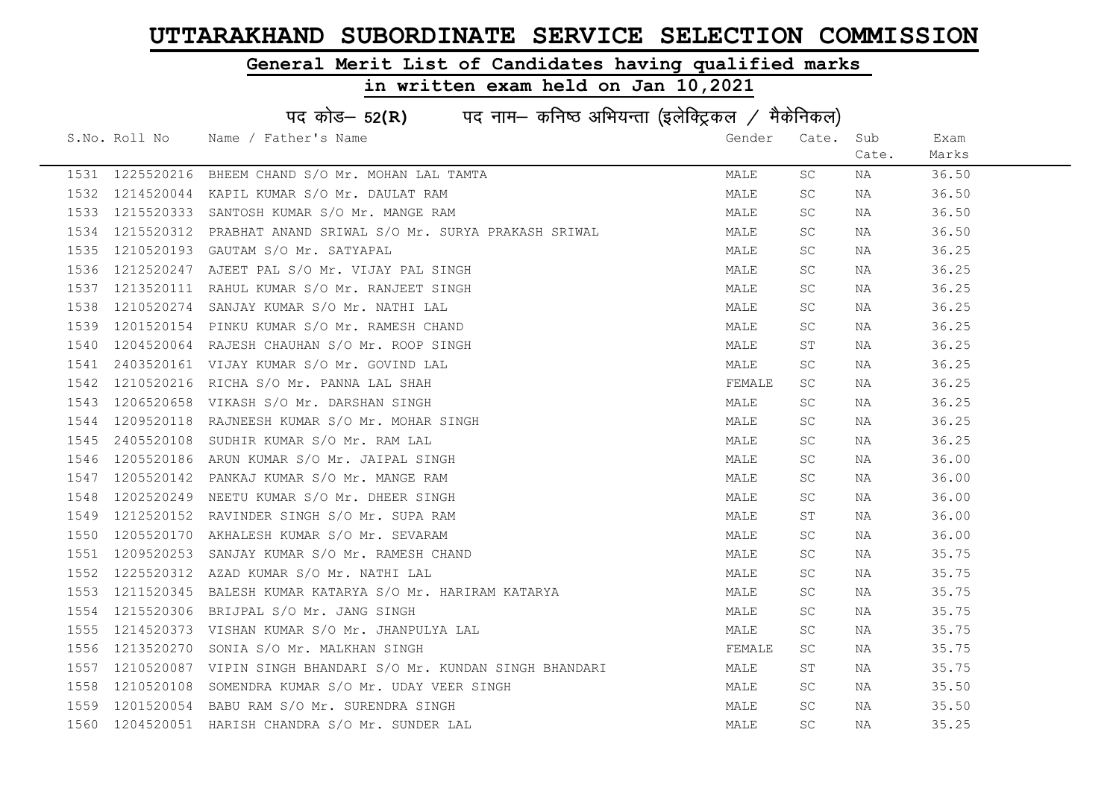#### General Merit List of Candidates having qualified marks

| पद कोड- 52(R) पद नाम- कनिष्ठ अभियन्ता (इलेक्ट्रिकल / मैकेनिकल) |                 |                                                    |        |           |       |       |
|----------------------------------------------------------------|-----------------|----------------------------------------------------|--------|-----------|-------|-------|
|                                                                | S.No. Roll No   | Name / Father's Name                               | Gender | Cate.     | Sub   | Exam  |
|                                                                |                 |                                                    |        |           | Cate. | Marks |
|                                                                | 1531 1225520216 | BHEEM CHAND S/O Mr. MOHAN LAL TAMTA                | MALE   | SC        | NA    | 36.50 |
| 1532                                                           | 1214520044      | KAPIL KUMAR S/O Mr. DAULAT RAM                     | MALE   | SC        | NA    | 36.50 |
| 1533                                                           | 1215520333      | SANTOSH KUMAR S/O Mr. MANGE RAM                    | MALE   | SC.       | NA    | 36.50 |
| 1534                                                           | 1215520312      | PRABHAT ANAND SRIWAL S/O Mr. SURYA PRAKASH SRIWAL  | MALE   | SC.       | NA    | 36.50 |
| 1535                                                           | 1210520193      | GAUTAM S/O Mr. SATYAPAL                            | MALE   | SC.       | NA    | 36.25 |
| 1536                                                           | 1212520247      | AJEET PAL S/O Mr. VIJAY PAL SINGH                  | MALE   | SC        | NA    | 36.25 |
| 1537                                                           | 1213520111      | RAHUL KUMAR S/O Mr. RANJEET SINGH                  | MALE   | SC.       | NA    | 36.25 |
| 1538                                                           | 1210520274      | SANJAY KUMAR S/O Mr. NATHI LAL                     | MALE   | SC        | NA    | 36.25 |
| 1539                                                           | 1201520154      | PINKU KUMAR S/O Mr. RAMESH CHAND                   | MALE   | SC.       | NA    | 36.25 |
| 1540                                                           | 1204520064      | RAJESH CHAUHAN S/O Mr. ROOP SINGH                  | MALE   | ST        | NA    | 36.25 |
| 1541                                                           | 2403520161      | VIJAY KUMAR S/O Mr. GOVIND LAL                     | MALE   | SC.       | NA    | 36.25 |
| 1542                                                           | 1210520216      | RICHA S/O Mr. PANNA LAL SHAH                       | FEMALE | SC.       | NA    | 36.25 |
| 1543                                                           | 1206520658      | VIKASH S/O Mr. DARSHAN SINGH                       | MALE   | SC.       | NA    | 36.25 |
| 1544                                                           | 1209520118      | RAJNEESH KUMAR S/O Mr. MOHAR SINGH                 | MALE   | SC.       | NA    | 36.25 |
| 1545                                                           | 2405520108      | SUDHIR KUMAR S/O Mr. RAM LAL                       | MALE   | SC.       | NA    | 36.25 |
| 1546                                                           | 1205520186      | ARUN KUMAR S/O Mr. JAIPAL SINGH                    | MALE   | <b>SC</b> | NA    | 36.00 |
| 1547                                                           | 1205520142      | PANKAJ KUMAR S/O Mr. MANGE RAM                     | MALE   | <b>SC</b> | NA    | 36.00 |
| 1548                                                           | 1202520249      | NEETU KUMAR S/O Mr. DHEER SINGH                    | MALE   | <b>SC</b> | NA    | 36.00 |
| 1549                                                           | 1212520152      | RAVINDER SINGH S/O Mr. SUPA RAM                    | MALE   | ST        | NA    | 36.00 |
| 1550                                                           | 1205520170      | AKHALESH KUMAR S/O Mr. SEVARAM                     | MALE   | SC.       | NA    | 36.00 |
| 1551                                                           | 1209520253      | SANJAY KUMAR S/O Mr. RAMESH CHAND                  | MALE   | SC.       | NA    | 35.75 |
| 1552                                                           | 1225520312      | AZAD KUMAR S/O Mr. NATHI LAL                       | MALE   | SC.       | NA    | 35.75 |
| 1553                                                           | 1211520345      | BALESH KUMAR KATARYA S/O Mr. HARIRAM KATARYA       | MALE   | SC        | NA    | 35.75 |
| 1554                                                           | 1215520306      | BRIJPAL S/O Mr. JANG SINGH                         | MALE   | SC        | NA    | 35.75 |
| 1555                                                           | 1214520373      | VISHAN KUMAR S/O Mr. JHANPULYA LAL                 | MALE   | SC.       | NA    | 35.75 |
| 1556                                                           | 1213520270      | SONIA S/O Mr. MALKHAN SINGH                        | FEMALE | SC.       | NA    | 35.75 |
| 1557                                                           | 1210520087      | VIPIN SINGH BHANDARI S/O Mr. KUNDAN SINGH BHANDARI | MALE   | SΤ        | NA    | 35.75 |
| 1558                                                           | 1210520108      | SOMENDRA KUMAR S/O Mr. UDAY VEER SINGH             | MALE   | SC.       | NA    | 35.50 |
| 1559                                                           | 1201520054      | BABU RAM S/O Mr. SURENDRA SINGH                    | MALE   | SC.       | NA    | 35.50 |
| 1560                                                           |                 | 1204520051 HARISH CHANDRA S/O Mr. SUNDER LAL       | MALE   | <b>SC</b> | NA    | 35.25 |